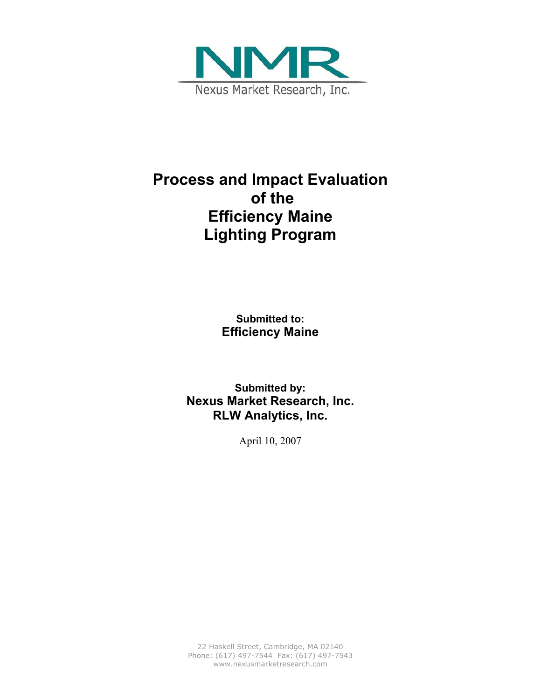

# **Process and Impact Evaluation of the Efficiency Maine Lighting Program**

**Submitted to: Efficiency Maine** 

**Submitted by: Nexus Market Research, Inc. RLW Analytics, Inc.** 

April 10, 2007

22 Haskell Street, Cambridge, MA 02140 Phone: (617) 497-7544 Fax: (617) 497-7543 www.nexusmarketresearch.com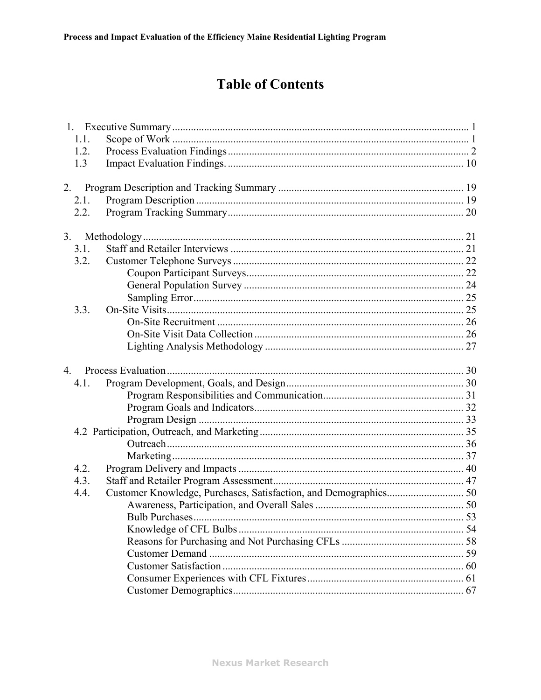# **Table of Contents**

| 1.1.             |  |
|------------------|--|
| 1.2.             |  |
| 1.3              |  |
| 2.               |  |
| 2.1.             |  |
| 2.2.             |  |
| 3.               |  |
| 3.1.             |  |
| 3.2.             |  |
|                  |  |
|                  |  |
|                  |  |
| 3.3.             |  |
|                  |  |
|                  |  |
|                  |  |
| $\overline{4}$ . |  |
| 4.1.             |  |
|                  |  |
|                  |  |
|                  |  |
|                  |  |
|                  |  |
|                  |  |
| 4.2.             |  |
| 4.3.             |  |
| 4.4.             |  |
|                  |  |
|                  |  |
|                  |  |
|                  |  |
|                  |  |
|                  |  |
|                  |  |
|                  |  |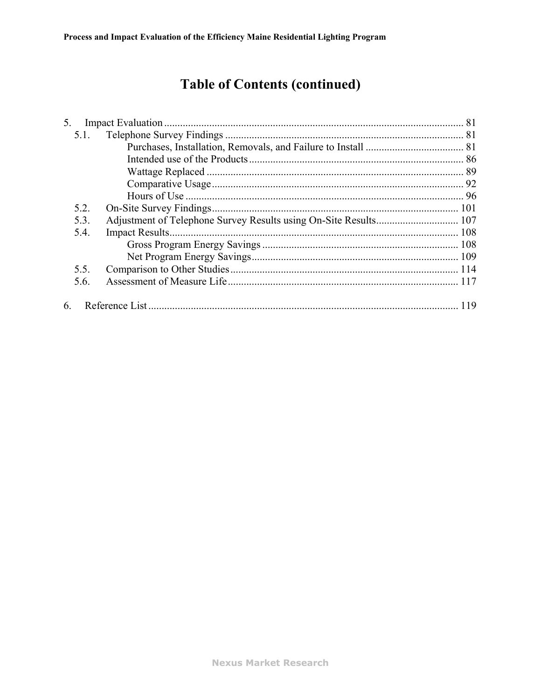# **Table of Contents (continued)**

| 5.   |  |
|------|--|
| 5.1. |  |
|      |  |
|      |  |
|      |  |
|      |  |
|      |  |
| 5.2. |  |
| 5.3. |  |
| 5.4. |  |
|      |  |
|      |  |
| 5.5. |  |
| 5.6. |  |
| 6    |  |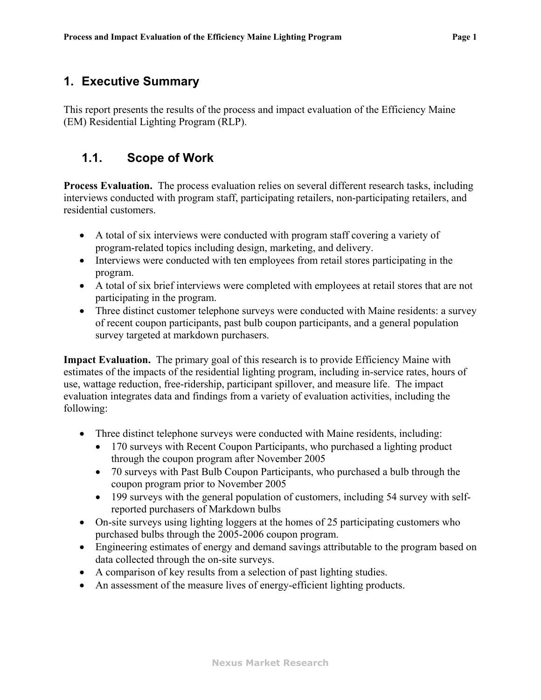### <span id="page-3-0"></span>**1. Executive Summary**

This report presents the results of the process and impact evaluation of the Efficiency Maine (EM) Residential Lighting Program (RLP).

# **1.1. Scope of Work**

**Process Evaluation.** The process evaluation relies on several different research tasks, including interviews conducted with program staff, participating retailers, non-participating retailers, and residential customers.

- ! A total of six interviews were conducted with program staff covering a variety of program-related topics including design, marketing, and delivery.
- Interviews were conducted with ten employees from retail stores participating in the program.
- ! A total of six brief interviews were completed with employees at retail stores that are not participating in the program.
- Three distinct customer telephone surveys were conducted with Maine residents: a survey of recent coupon participants, past bulb coupon participants, and a general population survey targeted at markdown purchasers.

**Impact Evaluation.** The primary goal of this research is to provide Efficiency Maine with estimates of the impacts of the residential lighting program, including in-service rates, hours of use, wattage reduction, free-ridership, participant spillover, and measure life. The impact evaluation integrates data and findings from a variety of evaluation activities, including the following:

- ! Three distinct telephone surveys were conducted with Maine residents, including:
	- 170 surveys with Recent Coupon Participants, who purchased a lighting product through the coupon program after November 2005
	- ! 70 surveys with Past Bulb Coupon Participants, who purchased a bulb through the coupon program prior to November 2005
	- ! 199 surveys with the general population of customers, including 54 survey with selfreported purchasers of Markdown bulbs
- On-site surveys using lighting loggers at the homes of 25 participating customers who purchased bulbs through the 2005-2006 coupon program.
- Engineering estimates of energy and demand savings attributable to the program based on data collected through the on-site surveys.
- ! A comparison of key results from a selection of past lighting studies.
- ! An assessment of the measure lives of energy-efficient lighting products.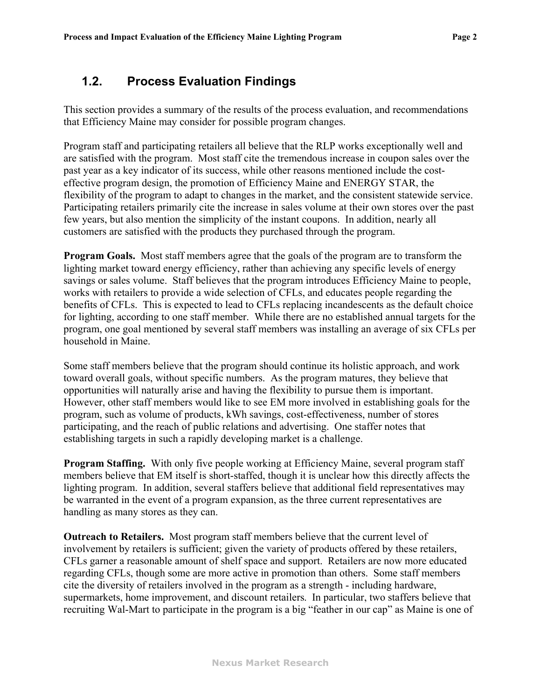### <span id="page-4-0"></span>**1.2. Process Evaluation Findings**

This section provides a summary of the results of the process evaluation, and recommendations that Efficiency Maine may consider for possible program changes.

Program staff and participating retailers all believe that the RLP works exceptionally well and are satisfied with the program. Most staff cite the tremendous increase in coupon sales over the past year as a key indicator of its success, while other reasons mentioned include the costeffective program design, the promotion of Efficiency Maine and ENERGY STAR, the flexibility of the program to adapt to changes in the market, and the consistent statewide service. Participating retailers primarily cite the increase in sales volume at their own stores over the past few years, but also mention the simplicity of the instant coupons. In addition, nearly all customers are satisfied with the products they purchased through the program.

**Program Goals.** Most staff members agree that the goals of the program are to transform the lighting market toward energy efficiency, rather than achieving any specific levels of energy savings or sales volume. Staff believes that the program introduces Efficiency Maine to people, works with retailers to provide a wide selection of CFLs, and educates people regarding the benefits of CFLs. This is expected to lead to CFLs replacing incandescents as the default choice for lighting, according to one staff member. While there are no established annual targets for the program, one goal mentioned by several staff members was installing an average of six CFLs per household in Maine.

Some staff members believe that the program should continue its holistic approach, and work toward overall goals, without specific numbers. As the program matures, they believe that opportunities will naturally arise and having the flexibility to pursue them is important. However, other staff members would like to see EM more involved in establishing goals for the program, such as volume of products, kWh savings, cost-effectiveness, number of stores participating, and the reach of public relations and advertising. One staffer notes that establishing targets in such a rapidly developing market is a challenge.

**Program Staffing.** With only five people working at Efficiency Maine, several program staff members believe that EM itself is short-staffed, though it is unclear how this directly affects the lighting program. In addition, several staffers believe that additional field representatives may be warranted in the event of a program expansion, as the three current representatives are handling as many stores as they can.

**Outreach to Retailers.** Most program staff members believe that the current level of involvement by retailers is sufficient; given the variety of products offered by these retailers, CFLs garner a reasonable amount of shelf space and support. Retailers are now more educated regarding CFLs, though some are more active in promotion than others. Some staff members cite the diversity of retailers involved in the program as a strength - including hardware, supermarkets, home improvement, and discount retailers. In particular, two staffers believe that recruiting Wal-Mart to participate in the program is a big "feather in our cap" as Maine is one of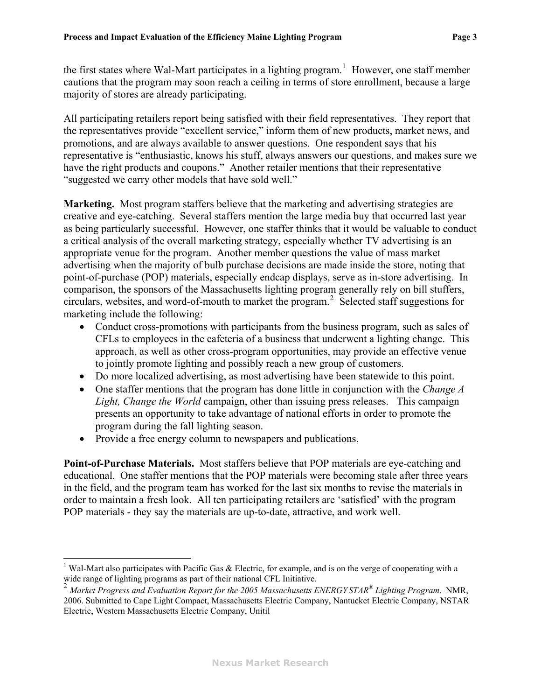the first states where Wal-Mart participates in a lighting program.<sup>[1](#page-5-1)</sup> However, one staff member cautions that the program may soon reach a ceiling in terms of store enrollment, because a large majority of stores are already participating.

All participating retailers report being satisfied with their field representatives. They report that the representatives provide "excellent service," inform them of new products, market news, and promotions, and are always available to answer questions. One respondent says that his representative is "enthusiastic, knows his stuff, always answers our questions, and makes sure we have the right products and coupons." Another retailer mentions that their representative "suggested we carry other models that have sold well."

**Marketing.** Most program staffers believe that the marketing and advertising strategies are creative and eye-catching. Several staffers mention the large media buy that occurred last year as being particularly successful. However, one staffer thinks that it would be valuable to conduct a critical analysis of the overall marketing strategy, especially whether TV advertising is an appropriate venue for the program. Another member questions the value of mass market advertising when the majority of bulb purchase decisions are made inside the store, noting that point-of-purchase (POP) materials, especially endcap displays, serve as in-store advertising. In comparison, the sponsors of the Massachusetts lighting program generally rely on bill stuffers, circulars, websites, and word-of-mouth to market the program.<sup>[2](#page-5-0)</sup> Selected staff suggestions for marketing include the following:

- Conduct cross-promotions with participants from the business program, such as sales of CFLs to employees in the cafeteria of a business that underwent a lighting change. This approach, as well as other cross-program opportunities, may provide an effective venue to jointly promote lighting and possibly reach a new group of customers.
- Do more localized advertising, as most advertising have been statewide to this point.
- ! One staffer mentions that the program has done little in conjunction with the *Change A Light, Change the World* campaign, other than issuing press releases. This campaign presents an opportunity to take advantage of national efforts in order to promote the program during the fall lighting season.
- Provide a free energy column to newspapers and publications.

<u>.</u>

**Point-of-Purchase Materials.** Most staffers believe that POP materials are eye-catching and educational. One staffer mentions that the POP materials were becoming stale after three years in the field, and the program team has worked for the last six months to revise the materials in order to maintain a fresh look. All ten participating retailers are 'satisfied' with the program POP materials - they say the materials are up-to-date, attractive, and work well.

<span id="page-5-1"></span><sup>&</sup>lt;sup>1</sup> Wal-Mart also participates with Pacific Gas  $\&$  Electric, for example, and is on the verge of cooperating with a wide range of lighting programs as part of their national CFL Initiative.

<span id="page-5-0"></span><sup>2</sup> *Market Progress and Evaluation Report for the 2005 Massachusetts ENERGYSTAR® Lighting Program*. NMR, 2006. Submitted to Cape Light Compact, Massachusetts Electric Company, Nantucket Electric Company, NSTAR Electric, Western Massachusetts Electric Company, Unitil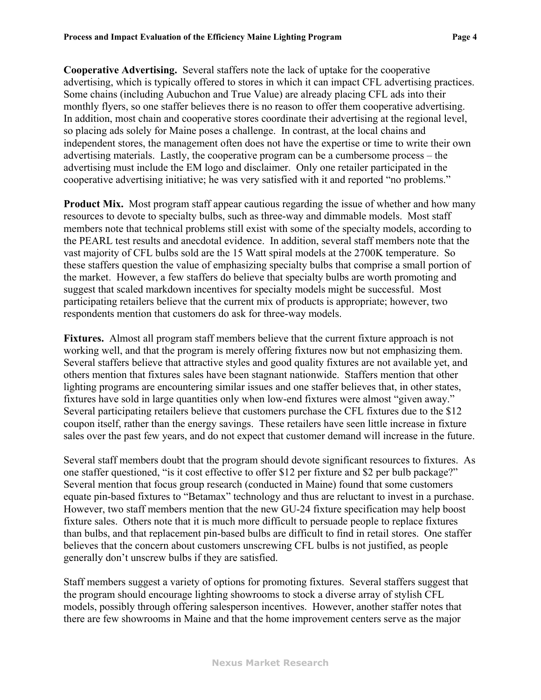**Cooperative Advertising.** Several staffers note the lack of uptake for the cooperative advertising, which is typically offered to stores in which it can impact CFL advertising practices. Some chains (including Aubuchon and True Value) are already placing CFL ads into their monthly flyers, so one staffer believes there is no reason to offer them cooperative advertising. In addition, most chain and cooperative stores coordinate their advertising at the regional level, so placing ads solely for Maine poses a challenge. In contrast, at the local chains and independent stores, the management often does not have the expertise or time to write their own advertising materials. Lastly, the cooperative program can be a cumbersome process – the advertising must include the EM logo and disclaimer. Only one retailer participated in the cooperative advertising initiative; he was very satisfied with it and reported "no problems."

**Product Mix.** Most program staff appear cautious regarding the issue of whether and how many resources to devote to specialty bulbs, such as three-way and dimmable models. Most staff members note that technical problems still exist with some of the specialty models, according to the PEARL test results and anecdotal evidence. In addition, several staff members note that the vast majority of CFL bulbs sold are the 15 Watt spiral models at the 2700K temperature. So these staffers question the value of emphasizing specialty bulbs that comprise a small portion of the market. However, a few staffers do believe that specialty bulbs are worth promoting and suggest that scaled markdown incentives for specialty models might be successful. Most participating retailers believe that the current mix of products is appropriate; however, two respondents mention that customers do ask for three-way models.

**Fixtures.** Almost all program staff members believe that the current fixture approach is not working well, and that the program is merely offering fixtures now but not emphasizing them. Several staffers believe that attractive styles and good quality fixtures are not available yet, and others mention that fixtures sales have been stagnant nationwide. Staffers mention that other lighting programs are encountering similar issues and one staffer believes that, in other states, fixtures have sold in large quantities only when low-end fixtures were almost "given away." Several participating retailers believe that customers purchase the CFL fixtures due to the \$12 coupon itself, rather than the energy savings. These retailers have seen little increase in fixture sales over the past few years, and do not expect that customer demand will increase in the future.

Several staff members doubt that the program should devote significant resources to fixtures. As one staffer questioned, "is it cost effective to offer \$12 per fixture and \$2 per bulb package?" Several mention that focus group research (conducted in Maine) found that some customers equate pin-based fixtures to "Betamax" technology and thus are reluctant to invest in a purchase. However, two staff members mention that the new GU-24 fixture specification may help boost fixture sales. Others note that it is much more difficult to persuade people to replace fixtures than bulbs, and that replacement pin-based bulbs are difficult to find in retail stores. One staffer believes that the concern about customers unscrewing CFL bulbs is not justified, as people generally don't unscrew bulbs if they are satisfied.

Staff members suggest a variety of options for promoting fixtures. Several staffers suggest that the program should encourage lighting showrooms to stock a diverse array of stylish CFL models, possibly through offering salesperson incentives. However, another staffer notes that there are few showrooms in Maine and that the home improvement centers serve as the major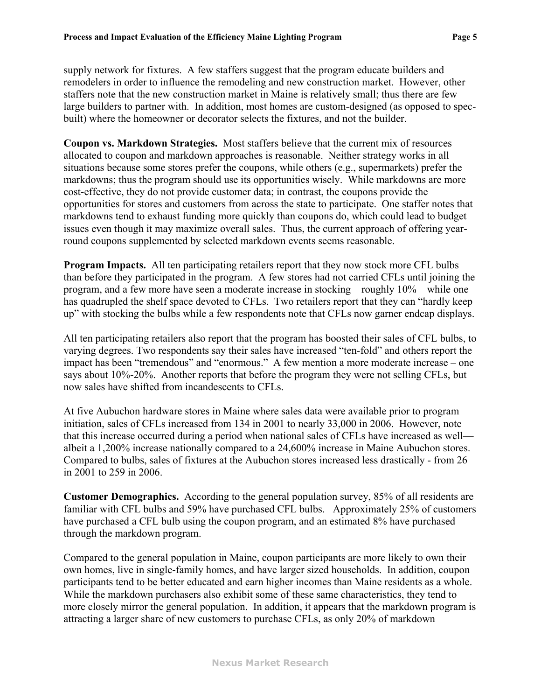supply network for fixtures. A few staffers suggest that the program educate builders and remodelers in order to influence the remodeling and new construction market. However, other staffers note that the new construction market in Maine is relatively small; thus there are few large builders to partner with. In addition, most homes are custom-designed (as opposed to specbuilt) where the homeowner or decorator selects the fixtures, and not the builder.

**Coupon vs. Markdown Strategies.** Most staffers believe that the current mix of resources allocated to coupon and markdown approaches is reasonable. Neither strategy works in all situations because some stores prefer the coupons, while others (e.g., supermarkets) prefer the markdowns; thus the program should use its opportunities wisely. While markdowns are more cost-effective, they do not provide customer data; in contrast, the coupons provide the opportunities for stores and customers from across the state to participate. One staffer notes that markdowns tend to exhaust funding more quickly than coupons do, which could lead to budget issues even though it may maximize overall sales. Thus, the current approach of offering yearround coupons supplemented by selected markdown events seems reasonable.

**Program Impacts.** All ten participating retailers report that they now stock more CFL bulbs than before they participated in the program. A few stores had not carried CFLs until joining the program, and a few more have seen a moderate increase in stocking – roughly 10% – while one has quadrupled the shelf space devoted to CFLs. Two retailers report that they can "hardly keep up" with stocking the bulbs while a few respondents note that CFLs now garner endcap displays.

All ten participating retailers also report that the program has boosted their sales of CFL bulbs, to varying degrees. Two respondents say their sales have increased "ten-fold" and others report the impact has been "tremendous" and "enormous." A few mention a more moderate increase – one says about 10%-20%. Another reports that before the program they were not selling CFLs, but now sales have shifted from incandescents to CFLs.

At five Aubuchon hardware stores in Maine where sales data were available prior to program initiation, sales of CFLs increased from 134 in 2001 to nearly 33,000 in 2006. However, note that this increase occurred during a period when national sales of CFLs have increased as well albeit a 1,200% increase nationally compared to a 24,600% increase in Maine Aubuchon stores. Compared to bulbs, sales of fixtures at the Aubuchon stores increased less drastically - from 26 in 2001 to 259 in 2006.

**Customer Demographics.** According to the general population survey, 85% of all residents are familiar with CFL bulbs and 59% have purchased CFL bulbs. Approximately 25% of customers have purchased a CFL bulb using the coupon program, and an estimated 8% have purchased through the markdown program.

Compared to the general population in Maine, coupon participants are more likely to own their own homes, live in single-family homes, and have larger sized households. In addition, coupon participants tend to be better educated and earn higher incomes than Maine residents as a whole. While the markdown purchasers also exhibit some of these same characteristics, they tend to more closely mirror the general population. In addition, it appears that the markdown program is attracting a larger share of new customers to purchase CFLs, as only 20% of markdown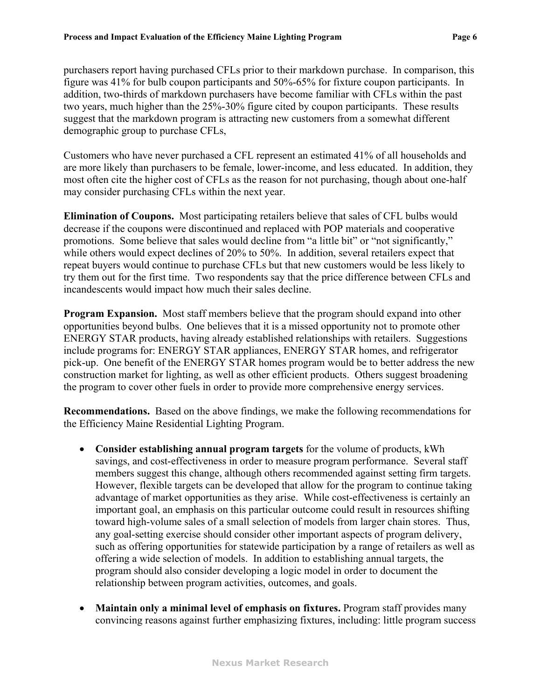purchasers report having purchased CFLs prior to their markdown purchase. In comparison, this figure was 41% for bulb coupon participants and 50%-65% for fixture coupon participants. In addition, two-thirds of markdown purchasers have become familiar with CFLs within the past two years, much higher than the 25%-30% figure cited by coupon participants. These results suggest that the markdown program is attracting new customers from a somewhat different demographic group to purchase CFLs,

Customers who have never purchased a CFL represent an estimated 41% of all households and are more likely than purchasers to be female, lower-income, and less educated. In addition, they most often cite the higher cost of CFLs as the reason for not purchasing, though about one-half may consider purchasing CFLs within the next year.

**Elimination of Coupons.** Most participating retailers believe that sales of CFL bulbs would decrease if the coupons were discontinued and replaced with POP materials and cooperative promotions. Some believe that sales would decline from "a little bit" or "not significantly," while others would expect declines of 20% to 50%. In addition, several retailers expect that repeat buyers would continue to purchase CFLs but that new customers would be less likely to try them out for the first time. Two respondents say that the price difference between CFLs and incandescents would impact how much their sales decline.

**Program Expansion.** Most staff members believe that the program should expand into other opportunities beyond bulbs. One believes that it is a missed opportunity not to promote other ENERGY STAR products, having already established relationships with retailers. Suggestions include programs for: ENERGY STAR appliances, ENERGY STAR homes, and refrigerator pick-up. One benefit of the ENERGY STAR homes program would be to better address the new construction market for lighting, as well as other efficient products. Others suggest broadening the program to cover other fuels in order to provide more comprehensive energy services.

**Recommendations.** Based on the above findings, we make the following recommendations for the Efficiency Maine Residential Lighting Program.

- ! **Consider establishing annual program targets** for the volume of products, kWh savings, and cost-effectiveness in order to measure program performance. Several staff members suggest this change, although others recommended against setting firm targets. However, flexible targets can be developed that allow for the program to continue taking advantage of market opportunities as they arise. While cost-effectiveness is certainly an important goal, an emphasis on this particular outcome could result in resources shifting toward high-volume sales of a small selection of models from larger chain stores. Thus, any goal-setting exercise should consider other important aspects of program delivery, such as offering opportunities for statewide participation by a range of retailers as well as offering a wide selection of models. In addition to establishing annual targets, the program should also consider developing a logic model in order to document the relationship between program activities, outcomes, and goals.
- ! **Maintain only a minimal level of emphasis on fixtures.** Program staff provides many convincing reasons against further emphasizing fixtures, including: little program success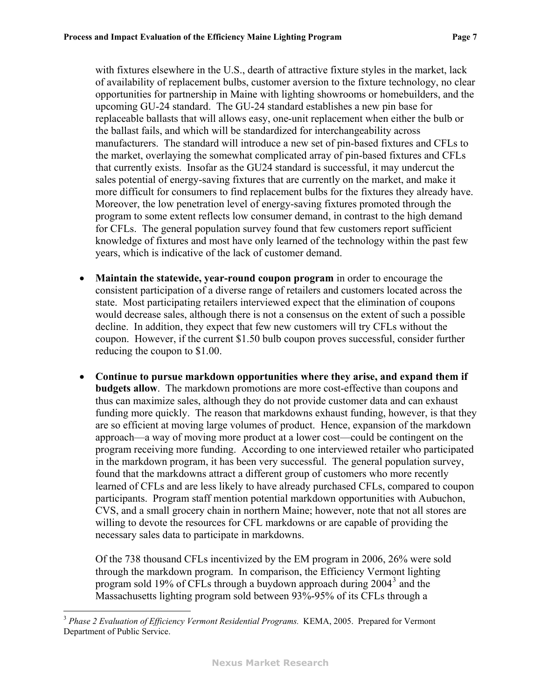with fixtures elsewhere in the U.S., dearth of attractive fixture styles in the market, lack of availability of replacement bulbs, customer aversion to the fixture technology, no clear opportunities for partnership in Maine with lighting showrooms or homebuilders, and the upcoming GU-24 standard. The GU-24 standard establishes a new pin base for replaceable ballasts that will allows easy, one-unit replacement when either the bulb or the ballast fails, and which will be standardized for interchangeability across manufacturers. The standard will introduce a new set of pin-based fixtures and CFLs to the market, overlaying the somewhat complicated array of pin-based fixtures and CFLs that currently exists. Insofar as the GU24 standard is successful, it may undercut the sales potential of energy-saving fixtures that are currently on the market, and make it more difficult for consumers to find replacement bulbs for the fixtures they already have. Moreover, the low penetration level of energy-saving fixtures promoted through the program to some extent reflects low consumer demand, in contrast to the high demand for CFLs. The general population survey found that few customers report sufficient knowledge of fixtures and most have only learned of the technology within the past few years, which is indicative of the lack of customer demand.

- ! **Maintain the statewide, year-round coupon program** in order to encourage the consistent participation of a diverse range of retailers and customers located across the state. Most participating retailers interviewed expect that the elimination of coupons would decrease sales, although there is not a consensus on the extent of such a possible decline. In addition, they expect that few new customers will try CFLs without the coupon. However, if the current \$1.50 bulb coupon proves successful, consider further reducing the coupon to \$1.00.
- ! **Continue to pursue markdown opportunities where they arise, and expand them if budgets allow**. The markdown promotions are more cost-effective than coupons and thus can maximize sales, although they do not provide customer data and can exhaust funding more quickly. The reason that markdowns exhaust funding, however, is that they are so efficient at moving large volumes of product. Hence, expansion of the markdown approach—a way of moving more product at a lower cost—could be contingent on the program receiving more funding. According to one interviewed retailer who participated in the markdown program, it has been very successful. The general population survey, found that the markdowns attract a different group of customers who more recently learned of CFLs and are less likely to have already purchased CFLs, compared to coupon participants. Program staff mention potential markdown opportunities with Aubuchon, CVS, and a small grocery chain in northern Maine; however, note that not all stores are willing to devote the resources for CFL markdowns or are capable of providing the necessary sales data to participate in markdowns.

Of the 738 thousand CFLs incentivized by the EM program in 2006, 26% were sold through the markdown program. In comparison, the Efficiency Vermont lighting program sold 19% of CFLs through a buydown approach during 2004<sup>[3](#page-9-0)</sup> and the Massachusetts lighting program sold between 93%-95% of its CFLs through a

1

<span id="page-9-0"></span><sup>3</sup> *Phase 2 Evaluation of Efficiency Vermont Residential Programs.* KEMA, 2005. Prepared for Vermont Department of Public Service.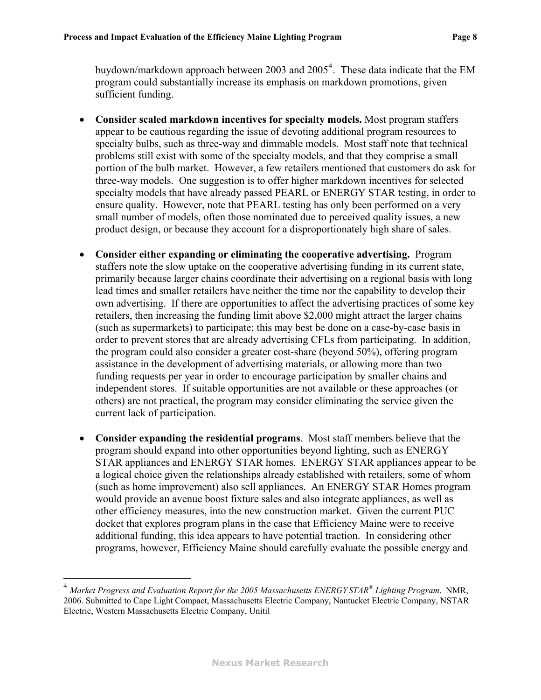buydown/markdown approach between 2003 and 2005<sup>[4](#page-10-0)</sup>. These data indicate that the EM program could substantially increase its emphasis on markdown promotions, given sufficient funding.

- ! **Consider scaled markdown incentives for specialty models.** Most program staffers appear to be cautious regarding the issue of devoting additional program resources to specialty bulbs, such as three-way and dimmable models. Most staff note that technical problems still exist with some of the specialty models, and that they comprise a small portion of the bulb market. However, a few retailers mentioned that customers do ask for three-way models. One suggestion is to offer higher markdown incentives for selected specialty models that have already passed PEARL or ENERGY STAR testing, in order to ensure quality. However, note that PEARL testing has only been performed on a very small number of models, often those nominated due to perceived quality issues, a new product design, or because they account for a disproportionately high share of sales.
- ! **Consider either expanding or eliminating the cooperative advertising.** Program staffers note the slow uptake on the cooperative advertising funding in its current state, primarily because larger chains coordinate their advertising on a regional basis with long lead times and smaller retailers have neither the time nor the capability to develop their own advertising. If there are opportunities to affect the advertising practices of some key retailers, then increasing the funding limit above \$2,000 might attract the larger chains (such as supermarkets) to participate; this may best be done on a case-by-case basis in order to prevent stores that are already advertising CFLs from participating. In addition, the program could also consider a greater cost-share (beyond 50%), offering program assistance in the development of advertising materials, or allowing more than two funding requests per year in order to encourage participation by smaller chains and independent stores. If suitable opportunities are not available or these approaches (or others) are not practical, the program may consider eliminating the service given the current lack of participation.
- ! **Consider expanding the residential programs**. Most staff members believe that the program should expand into other opportunities beyond lighting, such as ENERGY STAR appliances and ENERGY STAR homes. ENERGY STAR appliances appear to be a logical choice given the relationships already established with retailers, some of whom (such as home improvement) also sell appliances. An ENERGY STAR Homes program would provide an avenue boost fixture sales and also integrate appliances, as well as other efficiency measures, into the new construction market. Given the current PUC docket that explores program plans in the case that Efficiency Maine were to receive additional funding, this idea appears to have potential traction. In considering other programs, however, Efficiency Maine should carefully evaluate the possible energy and

 $\overline{a}$ 

<span id="page-10-0"></span><sup>4</sup> *Market Progress and Evaluation Report for the 2005 Massachusetts ENERGYSTAR® Lighting Program*. NMR, 2006. Submitted to Cape Light Compact, Massachusetts Electric Company, Nantucket Electric Company, NSTAR Electric, Western Massachusetts Electric Company, Unitil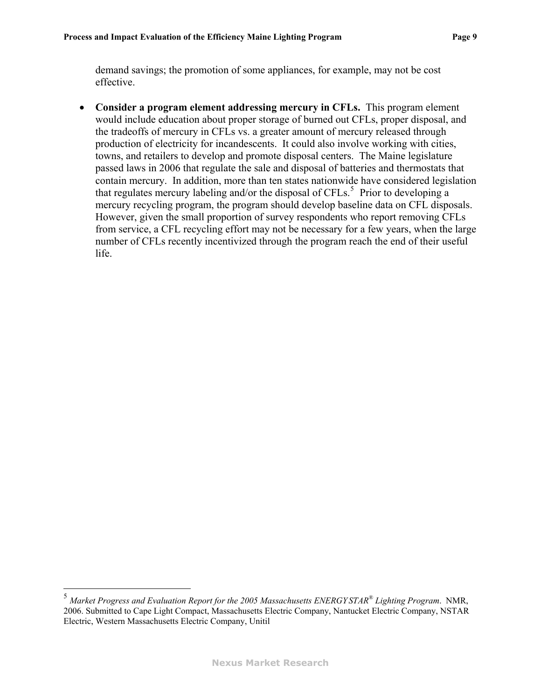demand savings; the promotion of some appliances, for example, may not be cost effective.

! **Consider a program element addressing mercury in CFLs.** This program element would include education about proper storage of burned out CFLs, proper disposal, and the tradeoffs of mercury in CFLs vs. a greater amount of mercury released through production of electricity for incandescents. It could also involve working with cities, towns, and retailers to develop and promote disposal centers. The Maine legislature passed laws in 2006 that regulate the sale and disposal of batteries and thermostats that contain mercury. In addition, more than ten states nationwide have considered legislation that regulates mercury labeling and/or the disposal of CFLs.<sup>[5](#page-11-0)</sup> Prior to developing a mercury recycling program, the program should develop baseline data on CFL disposals. However, given the small proportion of survey respondents who report removing CFLs from service, a CFL recycling effort may not be necessary for a few years, when the large number of CFLs recently incentivized through the program reach the end of their useful life.

 $\overline{a}$ 

<span id="page-11-0"></span><sup>5</sup> *Market Progress and Evaluation Report for the 2005 Massachusetts ENERGYSTAR® Lighting Program*. NMR, 2006. Submitted to Cape Light Compact, Massachusetts Electric Company, Nantucket Electric Company, NSTAR Electric, Western Massachusetts Electric Company, Unitil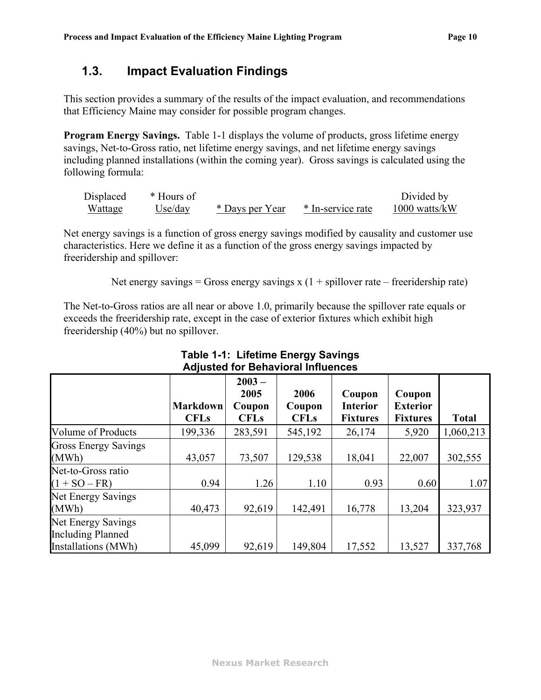### <span id="page-12-0"></span>**1.3. Impact Evaluation Findings**

This section provides a summary of the results of the impact evaluation, and recommendations that Efficiency Maine may consider for possible program changes.

**Program Energy Savings.** [Table 1-1](#page-12-1) displays the volume of products, gross lifetime energy savings, Net-to-Gross ratio, net lifetime energy savings, and net lifetime energy savings including planned installations (within the coming year). Gross savings is calculated using the following formula:

| Displaced | * Hours of |                 |                   | Divided by      |
|-----------|------------|-----------------|-------------------|-----------------|
| Wattage   | Use/day    | * Days per Year | * In-service rate | $1000$ watts/kW |

Net energy savings is a function of gross energy savings modified by causality and customer use characteristics. Here we define it as a function of the gross energy savings impacted by freeridership and spillover:

Net energy savings = Gross energy savings  $x(1 + spillover rate - freeridership rate)$ 

The Net-to-Gross ratios are all near or above 1.0, primarily because the spillover rate equals or exceeds the freeridership rate, except in the case of exterior fixtures which exhibit high freeridership (40%) but no spillover.

<span id="page-12-1"></span>

|                                                                       |                                | $2003 -$<br>2005      | 2006                  | Coupon                             | Coupon                             |              |
|-----------------------------------------------------------------------|--------------------------------|-----------------------|-----------------------|------------------------------------|------------------------------------|--------------|
|                                                                       | <b>Markdown</b><br><b>CFLs</b> | Coupon<br><b>CFLs</b> | Coupon<br><b>CFLs</b> | <b>Interior</b><br><b>Fixtures</b> | <b>Exterior</b><br><b>Fixtures</b> | <b>Total</b> |
| Volume of Products                                                    | 199,336                        | 283,591               | 545,192               | 26,174                             | 5,920                              | 1,060,213    |
| <b>Gross Energy Savings</b><br>(MWh)                                  | 43,057                         | 73,507                | 129,538               | 18,041                             | 22,007                             | 302,555      |
| Net-to-Gross ratio<br>$(1 + SO - FR)$                                 | 0.94                           | 1.26                  | 1.10                  | 0.93                               | 0.60                               | 1.07         |
| Net Energy Savings<br>(MWh)                                           | 40,473                         | 92,619                | 142,491               | 16,778                             | 13,204                             | 323,937      |
| Net Energy Savings<br><b>Including Planned</b><br>Installations (MWh) | 45,099                         | 92,619                | 149,804               | 17,552                             | 13,527                             | 337,768      |

#### **Table 1-1: Lifetime Energy Savings Adjusted for Behavioral Influences**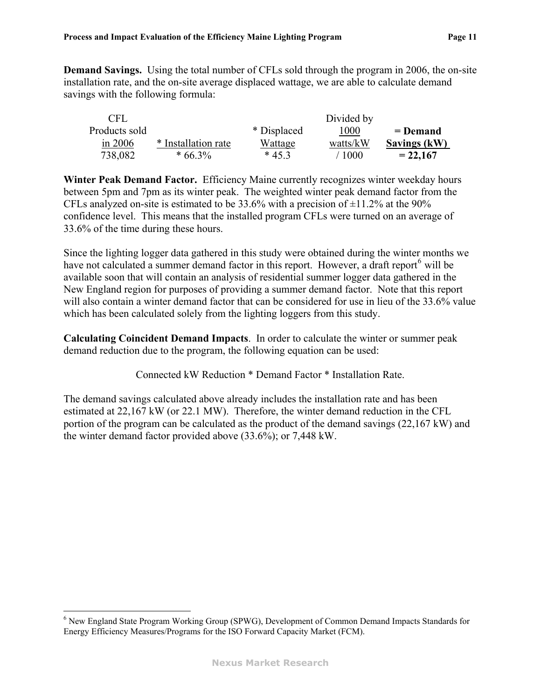**Demand Savings.** Using the total number of CFLs sold through the program in 2006, the on-site installation rate, and the on-site average displaced wattage, we are able to calculate demand savings with the following formula:

| CFL           |                     |             | Divided by |              |
|---------------|---------------------|-------------|------------|--------------|
| Products sold |                     | * Displaced | 1000       | $=$ Demand   |
| in $2006$     | * Installation rate | Wattage     | watts/kW   | Savings (kW) |
| 738,082       | $*66.3\%$           | $*453$      | '1000      | $= 22,167$   |

**Winter Peak Demand Factor.** Efficiency Maine currently recognizes winter weekday hours between 5pm and 7pm as its winter peak. The weighted winter peak demand factor from the CFLs analyzed on-site is estimated to be  $33.6\%$  with a precision of  $\pm 11.2\%$  at the 90% confidence level. This means that the installed program CFLs were turned on an average of 33.6% of the time during these hours.

Since the lighting logger data gathered in this study were obtained during the winter months we have not calculated a summer demand factor in this report. However, a draft report<sup>[6](#page-13-0)</sup> will be available soon that will contain an analysis of residential summer logger data gathered in the New England region for purposes of providing a summer demand factor. Note that this report will also contain a winter demand factor that can be considered for use in lieu of the 33.6% value which has been calculated solely from the lighting loggers from this study.

**Calculating Coincident Demand Impacts**. In order to calculate the winter or summer peak demand reduction due to the program, the following equation can be used:

Connected kW Reduction \* Demand Factor \* Installation Rate.

The demand savings calculated above already includes the installation rate and has been estimated at 22,167 kW (or 22.1 MW). Therefore, the winter demand reduction in the CFL portion of the program can be calculated as the product of the demand savings (22,167 kW) and the winter demand factor provided above (33.6%); or 7,448 kW.

 $\overline{a}$ 

<span id="page-13-0"></span><sup>&</sup>lt;sup>6</sup> New England State Program Working Group (SPWG), Development of Common Demand Impacts Standards for Energy Efficiency Measures/Programs for the ISO Forward Capacity Market (FCM).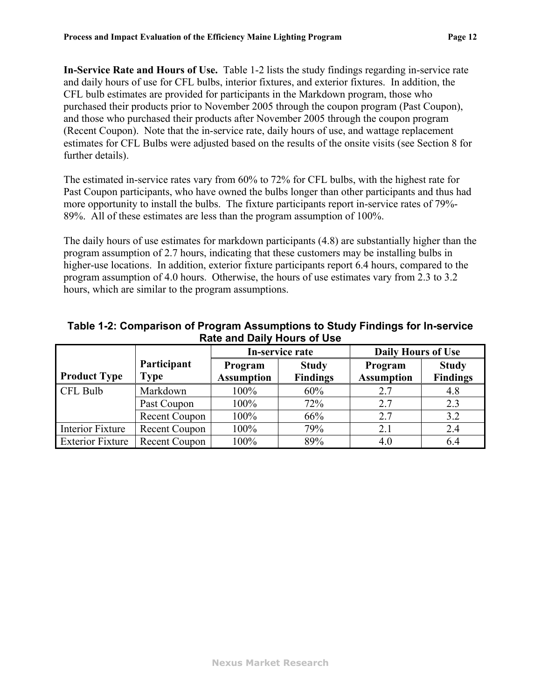**In-Service Rate and Hours of Use.** [Table 1-2](#page-14-0) lists the study findings regarding in-service rate and daily hours of use for CFL bulbs, interior fixtures, and exterior fixtures. In addition, the CFL bulb estimates are provided for participants in the Markdown program, those who purchased their products prior to November 2005 through the coupon program (Past Coupon), and those who purchased their products after November 2005 through the coupon program (Recent Coupon). Note that the in-service rate, daily hours of use, and wattage replacement estimates for CFL Bulbs were adjusted based on the results of the onsite visits (see Section 8 for further details).

The estimated in-service rates vary from 60% to 72% for CFL bulbs, with the highest rate for Past Coupon participants, who have owned the bulbs longer than other participants and thus had more opportunity to install the bulbs. The fixture participants report in-service rates of 79%- 89%. All of these estimates are less than the program assumption of 100%.

The daily hours of use estimates for markdown participants (4.8) are substantially higher than the program assumption of 2.7 hours, indicating that these customers may be installing bulbs in higher-use locations. In addition, exterior fixture participants report 6.4 hours, compared to the program assumption of 4.0 hours. Otherwise, the hours of use estimates vary from 2.3 to 3.2 hours, which are similar to the program assumptions.

<span id="page-14-0"></span>

|                         |               | In-service rate   |                 | <b>Daily Hours of Use</b> |                 |
|-------------------------|---------------|-------------------|-----------------|---------------------------|-----------------|
|                         | Participant   | Program           | <b>Study</b>    | Program                   | <b>Study</b>    |
| <b>Product Type</b>     | <b>Type</b>   | <b>Assumption</b> | <b>Findings</b> | <b>Assumption</b>         | <b>Findings</b> |
| CFL Bulb                | Markdown      | 100%              | 60%             | 2.7                       | 4.8             |
|                         | Past Coupon   | 100%              | 72%             | 2.7                       | 2.3             |
|                         | Recent Coupon | 100%              | 66%             | 2.7                       | 3.2             |
| Interior Fixture        | Recent Coupon | 100%              | 79%             | 2.1                       | 2.4             |
| <b>Exterior Fixture</b> | Recent Coupon | 100%              | 89%             | 4.0                       | 6.4             |

**Table 1-2: Comparison of Program Assumptions to Study Findings for In-service Rate and Daily Hours of Use**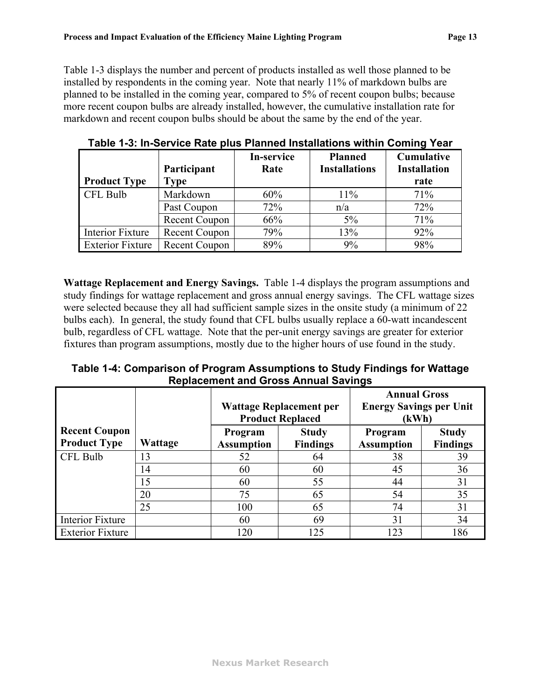[Table 1-3](#page-15-1) displays the number and percent of products installed as well those planned to be installed by respondents in the coming year. Note that nearly 11% of markdown bulbs are planned to be installed in the coming year, compared to 5% of recent coupon bulbs; because more recent coupon bulbs are already installed, however, the cumulative installation rate for markdown and recent coupon bulbs should be about the same by the end of the year.

<span id="page-15-1"></span>

|                         |                      | In-service | <b>Planned</b>       | Cumulative          |
|-------------------------|----------------------|------------|----------------------|---------------------|
|                         | Participant          | Rate       | <b>Installations</b> | <b>Installation</b> |
| <b>Product Type</b>     | Type                 |            |                      | rate                |
| CFL Bulb                | Markdown             | 60%        | 11%                  | 71%                 |
|                         | Past Coupon          | 72%        | n/a                  | 72%                 |
|                         | Recent Coupon        | 66%        | 5%                   | 71%                 |
| Interior Fixture        | Recent Coupon        | 79%        | 13%                  | 92%                 |
| <b>Exterior Fixture</b> | <b>Recent Coupon</b> | 89%        | 9%                   | 98%                 |

**Table 1-3: In-Service Rate plus Planned Installations within Coming Year** 

**Wattage Replacement and Energy Savings.** [Table 1-4](#page-15-0) displays the program assumptions and study findings for wattage replacement and gross annual energy savings. The CFL wattage sizes were selected because they all had sufficient sample sizes in the onsite study (a minimum of 22 bulbs each). In general, the study found that CFL bulbs usually replace a 60-watt incandescent bulb, regardless of CFL wattage. Note that the per-unit energy savings are greater for exterior fixtures than program assumptions, mostly due to the higher hours of use found in the study.

**Table 1-4: Comparison of Program Assumptions to Study Findings for Wattage Replacement and Gross Annual Savings** 

<span id="page-15-0"></span>

|                         |         |                                |                         | <b>Annual Gross</b>            |                 |  |
|-------------------------|---------|--------------------------------|-------------------------|--------------------------------|-----------------|--|
|                         |         | <b>Wattage Replacement per</b> |                         | <b>Energy Savings per Unit</b> |                 |  |
|                         |         |                                | <b>Product Replaced</b> | (kWh)                          |                 |  |
| <b>Recent Coupon</b>    |         | Program                        | <b>Study</b>            | Program                        | <b>Study</b>    |  |
| <b>Product Type</b>     | Wattage | <b>Assumption</b>              | <b>Findings</b>         | <b>Assumption</b>              | <b>Findings</b> |  |
| CFL Bulb                | 13      | 52                             | 64                      | 38                             | 39              |  |
|                         | 14      | 60                             | 60                      | 45                             | 36              |  |
|                         | 15      | 60                             | 55                      | 44                             | 31              |  |
|                         | 20      | 75                             | 65                      | 54                             | 35              |  |
|                         | 25      | 100                            | 65                      | 74                             | 31              |  |
| <b>Interior Fixture</b> |         | 60                             | 69                      | 31                             | 34              |  |
| <b>Exterior Fixture</b> |         | 120                            | 125                     | 123                            | 186             |  |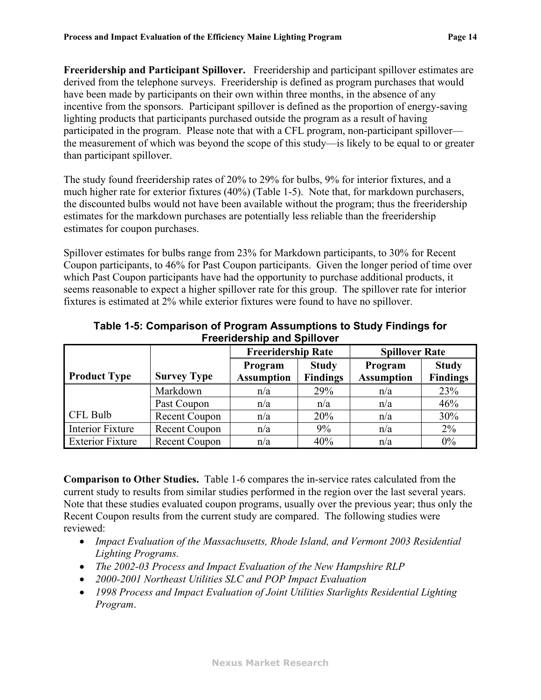**Freeridership and Participant Spillover.** Freeridership and participant spillover estimates are derived from the telephone surveys. Freeridership is defined as program purchases that would have been made by participants on their own within three months, in the absence of any incentive from the sponsors. Participant spillover is defined as the proportion of energy-saving lighting products that participants purchased outside the program as a result of having participated in the program. Please note that with a CFL program, non-participant spillover the measurement of which was beyond the scope of this study—is likely to be equal to or greater than participant spillover.

The study found freeridership rates of 20% to 29% for bulbs, 9% for interior fixtures, and a much higher rate for exterior fixtures (40%) [\(Table 1-5\)](#page-16-0). Note that, for markdown purchasers, the discounted bulbs would not have been available without the program; thus the freeridership estimates for the markdown purchases are potentially less reliable than the freeridership estimates for coupon purchases.

Spillover estimates for bulbs range from 23% for Markdown participants, to 30% for Recent Coupon participants, to 46% for Past Coupon participants. Given the longer period of time over which Past Coupon participants have had the opportunity to purchase additional products, it seems reasonable to expect a higher spillover rate for this group. The spillover rate for interior fixtures is estimated at 2% while exterior fixtures were found to have no spillover.

<span id="page-16-0"></span>

|                         |                      | <b>Freeridership Rate</b> |                 | <b>Spillover Rate</b> |                 |
|-------------------------|----------------------|---------------------------|-----------------|-----------------------|-----------------|
|                         |                      | Program                   | <b>Study</b>    | Program               | <b>Study</b>    |
| <b>Product Type</b>     | <b>Survey Type</b>   | <b>Assumption</b>         | <b>Findings</b> | <b>Assumption</b>     | <b>Findings</b> |
|                         | Markdown             | n/a                       | 29%             | n/a                   | 23%             |
|                         | Past Coupon          | n/a                       | n/a             | n/a                   | 46%             |
| CFL Bulb                | <b>Recent Coupon</b> | n/a                       | 20%             | n/a                   | 30%             |
| Interior Fixture        | <b>Recent Coupon</b> | n/a                       | 9%              | n/a                   | 2%              |
| <b>Exterior Fixture</b> | Recent Coupon        | n/a                       | 40%             | n/a                   | $0\%$           |

**Table 1-5: Comparison of Program Assumptions to Study Findings for Freeridership and Spillover** 

**Comparison to Other Studies.** [Table 1-6](#page-17-0) compares the in-service rates calculated from the current study to results from similar studies performed in the region over the last several years. Note that these studies evaluated coupon programs, usually over the previous year; thus only the Recent Coupon results from the current study are compared. The following studies were reviewed:

- ! *Impact Evaluation of the Massachusetts, Rhode Island, and Vermont 2003 Residential Lighting Programs.*
- ! *The 2002-03 Process and Impact Evaluation of the New Hampshire RLP*
- ! *2000-2001 Northeast Utilities SLC and POP Impact Evaluation*
- ! *1998 Process and Impact Evaluation of Joint Utilities Starlights Residential Lighting Program*.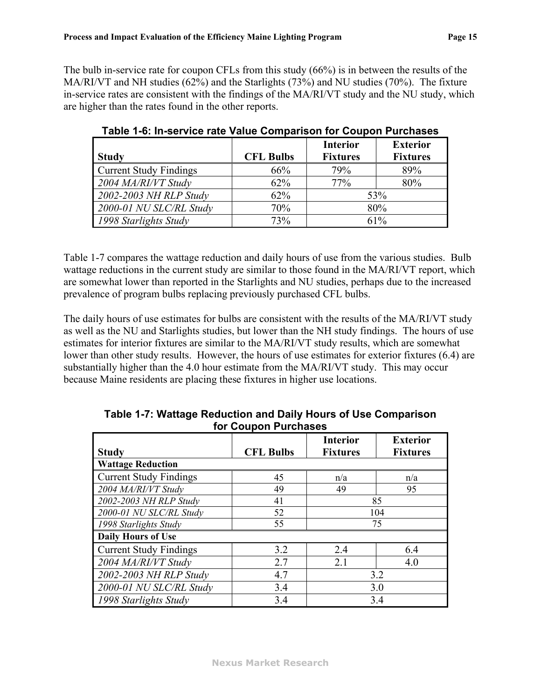<span id="page-17-0"></span>The bulb in-service rate for coupon CFLs from this study (66%) is in between the results of the MA/RI/VT and NH studies (62%) and the Starlights (73%) and NU studies (70%). The fixture in-service rates are consistent with the findings of the MA/RI/VT study and the NU study, which are higher than the rates found in the other reports.

|                               |                  | <b>Interior</b> | <b>Exterior</b> |  |
|-------------------------------|------------------|-----------------|-----------------|--|
| <b>Study</b>                  | <b>CFL Bulbs</b> | <b>Fixtures</b> | <b>Fixtures</b> |  |
| <b>Current Study Findings</b> | 66%              | 79%             | 89%             |  |
| 2004 MA/RI/VT Study           | 62%              | 77%             | 80%             |  |
| 2002-2003 NH RLP Study        | 62%              | 53%             |                 |  |
| 2000-01 NU SLC/RL Study       | 70%              | 80%             |                 |  |
| 1998 Starlights Study         | 73%              | 61%             |                 |  |

**Table 1-6: In-service rate Value Comparison for Coupon Purchases** 

[Table 1-7](#page-17-1) compares the wattage reduction and daily hours of use from the various studies. Bulb wattage reductions in the current study are similar to those found in the MA/RI/VT report, which are somewhat lower than reported in the Starlights and NU studies, perhaps due to the increased prevalence of program bulbs replacing previously purchased CFL bulbs.

The daily hours of use estimates for bulbs are consistent with the results of the MA/RI/VT study as well as the NU and Starlights studies, but lower than the NH study findings. The hours of use estimates for interior fixtures are similar to the MA/RI/VT study results, which are somewhat lower than other study results. However, the hours of use estimates for exterior fixtures (6.4) are substantially higher than the 4.0 hour estimate from the MA/RI/VT study. This may occur because Maine residents are placing these fixtures in higher use locations.

<span id="page-17-1"></span>

| <b>Study</b>                  | <b>CFL Bulbs</b> | <b>Interior</b><br><b>Fixtures</b> | <b>Exterior</b><br><b>Fixtures</b> |  |
|-------------------------------|------------------|------------------------------------|------------------------------------|--|
| <b>Wattage Reduction</b>      |                  |                                    |                                    |  |
| <b>Current Study Findings</b> | 45               | n/a                                | n/a                                |  |
| 2004 MA/RI/VT Study           | 49               | 49                                 | 95                                 |  |
| 2002-2003 NH RLP Study        | 41               | 85                                 |                                    |  |
| 2000-01 NU SLC/RL Study       | 52               | 104                                |                                    |  |
| 1998 Starlights Study         | 55               | 75                                 |                                    |  |
| <b>Daily Hours of Use</b>     |                  |                                    |                                    |  |
| <b>Current Study Findings</b> | 3.2              | 2.4                                | 6.4                                |  |
| 2004 MA/RI/VT Study           | 2.7              | 2.1                                | 4.0                                |  |
| 2002-2003 NH RLP Study        | 4.7              | 3.2                                |                                    |  |
| 2000-01 NU SLC/RL Study       | 3.4              | 3.0                                |                                    |  |
| 1998 Starlights Study         | 3.4              |                                    | 3.4                                |  |

**Table 1-7: Wattage Reduction and Daily Hours of Use Comparison for Coupon Purchases**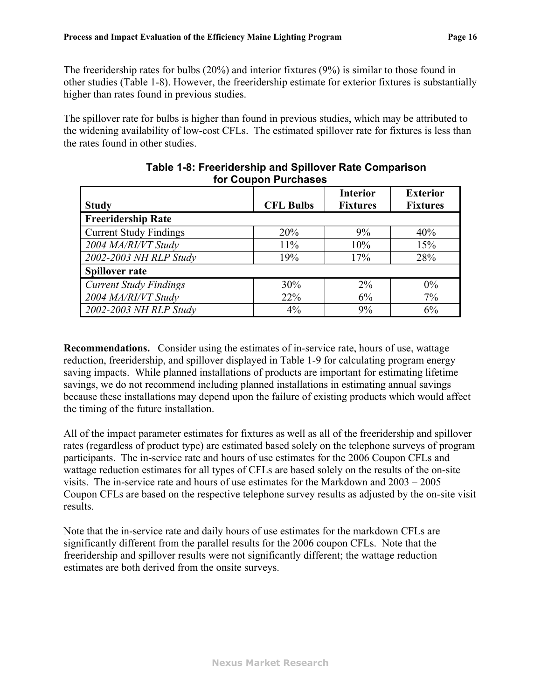The freeridership rates for bulbs (20%) and interior fixtures (9%) is similar to those found in other studies ([Table 1-8](#page-18-0)). However, the freeridership estimate for exterior fixtures is substantially higher than rates found in previous studies.

<span id="page-18-0"></span>The spillover rate for bulbs is higher than found in previous studies, which may be attributed to the widening availability of low-cost CFLs. The estimated spillover rate for fixtures is less than the rates found in other studies.

|                               |                  | <b>Interior</b> | <b>Exterior</b> |
|-------------------------------|------------------|-----------------|-----------------|
| <b>Study</b>                  | <b>CFL Bulbs</b> | <b>Fixtures</b> | <b>Fixtures</b> |
| <b>Freeridership Rate</b>     |                  |                 |                 |
| <b>Current Study Findings</b> | 20%              | 9%              | 40%             |
| 2004 MA/RI/VT Study           | 11%              | 10%             | 15%             |
| 2002-2003 NH RLP Study        | 19%              | 17%             | 28%             |
| <b>Spillover rate</b>         |                  |                 |                 |
| <b>Current Study Findings</b> | 30%              | $2\%$           | $0\%$           |
| 2004 MA/RI/VT Study           | 22%              | 6%              | 7%              |
| 2002-2003 NH RLP Study        | 4%               | 9%              | 6%              |

#### **Table 1-8: Freeridership and Spillover Rate Comparison for Coupon Purchases**

**Recommendations.** Consider using the estimates of in-service rate, hours of use, wattage reduction, freeridership, and spillover displayed in [Table 1-9](#page-19-0) for calculating program energy saving impacts. While planned installations of products are important for estimating lifetime savings, we do not recommend including planned installations in estimating annual savings because these installations may depend upon the failure of existing products which would affect the timing of the future installation.

All of the impact parameter estimates for fixtures as well as all of the freeridership and spillover rates (regardless of product type) are estimated based solely on the telephone surveys of program participants. The in-service rate and hours of use estimates for the 2006 Coupon CFLs and wattage reduction estimates for all types of CFLs are based solely on the results of the on-site visits. The in-service rate and hours of use estimates for the Markdown and 2003 – 2005 Coupon CFLs are based on the respective telephone survey results as adjusted by the on-site visit results.

Note that the in-service rate and daily hours of use estimates for the markdown CFLs are significantly different from the parallel results for the 2006 coupon CFLs. Note that the freeridership and spillover results were not significantly different; the wattage reduction estimates are both derived from the onsite surveys.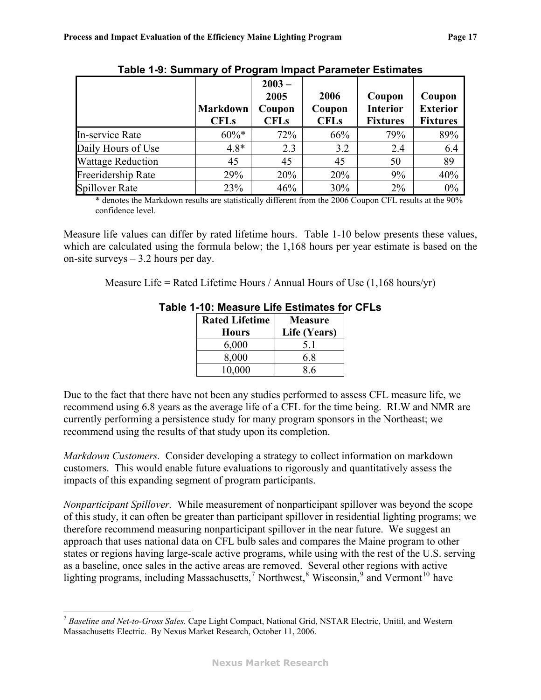<span id="page-19-0"></span>

|                          | <b>Markdown</b><br><b>CFLs</b> | $2003 -$<br>2005<br>Coupon<br><b>CFLs</b> | 2006<br>Coupon<br><b>CFLs</b> | Coupon<br><b>Interior</b><br><b>Fixtures</b> | Coupon<br><b>Exterior</b><br><b>Fixtures</b> |
|--------------------------|--------------------------------|-------------------------------------------|-------------------------------|----------------------------------------------|----------------------------------------------|
| In-service Rate          | $60\%*$                        | 72%                                       | 66%                           | 79%                                          | 89%                                          |
| Daily Hours of Use       | $4.8*$                         | 2.3                                       | 3.2                           | 2.4                                          | 6.4                                          |
| <b>Wattage Reduction</b> | 45                             | 45                                        | 45                            | 50                                           | 89                                           |
| Freeridership Rate       | 29%                            | 20%                                       | 20%                           | 9%                                           | 40%                                          |
| <b>Spillover Rate</b>    | 23%                            | 46%                                       | 30%                           | $2\%$                                        | $0\%$                                        |

**Table 1-9: Summary of Program Impact Parameter Estimates**

\* denotes the Markdown results are statistically different from the 2006 Coupon CFL results at the 90% confidence level.

<span id="page-19-2"></span>Measure life values can differ by rated lifetime hours. [Table 1-10](#page-19-2) below presents these values, which are calculated using the formula below; the 1,168 hours per year estimate is based on the on-site surveys  $-3.2$  hours per day.

Measure Life = Rated Lifetime Hours / Annual Hours of Use  $(1,168 \text{ hours/yr})$ 

| <b>Rated Lifetime</b> | <b>Measure</b> |
|-----------------------|----------------|
| <b>Hours</b>          | Life (Years)   |
| 6,000                 | 51             |
| 8,000                 | 6.8            |
| 10,000                | 86             |

#### **Table 1-10: Measure Life Estimates for CFLs**

Due to the fact that there have not been any studies performed to assess CFL measure life, we recommend using 6.8 years as the average life of a CFL for the time being. RLW and NMR are currently performing a persistence study for many program sponsors in the Northeast; we recommend using the results of that study upon its completion.

*Markdown Customers.* Consider developing a strategy to collect information on markdown customers. This would enable future evaluations to rigorously and quantitatively assess the impacts of this expanding segment of program participants.

*Nonparticipant Spillover.* While measurement of nonparticipant spillover was beyond the scope of this study, it can often be greater than participant spillover in residential lighting programs; we therefore recommend measuring nonparticipant spillover in the near future. We suggest an approach that uses national data on CFL bulb sales and compares the Maine program to other states or regions having large-scale active programs, while using with the rest of the U.S. serving as a baseline, once sales in the active areas are removed. Several other regions with active lighting programs, including Massachusetts,<sup>[7](#page-19-1)</sup> Northwest,<sup>[8](#page-19-3)</sup> Wisconsin,<sup>[9](#page-19-4)</sup> and Vermont<sup>[10](#page-19-1)</sup> have

1

<span id="page-19-4"></span><span id="page-19-3"></span><span id="page-19-1"></span><sup>7</sup> *Baseline and Net-to-Gross Sales.* Cape Light Compact, National Grid, NSTAR Electric, Unitil, and Western Massachusetts Electric. By Nexus Market Research, October 11, 2006.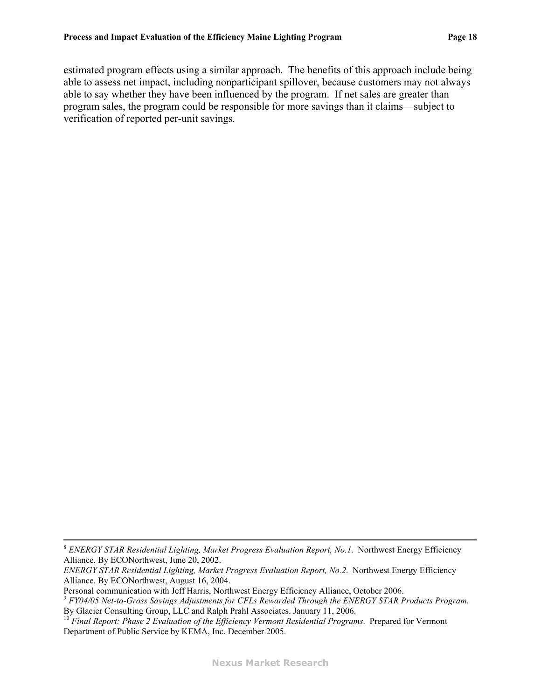estimated program effects using a similar approach. The benefits of this approach include being able to assess net impact, including nonparticipant spillover, because customers may not always able to say whether they have been influenced by the program. If net sales are greater than program sales, the program could be responsible for more savings than it claims—subject to verification of reported per-unit savings.

Personal communication with Jeff Harris, Northwest Energy Efficiency Alliance, October 2006.

 <sup>8</sup> *ENERGY STAR Residential Lighting, Market Progress Evaluation Report, No.1*. Northwest Energy Efficiency Alliance. By ECONorthwest, June 20, 2002.

*ENERGY STAR Residential Lighting, Market Progress Evaluation Report, No.2*. Northwest Energy Efficiency Alliance. By ECONorthwest, August 16, 2004.

*FY04/05 Net-to-Gross Savings Adjustments for CFLs Rewarded Through the ENERGY STAR Products Program*. By Glacier Consulting Group, LLC and Ralph Prahl Associates. January 11, 2006.

<sup>&</sup>lt;sup>10</sup> Final Report: Phase 2 Evaluation of the Efficiency Vermont Residential Programs. Prepared for Vermont Department of Public Service by KEMA, Inc. December 2005.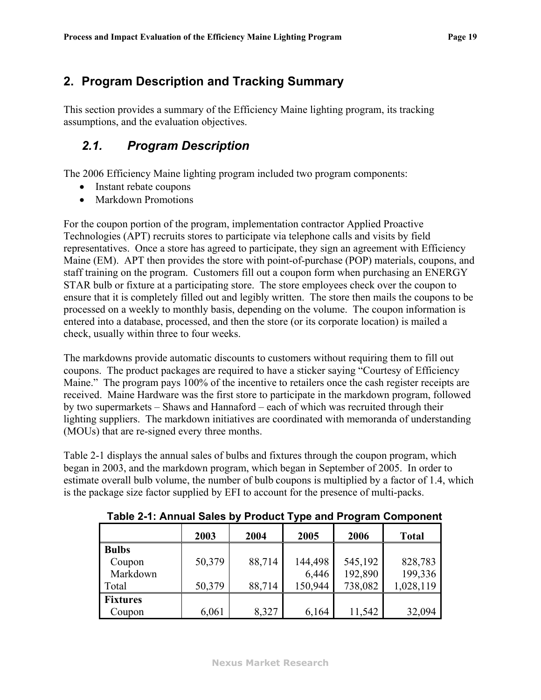# <span id="page-21-0"></span>**2. Program Description and Tracking Summary**

This section provides a summary of the Efficiency Maine lighting program, its tracking assumptions, and the evaluation objectives.

# *2.1. Program Description*

The 2006 Efficiency Maine lighting program included two program components:

- Instant rebate coupons
- Markdown Promotions

For the coupon portion of the program, implementation contractor Applied Proactive Technologies (APT) recruits stores to participate via telephone calls and visits by field representatives. Once a store has agreed to participate, they sign an agreement with Efficiency Maine (EM). APT then provides the store with point-of-purchase (POP) materials, coupons, and staff training on the program. Customers fill out a coupon form when purchasing an ENERGY STAR bulb or fixture at a participating store. The store employees check over the coupon to ensure that it is completely filled out and legibly written. The store then mails the coupons to be processed on a weekly to monthly basis, depending on the volume. The coupon information is entered into a database, processed, and then the store (or its corporate location) is mailed a check, usually within three to four weeks.

The markdowns provide automatic discounts to customers without requiring them to fill out coupons. The product packages are required to have a sticker saying "Courtesy of Efficiency Maine." The program pays 100% of the incentive to retailers once the cash register receipts are received. Maine Hardware was the first store to participate in the markdown program, followed by two supermarkets – Shaws and Hannaford – each of which was recruited through their lighting suppliers. The markdown initiatives are coordinated with memoranda of understanding (MOUs) that are re-signed every three months.

<span id="page-21-1"></span>[Table 2-1](#page-21-1) displays the annual sales of bulbs and fixtures through the coupon program, which began in 2003, and the markdown program, which began in September of 2005. In order to estimate overall bulb volume, the number of bulb coupons is multiplied by a factor of 1.4, which is the package size factor supplied by EFI to account for the presence of multi-packs.

|                 | 2003   | 2004   | 2005    | 2006    | <b>Total</b> |
|-----------------|--------|--------|---------|---------|--------------|
| <b>Bulbs</b>    |        |        |         |         |              |
| Coupon          | 50,379 | 88,714 | 144,498 | 545,192 | 828,783      |
| Markdown        |        |        | 6,446   | 192,890 | 199,336      |
| Total           | 50,379 | 88,714 | 150,944 | 738,082 | 1,028,119    |
| <b>Fixtures</b> |        |        |         |         |              |
| Coupon          | 6,061  | 8,327  | 6,164   | 11,542  | 32,094       |

**Table 2-1: Annual Sales by Product Type and Program Component**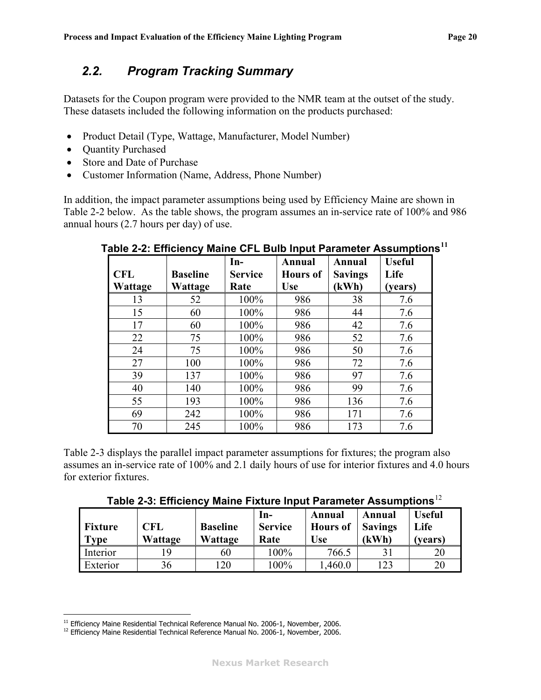# <span id="page-22-0"></span>*2.2. Program Tracking Summary*

Datasets for the Coupon program were provided to the NMR team at the outset of the study. These datasets included the following information on the products purchased:

- Product Detail (Type, Wattage, Manufacturer, Model Number)
- Quantity Purchased
- Store and Date of Purchase
- Customer Information (Name, Address, Phone Number)

<span id="page-22-2"></span>In addition, the impact parameter assumptions being used by Efficiency Maine are shown in [Table 2-2](#page-22-2) below. As the table shows, the program assumes an in-service rate of 100% and 986 annual hours (2.7 hours per day) of use.

|                |                 | $In-$          | Annual          | Annual         | <b>Useful</b> |
|----------------|-----------------|----------------|-----------------|----------------|---------------|
| <b>CFL</b>     | <b>Baseline</b> | <b>Service</b> | <b>Hours</b> of | <b>Savings</b> | Life          |
| <b>Wattage</b> | Wattage         | Rate           | <b>Use</b>      | (kWh)          | (years)       |
| 13             | 52              | 100%           | 986             | 38             | 7.6           |
| 15             | 60              | 100%           | 986             | 44             | 7.6           |
| 17             | 60              | 100%           | 986             | 42             | 7.6           |
| 22             | 75              | 100%           | 986             | 52             | 7.6           |
| 24             | 75              | 100%           | 986             | 50             | 7.6           |
| 27             | 100             | 100%           | 986             | 72             | 7.6           |
| 39             | 137             | 100%           | 986             | 97             | 7.6           |
| 40             | 140             | 100%           | 986             | 99             | 7.6           |
| 55             | 193             | 100%           | 986             | 136            | 7.6           |
| 69             | 242             | 100%           | 986             | 171            | 7.6           |
| 70             | 245             | 100%           | 986             | 173            | 7.6           |

**Table 2-2: Efficiency Maine CFL Bulb Input Parameter Assumptions[11](#page-22-3)**

<span id="page-22-4"></span>[Table 2-3](#page-22-4) displays the parallel impact parameter assumptions for fixtures; the program also assumes an in-service rate of 100% and 2.1 daily hours of use for interior fixtures and 4.0 hours for exterior fixtures.

**Table 2-3: Efficiency Maine Fixture Input Parameter Assumptions**[12](#page-22-1)

| <b>Fixture</b><br><b>Type</b> | <b>CFL</b><br>Wattage | <b>Baseline</b><br>Wattage | In-<br><b>Service</b><br>Rate | Annual<br>Hours of Savings<br><b>Use</b> | Annual<br>(kWh) | <b>Useful</b><br>Life<br>(vears) |
|-------------------------------|-----------------------|----------------------------|-------------------------------|------------------------------------------|-----------------|----------------------------------|
| Interior                      |                       | 60                         | 100%                          | 766.5                                    |                 | 20                               |
| Exterior                      | 36                    | 120                        | 100%                          | .460.0                                   | 123             | 20                               |

<span id="page-22-3"></span><sup>&</sup>lt;sup>11</sup> Efficiency Maine Residential Technical Reference Manual No. 2006-1, November, 2006.

<span id="page-22-1"></span><sup>&</sup>lt;sup>12</sup> Efficiency Maine Residential Technical Reference Manual No. 2006-1, November, 2006.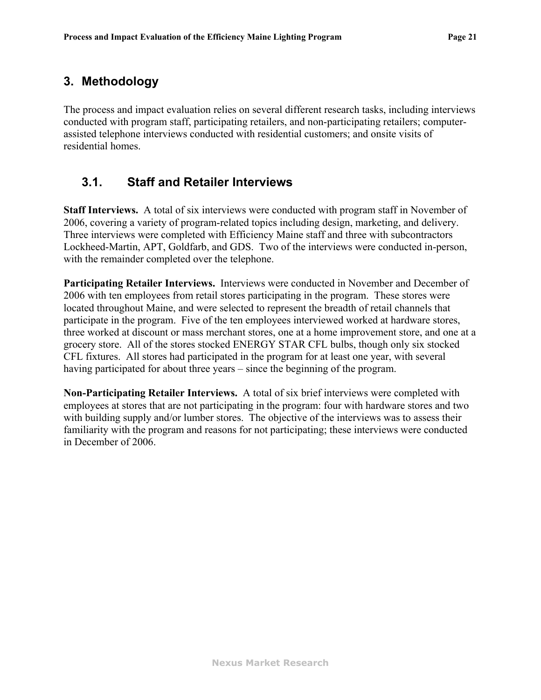### <span id="page-23-0"></span>**3. Methodology**

The process and impact evaluation relies on several different research tasks, including interviews conducted with program staff, participating retailers, and non-participating retailers; computerassisted telephone interviews conducted with residential customers; and onsite visits of residential homes.

#### **3.1. Staff and Retailer Interviews**

**Staff Interviews.** A total of six interviews were conducted with program staff in November of 2006, covering a variety of program-related topics including design, marketing, and delivery. Three interviews were completed with Efficiency Maine staff and three with subcontractors Lockheed-Martin, APT, Goldfarb, and GDS. Two of the interviews were conducted in-person, with the remainder completed over the telephone.

**Participating Retailer Interviews.** Interviews were conducted in November and December of 2006 with ten employees from retail stores participating in the program. These stores were located throughout Maine, and were selected to represent the breadth of retail channels that participate in the program. Five of the ten employees interviewed worked at hardware stores, three worked at discount or mass merchant stores, one at a home improvement store, and one at a grocery store. All of the stores stocked ENERGY STAR CFL bulbs, though only six stocked CFL fixtures. All stores had participated in the program for at least one year, with several having participated for about three years – since the beginning of the program.

**Non-Participating Retailer Interviews.** A total of six brief interviews were completed with employees at stores that are not participating in the program: four with hardware stores and two with building supply and/or lumber stores. The objective of the interviews was to assess their familiarity with the program and reasons for not participating; these interviews were conducted in December of 2006.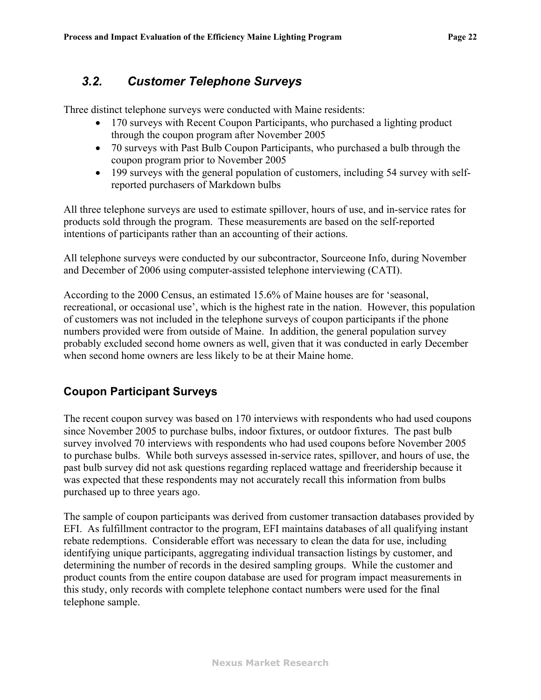# <span id="page-24-0"></span>*3.2. Customer Telephone Surveys*

Three distinct telephone surveys were conducted with Maine residents:

- 170 surveys with Recent Coupon Participants, who purchased a lighting product through the coupon program after November 2005
- ! 70 surveys with Past Bulb Coupon Participants, who purchased a bulb through the coupon program prior to November 2005
- ! 199 surveys with the general population of customers, including 54 survey with selfreported purchasers of Markdown bulbs

All three telephone surveys are used to estimate spillover, hours of use, and in-service rates for products sold through the program. These measurements are based on the self-reported intentions of participants rather than an accounting of their actions.

All telephone surveys were conducted by our subcontractor, Sourceone Info, during November and December of 2006 using computer-assisted telephone interviewing (CATI).

According to the 2000 Census, an estimated 15.6% of Maine houses are for 'seasonal, recreational, or occasional use', which is the highest rate in the nation. However, this population of customers was not included in the telephone surveys of coupon participants if the phone numbers provided were from outside of Maine. In addition, the general population survey probably excluded second home owners as well, given that it was conducted in early December when second home owners are less likely to be at their Maine home.

#### **Coupon Participant Surveys**

The recent coupon survey was based on 170 interviews with respondents who had used coupons since November 2005 to purchase bulbs, indoor fixtures, or outdoor fixtures. The past bulb survey involved 70 interviews with respondents who had used coupons before November 2005 to purchase bulbs. While both surveys assessed in-service rates, spillover, and hours of use, the past bulb survey did not ask questions regarding replaced wattage and freeridership because it was expected that these respondents may not accurately recall this information from bulbs purchased up to three years ago.

The sample of coupon participants was derived from customer transaction databases provided by EFI. As fulfillment contractor to the program, EFI maintains databases of all qualifying instant rebate redemptions. Considerable effort was necessary to clean the data for use, including identifying unique participants, aggregating individual transaction listings by customer, and determining the number of records in the desired sampling groups. While the customer and product counts from the entire coupon database are used for program impact measurements in this study, only records with complete telephone contact numbers were used for the final telephone sample.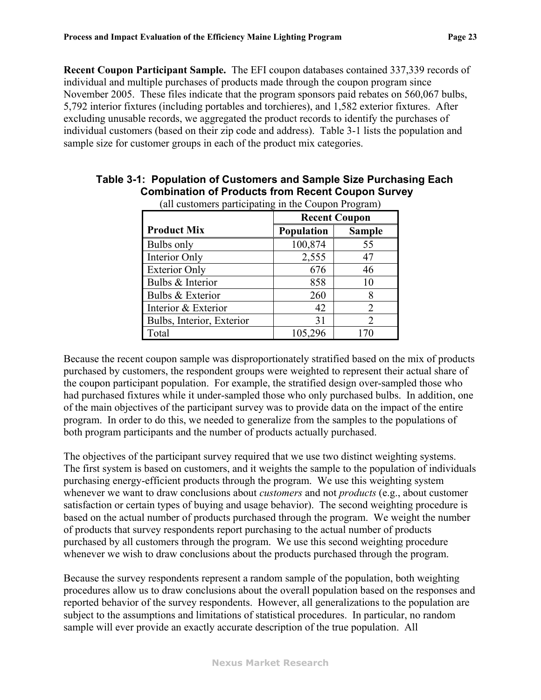**Recent Coupon Participant Sample.** The EFI coupon databases contained 337,339 records of individual and multiple purchases of products made through the coupon program since November 2005. These files indicate that the program sponsors paid rebates on 560,067 bulbs, 5,792 interior fixtures (including portables and torchieres), and 1,582 exterior fixtures. After excluding unusable records, we aggregated the product records to identify the purchases of individual customers (based on their zip code and address). [Table 3-1](#page-25-0) lists the population and sample size for customer groups in each of the product mix categories.

|                           | <b>Recent Coupon</b> |                |  |
|---------------------------|----------------------|----------------|--|
| <b>Product Mix</b>        | <b>Population</b>    | <b>Sample</b>  |  |
| Bulbs only                | 100,874              | 55             |  |
| Interior Only             | 2,555                | 47             |  |
| <b>Exterior Only</b>      | 676                  | 46             |  |
| Bulbs & Interior          | 858                  | 10             |  |
| Bulbs & Exterior          | 260                  | 8              |  |
| Interior & Exterior       | 42                   | 2              |  |
| Bulbs, Interior, Exterior | 31                   | $\overline{2}$ |  |
| Total                     | 105,296              | 170            |  |

#### <span id="page-25-0"></span>**Table 3-1: Population of Customers and Sample Size Purchasing Each Combination of Products from Recent Coupon Survey**  (all customers participating in the Coupon Program)

Because the recent coupon sample was disproportionately stratified based on the mix of products purchased by customers, the respondent groups were weighted to represent their actual share of the coupon participant population. For example, the stratified design over-sampled those who had purchased fixtures while it under-sampled those who only purchased bulbs. In addition, one of the main objectives of the participant survey was to provide data on the impact of the entire program. In order to do this, we needed to generalize from the samples to the populations of both program participants and the number of products actually purchased.

The objectives of the participant survey required that we use two distinct weighting systems. The first system is based on customers, and it weights the sample to the population of individuals purchasing energy-efficient products through the program. We use this weighting system whenever we want to draw conclusions about *customers* and not *products* (e.g., about customer satisfaction or certain types of buying and usage behavior). The second weighting procedure is based on the actual number of products purchased through the program. We weight the number of products that survey respondents report purchasing to the actual number of products purchased by all customers through the program. We use this second weighting procedure whenever we wish to draw conclusions about the products purchased through the program.

Because the survey respondents represent a random sample of the population, both weighting procedures allow us to draw conclusions about the overall population based on the responses and reported behavior of the survey respondents. However, all generalizations to the population are subject to the assumptions and limitations of statistical procedures. In particular, no random sample will ever provide an exactly accurate description of the true population. All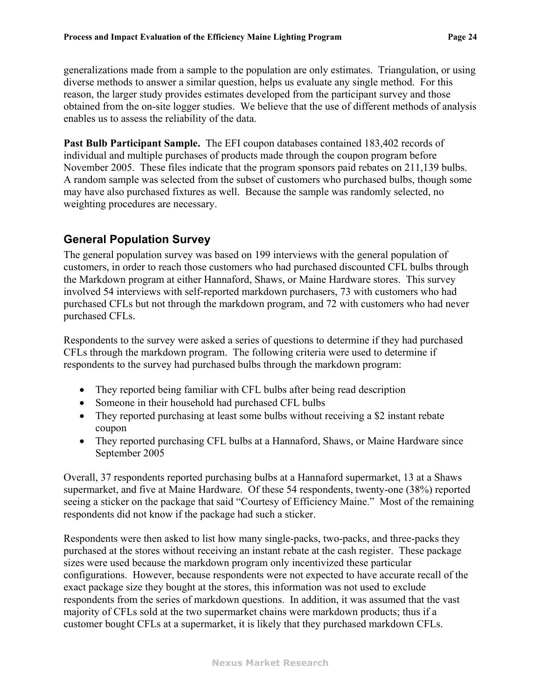<span id="page-26-0"></span>generalizations made from a sample to the population are only estimates. Triangulation, or using diverse methods to answer a similar question, helps us evaluate any single method. For this reason, the larger study provides estimates developed from the participant survey and those obtained from the on-site logger studies. We believe that the use of different methods of analysis enables us to assess the reliability of the data.

**Past Bulb Participant Sample.** The EFI coupon databases contained 183,402 records of individual and multiple purchases of products made through the coupon program before November 2005. These files indicate that the program sponsors paid rebates on 211,139 bulbs. A random sample was selected from the subset of customers who purchased bulbs, though some may have also purchased fixtures as well. Because the sample was randomly selected, no weighting procedures are necessary.

#### **General Population Survey**

The general population survey was based on 199 interviews with the general population of customers, in order to reach those customers who had purchased discounted CFL bulbs through the Markdown program at either Hannaford, Shaws, or Maine Hardware stores. This survey involved 54 interviews with self-reported markdown purchasers, 73 with customers who had purchased CFLs but not through the markdown program, and 72 with customers who had never purchased CFLs.

Respondents to the survey were asked a series of questions to determine if they had purchased CFLs through the markdown program. The following criteria were used to determine if respondents to the survey had purchased bulbs through the markdown program:

- They reported being familiar with CFL bulbs after being read description
- Someone in their household had purchased CFL bulbs
- They reported purchasing at least some bulbs without receiving a \$2 instant rebate coupon
- ! They reported purchasing CFL bulbs at a Hannaford, Shaws, or Maine Hardware since September 2005

Overall, 37 respondents reported purchasing bulbs at a Hannaford supermarket, 13 at a Shaws supermarket, and five at Maine Hardware. Of these 54 respondents, twenty-one (38%) reported seeing a sticker on the package that said "Courtesy of Efficiency Maine." Most of the remaining respondents did not know if the package had such a sticker.

Respondents were then asked to list how many single-packs, two-packs, and three-packs they purchased at the stores without receiving an instant rebate at the cash register. These package sizes were used because the markdown program only incentivized these particular configurations. However, because respondents were not expected to have accurate recall of the exact package size they bought at the stores, this information was not used to exclude respondents from the series of markdown questions. In addition, it was assumed that the vast majority of CFLs sold at the two supermarket chains were markdown products; thus if a customer bought CFLs at a supermarket, it is likely that they purchased markdown CFLs.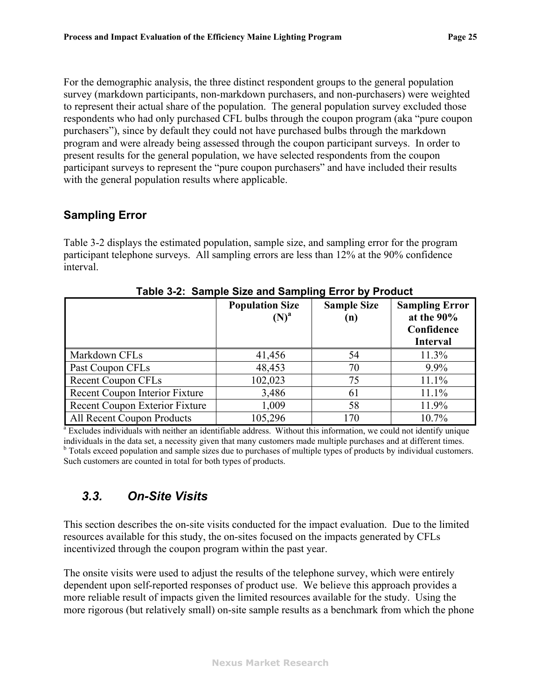<span id="page-27-0"></span>For the demographic analysis, the three distinct respondent groups to the general population survey (markdown participants, non-markdown purchasers, and non-purchasers) were weighted to represent their actual share of the population. The general population survey excluded those respondents who had only purchased CFL bulbs through the coupon program (aka "pure coupon purchasers"), since by default they could not have purchased bulbs through the markdown program and were already being assessed through the coupon participant surveys. In order to present results for the general population, we have selected respondents from the coupon participant surveys to represent the "pure coupon purchasers" and have included their results with the general population results where applicable.

#### **Sampling Error**

[Table 3-2](#page-27-1) displays the estimated population, sample size, and sampling error for the program participant telephone surveys. All sampling errors are less than 12% at the 90% confidence interval.

<span id="page-27-1"></span>

|                                                                                                                                | <b>Population Size</b><br>$(N)^{a}$ | <b>Sample Size</b><br>(n) | <b>Sampling Error</b><br>at the $90\%$<br>Confidence<br><b>Interval</b> |  |
|--------------------------------------------------------------------------------------------------------------------------------|-------------------------------------|---------------------------|-------------------------------------------------------------------------|--|
| Markdown CFLs                                                                                                                  | 41,456                              | 54                        | 11.3%                                                                   |  |
| Past Coupon CFLs                                                                                                               | 48,453                              | 70                        | 9.9%                                                                    |  |
| <b>Recent Coupon CFLs</b>                                                                                                      | 102,023                             | 75                        | 11.1%                                                                   |  |
| Recent Coupon Interior Fixture                                                                                                 | 3,486                               | 61                        | 11.1%                                                                   |  |
| Recent Coupon Exterior Fixture                                                                                                 | 1,009                               | 58                        | 11.9%                                                                   |  |
| All Recent Coupon Products                                                                                                     | 105,296                             | 170                       | $10.7\%$                                                                |  |
| <sup>a</sup> Excludes individuals with neither an identifiable address. Without this information, we could not identify unique |                                     |                           |                                                                         |  |

**Table 3-2: Sample Size and Sampling Error by Product** 

individuals in the data set, a necessity given that many customers made multiple purchases and at different times. <sup>b</sup> Totals exceed population and sample sizes due to purchases of multiple types of products by individual customers. Such customers are counted in total for both types of products.

# *3.3. On-Site Visits*

This section describes the on-site visits conducted for the impact evaluation. Due to the limited resources available for this study, the on-sites focused on the impacts generated by CFLs incentivized through the coupon program within the past year.

The onsite visits were used to adjust the results of the telephone survey, which were entirely dependent upon self-reported responses of product use. We believe this approach provides a more reliable result of impacts given the limited resources available for the study. Using the more rigorous (but relatively small) on-site sample results as a benchmark from which the phone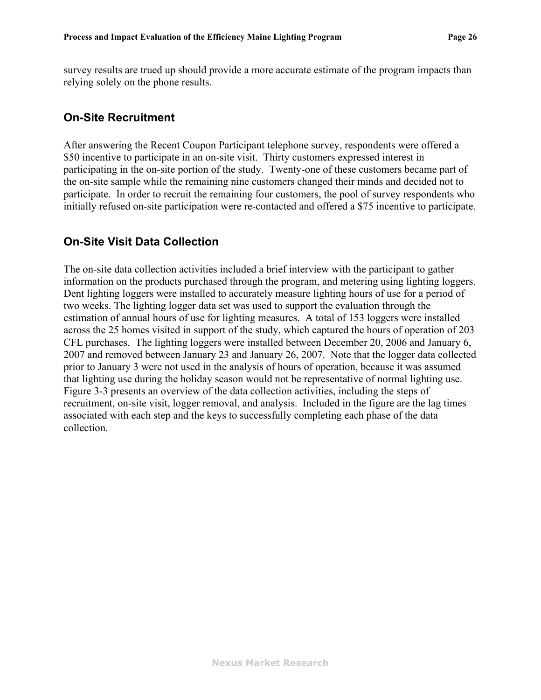<span id="page-28-0"></span>survey results are trued up should provide a more accurate estimate of the program impacts than relying solely on the phone results.

#### **On-Site Recruitment**

After answering the Recent Coupon Participant telephone survey, respondents were offered a \$50 incentive to participate in an on-site visit. Thirty customers expressed interest in participating in the on-site portion of the study. Twenty-one of these customers became part of the on-site sample while the remaining nine customers changed their minds and decided not to participate. In order to recruit the remaining four customers, the pool of survey respondents who initially refused on-site participation were re-contacted and offered a \$75 incentive to participate.

#### **On-Site Visit Data Collection**

The on-site data collection activities included a brief interview with the participant to gather information on the products purchased through the program, and metering using lighting loggers. Dent lighting loggers were installed to accurately measure lighting hours of use for a period of two weeks. The lighting logger data set was used to support the evaluation through the estimation of annual hours of use for lighting measures. A total of 153 loggers were installed across the 25 homes visited in support of the study, which captured the hours of operation of 203 CFL purchases. The lighting loggers were installed between December 20, 2006 and January 6, 2007 and removed between January 23 and January 26, 2007. Note that the logger data collected prior to January 3 were not used in the analysis of hours of operation, because it was assumed that lighting use during the holiday season would not be representative of normal lighting use. [Figure 3-3](#page-29-1) presents an overview of the data collection activities, including the steps of recruitment, on-site visit, logger removal, and analysis. Included in the figure are the lag times associated with each step and the keys to successfully completing each phase of the data collection.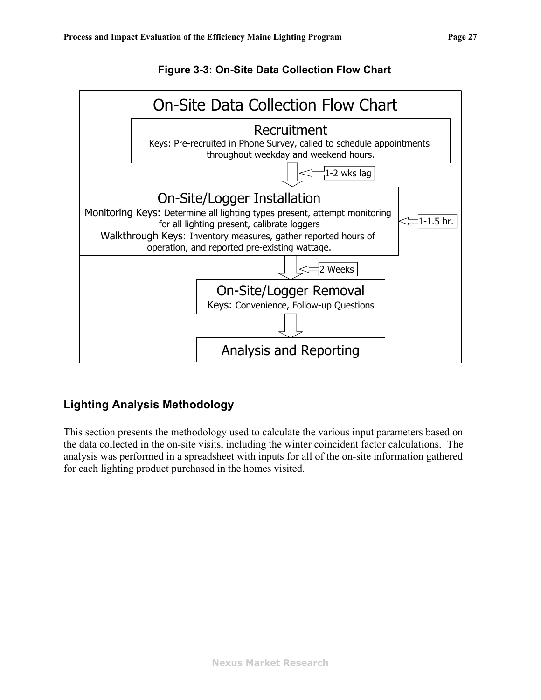

<span id="page-29-1"></span><span id="page-29-0"></span>

### **Lighting Analysis Methodology**

This section presents the methodology used to calculate the various input parameters based on the data collected in the on-site visits, including the winter coincident factor calculations. The analysis was performed in a spreadsheet with inputs for all of the on-site information gathered for each lighting product purchased in the homes visited.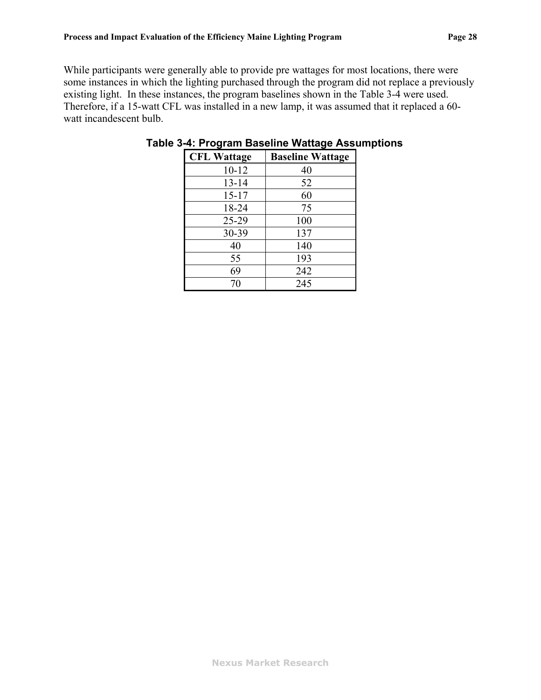<span id="page-30-0"></span>While participants were generally able to provide pre wattages for most locations, there were some instances in which the lighting purchased through the program did not replace a previously existing light. In these instances, the program baselines shown in the [Table 3-4](#page-30-0) were used. Therefore, if a 15-watt CFL was installed in a new lamp, it was assumed that it replaced a 60 watt incandescent bulb.

| <b>CFL Wattage</b> | <b>Baseline Wattage</b> |
|--------------------|-------------------------|
| $10 - 12$          | 40                      |
| $13 - 14$          | 52                      |
| $15 - 17$          | 60                      |
| 18-24              | 75                      |
| $25 - 29$          | 100                     |
| 30-39              | 137                     |
| 40                 | 140                     |
| 55                 | 193                     |
| 69                 | 242                     |
| 70                 | 245                     |

| Table 3-4: Program Baseline Wattage Assumptions |  |  |  |
|-------------------------------------------------|--|--|--|
|                                                 |  |  |  |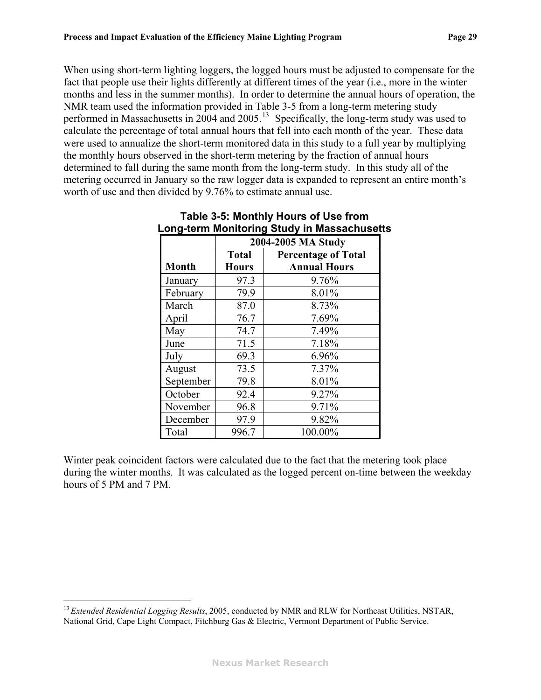<span id="page-31-1"></span><span id="page-31-0"></span>When using short-term lighting loggers, the logged hours must be adjusted to compensate for the fact that people use their lights differently at different times of the year (i.e., more in the winter months and less in the summer months). In order to determine the annual hours of operation, the NMR team used the information provided in [Table 3-5](#page-31-0) from a long-term metering study performed in Massachusetts in 2004 and 2005.<sup>[13](#page-31-1)</sup> Specifically, the long-term study was used to calculate the percentage of total annual hours that fell into each month of the year. These data were used to annualize the short-term monitored data in this study to a full year by multiplying the monthly hours observed in the short-term metering by the fraction of annual hours determined to fall during the same month from the long-term study. In this study all of the metering occurred in January so the raw logger data is expanded to represent an entire month's worth of use and then divided by 9.76% to estimate annual use.

|              |              | 2004-2005 MA Study         |  |  |
|--------------|--------------|----------------------------|--|--|
|              | <b>Total</b> | <b>Percentage of Total</b> |  |  |
| <b>Month</b> | <b>Hours</b> | <b>Annual Hours</b>        |  |  |
| January      | 97.3         | 9.76%                      |  |  |
| February     | 79.9         | 8.01%                      |  |  |
| March        | 87.0         | 8.73%                      |  |  |
| April        | 76.7         | 7.69%                      |  |  |
| May          | 74.7         | 7.49%                      |  |  |
| June         | 71.5         | 7.18%                      |  |  |
| July         | 69.3         | 6.96%                      |  |  |
| August       | 73.5         | 7.37%                      |  |  |
| September    | 79.8         | 8.01%                      |  |  |
| October      | 92.4         | 9.27%                      |  |  |
| November     | 96.8         | 9.71%                      |  |  |
| December     | 97.9         | 9.82%                      |  |  |
| Total        | 996.7        | 100.00%                    |  |  |

| Table 3-5: Monthly Hours of Use from        |
|---------------------------------------------|
| Long-term Monitoring Study in Massachusetts |

Winter peak coincident factors were calculated due to the fact that the metering took place during the winter months. It was calculated as the logged percent on-time between the weekday hours of 5 PM and 7 PM.

1

<sup>13</sup>*Extended Residential Logging Results*, 2005, conducted by NMR and RLW for Northeast Utilities, NSTAR, National Grid, Cape Light Compact, Fitchburg Gas & Electric, Vermont Department of Public Service.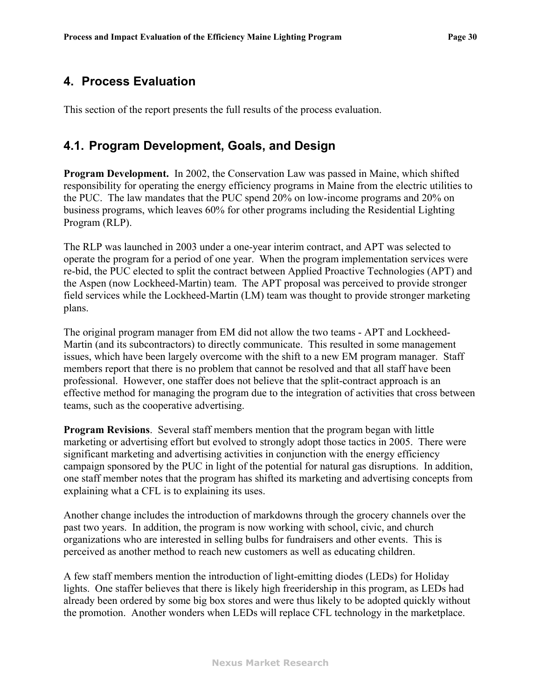# <span id="page-32-0"></span>**4. Process Evaluation**

This section of the report presents the full results of the process evaluation.

### **4.1. Program Development, Goals, and Design**

**Program Development.** In 2002, the Conservation Law was passed in Maine, which shifted responsibility for operating the energy efficiency programs in Maine from the electric utilities to the PUC. The law mandates that the PUC spend 20% on low-income programs and 20% on business programs, which leaves 60% for other programs including the Residential Lighting Program (RLP).

The RLP was launched in 2003 under a one-year interim contract, and APT was selected to operate the program for a period of one year. When the program implementation services were re-bid, the PUC elected to split the contract between Applied Proactive Technologies (APT) and the Aspen (now Lockheed-Martin) team. The APT proposal was perceived to provide stronger field services while the Lockheed-Martin (LM) team was thought to provide stronger marketing plans.

The original program manager from EM did not allow the two teams - APT and Lockheed-Martin (and its subcontractors) to directly communicate. This resulted in some management issues, which have been largely overcome with the shift to a new EM program manager. Staff members report that there is no problem that cannot be resolved and that all staff have been professional. However, one staffer does not believe that the split-contract approach is an effective method for managing the program due to the integration of activities that cross between teams, such as the cooperative advertising.

**Program Revisions**. Several staff members mention that the program began with little marketing or advertising effort but evolved to strongly adopt those tactics in 2005. There were significant marketing and advertising activities in conjunction with the energy efficiency campaign sponsored by the PUC in light of the potential for natural gas disruptions. In addition, one staff member notes that the program has shifted its marketing and advertising concepts from explaining what a CFL is to explaining its uses.

Another change includes the introduction of markdowns through the grocery channels over the past two years. In addition, the program is now working with school, civic, and church organizations who are interested in selling bulbs for fundraisers and other events. This is perceived as another method to reach new customers as well as educating children.

A few staff members mention the introduction of light-emitting diodes (LEDs) for Holiday lights. One staffer believes that there is likely high freeridership in this program, as LEDs had already been ordered by some big box stores and were thus likely to be adopted quickly without the promotion. Another wonders when LEDs will replace CFL technology in the marketplace.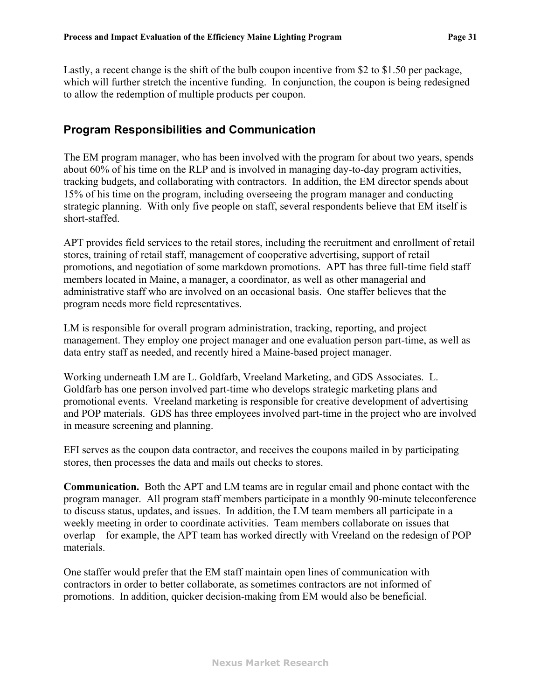<span id="page-33-0"></span>Lastly, a recent change is the shift of the bulb coupon incentive from \$2 to \$1.50 per package, which will further stretch the incentive funding. In conjunction, the coupon is being redesigned to allow the redemption of multiple products per coupon.

#### **Program Responsibilities and Communication**

The EM program manager, who has been involved with the program for about two years, spends about 60% of his time on the RLP and is involved in managing day-to-day program activities, tracking budgets, and collaborating with contractors. In addition, the EM director spends about 15% of his time on the program, including overseeing the program manager and conducting strategic planning. With only five people on staff, several respondents believe that EM itself is short-staffed.

APT provides field services to the retail stores, including the recruitment and enrollment of retail stores, training of retail staff, management of cooperative advertising, support of retail promotions, and negotiation of some markdown promotions. APT has three full-time field staff members located in Maine, a manager, a coordinator, as well as other managerial and administrative staff who are involved on an occasional basis. One staffer believes that the program needs more field representatives.

LM is responsible for overall program administration, tracking, reporting, and project management. They employ one project manager and one evaluation person part-time, as well as data entry staff as needed, and recently hired a Maine-based project manager.

Working underneath LM are L. Goldfarb, Vreeland Marketing, and GDS Associates. L. Goldfarb has one person involved part-time who develops strategic marketing plans and promotional events. Vreeland marketing is responsible for creative development of advertising and POP materials. GDS has three employees involved part-time in the project who are involved in measure screening and planning.

EFI serves as the coupon data contractor, and receives the coupons mailed in by participating stores, then processes the data and mails out checks to stores.

**Communication.** Both the APT and LM teams are in regular email and phone contact with the program manager. All program staff members participate in a monthly 90-minute teleconference to discuss status, updates, and issues. In addition, the LM team members all participate in a weekly meeting in order to coordinate activities. Team members collaborate on issues that overlap – for example, the APT team has worked directly with Vreeland on the redesign of POP materials.

One staffer would prefer that the EM staff maintain open lines of communication with contractors in order to better collaborate, as sometimes contractors are not informed of promotions. In addition, quicker decision-making from EM would also be beneficial.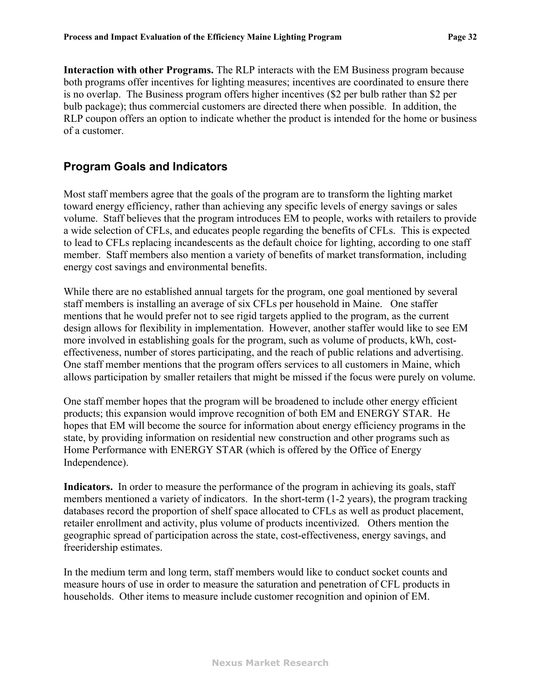<span id="page-34-0"></span>**Interaction with other Programs.** The RLP interacts with the EM Business program because both programs offer incentives for lighting measures; incentives are coordinated to ensure there is no overlap. The Business program offers higher incentives (\$2 per bulb rather than \$2 per bulb package); thus commercial customers are directed there when possible. In addition, the RLP coupon offers an option to indicate whether the product is intended for the home or business of a customer.

#### **Program Goals and Indicators**

Most staff members agree that the goals of the program are to transform the lighting market toward energy efficiency, rather than achieving any specific levels of energy savings or sales volume. Staff believes that the program introduces EM to people, works with retailers to provide a wide selection of CFLs, and educates people regarding the benefits of CFLs. This is expected to lead to CFLs replacing incandescents as the default choice for lighting, according to one staff member. Staff members also mention a variety of benefits of market transformation, including energy cost savings and environmental benefits.

While there are no established annual targets for the program, one goal mentioned by several staff members is installing an average of six CFLs per household in Maine. One staffer mentions that he would prefer not to see rigid targets applied to the program, as the current design allows for flexibility in implementation. However, another staffer would like to see EM more involved in establishing goals for the program, such as volume of products, kWh, costeffectiveness, number of stores participating, and the reach of public relations and advertising. One staff member mentions that the program offers services to all customers in Maine, which allows participation by smaller retailers that might be missed if the focus were purely on volume.

One staff member hopes that the program will be broadened to include other energy efficient products; this expansion would improve recognition of both EM and ENERGY STAR. He hopes that EM will become the source for information about energy efficiency programs in the state, by providing information on residential new construction and other programs such as Home Performance with ENERGY STAR (which is offered by the Office of Energy Independence).

**Indicators.** In order to measure the performance of the program in achieving its goals, staff members mentioned a variety of indicators. In the short-term (1-2 years), the program tracking databases record the proportion of shelf space allocated to CFLs as well as product placement, retailer enrollment and activity, plus volume of products incentivized. Others mention the geographic spread of participation across the state, cost-effectiveness, energy savings, and freeridership estimates.

In the medium term and long term, staff members would like to conduct socket counts and measure hours of use in order to measure the saturation and penetration of CFL products in households. Other items to measure include customer recognition and opinion of EM.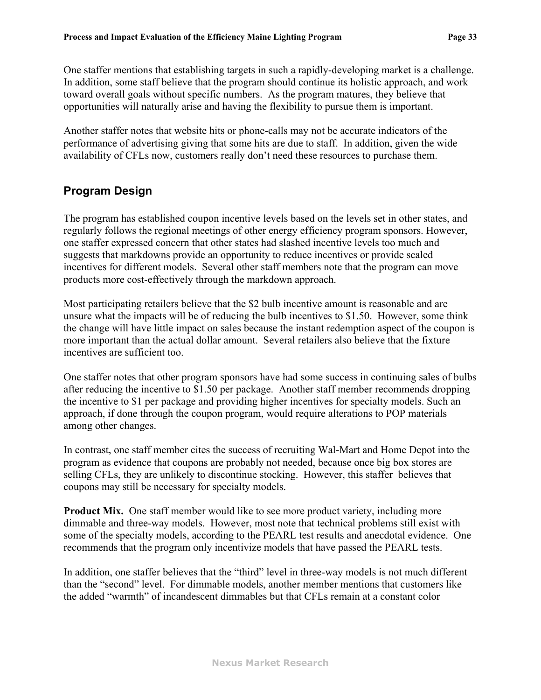<span id="page-35-0"></span>One staffer mentions that establishing targets in such a rapidly-developing market is a challenge. In addition, some staff believe that the program should continue its holistic approach, and work toward overall goals without specific numbers. As the program matures, they believe that opportunities will naturally arise and having the flexibility to pursue them is important.

Another staffer notes that website hits or phone-calls may not be accurate indicators of the performance of advertising giving that some hits are due to staff. In addition, given the wide availability of CFLs now, customers really don't need these resources to purchase them.

### **Program Design**

The program has established coupon incentive levels based on the levels set in other states, and regularly follows the regional meetings of other energy efficiency program sponsors. However, one staffer expressed concern that other states had slashed incentive levels too much and suggests that markdowns provide an opportunity to reduce incentives or provide scaled incentives for different models. Several other staff members note that the program can move products more cost-effectively through the markdown approach.

Most participating retailers believe that the \$2 bulb incentive amount is reasonable and are unsure what the impacts will be of reducing the bulb incentives to \$1.50. However, some think the change will have little impact on sales because the instant redemption aspect of the coupon is more important than the actual dollar amount. Several retailers also believe that the fixture incentives are sufficient too.

One staffer notes that other program sponsors have had some success in continuing sales of bulbs after reducing the incentive to \$1.50 per package. Another staff member recommends dropping the incentive to \$1 per package and providing higher incentives for specialty models. Such an approach, if done through the coupon program, would require alterations to POP materials among other changes.

In contrast, one staff member cites the success of recruiting Wal-Mart and Home Depot into the program as evidence that coupons are probably not needed, because once big box stores are selling CFLs, they are unlikely to discontinue stocking. However, this staffer believes that coupons may still be necessary for specialty models.

**Product Mix.** One staff member would like to see more product variety, including more dimmable and three-way models. However, most note that technical problems still exist with some of the specialty models, according to the PEARL test results and anecdotal evidence. One recommends that the program only incentivize models that have passed the PEARL tests.

In addition, one staffer believes that the "third" level in three-way models is not much different than the "second" level. For dimmable models, another member mentions that customers like the added "warmth" of incandescent dimmables but that CFLs remain at a constant color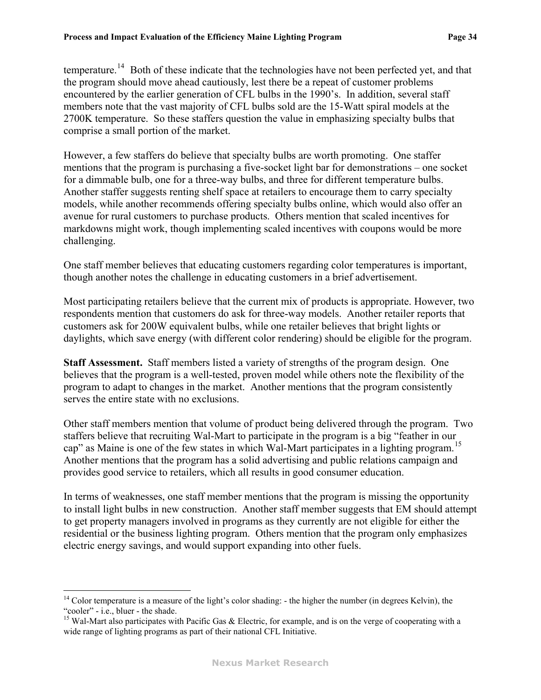<span id="page-36-0"></span>temperature.<sup>[14](#page-36-0)</sup> Both of these indicate that the technologies have not been perfected yet, and that the program should move ahead cautiously, lest there be a repeat of customer problems encountered by the earlier generation of CFL bulbs in the 1990's. In addition, several staff members note that the vast majority of CFL bulbs sold are the 15-Watt spiral models at the 2700K temperature. So these staffers question the value in emphasizing specialty bulbs that comprise a small portion of the market.

However, a few staffers do believe that specialty bulbs are worth promoting. One staffer mentions that the program is purchasing a five-socket light bar for demonstrations – one socket for a dimmable bulb, one for a three-way bulbs, and three for different temperature bulbs. Another staffer suggests renting shelf space at retailers to encourage them to carry specialty models, while another recommends offering specialty bulbs online, which would also offer an avenue for rural customers to purchase products. Others mention that scaled incentives for markdowns might work, though implementing scaled incentives with coupons would be more challenging.

One staff member believes that educating customers regarding color temperatures is important, though another notes the challenge in educating customers in a brief advertisement.

Most participating retailers believe that the current mix of products is appropriate. However, two respondents mention that customers do ask for three-way models. Another retailer reports that customers ask for 200W equivalent bulbs, while one retailer believes that bright lights or daylights, which save energy (with different color rendering) should be eligible for the program.

**Staff Assessment.** Staff members listed a variety of strengths of the program design. One believes that the program is a well-tested, proven model while others note the flexibility of the program to adapt to changes in the market. Another mentions that the program consistently serves the entire state with no exclusions.

Other staff members mention that volume of product being delivered through the program. Two staffers believe that recruiting Wal-Mart to participate in the program is a big "feather in our cap" as Maine is one of the few states in which Wal-Mart participates in a lighting program.<sup>[15](#page-36-0)</sup> Another mentions that the program has a solid advertising and public relations campaign and provides good service to retailers, which all results in good consumer education.

In terms of weaknesses, one staff member mentions that the program is missing the opportunity to install light bulbs in new construction. Another staff member suggests that EM should attempt to get property managers involved in programs as they currently are not eligible for either the residential or the business lighting program. Others mention that the program only emphasizes electric energy savings, and would support expanding into other fuels.

<u>.</u>

 $14$  Color temperature is a measure of the light's color shading: - the higher the number (in degrees Kelvin), the "cooler" - i.e., bluer - the shade.

<sup>&</sup>lt;sup>15</sup> Wal-Mart also participates with Pacific Gas  $\&$  Electric, for example, and is on the verge of cooperating with a wide range of lighting programs as part of their national CFL Initiative.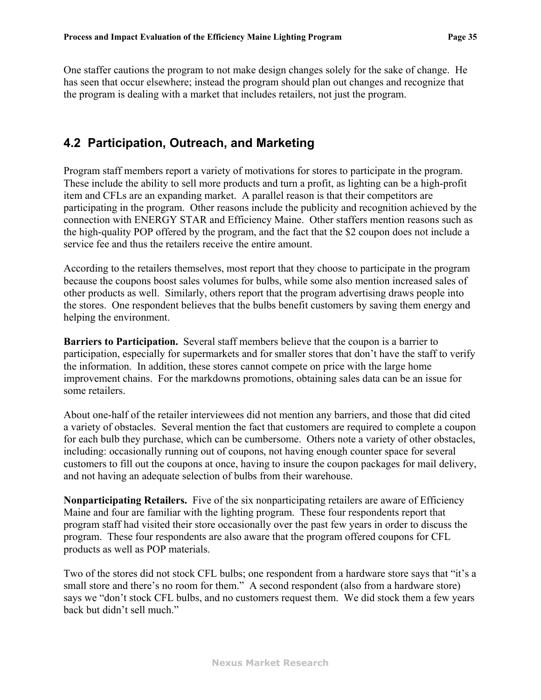One staffer cautions the program to not make design changes solely for the sake of change. He has seen that occur elsewhere; instead the program should plan out changes and recognize that the program is dealing with a market that includes retailers, not just the program.

# **4.2 Participation, Outreach, and Marketing**

Program staff members report a variety of motivations for stores to participate in the program. These include the ability to sell more products and turn a profit, as lighting can be a high-profit item and CFLs are an expanding market. A parallel reason is that their competitors are participating in the program. Other reasons include the publicity and recognition achieved by the connection with ENERGY STAR and Efficiency Maine. Other staffers mention reasons such as the high-quality POP offered by the program, and the fact that the \$2 coupon does not include a service fee and thus the retailers receive the entire amount.

According to the retailers themselves, most report that they choose to participate in the program because the coupons boost sales volumes for bulbs, while some also mention increased sales of other products as well. Similarly, others report that the program advertising draws people into the stores. One respondent believes that the bulbs benefit customers by saving them energy and helping the environment.

**Barriers to Participation.** Several staff members believe that the coupon is a barrier to participation, especially for supermarkets and for smaller stores that don't have the staff to verify the information. In addition, these stores cannot compete on price with the large home improvement chains. For the markdowns promotions, obtaining sales data can be an issue for some retailers.

About one-half of the retailer interviewees did not mention any barriers, and those that did cited a variety of obstacles. Several mention the fact that customers are required to complete a coupon for each bulb they purchase, which can be cumbersome. Others note a variety of other obstacles, including: occasionally running out of coupons, not having enough counter space for several customers to fill out the coupons at once, having to insure the coupon packages for mail delivery, and not having an adequate selection of bulbs from their warehouse.

**Nonparticipating Retailers.** Five of the six nonparticipating retailers are aware of Efficiency Maine and four are familiar with the lighting program. These four respondents report that program staff had visited their store occasionally over the past few years in order to discuss the program. These four respondents are also aware that the program offered coupons for CFL products as well as POP materials.

Two of the stores did not stock CFL bulbs; one respondent from a hardware store says that "it's a small store and there's no room for them." A second respondent (also from a hardware store) says we "don't stock CFL bulbs, and no customers request them. We did stock them a few years back but didn't sell much."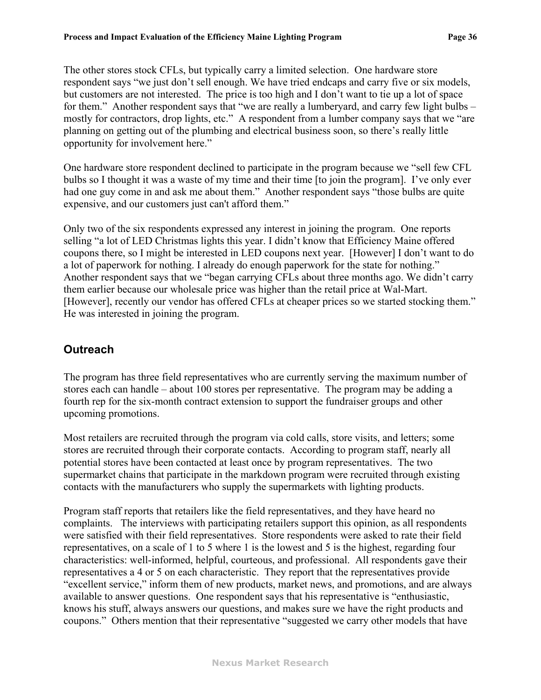The other stores stock CFLs, but typically carry a limited selection. One hardware store respondent says "we just don't sell enough. We have tried endcaps and carry five or six models, but customers are not interested. The price is too high and I don't want to tie up a lot of space for them." Another respondent says that "we are really a lumberyard, and carry few light bulbs – mostly for contractors, drop lights, etc." A respondent from a lumber company says that we "are planning on getting out of the plumbing and electrical business soon, so there's really little opportunity for involvement here."

One hardware store respondent declined to participate in the program because we "sell few CFL bulbs so I thought it was a waste of my time and their time [to join the program]. I've only ever had one guy come in and ask me about them." Another respondent says "those bulbs are quite expensive, and our customers just can't afford them."

Only two of the six respondents expressed any interest in joining the program. One reports selling "a lot of LED Christmas lights this year. I didn't know that Efficiency Maine offered coupons there, so I might be interested in LED coupons next year. [However] I don't want to do a lot of paperwork for nothing. I already do enough paperwork for the state for nothing." Another respondent says that we "began carrying CFLs about three months ago. We didn't carry them earlier because our wholesale price was higher than the retail price at Wal-Mart. [However], recently our vendor has offered CFLs at cheaper prices so we started stocking them." He was interested in joining the program.

# **Outreach**

The program has three field representatives who are currently serving the maximum number of stores each can handle – about 100 stores per representative. The program may be adding a fourth rep for the six-month contract extension to support the fundraiser groups and other upcoming promotions.

Most retailers are recruited through the program via cold calls, store visits, and letters; some stores are recruited through their corporate contacts. According to program staff, nearly all potential stores have been contacted at least once by program representatives. The two supermarket chains that participate in the markdown program were recruited through existing contacts with the manufacturers who supply the supermarkets with lighting products.

Program staff reports that retailers like the field representatives, and they have heard no complaints. The interviews with participating retailers support this opinion, as all respondents were satisfied with their field representatives. Store respondents were asked to rate their field representatives, on a scale of 1 to 5 where 1 is the lowest and 5 is the highest, regarding four characteristics: well-informed, helpful, courteous, and professional. All respondents gave their representatives a 4 or 5 on each characteristic. They report that the representatives provide "excellent service," inform them of new products, market news, and promotions, and are always available to answer questions. One respondent says that his representative is "enthusiastic, knows his stuff, always answers our questions, and makes sure we have the right products and coupons." Others mention that their representative "suggested we carry other models that have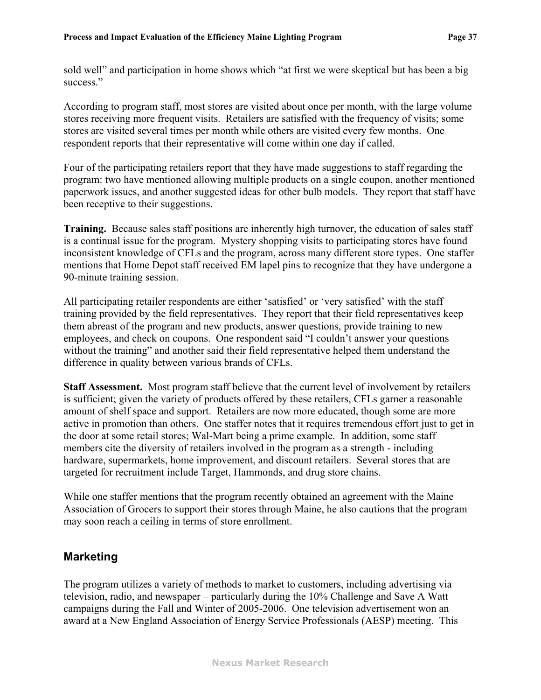sold well" and participation in home shows which "at first we were skeptical but has been a big success."

According to program staff, most stores are visited about once per month, with the large volume stores receiving more frequent visits. Retailers are satisfied with the frequency of visits; some stores are visited several times per month while others are visited every few months. One respondent reports that their representative will come within one day if called.

Four of the participating retailers report that they have made suggestions to staff regarding the program: two have mentioned allowing multiple products on a single coupon, another mentioned paperwork issues, and another suggested ideas for other bulb models. They report that staff have been receptive to their suggestions.

**Training.** Because sales staff positions are inherently high turnover, the education of sales staff is a continual issue for the program. Mystery shopping visits to participating stores have found inconsistent knowledge of CFLs and the program, across many different store types. One staffer mentions that Home Depot staff received EM lapel pins to recognize that they have undergone a 90-minute training session.

All participating retailer respondents are either 'satisfied' or 'very satisfied' with the staff training provided by the field representatives. They report that their field representatives keep them abreast of the program and new products, answer questions, provide training to new employees, and check on coupons. One respondent said "I couldn't answer your questions without the training" and another said their field representative helped them understand the difference in quality between various brands of CFLs.

**Staff Assessment.** Most program staff believe that the current level of involvement by retailers is sufficient; given the variety of products offered by these retailers, CFLs garner a reasonable amount of shelf space and support. Retailers are now more educated, though some are more active in promotion than others. One staffer notes that it requires tremendous effort just to get in the door at some retail stores; Wal-Mart being a prime example. In addition, some staff members cite the diversity of retailers involved in the program as a strength - including hardware, supermarkets, home improvement, and discount retailers. Several stores that are targeted for recruitment include Target, Hammonds, and drug store chains.

While one staffer mentions that the program recently obtained an agreement with the Maine Association of Grocers to support their stores through Maine, he also cautions that the program may soon reach a ceiling in terms of store enrollment.

### **Marketing**

The program utilizes a variety of methods to market to customers, including advertising via television, radio, and newspaper – particularly during the 10% Challenge and Save A Watt campaigns during the Fall and Winter of 2005-2006. One television advertisement won an award at a New England Association of Energy Service Professionals (AESP) meeting. This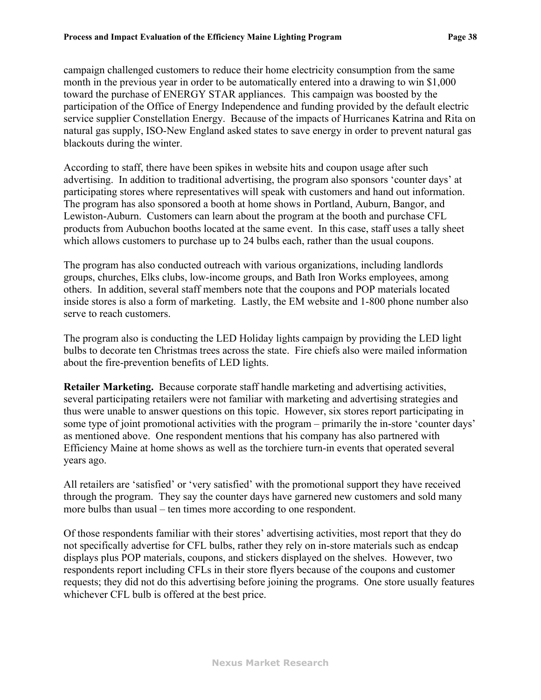campaign challenged customers to reduce their home electricity consumption from the same month in the previous year in order to be automatically entered into a drawing to win \$1,000 toward the purchase of ENERGY STAR appliances. This campaign was boosted by the participation of the Office of Energy Independence and funding provided by the default electric service supplier Constellation Energy. Because of the impacts of Hurricanes Katrina and Rita on natural gas supply, ISO-New England asked states to save energy in order to prevent natural gas blackouts during the winter.

According to staff, there have been spikes in website hits and coupon usage after such advertising. In addition to traditional advertising, the program also sponsors 'counter days' at participating stores where representatives will speak with customers and hand out information. The program has also sponsored a booth at home shows in Portland, Auburn, Bangor, and Lewiston-Auburn. Customers can learn about the program at the booth and purchase CFL products from Aubuchon booths located at the same event. In this case, staff uses a tally sheet which allows customers to purchase up to 24 bulbs each, rather than the usual coupons.

The program has also conducted outreach with various organizations, including landlords groups, churches, Elks clubs, low-income groups, and Bath Iron Works employees, among others. In addition, several staff members note that the coupons and POP materials located inside stores is also a form of marketing. Lastly, the EM website and 1-800 phone number also serve to reach customers.

The program also is conducting the LED Holiday lights campaign by providing the LED light bulbs to decorate ten Christmas trees across the state. Fire chiefs also were mailed information about the fire-prevention benefits of LED lights.

**Retailer Marketing.** Because corporate staff handle marketing and advertising activities, several participating retailers were not familiar with marketing and advertising strategies and thus were unable to answer questions on this topic. However, six stores report participating in some type of joint promotional activities with the program – primarily the in-store 'counter days' as mentioned above. One respondent mentions that his company has also partnered with Efficiency Maine at home shows as well as the torchiere turn-in events that operated several years ago.

All retailers are 'satisfied' or 'very satisfied' with the promotional support they have received through the program. They say the counter days have garnered new customers and sold many more bulbs than usual – ten times more according to one respondent.

Of those respondents familiar with their stores' advertising activities, most report that they do not specifically advertise for CFL bulbs, rather they rely on in-store materials such as endcap displays plus POP materials, coupons, and stickers displayed on the shelves. However, two respondents report including CFLs in their store flyers because of the coupons and customer requests; they did not do this advertising before joining the programs. One store usually features whichever CFL bulb is offered at the best price.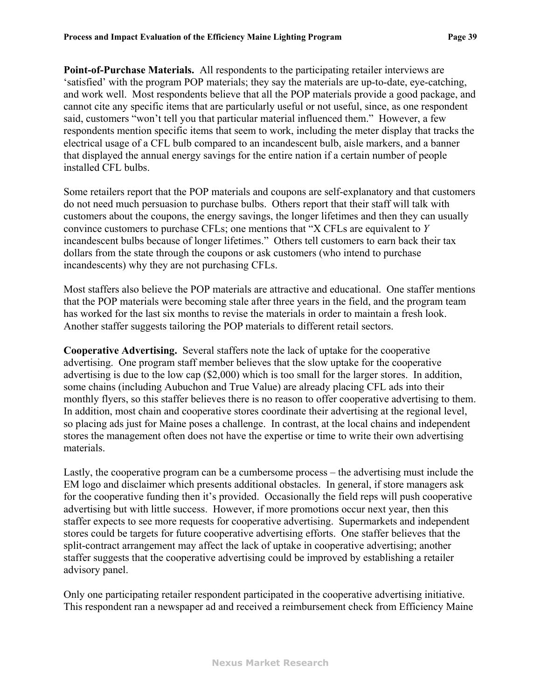**Point-of-Purchase Materials.** All respondents to the participating retailer interviews are 'satisfied' with the program POP materials; they say the materials are up-to-date, eye-catching, and work well. Most respondents believe that all the POP materials provide a good package, and cannot cite any specific items that are particularly useful or not useful, since, as one respondent said, customers "won't tell you that particular material influenced them." However, a few respondents mention specific items that seem to work, including the meter display that tracks the electrical usage of a CFL bulb compared to an incandescent bulb, aisle markers, and a banner that displayed the annual energy savings for the entire nation if a certain number of people installed CFL bulbs.

Some retailers report that the POP materials and coupons are self-explanatory and that customers do not need much persuasion to purchase bulbs. Others report that their staff will talk with customers about the coupons, the energy savings, the longer lifetimes and then they can usually convince customers to purchase CFLs; one mentions that "X CFLs are equivalent to *Y* incandescent bulbs because of longer lifetimes." Others tell customers to earn back their tax dollars from the state through the coupons or ask customers (who intend to purchase incandescents) why they are not purchasing CFLs.

Most staffers also believe the POP materials are attractive and educational. One staffer mentions that the POP materials were becoming stale after three years in the field, and the program team has worked for the last six months to revise the materials in order to maintain a fresh look. Another staffer suggests tailoring the POP materials to different retail sectors.

**Cooperative Advertising.** Several staffers note the lack of uptake for the cooperative advertising. One program staff member believes that the slow uptake for the cooperative advertising is due to the low cap (\$2,000) which is too small for the larger stores. In addition, some chains (including Aubuchon and True Value) are already placing CFL ads into their monthly flyers, so this staffer believes there is no reason to offer cooperative advertising to them. In addition, most chain and cooperative stores coordinate their advertising at the regional level, so placing ads just for Maine poses a challenge. In contrast, at the local chains and independent stores the management often does not have the expertise or time to write their own advertising materials.

Lastly, the cooperative program can be a cumbersome process – the advertising must include the EM logo and disclaimer which presents additional obstacles. In general, if store managers ask for the cooperative funding then it's provided. Occasionally the field reps will push cooperative advertising but with little success. However, if more promotions occur next year, then this staffer expects to see more requests for cooperative advertising. Supermarkets and independent stores could be targets for future cooperative advertising efforts. One staffer believes that the split-contract arrangement may affect the lack of uptake in cooperative advertising; another staffer suggests that the cooperative advertising could be improved by establishing a retailer advisory panel.

Only one participating retailer respondent participated in the cooperative advertising initiative. This respondent ran a newspaper ad and received a reimbursement check from Efficiency Maine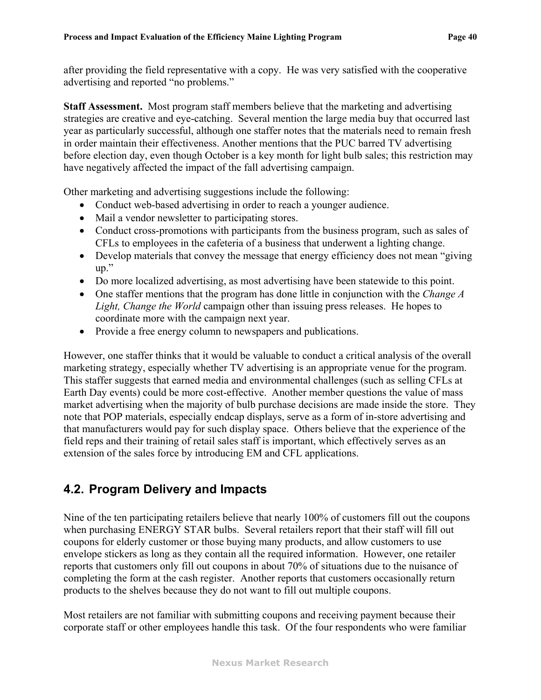after providing the field representative with a copy. He was very satisfied with the cooperative advertising and reported "no problems."

**Staff Assessment.** Most program staff members believe that the marketing and advertising strategies are creative and eye-catching. Several mention the large media buy that occurred last year as particularly successful, although one staffer notes that the materials need to remain fresh in order maintain their effectiveness. Another mentions that the PUC barred TV advertising before election day, even though October is a key month for light bulb sales; this restriction may have negatively affected the impact of the fall advertising campaign.

Other marketing and advertising suggestions include the following:

- Conduct web-based advertising in order to reach a younger audience.
- Mail a vendor newsletter to participating stores.
- Conduct cross-promotions with participants from the business program, such as sales of CFLs to employees in the cafeteria of a business that underwent a lighting change.
- Develop materials that convey the message that energy efficiency does not mean "giving" up."
- Do more localized advertising, as most advertising have been statewide to this point.
- ! One staffer mentions that the program has done little in conjunction with the *Change A Light, Change the World* campaign other than issuing press releases. He hopes to coordinate more with the campaign next year.
- Provide a free energy column to newspapers and publications.

However, one staffer thinks that it would be valuable to conduct a critical analysis of the overall marketing strategy, especially whether TV advertising is an appropriate venue for the program. This staffer suggests that earned media and environmental challenges (such as selling CFLs at Earth Day events) could be more cost-effective. Another member questions the value of mass market advertising when the majority of bulb purchase decisions are made inside the store. They note that POP materials, especially endcap displays, serve as a form of in-store advertising and that manufacturers would pay for such display space. Others believe that the experience of the field reps and their training of retail sales staff is important, which effectively serves as an extension of the sales force by introducing EM and CFL applications.

# **4.2. Program Delivery and Impacts**

Nine of the ten participating retailers believe that nearly 100% of customers fill out the coupons when purchasing ENERGY STAR bulbs. Several retailers report that their staff will fill out coupons for elderly customer or those buying many products, and allow customers to use envelope stickers as long as they contain all the required information. However, one retailer reports that customers only fill out coupons in about 70% of situations due to the nuisance of completing the form at the cash register. Another reports that customers occasionally return products to the shelves because they do not want to fill out multiple coupons.

Most retailers are not familiar with submitting coupons and receiving payment because their corporate staff or other employees handle this task. Of the four respondents who were familiar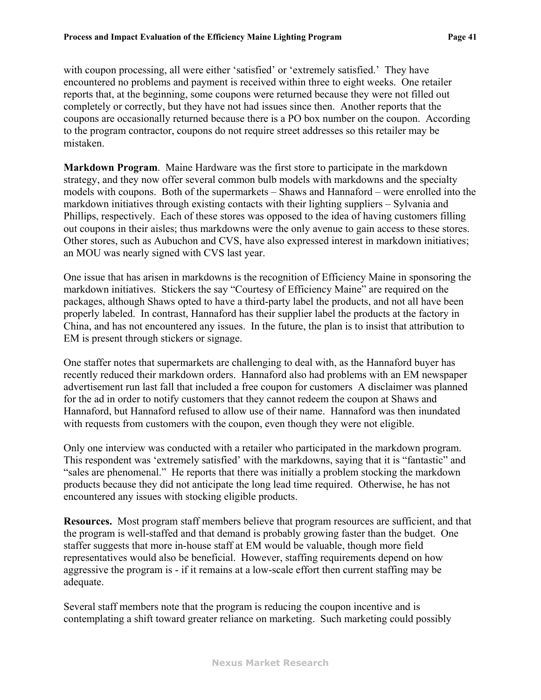with coupon processing, all were either 'satisfied' or 'extremely satisfied.' They have encountered no problems and payment is received within three to eight weeks. One retailer reports that, at the beginning, some coupons were returned because they were not filled out completely or correctly, but they have not had issues since then. Another reports that the coupons are occasionally returned because there is a PO box number on the coupon. According to the program contractor, coupons do not require street addresses so this retailer may be mistaken.

**Markdown Program**. Maine Hardware was the first store to participate in the markdown strategy, and they now offer several common bulb models with markdowns and the specialty models with coupons. Both of the supermarkets – Shaws and Hannaford – were enrolled into the markdown initiatives through existing contacts with their lighting suppliers – Sylvania and Phillips, respectively. Each of these stores was opposed to the idea of having customers filling out coupons in their aisles; thus markdowns were the only avenue to gain access to these stores. Other stores, such as Aubuchon and CVS, have also expressed interest in markdown initiatives; an MOU was nearly signed with CVS last year.

One issue that has arisen in markdowns is the recognition of Efficiency Maine in sponsoring the markdown initiatives. Stickers the say "Courtesy of Efficiency Maine" are required on the packages, although Shaws opted to have a third-party label the products, and not all have been properly labeled. In contrast, Hannaford has their supplier label the products at the factory in China, and has not encountered any issues. In the future, the plan is to insist that attribution to EM is present through stickers or signage.

One staffer notes that supermarkets are challenging to deal with, as the Hannaford buyer has recently reduced their markdown orders. Hannaford also had problems with an EM newspaper advertisement run last fall that included a free coupon for customers A disclaimer was planned for the ad in order to notify customers that they cannot redeem the coupon at Shaws and Hannaford, but Hannaford refused to allow use of their name. Hannaford was then inundated with requests from customers with the coupon, even though they were not eligible.

Only one interview was conducted with a retailer who participated in the markdown program. This respondent was 'extremely satisfied' with the markdowns, saying that it is "fantastic" and "sales are phenomenal." He reports that there was initially a problem stocking the markdown products because they did not anticipate the long lead time required. Otherwise, he has not encountered any issues with stocking eligible products.

**Resources.** Most program staff members believe that program resources are sufficient, and that the program is well-staffed and that demand is probably growing faster than the budget. One staffer suggests that more in-house staff at EM would be valuable, though more field representatives would also be beneficial. However, staffing requirements depend on how aggressive the program is - if it remains at a low-scale effort then current staffing may be adequate.

Several staff members note that the program is reducing the coupon incentive and is contemplating a shift toward greater reliance on marketing. Such marketing could possibly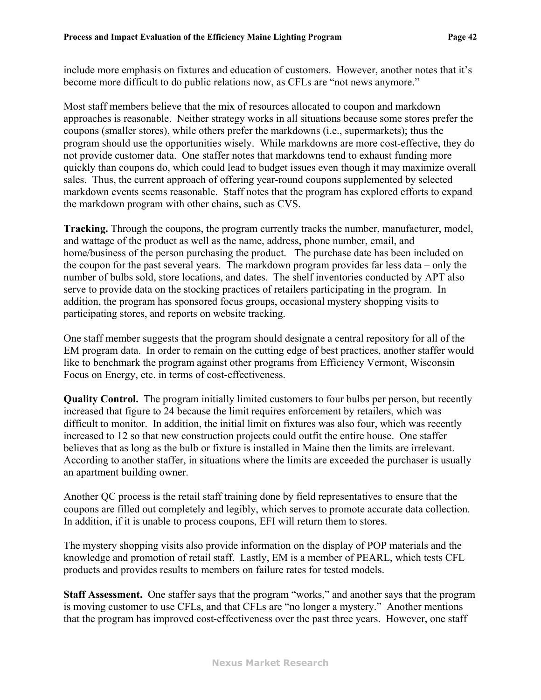include more emphasis on fixtures and education of customers. However, another notes that it's become more difficult to do public relations now, as CFLs are "not news anymore."

Most staff members believe that the mix of resources allocated to coupon and markdown approaches is reasonable. Neither strategy works in all situations because some stores prefer the coupons (smaller stores), while others prefer the markdowns (i.e., supermarkets); thus the program should use the opportunities wisely. While markdowns are more cost-effective, they do not provide customer data. One staffer notes that markdowns tend to exhaust funding more quickly than coupons do, which could lead to budget issues even though it may maximize overall sales. Thus, the current approach of offering year-round coupons supplemented by selected markdown events seems reasonable. Staff notes that the program has explored efforts to expand the markdown program with other chains, such as CVS.

**Tracking.** Through the coupons, the program currently tracks the number, manufacturer, model, and wattage of the product as well as the name, address, phone number, email, and home/business of the person purchasing the product. The purchase date has been included on the coupon for the past several years. The markdown program provides far less data – only the number of bulbs sold, store locations, and dates. The shelf inventories conducted by APT also serve to provide data on the stocking practices of retailers participating in the program. In addition, the program has sponsored focus groups, occasional mystery shopping visits to participating stores, and reports on website tracking.

One staff member suggests that the program should designate a central repository for all of the EM program data. In order to remain on the cutting edge of best practices, another staffer would like to benchmark the program against other programs from Efficiency Vermont, Wisconsin Focus on Energy, etc. in terms of cost-effectiveness.

**Quality Control.** The program initially limited customers to four bulbs per person, but recently increased that figure to 24 because the limit requires enforcement by retailers, which was difficult to monitor. In addition, the initial limit on fixtures was also four, which was recently increased to 12 so that new construction projects could outfit the entire house. One staffer believes that as long as the bulb or fixture is installed in Maine then the limits are irrelevant. According to another staffer, in situations where the limits are exceeded the purchaser is usually an apartment building owner.

Another QC process is the retail staff training done by field representatives to ensure that the coupons are filled out completely and legibly, which serves to promote accurate data collection. In addition, if it is unable to process coupons, EFI will return them to stores.

The mystery shopping visits also provide information on the display of POP materials and the knowledge and promotion of retail staff. Lastly, EM is a member of PEARL, which tests CFL products and provides results to members on failure rates for tested models.

**Staff Assessment.** One staffer says that the program "works," and another says that the program is moving customer to use CFLs, and that CFLs are "no longer a mystery." Another mentions that the program has improved cost-effectiveness over the past three years. However, one staff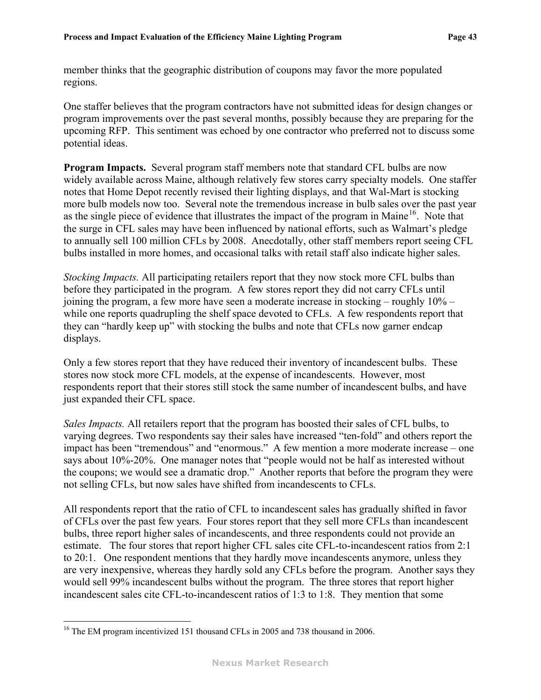<span id="page-45-0"></span>member thinks that the geographic distribution of coupons may favor the more populated regions.

One staffer believes that the program contractors have not submitted ideas for design changes or program improvements over the past several months, possibly because they are preparing for the upcoming RFP. This sentiment was echoed by one contractor who preferred not to discuss some potential ideas.

**Program Impacts.** Several program staff members note that standard CFL bulbs are now widely available across Maine, although relatively few stores carry specialty models. One staffer notes that Home Depot recently revised their lighting displays, and that Wal-Mart is stocking more bulb models now too. Several note the tremendous increase in bulb sales over the past year as the single piece of evidence that illustrates the impact of the program in Maine<sup>[16](#page-45-0)</sup>. Note that the surge in CFL sales may have been influenced by national efforts, such as Walmart's pledge to annually sell 100 million CFLs by 2008. Anecdotally, other staff members report seeing CFL bulbs installed in more homes, and occasional talks with retail staff also indicate higher sales.

*Stocking Impacts.* All participating retailers report that they now stock more CFL bulbs than before they participated in the program. A few stores report they did not carry CFLs until joining the program, a few more have seen a moderate increase in stocking – roughly 10% – while one reports quadrupling the shelf space devoted to CFLs. A few respondents report that they can "hardly keep up" with stocking the bulbs and note that CFLs now garner endcap displays.

Only a few stores report that they have reduced their inventory of incandescent bulbs. These stores now stock more CFL models, at the expense of incandescents. However, most respondents report that their stores still stock the same number of incandescent bulbs, and have just expanded their CFL space.

*Sales Impacts.* All retailers report that the program has boosted their sales of CFL bulbs, to varying degrees. Two respondents say their sales have increased "ten-fold" and others report the impact has been "tremendous" and "enormous." A few mention a more moderate increase – one says about 10%-20%. One manager notes that "people would not be half as interested without the coupons; we would see a dramatic drop." Another reports that before the program they were not selling CFLs, but now sales have shifted from incandescents to CFLs.

All respondents report that the ratio of CFL to incandescent sales has gradually shifted in favor of CFLs over the past few years. Four stores report that they sell more CFLs than incandescent bulbs, three report higher sales of incandescents, and three respondents could not provide an estimate. The four stores that report higher CFL sales cite CFL-to-incandescent ratios from 2:1 to 20:1. One respondent mentions that they hardly move incandescents anymore, unless they are very inexpensive, whereas they hardly sold any CFLs before the program. Another says they would sell 99% incandescent bulbs without the program. The three stores that report higher incandescent sales cite CFL-to-incandescent ratios of 1:3 to 1:8. They mention that some

 $\overline{a}$ 

<sup>&</sup>lt;sup>16</sup> The EM program incentivized 151 thousand CFLs in 2005 and 738 thousand in 2006.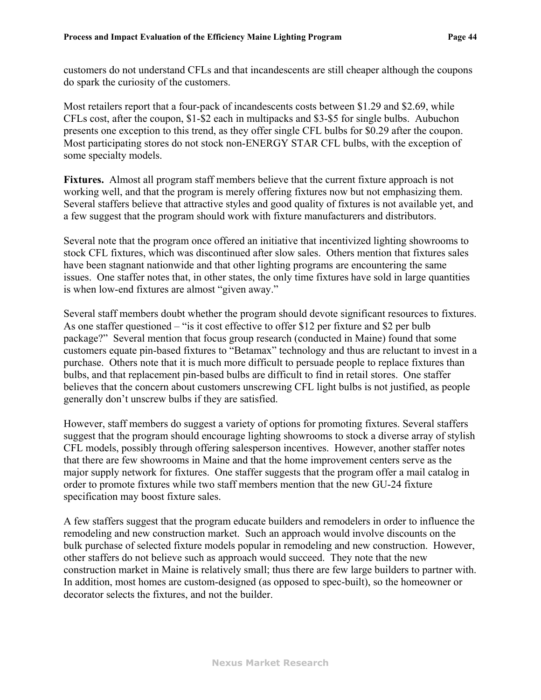customers do not understand CFLs and that incandescents are still cheaper although the coupons do spark the curiosity of the customers.

Most retailers report that a four-pack of incandescents costs between \$1.29 and \$2.69, while CFLs cost, after the coupon, \$1-\$2 each in multipacks and \$3-\$5 for single bulbs. Aubuchon presents one exception to this trend, as they offer single CFL bulbs for \$0.29 after the coupon. Most participating stores do not stock non-ENERGY STAR CFL bulbs, with the exception of some specialty models.

**Fixtures.** Almost all program staff members believe that the current fixture approach is not working well, and that the program is merely offering fixtures now but not emphasizing them. Several staffers believe that attractive styles and good quality of fixtures is not available yet, and a few suggest that the program should work with fixture manufacturers and distributors.

Several note that the program once offered an initiative that incentivized lighting showrooms to stock CFL fixtures, which was discontinued after slow sales. Others mention that fixtures sales have been stagnant nationwide and that other lighting programs are encountering the same issues. One staffer notes that, in other states, the only time fixtures have sold in large quantities is when low-end fixtures are almost "given away."

Several staff members doubt whether the program should devote significant resources to fixtures. As one staffer questioned – "is it cost effective to offer \$12 per fixture and \$2 per bulb package?" Several mention that focus group research (conducted in Maine) found that some customers equate pin-based fixtures to "Betamax" technology and thus are reluctant to invest in a purchase. Others note that it is much more difficult to persuade people to replace fixtures than bulbs, and that replacement pin-based bulbs are difficult to find in retail stores. One staffer believes that the concern about customers unscrewing CFL light bulbs is not justified, as people generally don't unscrew bulbs if they are satisfied.

However, staff members do suggest a variety of options for promoting fixtures. Several staffers suggest that the program should encourage lighting showrooms to stock a diverse array of stylish CFL models, possibly through offering salesperson incentives. However, another staffer notes that there are few showrooms in Maine and that the home improvement centers serve as the major supply network for fixtures. One staffer suggests that the program offer a mail catalog in order to promote fixtures while two staff members mention that the new GU-24 fixture specification may boost fixture sales.

A few staffers suggest that the program educate builders and remodelers in order to influence the remodeling and new construction market. Such an approach would involve discounts on the bulk purchase of selected fixture models popular in remodeling and new construction. However, other staffers do not believe such as approach would succeed. They note that the new construction market in Maine is relatively small; thus there are few large builders to partner with. In addition, most homes are custom-designed (as opposed to spec-built), so the homeowner or decorator selects the fixtures, and not the builder.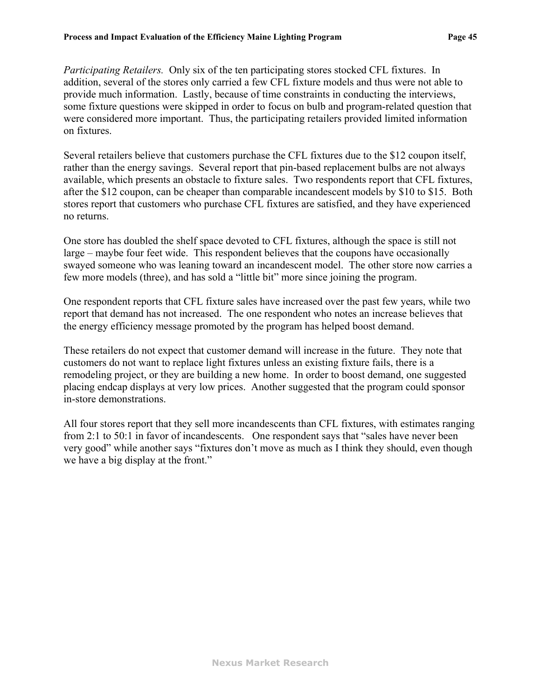*Participating Retailers.* Only six of the ten participating stores stocked CFL fixtures. In addition, several of the stores only carried a few CFL fixture models and thus were not able to provide much information. Lastly, because of time constraints in conducting the interviews, some fixture questions were skipped in order to focus on bulb and program-related question that were considered more important. Thus, the participating retailers provided limited information on fixtures.

Several retailers believe that customers purchase the CFL fixtures due to the \$12 coupon itself, rather than the energy savings. Several report that pin-based replacement bulbs are not always available, which presents an obstacle to fixture sales. Two respondents report that CFL fixtures, after the \$12 coupon, can be cheaper than comparable incandescent models by \$10 to \$15. Both stores report that customers who purchase CFL fixtures are satisfied, and they have experienced no returns.

One store has doubled the shelf space devoted to CFL fixtures, although the space is still not large – maybe four feet wide. This respondent believes that the coupons have occasionally swayed someone who was leaning toward an incandescent model. The other store now carries a few more models (three), and has sold a "little bit" more since joining the program.

One respondent reports that CFL fixture sales have increased over the past few years, while two report that demand has not increased. The one respondent who notes an increase believes that the energy efficiency message promoted by the program has helped boost demand.

These retailers do not expect that customer demand will increase in the future. They note that customers do not want to replace light fixtures unless an existing fixture fails, there is a remodeling project, or they are building a new home. In order to boost demand, one suggested placing endcap displays at very low prices. Another suggested that the program could sponsor in-store demonstrations.

All four stores report that they sell more incandescents than CFL fixtures, with estimates ranging from 2:1 to 50:1 in favor of incandescents. One respondent says that "sales have never been very good" while another says "fixtures don't move as much as I think they should, even though we have a big display at the front."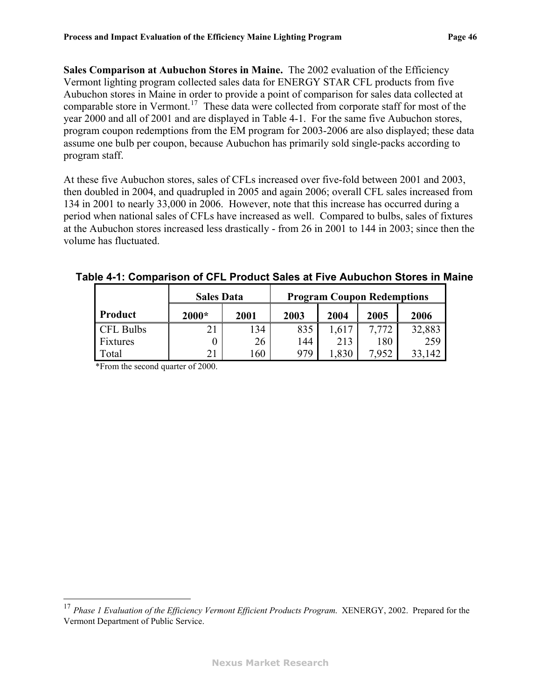<span id="page-48-1"></span>**Sales Comparison at Aubuchon Stores in Maine.** The 2002 evaluation of the Efficiency Vermont lighting program collected sales data for ENERGY STAR CFL products from five Aubuchon stores in Maine in order to provide a point of comparison for sales data collected at comparable store in Vermont.<sup>[17](#page-48-1)</sup> These data were collected from corporate staff for most of the year 2000 and all of 2001 and are displayed in [Table 4-1.](#page-48-0) For the same five Aubuchon stores, program coupon redemptions from the EM program for 2003-2006 are also displayed; these data assume one bulb per coupon, because Aubuchon has primarily sold single-packs according to program staff.

At these five Aubuchon stores, sales of CFLs increased over five-fold between 2001 and 2003, then doubled in 2004, and quadrupled in 2005 and again 2006; overall CFL sales increased from 134 in 2001 to nearly 33,000 in 2006. However, note that this increase has occurred during a period when national sales of CFLs have increased as well. Compared to bulbs, sales of fixtures at the Aubuchon stores increased less drastically - from 26 in 2001 to 144 in 2003; since then the volume has fluctuated.

### <span id="page-48-0"></span>**Table 4-1: Comparison of CFL Product Sales at Five Aubuchon Stores in Maine**

|                  | <b>Sales Data</b> |      | <b>Program Coupon Redemptions</b> |       |       |        |  |
|------------------|-------------------|------|-----------------------------------|-------|-------|--------|--|
| Product          | $2000*$           | 2001 | 2003                              | 2004  | 2005  | 2006   |  |
| <b>CFL Bulbs</b> |                   | 134  | 835                               | 1,617 | 7.772 | 32,883 |  |
| Fixtures         |                   | 26   | 144                               | 213   | 180   | 259    |  |
| Total            |                   | 160  | 979                               | .830  | 7,952 | 142    |  |

\*From the second quarter of 2000.

 $\overline{a}$ 

<sup>17</sup> *Phase 1 Evaluation of the Efficiency Vermont Efficient Products Program*. XENERGY, 2002. Prepared for the Vermont Department of Public Service.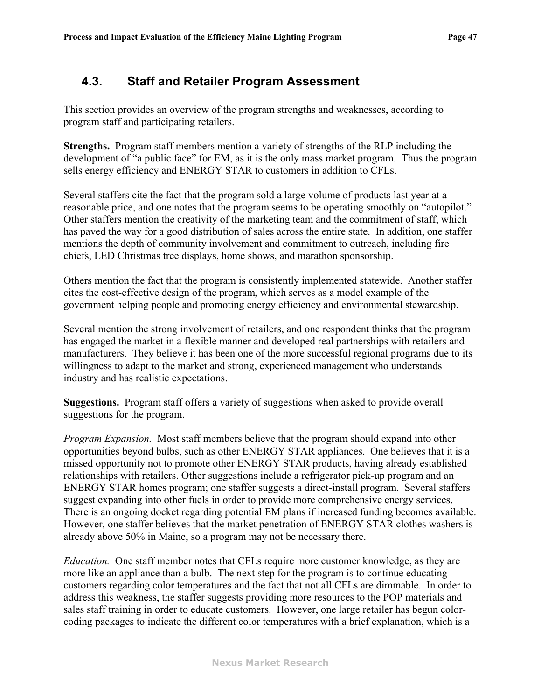### **4.3. Staff and Retailer Program Assessment**

This section provides an overview of the program strengths and weaknesses, according to program staff and participating retailers.

**Strengths.** Program staff members mention a variety of strengths of the RLP including the development of "a public face" for EM, as it is the only mass market program. Thus the program sells energy efficiency and ENERGY STAR to customers in addition to CFLs.

Several staffers cite the fact that the program sold a large volume of products last year at a reasonable price, and one notes that the program seems to be operating smoothly on "autopilot." Other staffers mention the creativity of the marketing team and the commitment of staff, which has paved the way for a good distribution of sales across the entire state. In addition, one staffer mentions the depth of community involvement and commitment to outreach, including fire chiefs, LED Christmas tree displays, home shows, and marathon sponsorship.

Others mention the fact that the program is consistently implemented statewide. Another staffer cites the cost-effective design of the program, which serves as a model example of the government helping people and promoting energy efficiency and environmental stewardship.

Several mention the strong involvement of retailers, and one respondent thinks that the program has engaged the market in a flexible manner and developed real partnerships with retailers and manufacturers. They believe it has been one of the more successful regional programs due to its willingness to adapt to the market and strong, experienced management who understands industry and has realistic expectations.

**Suggestions.** Program staff offers a variety of suggestions when asked to provide overall suggestions for the program.

*Program Expansion.* Most staff members believe that the program should expand into other opportunities beyond bulbs, such as other ENERGY STAR appliances. One believes that it is a missed opportunity not to promote other ENERGY STAR products, having already established relationships with retailers. Other suggestions include a refrigerator pick-up program and an ENERGY STAR homes program; one staffer suggests a direct-install program. Several staffers suggest expanding into other fuels in order to provide more comprehensive energy services. There is an ongoing docket regarding potential EM plans if increased funding becomes available. However, one staffer believes that the market penetration of ENERGY STAR clothes washers is already above 50% in Maine, so a program may not be necessary there.

*Education.* One staff member notes that CFLs require more customer knowledge, as they are more like an appliance than a bulb. The next step for the program is to continue educating customers regarding color temperatures and the fact that not all CFLs are dimmable. In order to address this weakness, the staffer suggests providing more resources to the POP materials and sales staff training in order to educate customers. However, one large retailer has begun colorcoding packages to indicate the different color temperatures with a brief explanation, which is a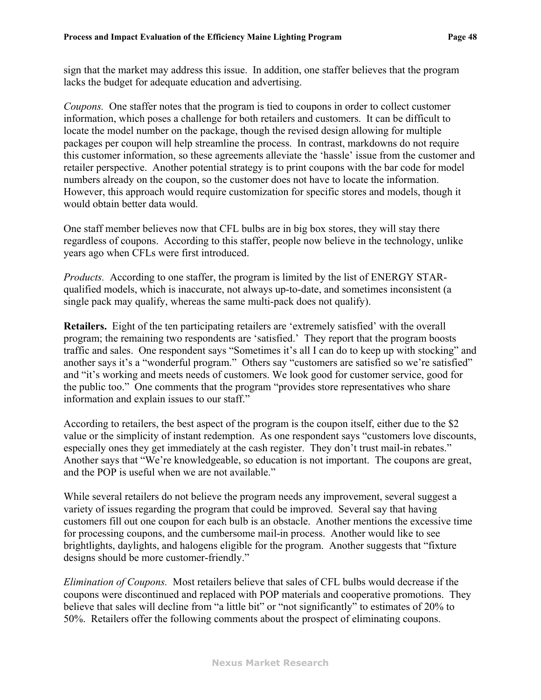sign that the market may address this issue. In addition, one staffer believes that the program lacks the budget for adequate education and advertising.

*Coupons.* One staffer notes that the program is tied to coupons in order to collect customer information, which poses a challenge for both retailers and customers. It can be difficult to locate the model number on the package, though the revised design allowing for multiple packages per coupon will help streamline the process. In contrast, markdowns do not require this customer information, so these agreements alleviate the 'hassle' issue from the customer and retailer perspective. Another potential strategy is to print coupons with the bar code for model numbers already on the coupon, so the customer does not have to locate the information. However, this approach would require customization for specific stores and models, though it would obtain better data would.

One staff member believes now that CFL bulbs are in big box stores, they will stay there regardless of coupons. According to this staffer, people now believe in the technology, unlike years ago when CFLs were first introduced.

*Products.* According to one staffer, the program is limited by the list of ENERGY STARqualified models, which is inaccurate, not always up-to-date, and sometimes inconsistent (a single pack may qualify, whereas the same multi-pack does not qualify).

**Retailers.** Eight of the ten participating retailers are 'extremely satisfied' with the overall program; the remaining two respondents are 'satisfied.' They report that the program boosts traffic and sales. One respondent says "Sometimes it's all I can do to keep up with stocking" and another says it's a "wonderful program." Others say "customers are satisfied so we're satisfied" and "it's working and meets needs of customers. We look good for customer service, good for the public too." One comments that the program "provides store representatives who share information and explain issues to our staff."

According to retailers, the best aspect of the program is the coupon itself, either due to the \$2 value or the simplicity of instant redemption. As one respondent says "customers love discounts, especially ones they get immediately at the cash register. They don't trust mail-in rebates." Another says that "We're knowledgeable, so education is not important. The coupons are great, and the POP is useful when we are not available."

While several retailers do not believe the program needs any improvement, several suggest a variety of issues regarding the program that could be improved. Several say that having customers fill out one coupon for each bulb is an obstacle. Another mentions the excessive time for processing coupons, and the cumbersome mail-in process. Another would like to see brightlights, daylights, and halogens eligible for the program. Another suggests that "fixture designs should be more customer-friendly."

*Elimination of Coupons.* Most retailers believe that sales of CFL bulbs would decrease if the coupons were discontinued and replaced with POP materials and cooperative promotions. They believe that sales will decline from "a little bit" or "not significantly" to estimates of 20% to 50%. Retailers offer the following comments about the prospect of eliminating coupons.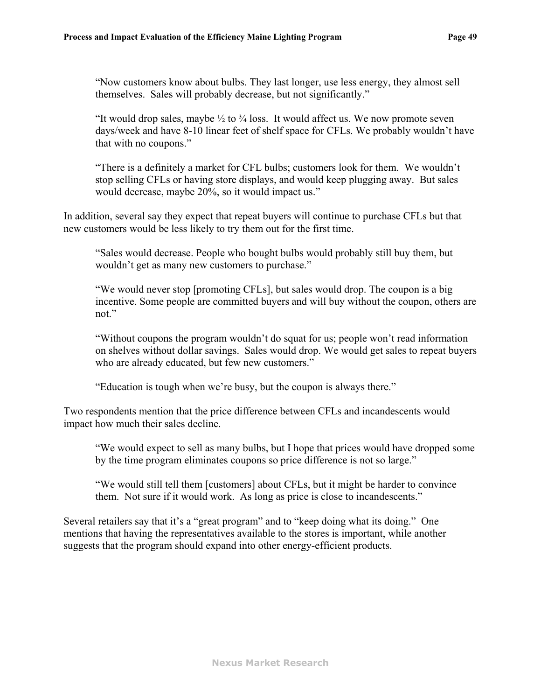"Now customers know about bulbs. They last longer, use less energy, they almost sell themselves. Sales will probably decrease, but not significantly."

"It would drop sales, maybe  $\frac{1}{2}$  to  $\frac{3}{4}$  loss. It would affect us. We now promote seven days/week and have 8-10 linear feet of shelf space for CFLs. We probably wouldn't have that with no coupons."

"There is a definitely a market for CFL bulbs; customers look for them. We wouldn't stop selling CFLs or having store displays, and would keep plugging away. But sales would decrease, maybe 20%, so it would impact us."

In addition, several say they expect that repeat buyers will continue to purchase CFLs but that new customers would be less likely to try them out for the first time.

"Sales would decrease. People who bought bulbs would probably still buy them, but wouldn't get as many new customers to purchase."

"We would never stop [promoting CFLs], but sales would drop. The coupon is a big incentive. Some people are committed buyers and will buy without the coupon, others are not."

"Without coupons the program wouldn't do squat for us; people won't read information on shelves without dollar savings. Sales would drop. We would get sales to repeat buyers who are already educated, but few new customers."

"Education is tough when we're busy, but the coupon is always there."

Two respondents mention that the price difference between CFLs and incandescents would impact how much their sales decline.

"We would expect to sell as many bulbs, but I hope that prices would have dropped some by the time program eliminates coupons so price difference is not so large."

"We would still tell them [customers] about CFLs, but it might be harder to convince them. Not sure if it would work. As long as price is close to incandescents."

Several retailers say that it's a "great program" and to "keep doing what its doing." One mentions that having the representatives available to the stores is important, while another suggests that the program should expand into other energy-efficient products.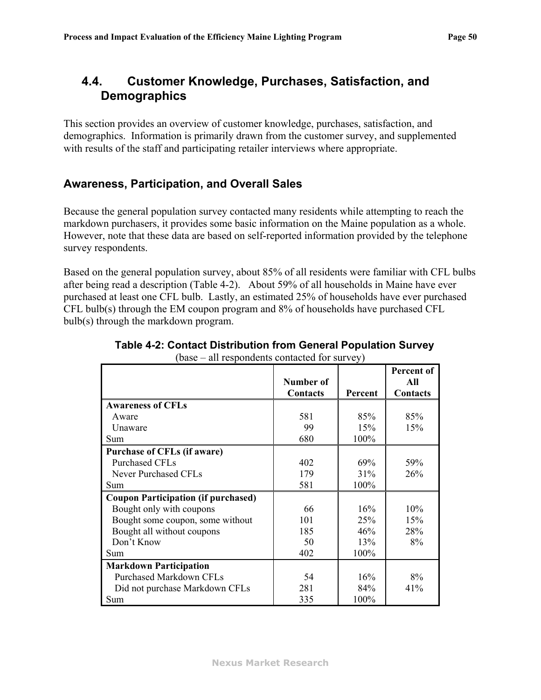# **4.4. Customer Knowledge, Purchases, Satisfaction, and Demographics**

This section provides an overview of customer knowledge, purchases, satisfaction, and demographics. Information is primarily drawn from the customer survey, and supplemented with results of the staff and participating retailer interviews where appropriate.

### **Awareness, Participation, and Overall Sales**

Because the general population survey contacted many residents while attempting to reach the markdown purchasers, it provides some basic information on the Maine population as a whole. However, note that these data are based on self-reported information provided by the telephone survey respondents.

<span id="page-52-0"></span>Based on the general population survey, about 85% of all residents were familiar with CFL bulbs after being read a description ([Table 4-2](#page-52-0)). About 59% of all households in Maine have ever purchased at least one CFL bulb. Lastly, an estimated 25% of households have ever purchased CFL bulb(s) through the EM coupon program and 8% of households have purchased CFL bulb(s) through the markdown program.

| $\frac{1}{2}$                              |           |         |                   |
|--------------------------------------------|-----------|---------|-------------------|
|                                            | Number of |         | Percent of<br>All |
|                                            | Contacts  | Percent | Contacts          |
| <b>Awareness of CFLs</b>                   |           |         |                   |
| Aware                                      | 581       | 85%     | 85%               |
| Unaware                                    | 99        | 15%     | 15%               |
| Sum                                        | 680       | 100%    |                   |
| <b>Purchase of CFLs (if aware)</b>         |           |         |                   |
| <b>Purchased CFLs</b>                      | 402       | 69%     | 59%               |
| <b>Never Purchased CFLs</b>                | 179       | 31%     | 26%               |
| Sum                                        | 581       | 100%    |                   |
| <b>Coupon Participation (if purchased)</b> |           |         |                   |
| Bought only with coupons                   | 66        | 16%     | 10%               |
| Bought some coupon, some without           | 101       | 25%     | 15%               |
| Bought all without coupons                 | 185       | 46%     | 28%               |
| Don't Know                                 | 50        | 13%     | 8%                |
| Sum                                        | 402       | 100%    |                   |
| <b>Markdown Participation</b>              |           |         |                   |
| <b>Purchased Markdown CFLs</b>             | 54        | 16%     | 8%                |
| Did not purchase Markdown CFLs             | 281       | 84%     | 41%               |
| Sum                                        | 335       | 100%    |                   |

| Table 4-2: Contact Distribution from General Population Survey |
|----------------------------------------------------------------|
| $(base - all respondents contacted for survey)$                |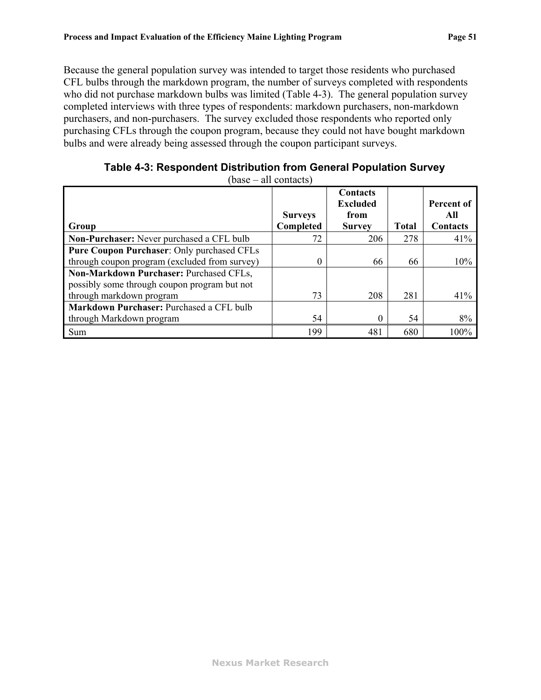Because the general population survey was intended to target those residents who purchased CFL bulbs through the markdown program, the number of surveys completed with respondents who did not purchase markdown bulbs was limited ([Table 4-3](#page-53-0)). The general population survey completed interviews with three types of respondents: markdown purchasers, non-markdown purchasers, and non-purchasers. The survey excluded those respondents who reported only purchasing CFLs through the coupon program, because they could not have bought markdown bulbs and were already being assessed through the coupon participant surveys.

<span id="page-53-0"></span>

| Group                                                                                   | <b>Surveys</b><br>Completed | <b>Contacts</b><br><b>Excluded</b><br>from<br><b>Survey</b> | <b>Total</b> | Percent of<br>All<br>Contacts |
|-----------------------------------------------------------------------------------------|-----------------------------|-------------------------------------------------------------|--------------|-------------------------------|
| Non-Purchaser: Never purchased a CFL bulb                                               | 72                          | 206                                                         | 278          | 41%                           |
| Pure Coupon Purchaser: Only purchased CFLs                                              |                             |                                                             |              |                               |
| through coupon program (excluded from survey)                                           | 0                           | 66                                                          | 66           | 10%                           |
| Non-Markdown Purchaser: Purchased CFLs,<br>possibly some through coupon program but not |                             |                                                             |              |                               |
| through markdown program                                                                | 73                          | 208                                                         | 281          | 41%                           |
| Markdown Purchaser: Purchased a CFL bulb                                                |                             |                                                             |              |                               |
| through Markdown program                                                                | 54                          | 0                                                           | 54           | 8%                            |
| Sum                                                                                     | 199                         | 481                                                         | 680          | 100%                          |

**Table 4-3: Respondent Distribution from General Population Survey** 

 $(hase = 21$  contacte)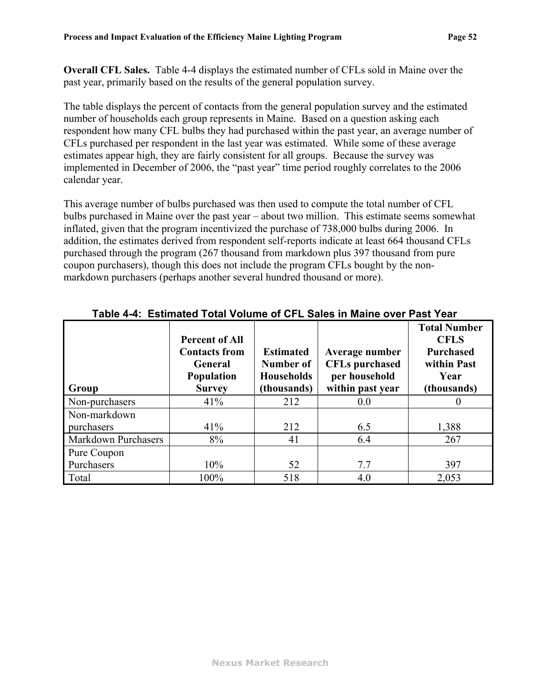**Overall CFL Sales.** [Table 4-4](#page-54-0) displays the estimated number of CFLs sold in Maine over the past year, primarily based on the results of the general population survey.

The table displays the percent of contacts from the general population survey and the estimated number of households each group represents in Maine. Based on a question asking each respondent how many CFL bulbs they had purchased within the past year, an average number of CFLs purchased per respondent in the last year was estimated. While some of these average estimates appear high, they are fairly consistent for all groups. Because the survey was implemented in December of 2006, the "past year" time period roughly correlates to the 2006 calendar year.

This average number of bulbs purchased was then used to compute the total number of CFL bulbs purchased in Maine over the past year – about two million. This estimate seems somewhat inflated, given that the program incentivized the purchase of 738,000 bulbs during 2006. In addition, the estimates derived from respondent self-reports indicate at least 664 thousand CFLs purchased through the program (267 thousand from markdown plus 397 thousand from pure coupon purchasers), though this does not include the program CFLs bought by the nonmarkdown purchasers (perhaps another several hundred thousand or more).

<span id="page-54-0"></span>

| Group               | <b>Percent of All</b><br><b>Contacts from</b><br>General<br><b>Population</b><br><b>Survey</b> | <b>Estimated</b><br>Number of<br><b>Households</b><br>(thousands) | Average number<br><b>CFLs</b> purchased<br>per household<br>within past year | <b>Total Number</b><br><b>CFLS</b><br><b>Purchased</b><br>within Past<br>Year<br>(thousands) |
|---------------------|------------------------------------------------------------------------------------------------|-------------------------------------------------------------------|------------------------------------------------------------------------------|----------------------------------------------------------------------------------------------|
| Non-purchasers      | 41%                                                                                            | 212                                                               | 0.0                                                                          |                                                                                              |
| Non-markdown        |                                                                                                |                                                                   |                                                                              |                                                                                              |
| purchasers          | 41%                                                                                            | 212                                                               | 6.5                                                                          | 1,388                                                                                        |
| Markdown Purchasers | 8%                                                                                             | 41                                                                | 6.4                                                                          | 267                                                                                          |
| Pure Coupon         |                                                                                                |                                                                   |                                                                              |                                                                                              |
| Purchasers          | 10%                                                                                            | 52                                                                | 7.7                                                                          | 397                                                                                          |
| Total               | 100%                                                                                           | 518                                                               | 4.0                                                                          | 2,053                                                                                        |

### **Table 4-4: Estimated Total Volume of CFL Sales in Maine over Past Year**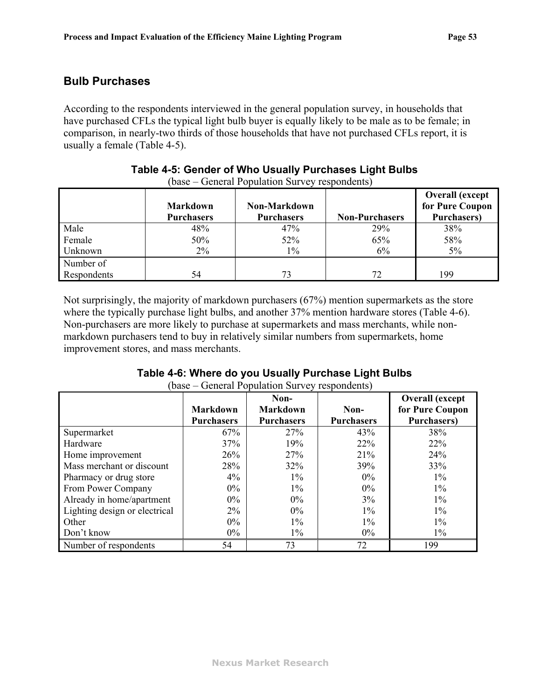### **Bulb Purchases**

According to the respondents interviewed in the general population survey, in households that have purchased CFLs the typical light bulb buyer is equally likely to be male as to be female; in comparison, in nearly-two thirds of those households that have not purchased CFLs report, it is usually a female ([Table 4-5](#page-55-1)).

<span id="page-55-1"></span>

|             | <b>Markdown</b><br><b>Purchasers</b> | Non-Markdown<br><b>Purchasers</b> | <b>Non-Purchasers</b> | <b>Overall (except</b><br>for Pure Coupon<br><b>Purchasers</b> ) |
|-------------|--------------------------------------|-----------------------------------|-----------------------|------------------------------------------------------------------|
| Male        | 48%                                  | 47%                               | 29%                   | 38%                                                              |
| Female      | 50%                                  | 52%                               | 65%                   | 58%                                                              |
| Unknown     | $2\%$                                | $1\%$                             | 6%                    | $5\%$                                                            |
| Number of   |                                      |                                   |                       |                                                                  |
| Respondents | 54                                   | 73                                | 72                    | 199                                                              |

#### **Table 4-5: Gender of Who Usually Purchases Light Bulbs**  (base – General Population Survey respondents)

Not surprisingly, the majority of markdown purchasers (67%) mention supermarkets as the store where the typically purchase light bulbs, and another  $37\%$  mention hardware stores ([Table 4-6](#page-55-0)). Non-purchasers are more likely to purchase at supermarkets and mass merchants, while nonmarkdown purchasers tend to buy in relatively similar numbers from supermarkets, home improvement stores, and mass merchants.

<span id="page-55-0"></span>

|                               | <b>Markdown</b>   | Non-<br><b>Markdown</b> | Non-              | <b>Overall</b> (except<br>for Pure Coupon |
|-------------------------------|-------------------|-------------------------|-------------------|-------------------------------------------|
|                               | <b>Purchasers</b> | <b>Purchasers</b>       | <b>Purchasers</b> | <b>Purchasers</b> )                       |
| Supermarket                   | 67%               | 27%                     | 43%               | 38%                                       |
| Hardware                      | 37%               | 19%                     | 22%               | 22%                                       |
| Home improvement              | 26%               | 27%                     | 21%               | 24%                                       |
| Mass merchant or discount     | 28%               | 32%                     | 39%               | 33%                                       |
| Pharmacy or drug store        | $4\%$             | $1\%$                   | $0\%$             | $1\%$                                     |
| From Power Company            | $0\%$             | $1\%$                   | $0\%$             | $1\%$                                     |
| Already in home/apartment     | $0\%$             | $0\%$                   | 3%                | $1\%$                                     |
| Lighting design or electrical | $2\%$             | $0\%$                   | $1\%$             | $1\%$                                     |
| Other                         | $0\%$             | $1\%$                   | $1\%$             | $1\%$                                     |
| Don't know                    | $0\%$             | $1\%$                   | $0\%$             | $1\%$                                     |
| Number of respondents         | 54                | 73                      | 72                | 199                                       |

#### **Table 4-6: Where do you Usually Purchase Light Bulbs**  (base – General Population Survey respondents)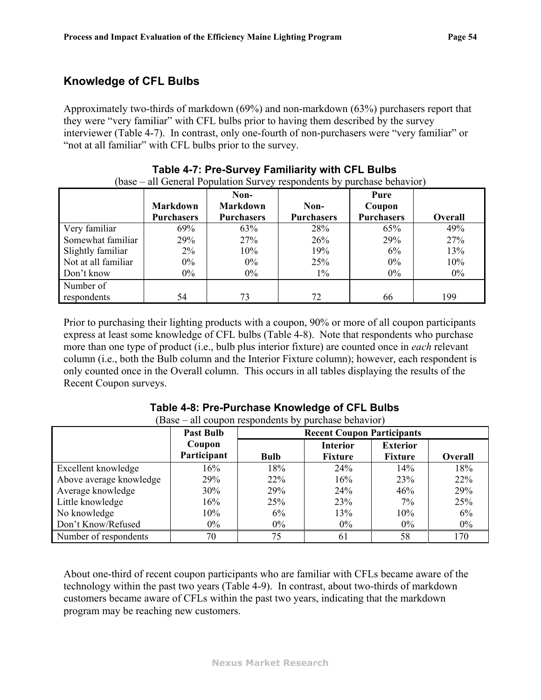### **Knowledge of CFL Bulbs**

Approximately two-thirds of markdown (69%) and non-markdown (63%) purchasers report that they were "very familiar" with CFL bulbs prior to having them described by the survey interviewer ([Table 4-7\)](#page-56-0). In contrast, only one-fourth of non-purchasers were "very familiar" or "not at all familiar" with CFL bulbs prior to the survey.

<span id="page-56-0"></span>

|                     | <b>Markdown</b><br><b>Purchasers</b> | Non-<br><b>Markdown</b><br><b>Purchasers</b> | Non-<br><b>Purchasers</b> | Pure<br>Coupon<br><b>Purchasers</b> | <b>Overall</b> |
|---------------------|--------------------------------------|----------------------------------------------|---------------------------|-------------------------------------|----------------|
| Very familiar       | 69%                                  | 63%                                          | 28%                       | 65%                                 | 49%            |
| Somewhat familiar   | 29%                                  | 27%                                          | 26%                       | 29%                                 | 27%            |
| Slightly familiar   | $2\%$                                | 10%                                          | 19%                       | 6%                                  | 13%            |
| Not at all familiar | $0\%$                                | $0\%$                                        | 25%                       | $0\%$                               | 10%            |
| Don't know          | $0\%$                                | $0\%$                                        | $1\%$                     | $0\%$                               | $0\%$          |
| Number of           |                                      |                                              |                           |                                     |                |
| respondents         | 54                                   | 73                                           | 72                        | 66                                  | 199            |

#### **Table 4-7: Pre-Survey Familiarity with CFL Bulbs**  (base – all General Population Survey respondents by purchase behavior)

Prior to purchasing their lighting products with a coupon, 90% or more of all coupon participants express at least some knowledge of CFL bulbs ([Table 4-8\)](#page-56-1). Note that respondents who purchase more than one type of product (i.e., bulb plus interior fixture) are counted once in *each* relevant column (i.e., both the Bulb column and the Interior Fixture column); however, each respondent is only counted once in the Overall column. This occurs in all tables displaying the results of the Recent Coupon surveys.

<span id="page-56-1"></span>

|                         | <b>Past Bulb</b> | <b>Recent Coupon Participants</b> |                 |                 |         |  |  |  |
|-------------------------|------------------|-----------------------------------|-----------------|-----------------|---------|--|--|--|
|                         | Coupon           |                                   | <b>Interior</b> | <b>Exterior</b> |         |  |  |  |
|                         | Participant      | <b>Bulb</b>                       | <b>Fixture</b>  | <b>Fixture</b>  | Overall |  |  |  |
| Excellent knowledge     | 16%              | 18%                               | 24%             | 14%             | 18%     |  |  |  |
| Above average knowledge | 29%              | 22%                               | 16%             | 23%             | 22%     |  |  |  |
| Average knowledge       | 30%              | 29%                               | 24%             | 46%             | 29%     |  |  |  |
| Little knowledge        | 16%              | 25%                               | 23%             | 7%              | 25%     |  |  |  |
| No knowledge            | 10%              | 6%                                | 13%             | 10%             | 6%      |  |  |  |
| Don't Know/Refused      | $0\%$            | $0\%$                             | $0\%$           | 0%              | 0%      |  |  |  |
| Number of respondents   | 70               | 75                                | 61              | 58              | 170     |  |  |  |

#### **Table 4-8: Pre-Purchase Knowledge of CFL Bulbs**  (Base – all coupon respondents by purchase behavior)

About one-third of recent coupon participants who are familiar with CFLs became aware of the technology within the past two years [\(Table 4-9\)](#page-57-0). In contrast, about two-thirds of markdown customers became aware of CFLs within the past two years, indicating that the markdown program may be reaching new customers.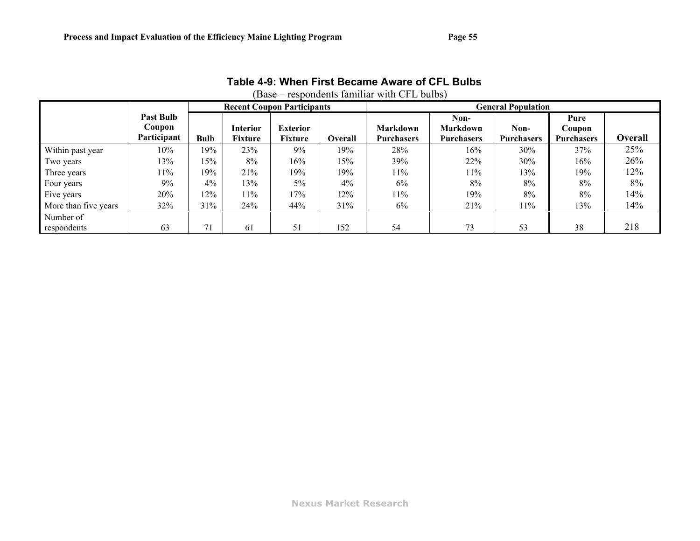<span id="page-57-0"></span>

|                      | (Base – respondents familiar with CFL bulbs) |             |                 |                                   |         |                   |                   |                           |                   |         |
|----------------------|----------------------------------------------|-------------|-----------------|-----------------------------------|---------|-------------------|-------------------|---------------------------|-------------------|---------|
|                      |                                              |             |                 | <b>Recent Coupon Participants</b> |         |                   |                   | <b>General Population</b> |                   |         |
|                      | <b>Past Bulb</b>                             |             |                 |                                   |         |                   | Non-              |                           | Pure              |         |
|                      | Coupon                                       |             | <b>Interior</b> | <b>Exterior</b>                   |         | Markdown          | <b>Markdown</b>   | Non-                      | Coupon            |         |
|                      | Participant                                  | <b>Bulb</b> | <b>Fixture</b>  | <b>Fixture</b>                    | Overall | <b>Purchasers</b> | <b>Purchasers</b> | <b>Purchasers</b>         | <b>Purchasers</b> | Overall |
| Within past year     | 10%                                          | 19%         | 23%             | 9%                                | 19%     | 28%               | 16%               | 30%                       | 37%               | 25%     |
| Two years            | 13%                                          | 15%         | 8%              | 16%                               | 15%     | 39%               | 22%               | 30%                       | 16%               | 26%     |
| Three years          | 11%                                          | 19%         | 21%             | 19%                               | 19%     | 11%               | 11%               | 13%                       | 19%               | 12%     |
| Four years           | 9%                                           | 4%          | 13%             | 5%                                | $4\%$   | 6%                | 8%                | 8%                        | 8%                | 8%      |
| Five years           | 20%                                          | 12%         | 11%             | 17%                               | 12%     | 11%               | 19%               | 8%                        | 8%                | 14%     |
| More than five years | 32%                                          | 31%         | 24%             | 44%                               | 31%     | 6%                | 21%               | 11%                       | 13%               | 14%     |
| Number of            |                                              |             |                 |                                   |         |                   |                   |                           |                   |         |
| respondents          | 63                                           | 71          | 61              | 51                                | 152     | 54                | 73                | 53                        | 38                | 218     |

# **Table 4-9: When First Became Aware of CFL Bulbs**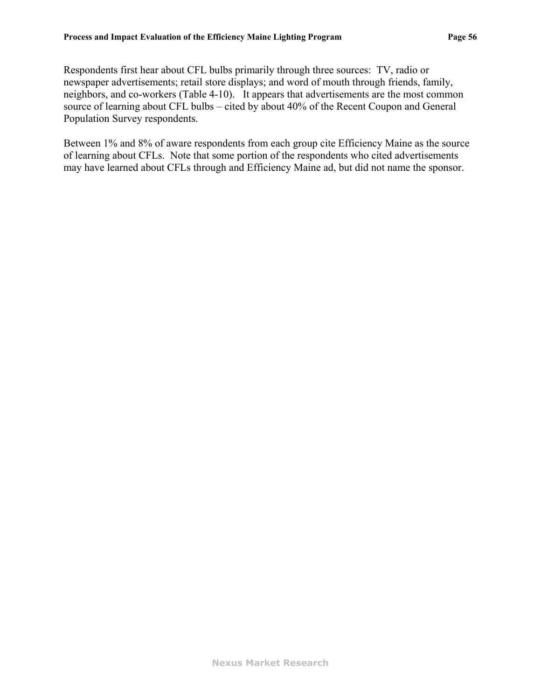Respondents first hear about CFL bulbs primarily through three sources: TV, radio or newspaper advertisements; retail store displays; and word of mouth through friends, family, neighbors, and co-workers ([Table 4-10\)](#page-59-0). It appears that advertisements are the most common source of learning about CFL bulbs – cited by about 40% of the Recent Coupon and General Population Survey respondents.

Between 1% and 8% of aware respondents from each group cite Efficiency Maine as the source of learning about CFLs. Note that some portion of the respondents who cited advertisements may have learned about CFLs through and Efficiency Maine ad, but did not name the sponsor.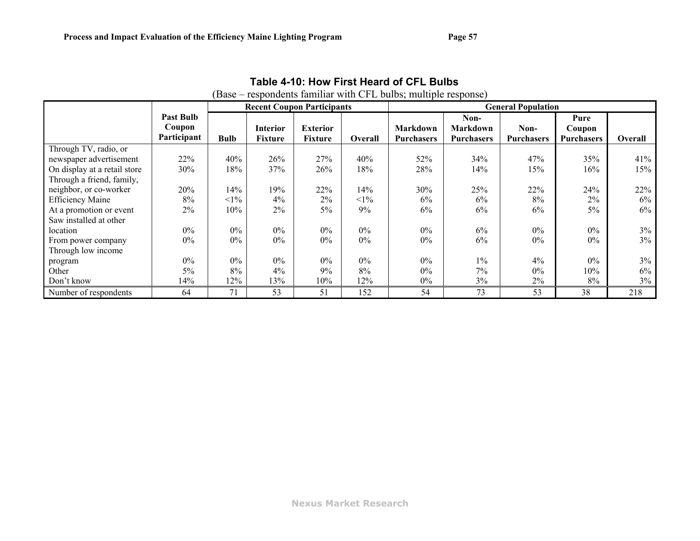<span id="page-59-0"></span>

|                                                                                  | (Base – respondents familiar with CFL bulbs; multiple response) |             |                            |                                   |                |                                      |                                              |                           |                                     |                |
|----------------------------------------------------------------------------------|-----------------------------------------------------------------|-------------|----------------------------|-----------------------------------|----------------|--------------------------------------|----------------------------------------------|---------------------------|-------------------------------------|----------------|
|                                                                                  |                                                                 |             |                            | <b>Recent Coupon Participants</b> |                | <b>General Population</b>            |                                              |                           |                                     |                |
|                                                                                  | <b>Past Bulb</b><br>Coupon<br>Participant                       | <b>Bulb</b> | <b>Interior</b><br>Fixture | <b>Exterior</b><br>Fixture        | <b>Overall</b> | <b>Markdown</b><br><b>Purchasers</b> | Non-<br><b>Markdown</b><br><b>Purchasers</b> | Non-<br><b>Purchasers</b> | Pure<br>Coupon<br><b>Purchasers</b> | <b>Overall</b> |
| Through TV, radio, or<br>newspaper advertisement<br>On display at a retail store | 22%<br>30%                                                      | 40%<br>18%  | 26%<br>37%                 | 27%<br>26%                        | 40%<br>18%     | 52%<br>28%                           | 34%<br>14%                                   | 47%<br>15%                | 35%<br>16%                          | 41%<br>15%     |
| Through a friend, family,<br>neighbor, or co-worker                              | 20%                                                             | 14%         | 19%                        | 22%                               | 14%            | 30%                                  | 25%                                          | 22%                       | 24%                                 | 22%            |
| <b>Efficiency Maine</b>                                                          | 8%                                                              | $<1\%$      | 4%                         | 2%                                | $<1\%$         | 6%                                   | 6%                                           | 8%                        | 2%                                  | $6\%$          |
| At a promotion or event<br>Saw installed at other                                | 2%                                                              | 10%         | 2%                         | 5%                                | 9%             | 6%                                   | 6%                                           | 6%                        | 5%                                  | $6\%$          |
| location                                                                         | $0\%$                                                           | $0\%$       | $0\%$                      | $0\%$                             | $0\%$          | $0\%$                                | 6%                                           | $0\%$                     | $0\%$                               | $3\%$          |
| From power company<br>Through low income                                         | $0\%$                                                           | $0\%$       | $0\%$                      | $0\%$                             | $0\%$          | $0\%$                                | 6%                                           | $0\%$                     | $0\%$                               | $3\%$          |
| program                                                                          | $0\%$                                                           | $0\%$       | $0\%$                      | $0\%$                             | $0\%$          | $0\%$                                | $1\%$                                        | 4%                        | $0\%$                               | $3\%$          |
| Other                                                                            | 5%                                                              | 8%          | 4%                         | 9%                                | 8%             | 0%                                   | 7%                                           | $0\%$                     | 10%                                 | 6%             |
| Don't know                                                                       | 14%                                                             | 12%         | 13%                        | 10%                               | 12%            | $0\%$                                | 3%                                           | 2%                        | 8%                                  | 3%             |
| Number of respondents                                                            | 64                                                              | 71          | 53                         | 51                                | 152            | 54                                   | 73                                           | 53                        | 38                                  | 218            |

# **Table 4-10: How First Heard of CFL Bulbs**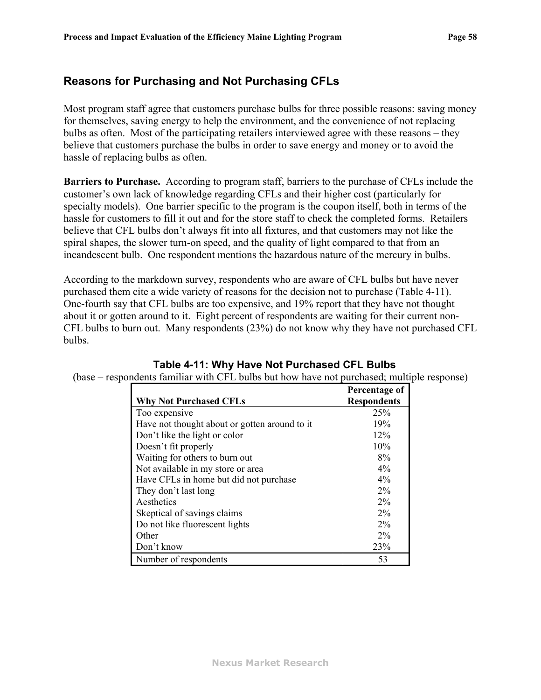### **Reasons for Purchasing and Not Purchasing CFLs**

Most program staff agree that customers purchase bulbs for three possible reasons: saving money for themselves, saving energy to help the environment, and the convenience of not replacing bulbs as often. Most of the participating retailers interviewed agree with these reasons – they believe that customers purchase the bulbs in order to save energy and money or to avoid the hassle of replacing bulbs as often.

**Barriers to Purchase.** According to program staff, barriers to the purchase of CFLs include the customer's own lack of knowledge regarding CFLs and their higher cost (particularly for specialty models). One barrier specific to the program is the coupon itself, both in terms of the hassle for customers to fill it out and for the store staff to check the completed forms. Retailers believe that CFL bulbs don't always fit into all fixtures, and that customers may not like the spiral shapes, the slower turn-on speed, and the quality of light compared to that from an incandescent bulb. One respondent mentions the hazardous nature of the mercury in bulbs.

According to the markdown survey, respondents who are aware of CFL bulbs but have never purchased them cite a wide variety of reasons for the decision not to purchase ([Table 4-11](#page-60-0)). One-fourth say that CFL bulbs are too expensive, and 19% report that they have not thought about it or gotten around to it. Eight percent of respondents are waiting for their current non-CFL bulbs to burn out. Many respondents (23%) do not know why they have not purchased CFL bulbs.

|                                               | Percentage of      |
|-----------------------------------------------|--------------------|
| <b>Why Not Purchased CFLs</b>                 | <b>Respondents</b> |
| Too expensive                                 | 25%                |
| Have not thought about or gotten around to it | 19%                |
| Don't like the light or color                 | 12%                |
| Doesn't fit properly                          | 10%                |
| Waiting for others to burn out                | 8%                 |
| Not available in my store or area             | $4\%$              |
| Have CFLs in home but did not purchase        | $4\%$              |
| They don't last long                          | $2\%$              |
| Aesthetics                                    | 2%                 |
| Skeptical of savings claims                   | $2\%$              |
| Do not like fluorescent lights                | $2\%$              |
| Other                                         | $2\%$              |
| Don't know                                    | 23%                |
| Number of respondents                         | 53                 |

### **Table 4-11: Why Have Not Purchased CFL Bulbs**

<span id="page-60-0"></span>(base – respondents familiar with CFL bulbs but how have not purchased; multiple response)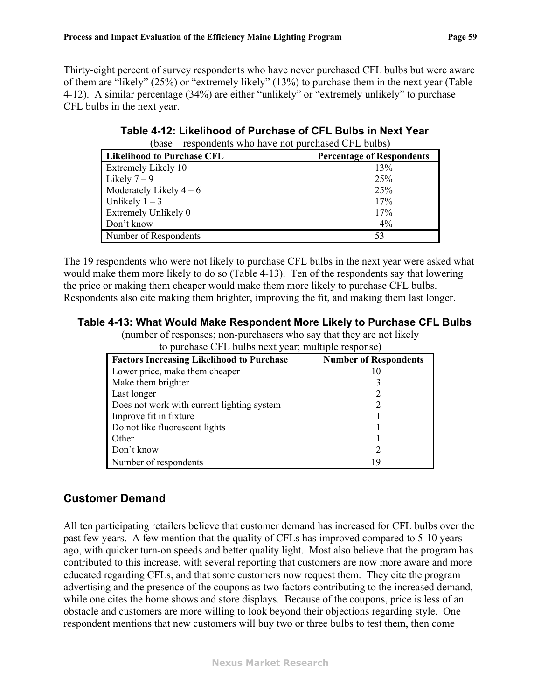<span id="page-61-1"></span>Thirty-eight percent of survey respondents who have never purchased CFL bulbs but were aware of them are "likely" (25%) or "extremely likely" (13%) to purchase them in the next year ([Table](#page-61-1)  [4-12](#page-61-1)). A similar percentage (34%) are either "unlikely" or "extremely unlikely" to purchase CFL bulbs in the next year.

| $\mu$ base $-$ respondents who have not purchased $\mathbb{C}[\mathsf{FL}]}$ builds) |                                  |
|--------------------------------------------------------------------------------------|----------------------------------|
| <b>Likelihood to Purchase CFL</b>                                                    | <b>Percentage of Respondents</b> |
| <b>Extremely Likely 10</b>                                                           | 13%                              |
| Likely $7-9$                                                                         | 25%                              |
| Moderately Likely $4-6$                                                              | 25%                              |
| Unlikely $1-3$                                                                       | 17%                              |
| <b>Extremely Unlikely 0</b>                                                          | 17%                              |
| Don't know                                                                           | $4\%$                            |
| Number of Respondents                                                                | 53                               |

**Table 4-12: Likelihood of Purchase of CFL Bulbs in Next Year**  (base – respondents who have not purchased CFL bulbs)

The 19 respondents who were not likely to purchase CFL bulbs in the next year were asked what would make them more likely to do so [\(Table 4-13](#page-61-0)). Ten of the respondents say that lowering the price or making them cheaper would make them more likely to purchase CFL bulbs. Respondents also cite making them brighter, improving the fit, and making them last longer.

### <span id="page-61-0"></span>**Table 4-13: What Would Make Respondent More Likely to Purchase CFL Bulbs**

(number of responses; non-purchasers who say that they are not likely to purchase CFL bulbs next year; multiple response)

| <b>Factors Increasing Likelihood to Purchase</b> | <b>Number of Respondents</b> |
|--------------------------------------------------|------------------------------|
| Lower price, make them cheaper                   | 10                           |
| Make them brighter                               |                              |
| Last longer                                      |                              |
| Does not work with current lighting system       |                              |
| Improve fit in fixture                           |                              |
| Do not like fluorescent lights                   |                              |
| Other                                            |                              |
| Don't know                                       |                              |
| Number of respondents                            | - C                          |

### **Customer Demand**

All ten participating retailers believe that customer demand has increased for CFL bulbs over the past few years. A few mention that the quality of CFLs has improved compared to 5-10 years ago, with quicker turn-on speeds and better quality light. Most also believe that the program has contributed to this increase, with several reporting that customers are now more aware and more educated regarding CFLs, and that some customers now request them. They cite the program advertising and the presence of the coupons as two factors contributing to the increased demand, while one cites the home shows and store displays. Because of the coupons, price is less of an obstacle and customers are more willing to look beyond their objections regarding style. One respondent mentions that new customers will buy two or three bulbs to test them, then come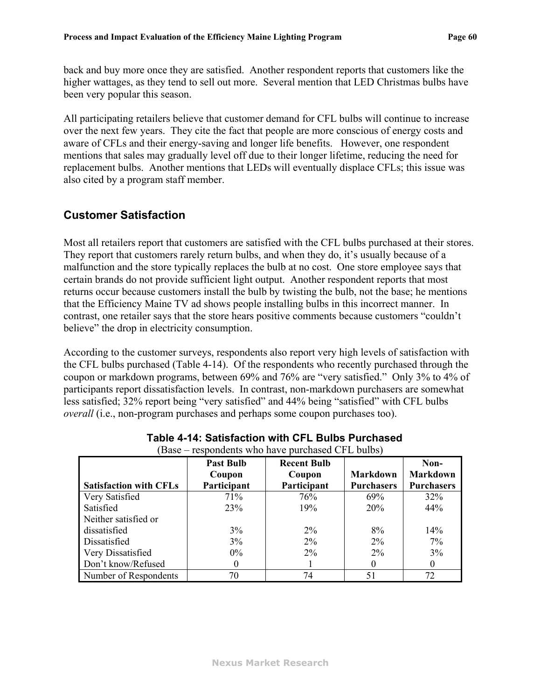back and buy more once they are satisfied. Another respondent reports that customers like the higher wattages, as they tend to sell out more. Several mention that LED Christmas bulbs have been very popular this season.

All participating retailers believe that customer demand for CFL bulbs will continue to increase over the next few years. They cite the fact that people are more conscious of energy costs and aware of CFLs and their energy-saving and longer life benefits. However, one respondent mentions that sales may gradually level off due to their longer lifetime, reducing the need for replacement bulbs. Another mentions that LEDs will eventually displace CFLs; this issue was also cited by a program staff member.

# **Customer Satisfaction**

Most all retailers report that customers are satisfied with the CFL bulbs purchased at their stores. They report that customers rarely return bulbs, and when they do, it's usually because of a malfunction and the store typically replaces the bulb at no cost. One store employee says that certain brands do not provide sufficient light output. Another respondent reports that most returns occur because customers install the bulb by twisting the bulb, not the base; he mentions that the Efficiency Maine TV ad shows people installing bulbs in this incorrect manner. In contrast, one retailer says that the store hears positive comments because customers "couldn't believe" the drop in electricity consumption.

According to the customer surveys, respondents also report very high levels of satisfaction with the CFL bulbs purchased [\(Table 4-14\)](#page-62-0). Of the respondents who recently purchased through the coupon or markdown programs, between 69% and 76% are "very satisfied." Only 3% to 4% of participants report dissatisfaction levels. In contrast, non-markdown purchasers are somewhat less satisfied; 32% report being "very satisfied" and 44% being "satisfied" with CFL bulbs *overall* (i.e., non-program purchases and perhaps some coupon purchases too).

<span id="page-62-0"></span>

| Dave                          | respondents who have puremased of E barbs, |                              |                   |                         |
|-------------------------------|--------------------------------------------|------------------------------|-------------------|-------------------------|
|                               | <b>Past Bulb</b><br>Coupon                 | <b>Recent Bulb</b><br>Coupon | <b>Markdown</b>   | Non-<br><b>Markdown</b> |
| <b>Satisfaction with CFLs</b> | Participant                                | Participant                  | <b>Purchasers</b> | <b>Purchasers</b>       |
| Very Satisfied                | 71%                                        | 76%                          | 69%               | 32%                     |
| Satisfied                     | 23%                                        | 19%                          | 20%               | 44%                     |
| Neither satisfied or          |                                            |                              |                   |                         |
| dissatisfied                  | 3%                                         | $2\%$                        | 8%                | 14%                     |
| Dissatisfied                  | 3%                                         | $2\%$                        | $2\%$             | 7%                      |
| Very Dissatisfied             | $0\%$                                      | $2\%$                        | $2\%$             | 3%                      |
| Don't know/Refused            | $\theta$                                   |                              |                   |                         |
| Number of Respondents         | 70                                         | 74                           | 51                | 72                      |

#### **Table 4-14: Satisfaction with CFL Bulbs Purchased**  (Base – respondents who have purchased CFL bulbs)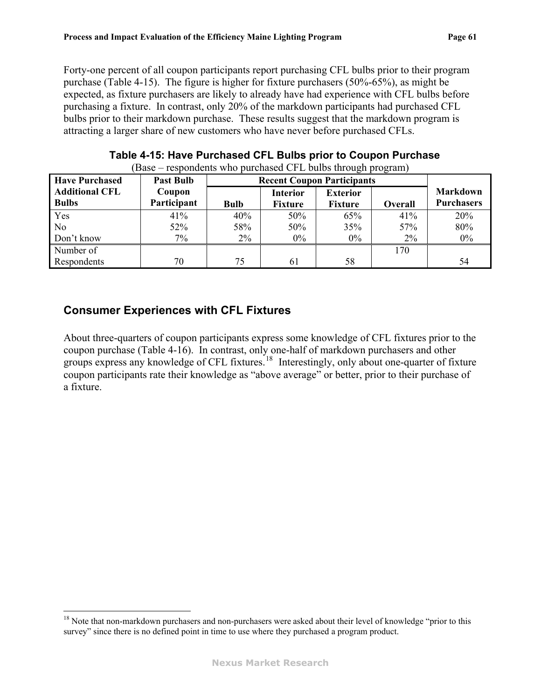<span id="page-63-1"></span>Forty-one percent of all coupon participants report purchasing CFL bulbs prior to their program purchase ([Table 4-15\)](#page-63-0). The figure is higher for fixture purchasers (50%-65%), as might be expected, as fixture purchasers are likely to already have had experience with CFL bulbs before purchasing a fixture. In contrast, only 20% of the markdown participants had purchased CFL bulbs prior to their markdown purchase. These results suggest that the markdown program is attracting a larger share of new customers who have never before purchased CFLs.

<span id="page-63-0"></span>

| <b>Have Purchased</b>                 | respondents who paremased on $E$ states an eagle program,<br><b>Past Bulb</b> | <b>Recent Coupon Participants</b> |                                   |                                   |         |                                      |
|---------------------------------------|-------------------------------------------------------------------------------|-----------------------------------|-----------------------------------|-----------------------------------|---------|--------------------------------------|
| <b>Additional CFL</b><br><b>Bulbs</b> | Coupon<br>Participant                                                         | <b>Bulb</b>                       | <b>Interior</b><br><b>Fixture</b> | <b>Exterior</b><br><b>Fixture</b> | Overall | <b>Markdown</b><br><b>Purchasers</b> |
| Yes                                   | 41%                                                                           | 40%                               | 50%                               | 65%                               | 41%     | 20%                                  |
| N <sub>0</sub>                        | 52%                                                                           | 58%                               | 50%                               | 35%                               | 57%     | 80%                                  |
| Don't know                            | $7\%$                                                                         | $2\%$                             | $0\%$                             | $0\%$                             | $2\%$   | $0\%$                                |
| Number of                             |                                                                               |                                   |                                   |                                   | 170     |                                      |
| Respondents                           | 70                                                                            | 75                                | 61                                | 58                                |         | 54                                   |

**Table 4-15: Have Purchased CFL Bulbs prior to Coupon Purchase**  (Base – respondents who purchased CFL bulbs through program)

# **Consumer Experiences with CFL Fixtures**

1

About three-quarters of coupon participants express some knowledge of CFL fixtures prior to the coupon purchase ([Table 4-16](#page-64-0)). In contrast, only one-half of markdown purchasers and other groups express any knowledge of CFL fixtures.<sup>[18](#page-63-1)</sup> Interestingly, only about one-quarter of fixture coupon participants rate their knowledge as "above average" or better, prior to their purchase of a fixture.

<sup>&</sup>lt;sup>18</sup> Note that non-markdown purchasers and non-purchasers were asked about their level of knowledge "prior to this survey" since there is no defined point in time to use where they purchased a program product.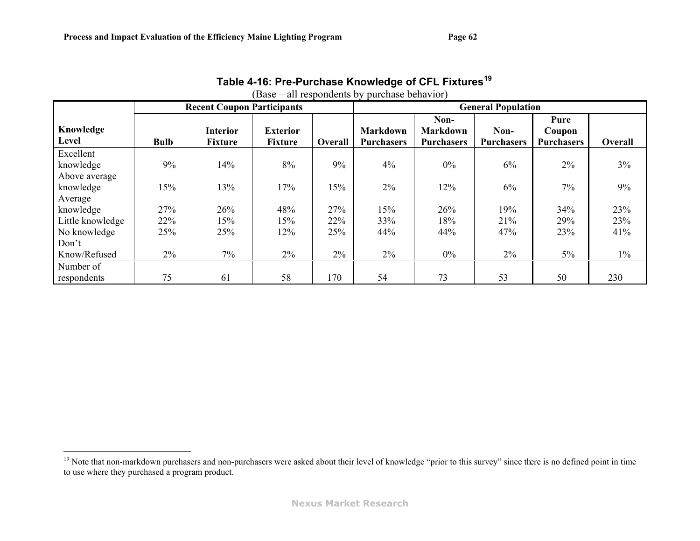$\overline{a}$ 

|                  |             | <b>Recent Coupon Participants</b> |                 |         |                   | <b>General Population</b> |                   |                   |         |  |  |
|------------------|-------------|-----------------------------------|-----------------|---------|-------------------|---------------------------|-------------------|-------------------|---------|--|--|
| Knowledge        |             | <b>Interior</b>                   | <b>Exterior</b> |         | <b>Markdown</b>   | Non-<br><b>Markdown</b>   | Non-              | Pure<br>Coupon    |         |  |  |
| Level            | <b>Bulb</b> | <b>Fixture</b>                    | <b>Fixture</b>  | Overall | <b>Purchasers</b> | <b>Purchasers</b>         | <b>Purchasers</b> | <b>Purchasers</b> | Overall |  |  |
| Excellent        |             |                                   |                 |         |                   |                           |                   |                   |         |  |  |
| knowledge        | 9%          | 14%                               | 8%              | 9%      | 4%                | $0\%$                     | 6%                | $2\%$             | 3%      |  |  |
| Above average    |             |                                   |                 |         |                   |                           |                   |                   |         |  |  |
| knowledge        | 15%         | 13%                               | 17%             | 15%     | 2%                | 12%                       | 6%                | 7%                | 9%      |  |  |
| Average          |             |                                   |                 |         |                   |                           |                   |                   |         |  |  |
| knowledge        | 27%         | 26%                               | 48%             | 27%     | 15%               | 26%                       | 19%               | 34%               | 23%     |  |  |
| Little knowledge | 22%         | 15%                               | 15%             | 22%     | 33%               | 18%                       | 21%               | 29%               | 23%     |  |  |
| No knowledge     | 25%         | 25%                               | 12%             | 25%     | 44%               | 44%                       | 47%               | 23%               | 41%     |  |  |
| Don't            |             |                                   |                 |         |                   |                           |                   |                   |         |  |  |
| Know/Refused     | 2%          | 7%                                | 2%              | 2%      | $2\%$             | $0\%$                     | 2%                | $5\%$             | $1\%$   |  |  |
| Number of        |             |                                   |                 |         |                   |                           |                   |                   |         |  |  |
| respondents      | 75          | 61                                | 58              | 170     | 54                | 73                        | 53                | 50                | 230     |  |  |

### **Table 4-16: Pre-Purchase Knowledge of CFL Fixtures[19](#page-64-1)** (Base – all respondents by purchase behavior)

<span id="page-64-1"></span><span id="page-64-0"></span><sup>&</sup>lt;sup>19</sup> Note that non-markdown purchasers and non-purchasers were asked about their level of knowledge "prior to this survey" since there is no defined point in time to use where they purchased a program product.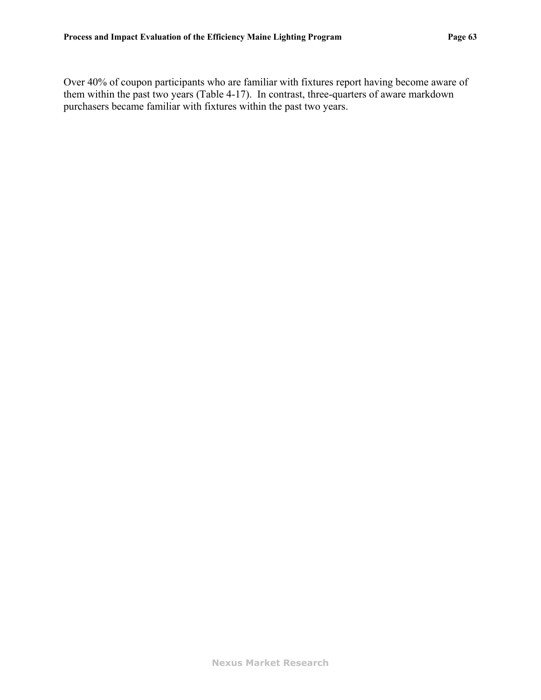Over 40% of coupon participants who are familiar with fixtures report having become aware of them within the past two years [\(Table 4-17](#page-66-0)). In contrast, three-quarters of aware markdown purchasers became familiar with fixtures within the past two years.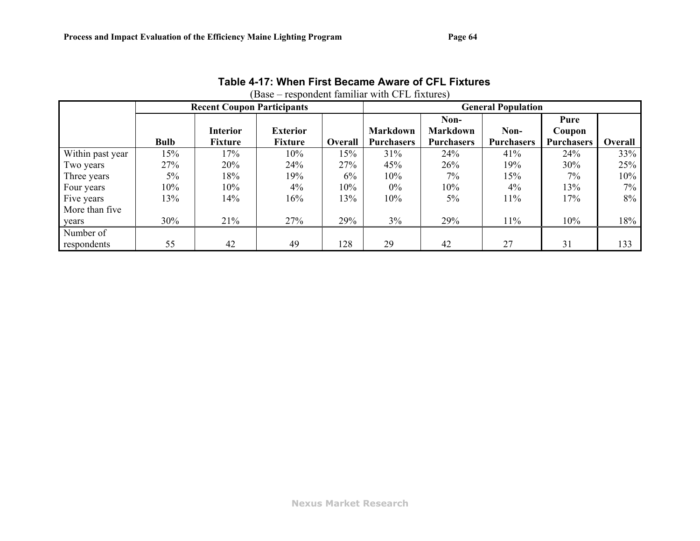<span id="page-66-0"></span>

|                  |             | <b>Recent Coupon Participants</b> |                 |                | <b>General Population</b> |                   |                   |                   |                |  |
|------------------|-------------|-----------------------------------|-----------------|----------------|---------------------------|-------------------|-------------------|-------------------|----------------|--|
|                  |             |                                   |                 |                |                           | Non-              |                   | Pure              |                |  |
|                  |             | Interior                          | <b>Exterior</b> |                | <b>Markdown</b>           | <b>Markdown</b>   | Non-              | Coupon            |                |  |
|                  | <b>Bulb</b> | <b>Fixture</b>                    | Fixture         | <b>Overall</b> | <b>Purchasers</b>         | <b>Purchasers</b> | <b>Purchasers</b> | <b>Purchasers</b> | <b>Overall</b> |  |
| Within past year | 15%         | 17%                               | 10%             | 15%            | 31%                       | 24%               | 41%               | 24%               | 33%            |  |
| Two years        | 27%         | 20%                               | 24%             | 27%            | 45%                       | 26%               | 19%               | 30%               | 25%            |  |
| Three years      | 5%          | 18%                               | 19%             | 6%             | 10%                       | $7\%$             | 15%               | 7%                | 10%            |  |
| Four years       | 10%         | 10%                               | $4\%$           | 10%            | $0\%$                     | 10%               | $4\%$             | 13%               | $7\%$          |  |
| Five years       | 13%         | 14%                               | 16%             | 13%            | 10%                       | $5\%$             | 11%               | 17%               | $8\%$          |  |
| More than five   |             |                                   |                 |                |                           |                   |                   |                   |                |  |
| years            | 30%         | 21%                               | 27%             | 29%            | $3\%$                     | 29%               | 11%               | 10%               | 18%            |  |
| Number of        |             |                                   |                 |                |                           |                   |                   |                   |                |  |
| respondents      | 55          | 42                                | 49              | 128            | 29                        | 42                | 27                | 31                | 133            |  |

**Table 4-17: When First Became Aware of CFL Fixtures**  (Base – respondent familiar with CFL fixtures)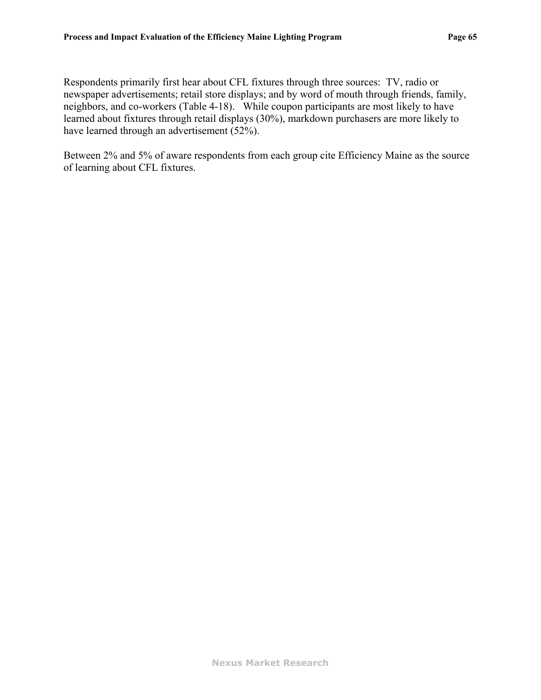Respondents primarily first hear about CFL fixtures through three sources: TV, radio or newspaper advertisements; retail store displays; and by word of mouth through friends, family, neighbors, and co-workers ([Table 4-18\)](#page-68-0). While coupon participants are most likely to have learned about fixtures through retail displays (30%), markdown purchasers are more likely to have learned through an advertisement (52%).

Between 2% and 5% of aware respondents from each group cite Efficiency Maine as the source of learning about CFL fixtures.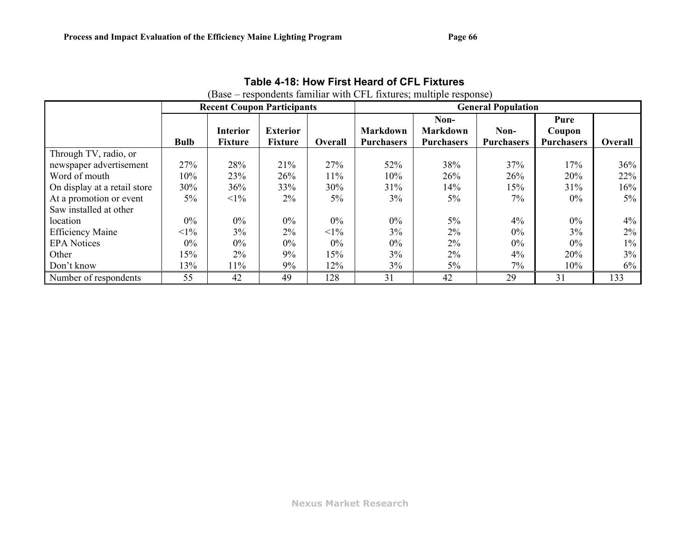<span id="page-68-0"></span>

|                                                                                                                                                        |                                        |                                      |                                     |                                        |                                      | (Base – respondents familiar with CFL fixtures; multiple response) |                                     |                                     |                                  |
|--------------------------------------------------------------------------------------------------------------------------------------------------------|----------------------------------------|--------------------------------------|-------------------------------------|----------------------------------------|--------------------------------------|--------------------------------------------------------------------|-------------------------------------|-------------------------------------|----------------------------------|
|                                                                                                                                                        |                                        | <b>Recent Coupon Participants</b>    |                                     |                                        |                                      |                                                                    | <b>General Population</b>           |                                     |                                  |
|                                                                                                                                                        | <b>Bulb</b>                            | <b>Interior</b><br><b>Fixture</b>    | <b>Exterior</b><br><b>Fixture</b>   | <b>Overall</b>                         | <b>Markdown</b><br><b>Purchasers</b> | Non-<br><b>Markdown</b><br><b>Purchasers</b>                       | Non-<br><b>Purchasers</b>           | Pure<br>Coupon<br><b>Purchasers</b> | <b>Overall</b>                   |
| Through TV, radio, or<br>newspaper advertisement<br>Word of mouth<br>On display at a retail store<br>At a promotion or event<br>Saw installed at other | 27%<br>10%<br>30%<br>5%                | 28%<br>23%<br>36%<br>$<1\%$          | 21%<br>26%<br>33%<br>$2\%$          | 27%<br>11%<br>30%<br>$5\%$             | 52%<br>10%<br>31%<br>3%              | 38%<br>26%<br>14%<br>$5\%$                                         | 37%<br>26%<br>15%<br>7%             | 17%<br>20%<br>31%<br>$0\%$          | 36%<br>22%<br>16%<br>$5\%$       |
| location<br><b>Efficiency Maine</b><br><b>EPA Notices</b><br>Other<br>Don't know                                                                       | $0\%$<br>$<1\%$<br>$0\%$<br>15%<br>13% | $0\%$<br>3%<br>$0\%$<br>$2\%$<br>11% | $0\%$<br>$2\%$<br>$0\%$<br>9%<br>9% | $0\%$<br>$<1\%$<br>$0\%$<br>15%<br>12% | $0\%$<br>3%<br>$0\%$<br>$3\%$<br>3%  | $5\%$<br>$2\%$<br>$2\%$<br>$2\%$<br>$5\%$                          | 4%<br>$0\%$<br>$0\%$<br>$4\%$<br>7% | $0\%$<br>3%<br>$0\%$<br>20%<br>10%  | 4%<br>$2\%$<br>$1\%$<br>3%<br>6% |
| Number of respondents                                                                                                                                  | 55                                     | 42                                   | 49                                  | 128                                    | 31                                   | 42                                                                 | 29                                  | 31                                  | 133                              |

# **Table 4-18: How First Heard of CFL Fixtures**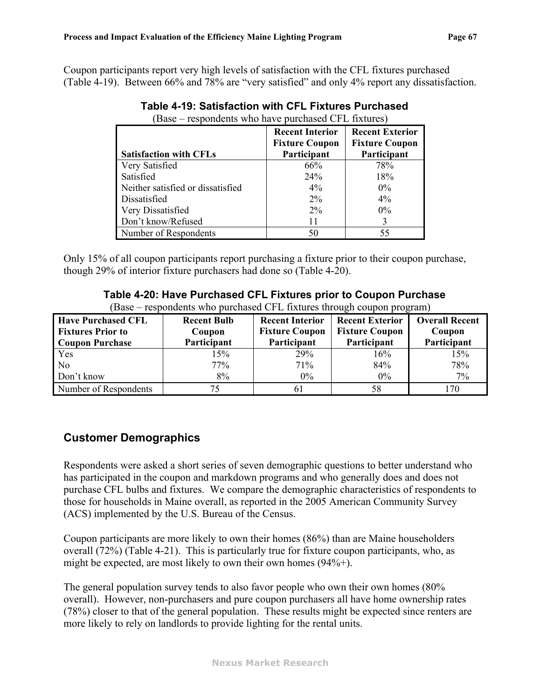<span id="page-69-0"></span>Coupon participants report very high levels of satisfaction with the CFL fixtures purchased ([Table 4-19](#page-69-0)). Between 66% and 78% are "very satisfied" and only 4% report any dissatisfaction.

| Dave<br>respondents who have parenased or L matures |                                                 |                                                 |
|-----------------------------------------------------|-------------------------------------------------|-------------------------------------------------|
|                                                     | <b>Recent Interior</b><br><b>Fixture Coupon</b> | <b>Recent Exterior</b><br><b>Fixture Coupon</b> |
| <b>Satisfaction with CFLs</b>                       | Participant                                     | Participant                                     |
| Very Satisfied                                      | 66%                                             | 78%                                             |
| Satisfied                                           | 24%                                             | 18%                                             |
| Neither satisfied or dissatisfied                   | $4\%$                                           | $0\%$                                           |
| Dissatisfied                                        | $2\%$                                           | $4\%$                                           |
| Very Dissatisfied                                   | $2\%$                                           | $0\%$                                           |
| Don't know/Refused                                  | 11                                              | 3                                               |
| Number of Respondents                               | 50                                              | 55                                              |

| Table 4-19: Satisfaction with CFL Fixtures Purchased      |  |
|-----------------------------------------------------------|--|
| $(Base - resonondents$ who have nurchased $CFI$ fixtures) |  |

Only 15% of all coupon participants report purchasing a fixture prior to their coupon purchase, though 29% of interior fixture purchasers had done so [\(Table 4-20\)](#page-69-1).

**Table 4-20: Have Purchased CFL Fixtures prior to Coupon Purchase** 

| (Base – respondents who purchased CFL fixtures through coupon program) |  |  |  |  |
|------------------------------------------------------------------------|--|--|--|--|
|                                                                        |  |  |  |  |
|                                                                        |  |  |  |  |

<span id="page-69-1"></span>

| <b>Have Purchased CFL</b> | <b>Recent Bulb</b> | <b>Recent Interior</b> | <b>Recent Exterior</b> | <b>Overall Recent</b> |
|---------------------------|--------------------|------------------------|------------------------|-----------------------|
| <b>Fixtures Prior to</b>  | Coupon             | <b>Fixture Coupon</b>  | <b>Fixture Coupon</b>  | Coupon                |
| <b>Coupon Purchase</b>    | Participant        | Participant            | Participant            | Participant           |
| Yes                       | 15%                | 29%                    | 16%                    | 15%                   |
| N <sub>0</sub>            | 77%                | 71%                    | 84%                    | 78%                   |
| Don't know                | 8%                 | $0\%$                  | $0\%$                  | 7%                    |
| Number of Respondents     |                    |                        | 58                     | -70                   |

### **Customer Demographics**

Respondents were asked a short series of seven demographic questions to better understand who has participated in the coupon and markdown programs and who generally does and does not purchase CFL bulbs and fixtures. We compare the demographic characteristics of respondents to those for households in Maine overall, as reported in the 2005 American Community Survey (ACS) implemented by the U.S. Bureau of the Census.

Coupon participants are more likely to own their homes (86%) than are Maine householders overall (72%) [\(Table 4-21\)](#page-70-0). This is particularly true for fixture coupon participants, who, as might be expected, are most likely to own their own homes (94%+).

The general population survey tends to also favor people who own their own homes (80% overall). However, non-purchasers and pure coupon purchasers all have home ownership rates (78%) closer to that of the general population. These results might be expected since renters are more likely to rely on landlords to provide lighting for the rental units.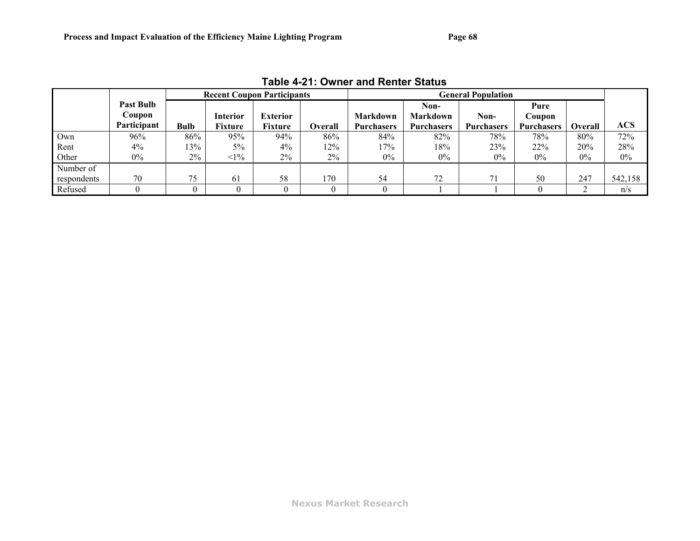<span id="page-70-0"></span>

|             |                                           |       |                            | <b>Recent Coupon Participants</b> |                | <b>General Population</b>            |                                              |                           |                                     |                |         |
|-------------|-------------------------------------------|-------|----------------------------|-----------------------------------|----------------|--------------------------------------|----------------------------------------------|---------------------------|-------------------------------------|----------------|---------|
|             | <b>Past Bulb</b><br>Coupon<br>Participant | Bulb  | Interior<br><b>Fixture</b> | <b>Exterior</b><br>Fixture        | <b>Overall</b> | <b>Markdown</b><br><b>Purchasers</b> | Non-<br><b>Markdown</b><br><b>Purchasers</b> | Non-<br><b>Purchasers</b> | Pure<br>Coupon<br><b>Purchasers</b> | <b>Overall</b> | ACS     |
| Own         | 96%                                       | 86%   | 95%                        | 94%                               | 86%            | 84%                                  | 82%                                          | 78%                       | 78%                                 | 80%            | 72%     |
| Rent        | $4\%$                                     | 13%   | $5\%$                      | $4\%$                             | 12%            | 17%                                  | 18%                                          | 23%                       | 22%                                 | 20%            | 28%     |
| Other       | $0\%$                                     | $2\%$ | $1\%$                      | $2\%$                             | 2%             | $0\%$                                | $0\%$                                        | $0\%$                     | $0\%$                               | 0%             | $0\%$   |
| Number of   |                                           |       |                            |                                   |                |                                      |                                              |                           |                                     |                |         |
| respondents | 70                                        | 75    | 61                         | 58                                | 170            | 54                                   | 72                                           | 71                        | 50                                  | 247            | 542,158 |
| Refused     |                                           |       |                            |                                   |                |                                      |                                              |                           |                                     |                | n/s     |

**Table 4-21: Owner and Renter Status**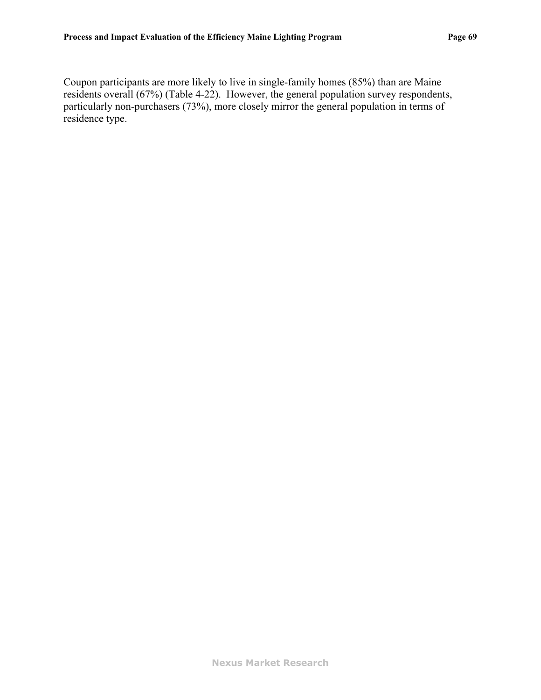Coupon participants are more likely to live in single-family homes (85%) than are Maine residents overall (67%) [\(Table 4-22](#page-72-0)). However, the general population survey respondents, particularly non-purchasers (73%), more closely mirror the general population in terms of residence type.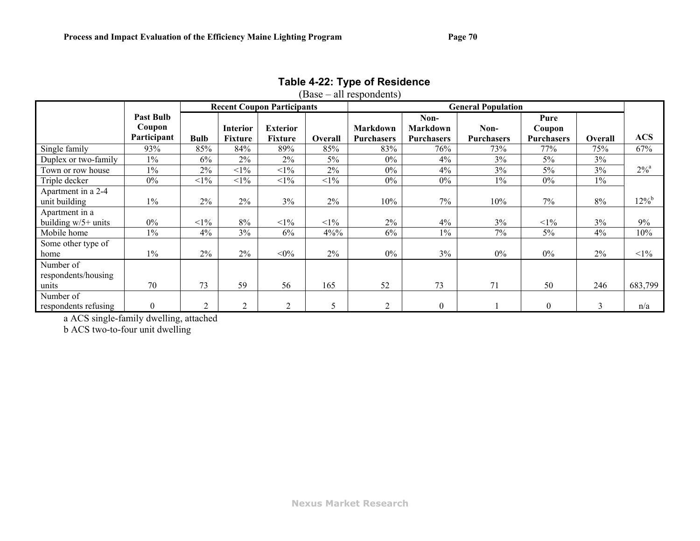|                                           |                                           |             |                                   | <b>Recent Coupon Participants</b> |         |                                      |                                       | <b>General Population</b> |                                     |         |                    |
|-------------------------------------------|-------------------------------------------|-------------|-----------------------------------|-----------------------------------|---------|--------------------------------------|---------------------------------------|---------------------------|-------------------------------------|---------|--------------------|
|                                           | <b>Past Bulb</b><br>Coupon<br>Participant | <b>Bulb</b> | <b>Interior</b><br><b>Fixture</b> | <b>Exterior</b><br><b>Fixture</b> | Overall | <b>Markdown</b><br><b>Purchasers</b> | Non-<br>Markdown<br><b>Purchasers</b> | Non-<br><b>Purchasers</b> | Pure<br>Coupon<br><b>Purchasers</b> | Overall | <b>ACS</b>         |
| Single family                             | 93%                                       | 85%         | 84%                               | 89%                               | 85%     | 83%                                  | 76%                                   | 73%                       | 77%                                 | 75%     | 67%                |
| Duplex or two-family                      | $1\%$                                     | 6%          | 2%                                | 2%                                | $5\%$   | 0%                                   | 4%                                    | 3%                        | 5%                                  | 3%      |                    |
| Town or row house                         | $1\%$                                     | $2\%$       | $<1\%$                            | $<1\%$                            | $2\%$   | $0\%$                                | 4%                                    | 3%                        | $5\%$                               | 3%      | $2\%$ <sup>a</sup> |
| Triple decker                             | $0\%$                                     | $<1\%$      | $<1\%$                            | $<1\%$                            | $<1\%$  | 0%                                   | $0\%$                                 | $1\%$                     | $0\%$                               | $1\%$   |                    |
| Apartment in a 2-4<br>unit building       | $1\%$                                     | 2%          | 2%                                | 3%                                | 2%      | 10%                                  | 7%                                    | 10%                       | 7%                                  | 8%      | $12\%^{\rm b}$     |
| Apartment in a<br>building $w/5+$ units   | $0\%$                                     | $<1\%$      | 8%                                | $<1\%$                            | $<1\%$  | $2\%$                                | 4%                                    | 3%                        | $<1\%$                              | $3\%$   | 9%                 |
| Mobile home                               | $1\%$                                     | 4%          | 3%                                | 6%                                | $4\%%$  | 6%                                   | $1\%$                                 | 7%                        | $5\%$                               | 4%      | 10%                |
| Some other type of<br>home                | $1\%$                                     | 2%          | 2%                                | $<\!\!0\!\%$                      | 2%      | $0\%$                                | 3%                                    | $0\%$                     | $0\%$                               | 2%      | $<1\%$             |
| Number of<br>respondents/housing<br>units | 70                                        | 73          | 59                                | 56                                | 165     | 52                                   | 73                                    | 71                        | 50                                  | 246     | 683,799            |
| Number of<br>respondents refusing         | $\boldsymbol{0}$                          | ↑           | $\overline{2}$                    | $\overline{2}$                    | 5       | $\overline{2}$                       | $\boldsymbol{0}$                      |                           | $\Omega$                            | 3       | n/a                |

#### **Table 4-22: Type of Residence**  (Base – all respondents)

a ACS single-family dwelling, attached

b ACS two-to-four unit dwelling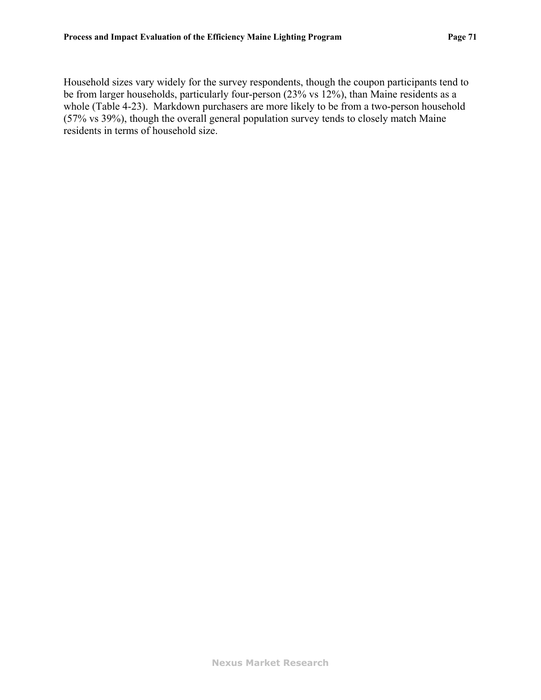Household sizes vary widely for the survey respondents, though the coupon participants tend to be from larger households, particularly four-person (23% vs 12%), than Maine residents as a whole [\(Table 4-23\)](#page-74-0). Markdown purchasers are more likely to be from a two-person household (57% vs 39%), though the overall general population survey tends to closely match Maine residents in terms of household size.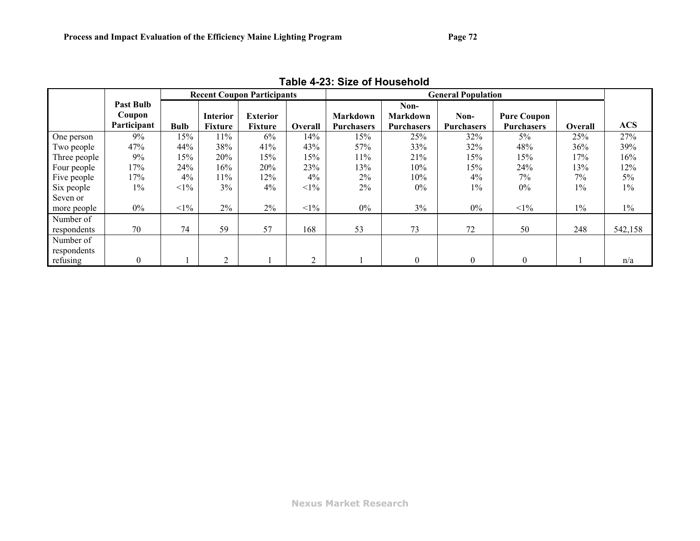<span id="page-74-0"></span>

|              |                  |             |                 | <b>Recent Coupon Participants</b> |                |                   |                   | <b>General Population</b> |                    |         |            |
|--------------|------------------|-------------|-----------------|-----------------------------------|----------------|-------------------|-------------------|---------------------------|--------------------|---------|------------|
|              | <b>Past Bulb</b> |             |                 |                                   |                |                   | Non-              |                           |                    |         |            |
|              | Coupon           |             | <b>Interior</b> | <b>Exterior</b>                   |                | <b>Markdown</b>   | <b>Markdown</b>   | Non-                      | <b>Pure Coupon</b> |         |            |
|              | Participant      | <b>Bulb</b> | Fixture         | <b>Fixture</b>                    | Overall        | <b>Purchasers</b> | <b>Purchasers</b> | <b>Purchasers</b>         | <b>Purchasers</b>  | Overall | <b>ACS</b> |
| One person   | 9%               | 15%         | $11\%$          | 6%                                | 14%            | 15%               | 25%               | 32%                       | 5%                 | 25%     | 27%        |
| Two people   | 47%              | 44%         | 38%             | 41%                               | 43%            | 57%               | 33%               | 32%                       | 48%                | 36%     | 39%        |
| Three people | 9%               | 15%         | 20%             | 15%                               | 15%            | 11%               | 21%               | 15%                       | 15%                | 17%     | 16%        |
| Four people  | 17%              | 24%         | 16%             | 20%                               | 23%            | 13%               | 10%               | 15%                       | 24%                | 13%     | 12%        |
| Five people  | 17%              | $4\%$       | 11%             | 12%                               | 4%             | $2\%$             | 10%               | 4%                        | $7\%$              | 7%      | $5\%$      |
| Six people   | $1\%$            | $<1\%$      | $3\%$           | 4%                                | $<1\%$         | $2\%$             | $0\%$             | $1\%$                     | $0\%$              | 1%      | $1\%$      |
| Seven or     |                  |             |                 |                                   |                |                   |                   |                           |                    |         |            |
| more people  | $0\%$            | $<1\%$      | $2\%$           | $2\%$                             | $<1\%$         | $0\%$             | 3%                | $0\%$                     | $<1\%$             | $1\%$   | $1\%$      |
| Number of    |                  |             |                 |                                   |                |                   |                   |                           |                    |         |            |
| respondents  | 70               | 74          | 59              | 57                                | 168            | 53                | 73                | 72                        | 50                 | 248     | 542,158    |
| Number of    |                  |             |                 |                                   |                |                   |                   |                           |                    |         |            |
| respondents  |                  |             |                 |                                   |                |                   |                   |                           |                    |         |            |
| refusing     | $\boldsymbol{0}$ |             | ◠               |                                   | $\overline{2}$ |                   | $\theta$          | $\boldsymbol{0}$          | $\mathbf{0}$       |         | n/a        |

**Table 4-23: Size of Household**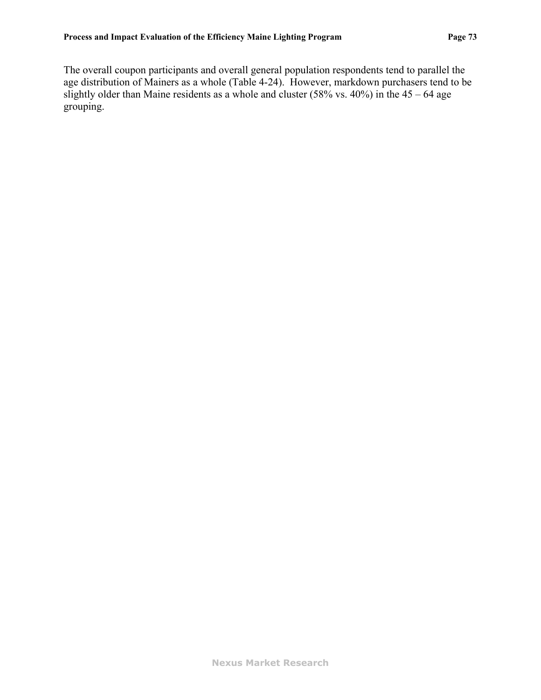The overall coupon participants and overall general population respondents tend to parallel the age distribution of Mainers as a whole [\(Table 4-24](#page-76-0)). However, markdown purchasers tend to be slightly older than Maine residents as a whole and cluster  $(58\% \text{ vs. } 40\%)$  in the  $45 - 64$  age grouping.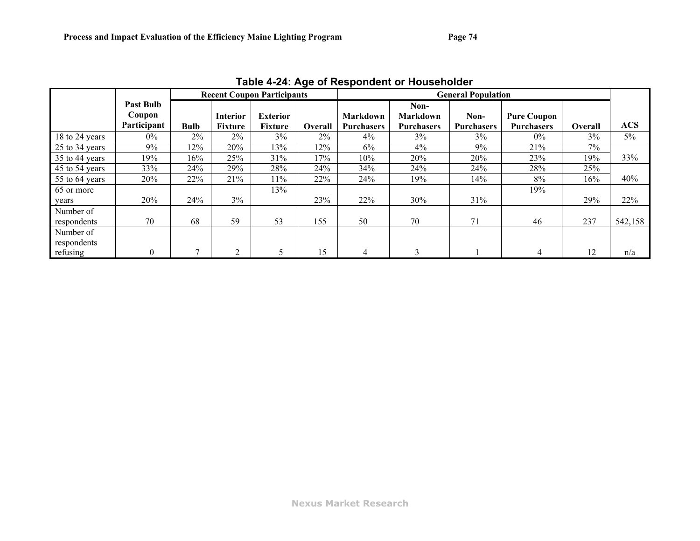<span id="page-76-0"></span>

| Table 4-24. Age of Respondent of Housenbluer |                                           |             |                            |                                   |         |                                      |                                              |                           |                                         |         |            |
|----------------------------------------------|-------------------------------------------|-------------|----------------------------|-----------------------------------|---------|--------------------------------------|----------------------------------------------|---------------------------|-----------------------------------------|---------|------------|
|                                              |                                           |             |                            | <b>Recent Coupon Participants</b> |         |                                      |                                              | <b>General Population</b> |                                         |         |            |
|                                              | <b>Past Bulb</b><br>Coupon<br>Participant | <b>Bulb</b> | Interior<br><b>Fixture</b> | <b>Exterior</b><br><b>Fixture</b> | Overall | <b>Markdown</b><br><b>Purchasers</b> | Non-<br><b>Markdown</b><br><b>Purchasers</b> | Non-<br><b>Purchasers</b> | <b>Pure Coupon</b><br><b>Purchasers</b> | Overall | <b>ACS</b> |
| 18 to 24 years                               | $0\%$                                     | 2%          | 2%                         | 3%                                | 2%      | $4\%$                                | 3%                                           | 3%                        | $0\%$                                   | 3%      | 5%         |
| 25 to 34 years                               | $9\%$                                     | 12%         | 20%                        | 13%                               | 12%     | 6%                                   | $4\%$                                        | 9%                        | 21%                                     | 7%      |            |
| 35 to 44 years                               | 19%                                       | 16%         | 25%                        | 31%                               | 17%     | 10%                                  | 20%                                          | 20%                       | 23%                                     | 19%     | 33%        |
| 45 to 54 years                               | 33%                                       | 24%         | 29%                        | 28%                               | 24%     | 34%                                  | 24%                                          | 24%                       | 28%                                     | 25%     |            |
| 55 to 64 years                               | 20%                                       | 22%         | 21%                        | 11%                               | 22%     | 24%                                  | 19%                                          | 14%                       | $8\%$                                   | 16%     | 40%        |
| 65 or more                                   |                                           |             |                            | 13%                               |         |                                      |                                              |                           | 19%                                     |         |            |
| years                                        | 20%                                       | 24%         | $3\%$                      |                                   | 23%     | 22%                                  | 30%                                          | 31%                       |                                         | 29%     | 22%        |
| Number of<br>respondents                     | 70                                        | 68          | 59                         | 53                                | 155     | 50                                   | 70                                           | 71                        | 46                                      | 237     | 542,158    |
| Number of<br>respondents<br>refusing         | $\boldsymbol{0}$                          |             | 2                          |                                   | 15      |                                      | 3                                            |                           |                                         | 12      |            |
|                                              |                                           |             |                            |                                   |         | 4                                    |                                              |                           |                                         |         | n/a        |

**Table 4-24: Age of Respondent or Householder**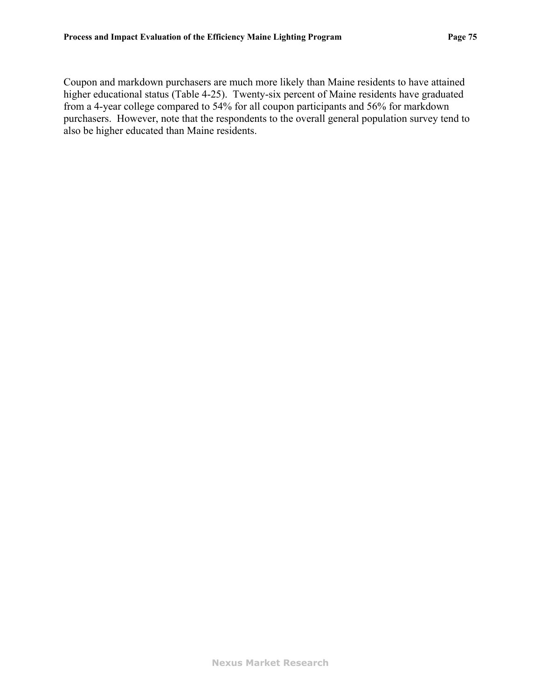Coupon and markdown purchasers are much more likely than Maine residents to have attained higher educational status [\(Table 4-25\)](#page-78-0). Twenty-six percent of Maine residents have graduated from a 4-year college compared to 54% for all coupon participants and 56% for markdown purchasers. However, note that the respondents to the overall general population survey tend to also be higher educated than Maine residents.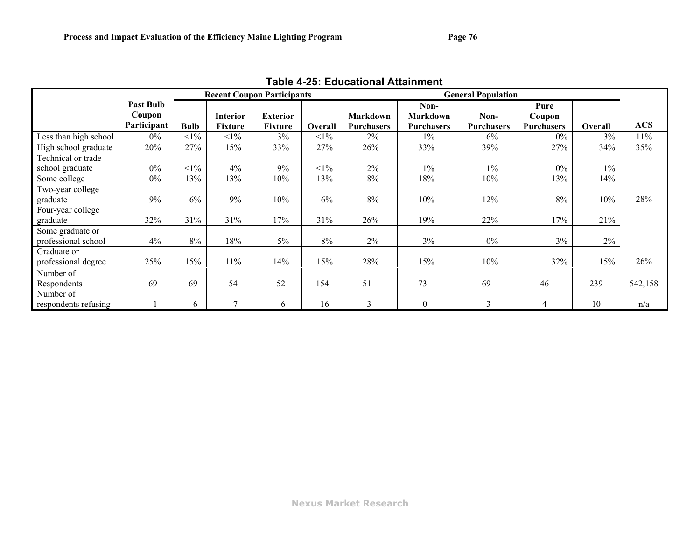<span id="page-78-0"></span>

|                       |                            |             |                 | <b>Recent Coupon Participants</b> |                |                   |                         | <b>General Population</b> |                   |         |            |
|-----------------------|----------------------------|-------------|-----------------|-----------------------------------|----------------|-------------------|-------------------------|---------------------------|-------------------|---------|------------|
|                       | <b>Past Bulb</b><br>Coupon |             | <b>Interior</b> | <b>Exterior</b>                   |                | <b>Markdown</b>   | Non-<br><b>Markdown</b> | Non-                      | Pure<br>Coupon    |         |            |
|                       | Participant                | <b>Bulb</b> | <b>Fixture</b>  | <b>Fixture</b>                    | <b>Overall</b> | <b>Purchasers</b> | <b>Purchasers</b>       | Purchasers                | <b>Purchasers</b> | Overall | <b>ACS</b> |
| Less than high school | $0\%$                      | $<1\%$      | $<1\%$          | 3%                                | $<1\%$         | 2%                | $1\%$                   | 6%                        | $0\%$             | 3%      | 11%        |
| High school graduate  | 20%                        | 27%         | 15%             | 33%                               | 27%            | 26%               | 33%                     | 39%                       | 27%               | 34%     | 35%        |
| Technical or trade    |                            |             |                 |                                   |                |                   |                         |                           |                   |         |            |
| school graduate       | $0\%$                      | $<1\%$      | 4%              | 9%                                | $<1\%$         | 2%                | $1\%$                   | $1\%$                     | $0\%$             | $1\%$   |            |
| Some college          | 10%                        | 13%         | 13%             | 10%                               | 13%            | 8%                | 18%                     | 10%                       | 13%               | 14%     |            |
| Two-year college      |                            |             |                 |                                   |                |                   |                         |                           |                   |         |            |
| graduate              | 9%                         | $6\%$       | 9%              | 10%                               | 6%             | 8%                | 10%                     | 12%                       | $8\%$             | 10%     | 28%        |
| Four-year college     |                            |             |                 |                                   |                |                   |                         |                           |                   |         |            |
| graduate              | 32%                        | 31%         | 31%             | 17%                               | 31%            | 26%               | 19%                     | 22%                       | 17%               | 21%     |            |
| Some graduate or      |                            |             |                 |                                   |                |                   |                         |                           |                   |         |            |
| professional school   | 4%                         | 8%          | 18%             | $5\%$                             | 8%             | 2%                | 3%                      | $0\%$                     | 3%                | 2%      |            |
| Graduate or           |                            |             |                 |                                   |                |                   |                         |                           |                   |         |            |
| professional degree   | 25%                        | 15%         | 11%             | 14%                               | 15%            | 28%               | 15%                     | 10%                       | 32%               | 15%     | 26%        |
| Number of             |                            |             |                 |                                   |                |                   |                         |                           |                   |         |            |
| Respondents           | 69                         | 69          | 54              | 52                                | 154            | 51                | 73                      | 69                        | 46                | 239     | 542,158    |
| Number of             |                            |             |                 |                                   |                |                   |                         |                           |                   |         |            |
| respondents refusing  |                            | 6.          | 7               | 6                                 | 16             | $\mathcal{E}$     | $\boldsymbol{0}$        | 3                         | 4                 | 10      | n/a        |

**Table 4-25: Educational Attainment**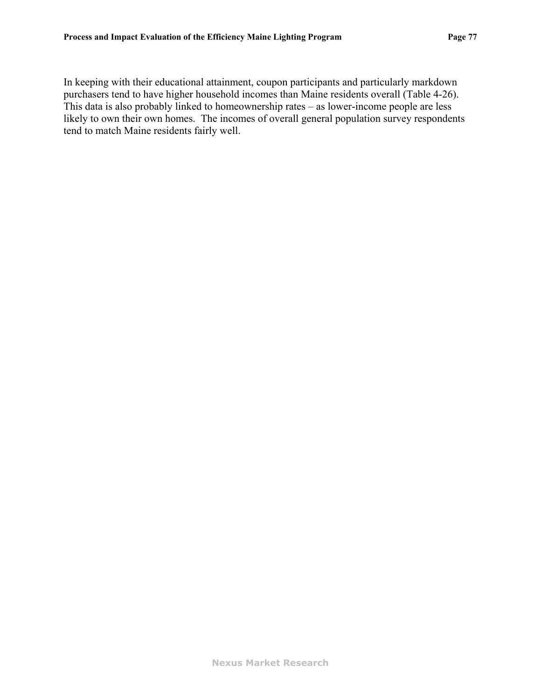In keeping with their educational attainment, coupon participants and particularly markdown purchasers tend to have higher household incomes than Maine residents overall [\(Table 4-26\)](#page-80-0). This data is also probably linked to homeownership rates – as lower-income people are less likely to own their own homes. The incomes of overall general population survey respondents tend to match Maine residents fairly well.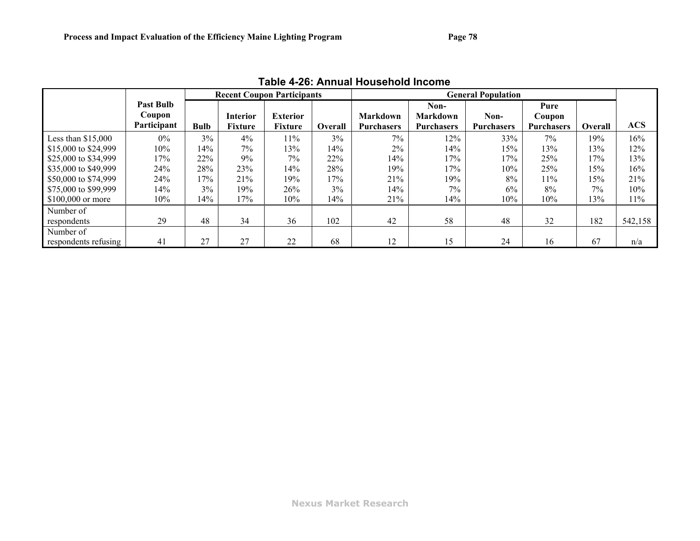<span id="page-80-0"></span>

|                      | TADI <del>C 4-2</del> 0. ANINJAI MUUSENUJU MICUME |             |                 |                                   |                |                   |                   |                           |                   |         |            |  |  |
|----------------------|---------------------------------------------------|-------------|-----------------|-----------------------------------|----------------|-------------------|-------------------|---------------------------|-------------------|---------|------------|--|--|
|                      |                                                   |             |                 | <b>Recent Coupon Participants</b> |                |                   |                   | <b>General Population</b> |                   |         |            |  |  |
|                      | <b>Past Bulb</b>                                  |             |                 |                                   |                |                   | Non-              |                           | Pure              |         |            |  |  |
|                      | Coupon                                            |             | <b>Interior</b> | <b>Exterior</b>                   |                | <b>Markdown</b>   | <b>Markdown</b>   | Non-                      | Coupon            |         |            |  |  |
|                      | Participant                                       | <b>Bulb</b> | <b>Fixture</b>  | Fixture                           | <b>Overall</b> | <b>Purchasers</b> | <b>Purchasers</b> | <b>Purchasers</b>         | <b>Purchasers</b> | Overall | <b>ACS</b> |  |  |
| Less than $$15,000$  | $0\%$                                             | 3%          | 4%              | 11%                               | $3\%$          | 7%                | 12%               | 33%                       | 7%                | 19%     | 16%        |  |  |
| \$15,000 to \$24,999 | 10%                                               | 14%         | 7%              | 13%                               | 14%            | $2\%$             | 14%               | 15%                       | 13%               | 13%     | 12%        |  |  |
| \$25,000 to \$34,999 | 17%                                               | 22%         | 9%              | 7%                                | 22%            | 14%               | 17%               | 17%                       | 25%               | 17%     | 13%        |  |  |
| \$35,000 to \$49,999 | 24%                                               | 28%         | <b>23%</b>      | 14%                               | 28%            | 19%               | 17%               | 10%                       | 25%               | 15%     | 16%        |  |  |
| \$50,000 to \$74,999 | 24%                                               | 17%         | 21%             | 19%                               | 17%            | 21%               | 19%               | 8%                        | 11%               | 15%     | 21%        |  |  |
| \$75,000 to \$99,999 | 14%                                               | 3%          | 19%             | 26%                               | 3%             | 14%               | 7%                | 6%                        | 8%                | 7%      | $10\%$     |  |  |
| $$100,000$ or more   | 10%                                               | 14%         | 17%             | $10\%$                            | 14%            | 21%               | 14%               | 10%                       | 10%               | 13%     | 11%        |  |  |
| Number of            |                                                   |             |                 |                                   |                |                   |                   |                           |                   |         |            |  |  |
| respondents          | 29                                                | 48          | 34              | 36                                | 102            | 42                | 58                | 48                        | 32                | 182     | 542,158    |  |  |
| Number of            |                                                   |             |                 |                                   |                |                   |                   |                           |                   |         |            |  |  |
| respondents refusing | 41                                                | 27          | 27              | 22                                | 68             | 12                | 15                | 24                        | 16                | 67      | n/a        |  |  |

**Table 4-26: Annual Household Income**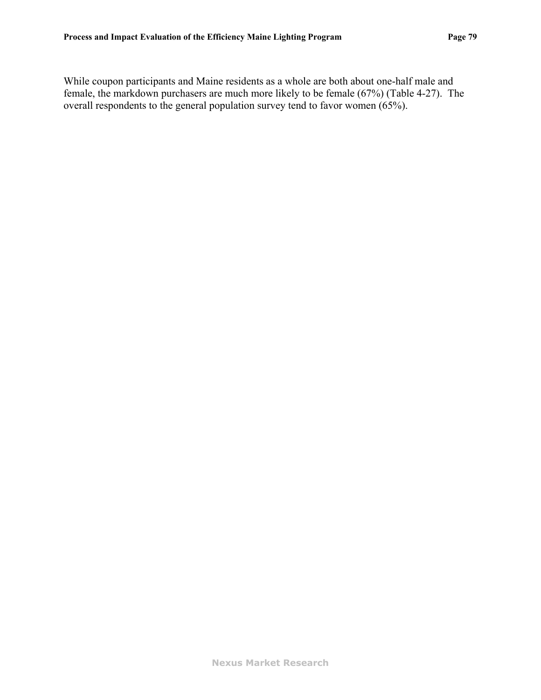While coupon participants and Maine residents as a whole are both about one-half male and female, the markdown purchasers are much more likely to be female (67%) [\(Table 4-27\)](#page-82-0). The overall respondents to the general population survey tend to favor women (65%).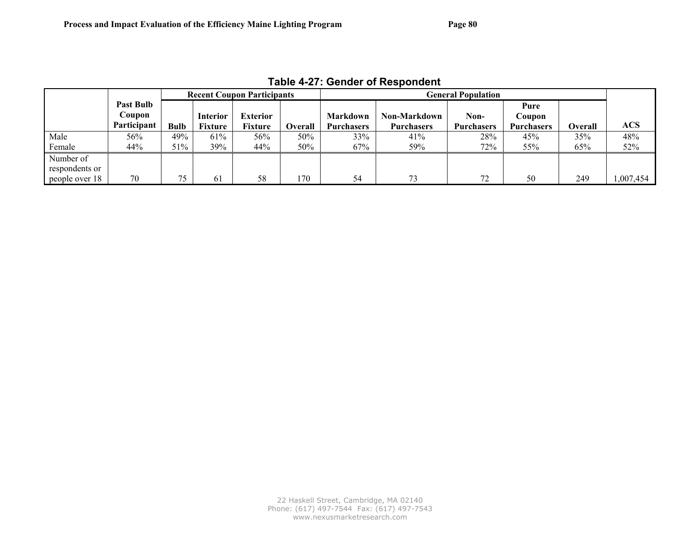<span id="page-82-0"></span>

|                |                  |             |                 | <b>Recent Coupon Participants</b> |                |                   |                   | <b>General Population</b> |                   |         |           |
|----------------|------------------|-------------|-----------------|-----------------------------------|----------------|-------------------|-------------------|---------------------------|-------------------|---------|-----------|
|                | <b>Past Bulb</b> |             |                 |                                   |                |                   |                   |                           | Pure              |         |           |
|                | Coupon           |             | <b>Interior</b> | <b>Exterior</b>                   |                | Markdown          | Non-Markdown      | Non-                      | Coupon            |         |           |
|                | Participant      | <b>Bulb</b> | Fixture         | Fixture                           | <b>Overall</b> | <b>Purchasers</b> | <b>Purchasers</b> | <b>Purchasers</b>         | <b>Purchasers</b> | Overall | ACS       |
| Male           | 56%              | 49%         | 61%             | 56%                               | 50%            | 33%               | 41%               | 28%                       | 45%               | 35%     | 48%       |
| Female         | 44%              | 51%         | 39%             | 44%                               | 50%            | 67%               | 59%               | 72%                       | 55%               | 65%     | 52%       |
| Number of      |                  |             |                 |                                   |                |                   |                   |                           |                   |         |           |
| respondents or |                  |             |                 |                                   |                |                   |                   |                           |                   |         |           |
| people over 18 | 70               |             | 61              | 58                                | ' 70           | 54                | 73                | 72                        | 50                | 249     | 1.007.454 |

**Table 4-27: Gender of Respondent**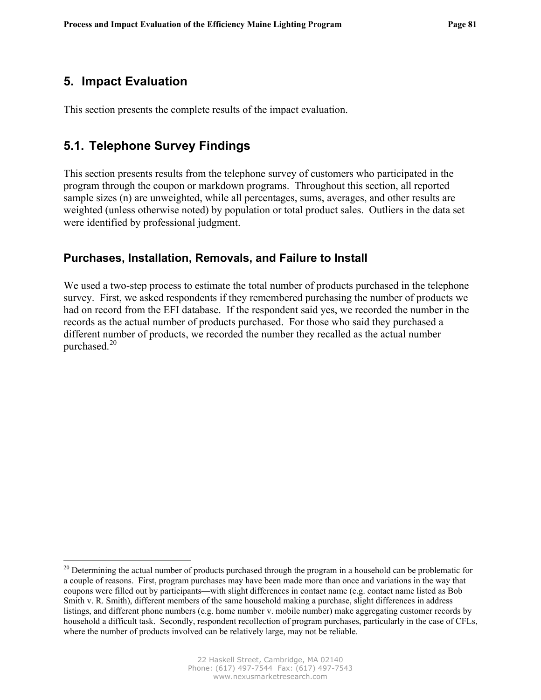# <span id="page-83-0"></span>**5. Impact Evaluation**

 $\overline{a}$ 

This section presents the complete results of the impact evaluation.

# **5.1. Telephone Survey Findings**

This section presents results from the telephone survey of customers who participated in the program through the coupon or markdown programs. Throughout this section, all reported sample sizes (n) are unweighted, while all percentages, sums, averages, and other results are weighted (unless otherwise noted) by population or total product sales. Outliers in the data set were identified by professional judgment.

### **Purchases, Installation, Removals, and Failure to Install**

We used a two-step process to estimate the total number of products purchased in the telephone survey. First, we asked respondents if they remembered purchasing the number of products we had on record from the EFI database. If the respondent said yes, we recorded the number in the records as the actual number of products purchased. For those who said they purchased a different number of products, we recorded the number they recalled as the actual number purchased.<sup>[20](#page-83-0)</sup>

<sup>&</sup>lt;sup>20</sup> Determining the actual number of products purchased through the program in a household can be problematic for a couple of reasons. First, program purchases may have been made more than once and variations in the way that coupons were filled out by participants—with slight differences in contact name (e.g. contact name listed as Bob Smith v. R. Smith), different members of the same household making a purchase, slight differences in address listings, and different phone numbers (e.g. home number v. mobile number) make aggregating customer records by household a difficult task. Secondly, respondent recollection of program purchases, particularly in the case of CFLs, where the number of products involved can be relatively large, may not be reliable.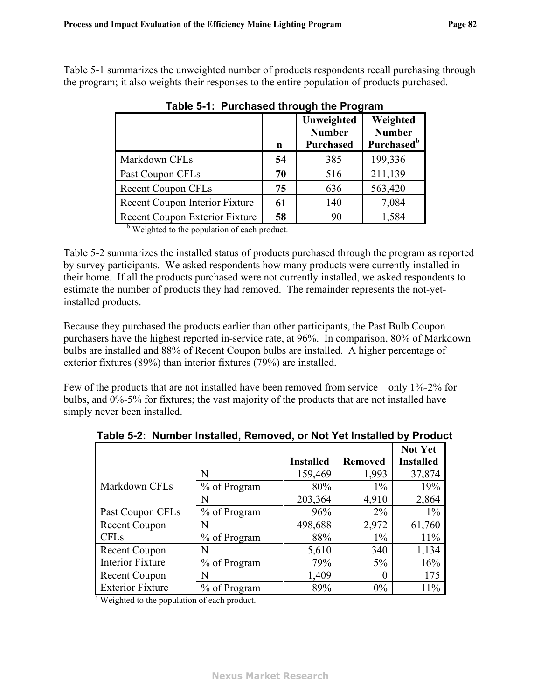<span id="page-84-1"></span>[Table 5-1](#page-84-1) summarizes the unweighted number of products respondents recall purchasing through the program; it also weights their responses to the entire population of products purchased.

|                                                                                                 | n  | Unweighted<br><b>Number</b><br><b>Purchased</b> | Weighted<br><b>Number</b><br><b>Purchased</b> <sup>b</sup> |
|-------------------------------------------------------------------------------------------------|----|-------------------------------------------------|------------------------------------------------------------|
| Markdown CFLs                                                                                   | 54 | 385                                             | 199,336                                                    |
| Past Coupon CFLs                                                                                | 70 | 516                                             | 211,139                                                    |
| <b>Recent Coupon CFLs</b>                                                                       | 75 | 636                                             | 563,420                                                    |
| Recent Coupon Interior Fixture                                                                  | 61 | 140                                             | 7,084                                                      |
| Recent Coupon Exterior Fixture<br>$h \leftrightarrow \tau$ , and the set of $\sigma$ and $\tau$ | 58 | 90                                              | 1,584                                                      |

**Table 5-1: Purchased through the Program** 

<sup>b</sup> Weighted to the population of each product.

[Table 5-2](#page-84-0) summarizes the installed status of products purchased through the program as reported by survey participants. We asked respondents how many products were currently installed in their home. If all the products purchased were not currently installed, we asked respondents to estimate the number of products they had removed. The remainder represents the not-yetinstalled products.

Because they purchased the products earlier than other participants, the Past Bulb Coupon purchasers have the highest reported in-service rate, at 96%. In comparison, 80% of Markdown bulbs are installed and 88% of Recent Coupon bulbs are installed. A higher percentage of exterior fixtures (89%) than interior fixtures (79%) are installed.

<span id="page-84-0"></span>Few of the products that are not installed have been removed from service – only 1%-2% for bulbs, and 0%-5% for fixtures; the vast majority of the products that are not installed have simply never been installed.

|                         |              |                  |                | <b>Not Yet</b>   |
|-------------------------|--------------|------------------|----------------|------------------|
|                         |              | <b>Installed</b> | <b>Removed</b> | <b>Installed</b> |
|                         | N            | 159,469          | 1,993          | 37,874           |
| Markdown CFLs           | % of Program | 80%              | $1\%$          | 19%              |
|                         | N            | 203,364          | 4,910          | 2,864            |
| Past Coupon CFLs        | % of Program | 96%              | $2\%$          | $1\%$            |
| <b>Recent Coupon</b>    | N            | 498,688          | 2,972          | 61,760           |
| <b>CFLs</b>             | % of Program | 88%              | $1\%$          | 11%              |
| <b>Recent Coupon</b>    | N            | 5,610            | 340            | 1,134            |
| <b>Interior Fixture</b> | % of Program | 79%              | $5\%$          | 16%              |
| <b>Recent Coupon</b>    | N            | 1,409            | $\theta$       | 175              |
| <b>Exterior Fixture</b> | % of Program | 89%              | 0%             | 11%              |

**Table 5-2: Number Installed, Removed, or Not Yet Installed by Product** 

<sup>a</sup> Weighted to the population of each product.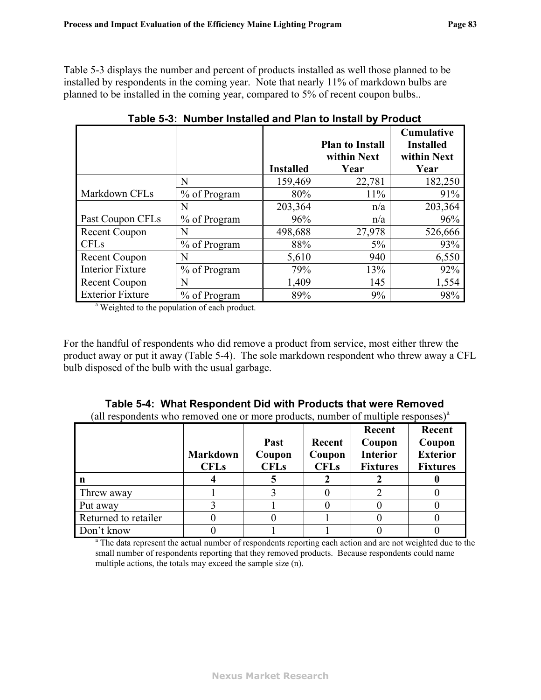[Table 5-3](#page-85-1) displays the number and percent of products installed as well those planned to be installed by respondents in the coming year. Note that nearly 11% of markdown bulbs are planned to be installed in the coming year, compared to 5% of recent coupon bulbs..

<span id="page-85-1"></span>

|                         |              | <b>Installed</b> | <b>Plan to Install</b><br>within Next<br>Year | <b>Cumulative</b><br><b>Installed</b><br>within Next<br>Year |
|-------------------------|--------------|------------------|-----------------------------------------------|--------------------------------------------------------------|
|                         | N            | 159,469          | 22,781                                        | 182,250                                                      |
| Markdown CFLs           | % of Program | $80\%$           | $11\%$                                        | 91%                                                          |
|                         | N            | 203,364          | n/a                                           | 203,364                                                      |
| Past Coupon CFLs        | % of Program | 96%              | n/a                                           | 96%                                                          |
| <b>Recent Coupon</b>    | N            | 498,688          | 27,978                                        | 526,666                                                      |
| <b>CFLs</b>             | % of Program | 88%              | $5\%$                                         | 93%                                                          |
| <b>Recent Coupon</b>    | N            | 5,610            | 940                                           | 6,550                                                        |
| <b>Interior Fixture</b> | % of Program | 79%              | 13%                                           | 92%                                                          |
| <b>Recent Coupon</b>    | N            | 1,409            | 145                                           | 1,554                                                        |
| <b>Exterior Fixture</b> | % of Program | 89%              | 9%                                            | 98%                                                          |

**Table 5-3: Number Installed and Plan to Install by Product** 

<sup>a</sup> Weighted to the population of each product.

For the handful of respondents who did remove a product from service, most either threw the product away or put it away [\(Table 5-4\)](#page-85-0). The sole markdown respondent who threw away a CFL bulb disposed of the bulb with the usual garbage.

<span id="page-85-0"></span>

| an respondents who removed one or more products, number or mumple responses |                 |             |             | Recent          | Recent          |
|-----------------------------------------------------------------------------|-----------------|-------------|-------------|-----------------|-----------------|
|                                                                             |                 | Past        | Recent      | Coupon          | Coupon          |
|                                                                             | <b>Markdown</b> | Coupon      | Coupon      | <b>Interior</b> | <b>Exterior</b> |
|                                                                             | <b>CFLs</b>     | <b>CFLs</b> | <b>CFLs</b> | <b>Fixtures</b> | <b>Fixtures</b> |
|                                                                             |                 |             |             |                 |                 |
| Threw away                                                                  |                 |             |             |                 |                 |
| Put away                                                                    |                 |             |             |                 |                 |
| Returned to retailer                                                        |                 |             |             |                 |                 |
| Don't know                                                                  |                 |             |             |                 |                 |

**Table 5-4: What Respondent Did with Products that were Removed**  (all respondents who removed one or more products, number of multiple responses) $^{\circ}$ 

 $\frac{1}{a}$  The data represent the actual number of respondents reporting each action and are not weighted due to the small number of respondents reporting that they removed products. Because respondents could name multiple actions, the totals may exceed the sample size (n).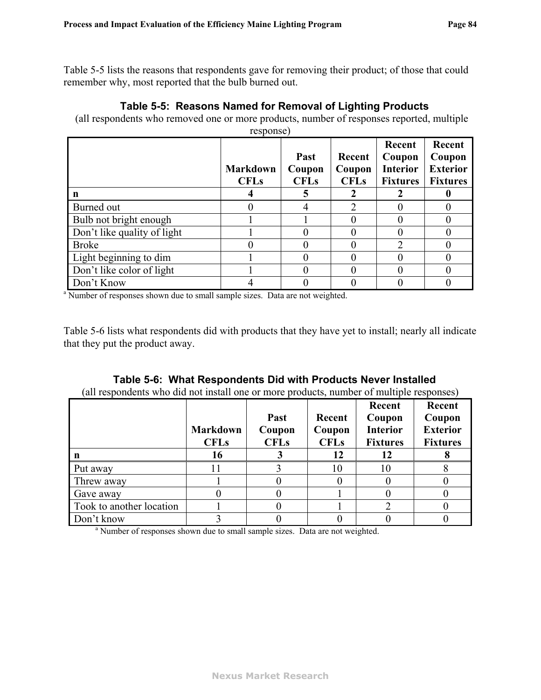[Table 5-5](#page-86-1) lists the reasons that respondents gave for removing their product; of those that could remember why, most reported that the bulb burned out.

#### **Table 5-5: Reasons Named for Removal of Lighting Products**

(all respondents who removed one or more products, number of responses reported, multiple

<span id="page-86-1"></span>

|                                                                                          | response)                      |                               |                                 |                                                        |                                                        |
|------------------------------------------------------------------------------------------|--------------------------------|-------------------------------|---------------------------------|--------------------------------------------------------|--------------------------------------------------------|
|                                                                                          | <b>Markdown</b><br><b>CFLs</b> | Past<br>Coupon<br><b>CFLs</b> | Recent<br>Coupon<br><b>CFLs</b> | Recent<br>Coupon<br><b>Interior</b><br><b>Fixtures</b> | Recent<br>Coupon<br><b>Exterior</b><br><b>Fixtures</b> |
| n                                                                                        |                                | 5                             |                                 |                                                        |                                                        |
| Burned out                                                                               |                                | 4                             |                                 |                                                        |                                                        |
| Bulb not bright enough                                                                   |                                |                               |                                 |                                                        |                                                        |
| Don't like quality of light                                                              |                                | 0                             |                                 |                                                        |                                                        |
| <b>Broke</b>                                                                             |                                | 0                             |                                 |                                                        |                                                        |
| Light beginning to dim                                                                   |                                | 0                             |                                 |                                                        |                                                        |
| Don't like color of light                                                                |                                | 0                             |                                 |                                                        |                                                        |
| Don't Know                                                                               |                                |                               |                                 |                                                        |                                                        |
| <sup>a</sup> Number of responses shown due to small sample sizes. Data are not weighted. |                                |                               |                                 |                                                        |                                                        |

[Table 5-6](#page-86-0) lists what respondents did with products that they have yet to install; nearly all indicate that they put the product away.

|  |  | Table 5-6: What Respondents Did with Products Never Installed |
|--|--|---------------------------------------------------------------|
|  |  |                                                               |

(all respondents who did not install one or more products, number of multiple responses)

<span id="page-86-0"></span>

|                                                                                          | <b>Markdown</b><br><b>CFLs</b> | <b>Past</b><br>Coupon<br><b>CFLs</b> | Recent<br>Coupon<br><b>CFLs</b> | Recent<br>Coupon<br><b>Interior</b><br><b>Fixtures</b> | Recent<br>Coupon<br><b>Exterior</b><br><b>Fixtures</b> |
|------------------------------------------------------------------------------------------|--------------------------------|--------------------------------------|---------------------------------|--------------------------------------------------------|--------------------------------------------------------|
| n                                                                                        | 16                             |                                      | 12                              | 12                                                     |                                                        |
| Put away                                                                                 |                                |                                      | 10                              | 10                                                     |                                                        |
| Threw away                                                                               |                                |                                      |                                 |                                                        |                                                        |
| Gave away                                                                                |                                |                                      |                                 |                                                        |                                                        |
| Took to another location                                                                 |                                |                                      |                                 |                                                        |                                                        |
| Don't know                                                                               |                                |                                      |                                 |                                                        |                                                        |
| <sup>a</sup> Number of responses shown due to small sample sizes. Data are not weighted. |                                |                                      |                                 |                                                        |                                                        |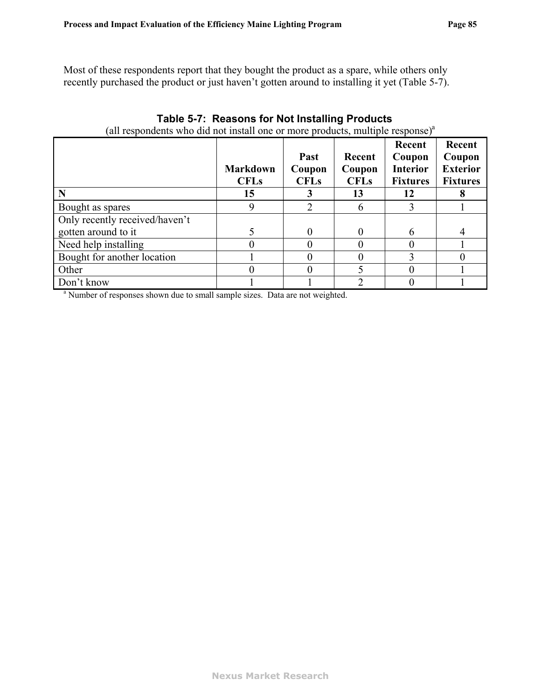Most of these respondents report that they bought the product as a spare, while others only recently purchased the product or just haven't gotten around to installing it yet ([Table 5-7\)](#page-87-0).

<span id="page-87-0"></span>

| (all respondents who did not install one or more products, multiple response) <sup>a</sup> |                                      |                                      |                                       |                                                              |                                                        |
|--------------------------------------------------------------------------------------------|--------------------------------------|--------------------------------------|---------------------------------------|--------------------------------------------------------------|--------------------------------------------------------|
| $\mathbf N$                                                                                | <b>Markdown</b><br><b>CFLs</b><br>15 | <b>Past</b><br>Coupon<br><b>CFLs</b> | Recent<br>Coupon<br><b>CFLs</b><br>13 | Recent<br>Coupon<br><b>Interior</b><br><b>Fixtures</b><br>12 | Recent<br>Coupon<br><b>Exterior</b><br><b>Fixtures</b> |
| Bought as spares                                                                           | 9                                    | $\mathcal{D}_{\cdot}$                | 6                                     |                                                              |                                                        |
| Only recently received/haven't                                                             |                                      |                                      |                                       |                                                              |                                                        |
| gotten around to it                                                                        | 5                                    | 0                                    | $\Omega$                              | 6                                                            | $\overline{4}$                                         |
| Need help installing                                                                       |                                      | 0                                    |                                       |                                                              |                                                        |
| Bought for another location                                                                |                                      | 0                                    |                                       |                                                              |                                                        |
| Other                                                                                      |                                      | 0                                    |                                       |                                                              |                                                        |
| Don't know                                                                                 |                                      |                                      |                                       |                                                              |                                                        |
| <sup>a</sup> Number of responses shown due to small sample sizes. Data are not weighted.   |                                      |                                      |                                       |                                                              |                                                        |

#### **Table 5-7: Reasons for Not Installing Products**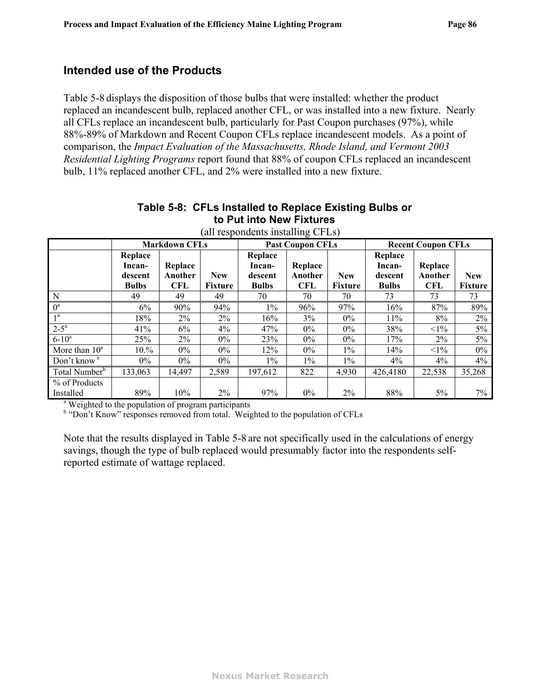### **Intended use of the Products**

[Table 5-8](#page-88-0) displays the disposition of those bulbs that were installed: whether the product replaced an incandescent bulb, replaced another CFL, or was installed into a new fixture. Nearly all CFLs replace an incandescent bulb, particularly for Past Coupon purchases (97%), while 88%-89% of Markdown and Recent Coupon CFLs replace incandescent models. As a point of comparison, the *Impact Evaluation of the Massachusetts, Rhode Island, and Vermont 2003 Residential Lighting Programs* report found that 88% of coupon CFLs replaced an incandescent bulb, 11% replaced another CFL, and 2% were installed into a new fixture.

<span id="page-88-0"></span>

| $\mu$ and responsive instanting $\sigma$ is not |                   |                      |            |                         |         |                |                           |            |                |
|-------------------------------------------------|-------------------|----------------------|------------|-------------------------|---------|----------------|---------------------------|------------|----------------|
|                                                 |                   | <b>Markdown CFLs</b> |            | <b>Past Coupon CFLs</b> |         |                | <b>Recent Coupon CFLs</b> |            |                |
|                                                 | Replace<br>Incan- | Replace              |            | Replace<br>Incan-       | Replace |                | Replace<br>Incan-         | Replace    |                |
|                                                 | descent           | Another              | <b>New</b> | descent                 | Another | <b>New</b>     | descent                   | Another    | <b>New</b>     |
|                                                 | <b>Bulbs</b>      | <b>CFL</b>           | Fixture    | <b>Bulbs</b>            | CFL     | <b>Fixture</b> | <b>Bulbs</b>              | <b>CFL</b> | <b>Fixture</b> |
| N                                               | 49                | 49                   | 49         | 70                      | 70      | 70             | 73                        | 73         | 73             |
| $0^a$                                           | $6\%$             | 90%                  | 94%        | $1\%$                   | 96%     | 97%            | 16%                       | 87%        | 89%            |
| 1 <sup>a</sup>                                  | 18%               | $2\%$                | 2%         | 16%                     | 3%      | $0\%$          | 11%                       | 8%         | 2%             |
| $2-5^a$                                         | 41%               | $6\%$                | $4\%$      | 47%                     | $0\%$   | $0\%$          | 38%                       | $<1\%$     | 5%             |
| $6 - 10^a$                                      | 25%               | $2\%$                | $0\%$      | 23%                     | $0\%$   | $0\%$          | 17%                       | $2\%$      | 5%             |
| More than $10^a$                                | 10.%              | $0\%$                | $0\%$      | 12%                     | $0\%$   | $1\%$          | 14%                       | $<1\%$     | $0\%$          |
| Don't know <sup>a</sup>                         | $0\%$             | $0\%$                | $0\%$      | $1\%$                   | $1\%$   | $1\%$          | 4%                        | 4%         | 4%             |
| Total Number <sup>b</sup>                       | 133,063           | 14,497               | 2,589      | 197,612                 | 822     | 4,930          | 426,4180                  | 22,538     | 35,268         |
| % of Products                                   |                   |                      |            |                         |         |                |                           |            |                |
| Installed                                       | 89%               | 10%                  | 2%         | 97%                     | $0\%$   | $2\%$          | 88%                       | 5%         | 7%             |

#### **Table 5-8: CFLs Installed to Replace Existing Bulbs or to Put into New Fixtures**   $\int$  (all respondents installing CFLs)

<sup>a</sup> Weighted to the population of program participants

<sup>b</sup> "Don't Know" responses removed from total. Weighted to the population of CFLs

Note that the results displayed in [Table 5-8](#page-88-0) are not specifically used in the calculations of energy savings, though the type of bulb replaced would presumably factor into the respondents selfreported estimate of wattage replaced.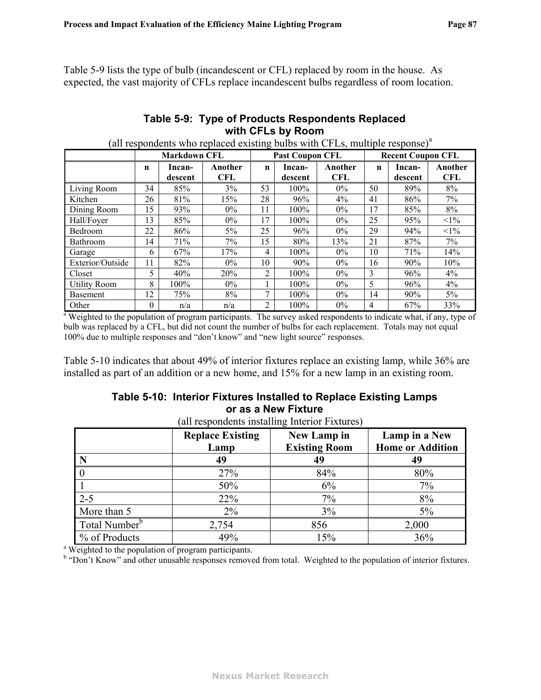[Table 5-9](#page-89-1) lists the type of bulb (incandescent or CFL) replaced by room in the house. As expected, the vast majority of CFLs replace incandescent bulbs regardless of room location.

### **Table 5-9: Type of Products Respondents Replaced with CFLs by Room**

<span id="page-89-1"></span>

|                     | <b>Markdown CFL</b> |                   |                       |                | <b>Past Coupon CFL</b> | $(III. 10.01100. 100.100100. 100000. 1000. 1000. 1000. 1000. 1000. 1000. 1000. 1000. 1000. 1000. 1000. 1000. 1000. 1000. 1000. 1000. 1000. 1000. 1000. 1000. 1000. 1000. 1000. 1000. 1000. 1000. 1000. 1000. 1000. 1000. 1000. $ | <b>Recent Coupon CFL</b> |                   |                       |
|---------------------|---------------------|-------------------|-----------------------|----------------|------------------------|----------------------------------------------------------------------------------------------------------------------------------------------------------------------------------------------------------------------------------|--------------------------|-------------------|-----------------------|
|                     | n                   | Incan-<br>descent | Another<br><b>CFL</b> | $\mathbf n$    | Incan-<br>descent      | Another<br><b>CFL</b>                                                                                                                                                                                                            | n                        | Incan-<br>descent | Another<br><b>CFL</b> |
| Living Room         | 34                  | 85%               | 3%                    | 53             | $100\%$                | $0\%$                                                                                                                                                                                                                            | 50                       | 89%               | 8%                    |
| Kitchen             | 26                  | 81%               | 15%                   | 28             | 96%                    | 4%                                                                                                                                                                                                                               | 41                       | 86%               | 7%                    |
| Dining Room         | 15                  | 93%               | $0\%$                 | 11             | 100%                   | $0\%$                                                                                                                                                                                                                            | 17                       | 85%               | 8%                    |
| Hall/Foyer          | 13                  | 85%               | $0\%$                 | 17             | $100\%$                | $0\%$                                                                                                                                                                                                                            | 25                       | 95%               | $<1\%$                |
| Bedroom             | 22                  | 86%               | $5\%$                 | 25             | 96%                    | $0\%$                                                                                                                                                                                                                            | 29                       | 94%               | $<1\%$                |
| Bathroom            | 14                  | 71%               | 7%                    | 15             | 80%                    | 13%                                                                                                                                                                                                                              | 21                       | 87%               | 7%                    |
| Garage              | 6                   | 67%               | 17%                   | 4              | 100%                   | $0\%$                                                                                                                                                                                                                            | 10                       | 71%               | 14%                   |
| Exterior/Outside    | 11                  | 82%               | $0\%$                 | 10             | 90%                    | $0\%$                                                                                                                                                                                                                            | 16                       | 90%               | 10%                   |
| Closet              | 5.                  | 40%               | 20%                   | 2              | $100\%$                | $0\%$                                                                                                                                                                                                                            | 3                        | 96%               | 4%                    |
| <b>Utility Room</b> | 8                   | 100%              | $0\%$                 |                | 100%                   | $0\%$                                                                                                                                                                                                                            | 5                        | 96%               | 4%                    |
| <b>Basement</b>     | 12                  | 75%               | 8%                    |                | 100%                   | $0\%$                                                                                                                                                                                                                            | 14                       | 90%               | $5\%$                 |
| Other               | $\theta$            | n/a               | n/a                   | $\overline{2}$ | 100%                   | $0\%$                                                                                                                                                                                                                            | 4                        | 67%               | 33%                   |

(all respondents who replaced existing bulbs with CFLs, multiple response)<sup>a</sup>

Other 0 n/a n/a 2 100% 0% 4 67% 33% a Weighted to the population of program participants. The survey asked respondents to indicate what, if any, type of bulb was replaced by a CFL, but did not count the number of bulbs for each replacement. Totals may not equal 100% due to multiple responses and "don't know" and "new light source" responses.

[Table 5-10](#page-89-0) indicates that about 49% of interior fixtures replace an existing lamp, while 36% are installed as part of an addition or a new home, and 15% for a new lamp in an existing room.

### **Table 5-10: Interior Fixtures Installed to Replace Existing Lamps or as a New Fixture**

<span id="page-89-0"></span>

| N                         | <b>Replace Existing</b><br>Lamp<br>49 | <b>New Lamp in</b><br><b>Existing Room</b><br>49 | Lamp in a New<br><b>Home or Addition</b><br>49 |
|---------------------------|---------------------------------------|--------------------------------------------------|------------------------------------------------|
|                           | 27%                                   | 84%                                              | 80%                                            |
|                           |                                       |                                                  |                                                |
|                           | 50%                                   | 6%                                               | 7%                                             |
| $2 - 5$                   | 22%                                   | 7%                                               | 8%                                             |
| More than 5               | $2\%$                                 | 3%                                               | 5%                                             |
| Total Number <sup>b</sup> | 2,754                                 | 856                                              | 2,000                                          |
| % of Products             | 49%                                   | 15%                                              | 36%                                            |

 $\epsilon$ <sup>1</sup> respondents installing Inter

<sup>b</sup> "Don't Know" and other unusable responses removed from total. Weighted to the population of interior fixtures.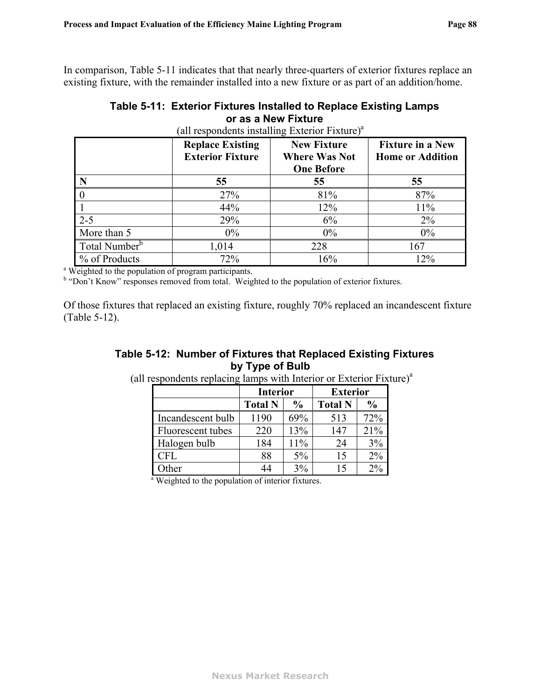<span id="page-90-1"></span>In comparison, [Table 5-11](#page-90-1) indicates that that nearly three-quarters of exterior fixtures replace an existing fixture, with the remainder installed into a new fixture or as part of an addition/home.

| Table 5-11: Exterior Fixtures Installed to Replace Existing Lamps |
|-------------------------------------------------------------------|
| or as a New Fixture                                               |

|                           | <b>Replace Existing</b><br><b>Exterior Fixture</b> | <b>New Fixture</b><br><b>Where Was Not</b><br><b>One Before</b> | <b>Fixture in a New</b><br><b>Home or Addition</b> |
|---------------------------|----------------------------------------------------|-----------------------------------------------------------------|----------------------------------------------------|
| N                         | 55                                                 | 55                                                              | 55                                                 |
|                           | 27%                                                | 81%                                                             | 87%                                                |
|                           | 44%                                                | 12%                                                             | 11%                                                |
| $2 - 5$                   | 29%                                                | 6%                                                              | $2\%$                                              |
| More than 5               | $0\%$                                              | $0\%$                                                           | 0%                                                 |
| Total Number <sup>b</sup> | 1,014                                              | 228                                                             | 167                                                |
| % of Products             | 72%                                                | 16%                                                             | 12%                                                |

(all respondents installing Exterior Fixture) $a$ 

<sup>b</sup> "Don't Know" responses removed from total. Weighted to the population of exterior fixtures.

<span id="page-90-0"></span>Of those fixtures that replaced an existing fixture, roughly 70% replaced an incandescent fixture ([Table 5-12](#page-90-0)).

### **Table 5-12: Number of Fixtures that Replaced Existing Fixtures by Type of Bulb**

|                                                               | <b>Interior</b> |               | <b>Exterior</b> |               |  |
|---------------------------------------------------------------|-----------------|---------------|-----------------|---------------|--|
|                                                               | <b>Total N</b>  | $\frac{0}{0}$ | <b>Total N</b>  | $\frac{0}{0}$ |  |
| Incandescent bulb                                             | 1190            | 69%           | 513             | 72%           |  |
| Fluorescent tubes                                             | 220             | 13%           | 147             | 21%           |  |
| Halogen bulb                                                  | 184             | 11%           | 24              | 3%            |  |
| <b>CFL</b>                                                    | 88              | $5\%$         | 15              | $2\%$         |  |
| Other                                                         | 44              | 3%            | 15              | $2\%$         |  |
| <sup>a</sup> Weighted to the population of interior fixtures. |                 |               |                 |               |  |

(all respondents replacing lamps with Interior or Exterior Fixture) $a$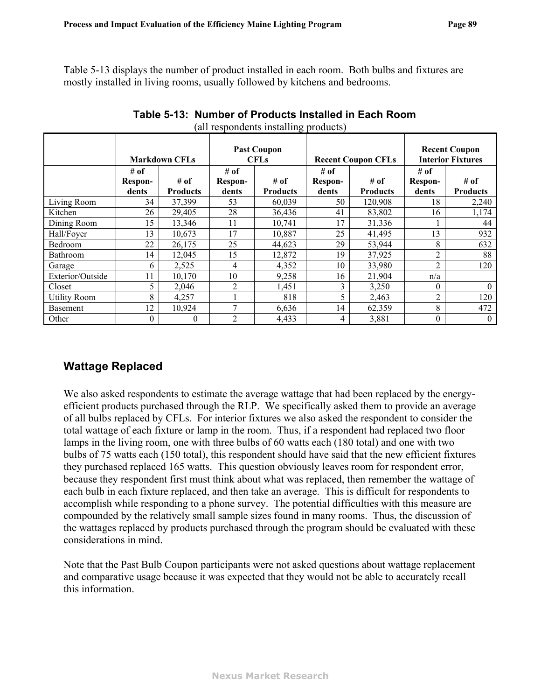[Table 5-13](#page-91-0) displays the number of product installed in each room. Both bulbs and fixtures are mostly installed in living rooms, usually followed by kitchens and bedrooms.

<span id="page-91-0"></span>

|                     | <b>Markdown CFLs</b> |                 | <b>Past Coupon</b><br><b>CFLs</b> |                 | <b>Recent Coupon CFLs</b> |                 | <b>Recent Coupon</b><br><b>Interior Fixtures</b> |                 |
|---------------------|----------------------|-----------------|-----------------------------------|-----------------|---------------------------|-----------------|--------------------------------------------------|-----------------|
|                     | # of                 | # of            | # of                              | # of            | # of                      | # of            | # of                                             | # of            |
|                     | Respon-<br>dents     | <b>Products</b> | Respon-<br>dents                  | <b>Products</b> | Respon-<br>dents          | <b>Products</b> | Respon-<br>dents                                 | <b>Products</b> |
| Living Room         | 34                   | 37,399          | 53                                | 60,039          | 50                        | 120,908         | 18                                               | 2,240           |
| Kitchen             | 26                   | 29,405          | 28                                | 36,436          | 41                        | 83,802          | 16                                               | 1,174           |
| Dining Room         | 15                   | 13,346          | 11                                | 10,741          | 17                        | 31,336          |                                                  | 44              |
| Hall/Foyer          | 13                   | 10,673          | 17                                | 10,887          | 25                        | 41,495          | 13                                               | 932             |
| Bedroom             | 22                   | 26,175          | 25                                | 44,623          | 29                        | 53,944          | 8                                                | 632             |
| <b>Bathroom</b>     | 14                   | 12,045          | 15                                | 12,872          | 19                        | 37,925          | າ                                                | 88              |
| Garage              | 6                    | 2,525           | 4                                 | 4,352           | 10                        | 33,980          | $\overline{c}$                                   | 120             |
| Exterior/Outside    | 11                   | 10,170          | 10                                | 9,258           | 16                        | 21,904          | n/a                                              |                 |
| Closet              | 5                    | 2,046           | $\overline{2}$                    | 1,451           | 3                         | 3,250           | 0                                                | $\Omega$        |
| <b>Utility Room</b> | 8                    | 4,257           |                                   | 818             |                           | 2,463           | 2                                                | 120             |
| <b>Basement</b>     | 12                   | 10,924          | 7                                 | 6,636           | 14                        | 62,359          | 8                                                | 472             |
| Other               | $\theta$             | 0               | $\mathfrak{D}$                    | 4,433           | 4                         | 3,881           | 0                                                | $\theta$        |

| Table 5-13: Number of Products Installed in Each Room |
|-------------------------------------------------------|
| (all respondents installing products)                 |

## **Wattage Replaced**

We also asked respondents to estimate the average wattage that had been replaced by the energyefficient products purchased through the RLP. We specifically asked them to provide an average of all bulbs replaced by CFLs. For interior fixtures we also asked the respondent to consider the total wattage of each fixture or lamp in the room. Thus, if a respondent had replaced two floor lamps in the living room, one with three bulbs of 60 watts each (180 total) and one with two bulbs of 75 watts each (150 total), this respondent should have said that the new efficient fixtures they purchased replaced 165 watts. This question obviously leaves room for respondent error, because they respondent first must think about what was replaced, then remember the wattage of each bulb in each fixture replaced, and then take an average. This is difficult for respondents to accomplish while responding to a phone survey. The potential difficulties with this measure are compounded by the relatively small sample sizes found in many rooms. Thus, the discussion of the wattages replaced by products purchased through the program should be evaluated with these considerations in mind.

Note that the Past Bulb Coupon participants were not asked questions about wattage replacement and comparative usage because it was expected that they would not be able to accurately recall this information.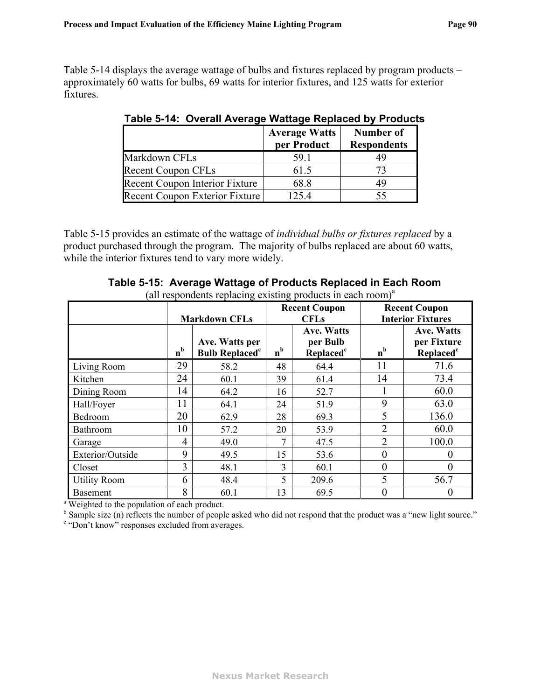<span id="page-92-1"></span>[Table 5-14](#page-92-1) displays the average wattage of bulbs and fixtures replaced by program products – approximately 60 watts for bulbs, 69 watts for interior fixtures, and 125 watts for exterior fixtures.

|                                       | <b>Average Watts</b><br>per Product | <b>Number of</b><br><b>Respondents</b> |
|---------------------------------------|-------------------------------------|----------------------------------------|
| Markdown CFLs                         | 59.1                                | 49                                     |
| <b>Recent Coupon CFLs</b>             | 61.5                                |                                        |
| <b>Recent Coupon Interior Fixture</b> | 68.8                                | 49                                     |
| Recent Coupon Exterior Fixture        | 125.4                               |                                        |

**Table 5-14: Overall Average Wattage Replaced by Products** 

[Table 5-15](#page-92-0) provides an estimate of the wattage of *individual bulbs or fixtures replaced* by a product purchased through the program. The majority of bulbs replaced are about 60 watts, while the interior fixtures tend to vary more widely.

<span id="page-92-0"></span>

|                     |         | <b>Markdown CFLs</b>                               | <b>Recent Coupon</b><br><b>CFLs</b> |                                                        | <b>Recent Coupon</b><br><b>Interior Fixtures</b> |                                                           |
|---------------------|---------|----------------------------------------------------|-------------------------------------|--------------------------------------------------------|--------------------------------------------------|-----------------------------------------------------------|
|                     | $n^{b}$ | Ave. Watts per<br><b>Bulb Replaced<sup>c</sup></b> | $n^{b}$                             | <b>Ave. Watts</b><br>per Bulb<br>Replaced <sup>c</sup> | $n^{b}$                                          | <b>Ave. Watts</b><br>per Fixture<br>Replaced <sup>c</sup> |
| Living Room         | 29      | 58.2                                               | 48                                  | 64.4                                                   | 11                                               | 71.6                                                      |
| Kitchen             | 24      | 60.1                                               | 39                                  | 61.4                                                   | 14                                               | 73.4                                                      |
| Dining Room         | 14      | 64.2                                               | 16                                  | 52.7                                                   |                                                  | 60.0                                                      |
| Hall/Foyer          | 11      | 64.1                                               | 24                                  | 51.9                                                   | 9                                                | 63.0                                                      |
| Bedroom             | 20      | 62.9                                               | 28                                  | 69.3                                                   | 5                                                | 136.0                                                     |
| <b>Bathroom</b>     | 10      | 57.2                                               | 20                                  | 53.9                                                   | $\overline{2}$                                   | 60.0                                                      |
| Garage              | 4       | 49.0                                               | 7                                   | 47.5                                                   | $\overline{2}$                                   | 100.0                                                     |
| Exterior/Outside    | 9       | 49.5                                               | 15                                  | 53.6                                                   | $\boldsymbol{0}$                                 |                                                           |
| Closet              | 3       | 48.1                                               | 3                                   | 60.1                                                   | $\theta$                                         | $\theta$                                                  |
| <b>Utility Room</b> | 6       | 48.4                                               | 5                                   | 209.6                                                  | 5                                                | 56.7                                                      |
| <b>Basement</b>     | 8       | 60.1                                               | 13                                  | 69.5                                                   | $\boldsymbol{0}$                                 | $\theta$                                                  |

#### **Table 5-15: Average Wattage of Products Replaced in Each Room**  (all respondents replacing existing products in each room)<sup>a</sup>

<sup>b</sup> Sample size (n) reflects the number of people asked who did not respond that the product was a "new light source."

<sup>c</sup> "Don't know" responses excluded from averages.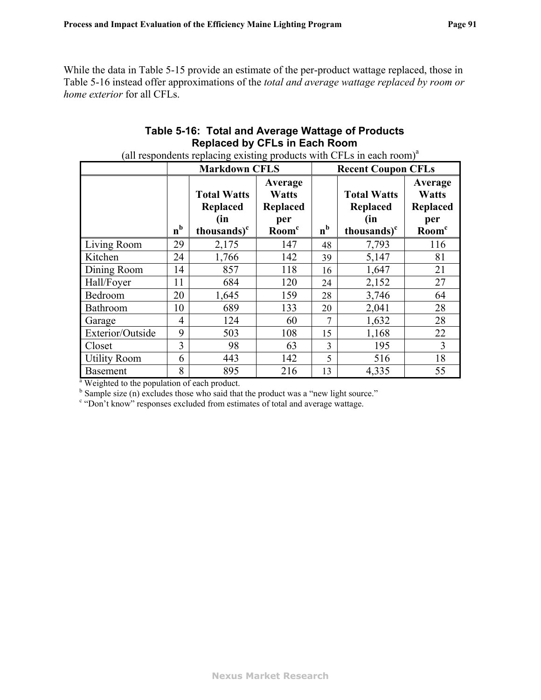<span id="page-93-0"></span>While the data in [Table 5-15](#page-92-0) provide an estimate of the per-product wattage replaced, those in [Table 5-16](#page-93-0) instead offer approximations of the *total and average wattage replaced by room or home exterior* for all CFLs.

### **Table 5-16: Total and Average Wattage of Products Replaced by CFLs in Each Room**

|                                                          |                   | <b>Markdown CFLS</b>                                             |                                                                 | <b>Recent Coupon CFLs</b> |                                                                         |                                                                 |  |  |
|----------------------------------------------------------|-------------------|------------------------------------------------------------------|-----------------------------------------------------------------|---------------------------|-------------------------------------------------------------------------|-----------------------------------------------------------------|--|--|
|                                                          | b<br>$\mathbf{n}$ | <b>Total Watts</b><br>Replaced<br>(in<br>thousands) <sup>c</sup> | Average<br><b>Watts</b><br>Replaced<br>per<br>Room <sup>c</sup> | $n^{b}$                   | <b>Total Watts</b><br><b>Replaced</b><br>(in<br>thousands) <sup>c</sup> | Average<br><b>Watts</b><br>Replaced<br>per<br>Room <sup>c</sup> |  |  |
| Living Room                                              | 29                | 2,175                                                            | 147                                                             | 48                        | 7,793                                                                   | 116                                                             |  |  |
| Kitchen                                                  | 24                | 1,766                                                            | 142                                                             | 39                        | 5,147                                                                   | 81                                                              |  |  |
| Dining Room                                              | 14                | 857                                                              | 118                                                             | 16                        | 1,647                                                                   | 21                                                              |  |  |
| Hall/Foyer                                               | 11                | 684                                                              | 120                                                             | 24                        | 2,152                                                                   | 27                                                              |  |  |
| Bedroom                                                  | 20                | 1,645                                                            | 159                                                             | 28                        | 3,746                                                                   | 64                                                              |  |  |
| Bathroom                                                 | 10                | 689                                                              | 133                                                             | 20                        | 2,041                                                                   | 28                                                              |  |  |
| Garage                                                   | 4                 | 124                                                              | 60                                                              | $\tau$                    | 1,632                                                                   | 28                                                              |  |  |
| Exterior/Outside                                         | 9                 | 503                                                              | 108                                                             | 15                        | 1,168                                                                   | 22                                                              |  |  |
| Closet                                                   | 3                 | 98                                                               | 63                                                              | 3                         | 195                                                                     | 3                                                               |  |  |
| <b>Utility Room</b>                                      | 6                 | 443                                                              | 142                                                             | 5                         | 516                                                                     | 18                                                              |  |  |
| <b>Basement</b>                                          | 8                 | 895                                                              | 216                                                             | 13                        | 4,335                                                                   | 55                                                              |  |  |
| <sup>a</sup> Weighted to the population of each product. |                   |                                                                  |                                                                 |                           |                                                                         |                                                                 |  |  |

(all respondents replacing existing products with CFLs in each room) $a$ 

 $b^b$  Sample size (n) excludes those who said that the product was a "new light source."

<sup>c</sup> "Don't know" responses excluded from estimates of total and average wattage.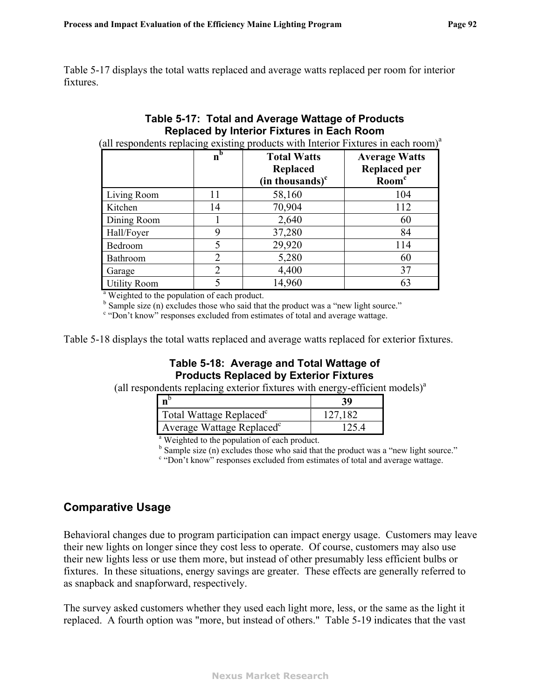<span id="page-94-0"></span>[Table 5-17](#page-94-0) displays the total watts replaced and average watts replaced per room for interior fixtures.

### **Table 5-17: Total and Average Wattage of Products Replaced by Interior Fixtures in Each Room**

(all respondents replacing existing products with Interior Fixtures in each room)<sup>a</sup>

|                                                          | n <sub>b</sub> | <b>Total Watts</b>   | <b>Average Watts</b> |
|----------------------------------------------------------|----------------|----------------------|----------------------|
|                                                          |                | Replaced             | <b>Replaced per</b>  |
|                                                          |                | $(in$ thousands) $c$ | Room <sup>c</sup>    |
| Living Room                                              | 11             | 58,160               | 104                  |
| Kitchen                                                  | 14             | 70,904               | 112                  |
| Dining Room                                              |                | 2,640                | 60                   |
| Hall/Foyer                                               | 9              | 37,280               | 84                   |
| Bedroom                                                  | 5              | 29,920               | 114                  |
| Bathroom                                                 | $\overline{2}$ | 5,280                | 60                   |
| Garage                                                   | 2              | 4,400                | 37                   |
| <b>Utility Room</b>                                      |                | 14,960               | 63                   |
| <sup>a</sup> Weighted to the population of each product. |                |                      |                      |

 $b^b$  Sample size (n) excludes those who said that the product was a "new light source."

<sup>c</sup> "Don't know" responses excluded from estimates of total and average wattage.

<span id="page-94-1"></span>[Table 5-18](#page-94-1) displays the total watts replaced and average watts replaced for exterior fixtures.

### **Table 5-18: Average and Total Wattage of Products Replaced by Exterior Fixtures**

(all respondents replacing exterior fixtures with energy-efficient models) $a$ 

| $n^{b}$                                                  | 39      |  |  |  |  |
|----------------------------------------------------------|---------|--|--|--|--|
| Total Wattage Replaced <sup>c</sup>                      | 127.182 |  |  |  |  |
| Average Wattage Replaced <sup>c</sup>                    | 125.4   |  |  |  |  |
| <sup>a</sup> Weighted to the population of each product. |         |  |  |  |  |

 $b^b$  Sample size (n) excludes those who said that the product was a "new light source."

<sup>c</sup> "Don't know" responses excluded from estimates of total and average wattage.

## **Comparative Usage**

Behavioral changes due to program participation can impact energy usage. Customers may leave their new lights on longer since they cost less to operate. Of course, customers may also use their new lights less or use them more, but instead of other presumably less efficient bulbs or fixtures. In these situations, energy savings are greater. These effects are generally referred to as snapback and snapforward, respectively.

The survey asked customers whether they used each light more, less, or the same as the light it replaced. A fourth option was "more, but instead of others." [Table 5-19](#page-95-0) indicates that the vast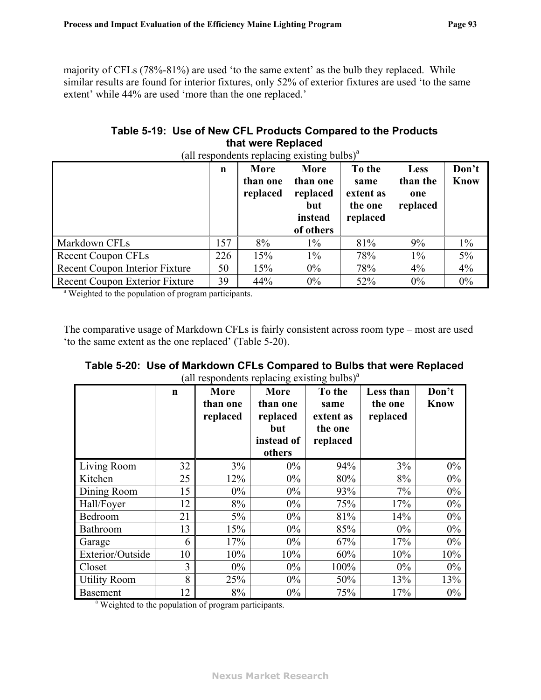majority of CFLs (78%-81%) are used 'to the same extent' as the bulb they replaced. While similar results are found for interior fixtures, only 52% of exterior fixtures are used 'to the same extent' while 44% are used 'more than the one replaced.'

### **Table 5-19: Use of New CFL Products Compared to the Products that were Replaced**

<span id="page-95-0"></span>

|                                                                  | n   | -0<br>More<br>than one<br>replaced | More<br>than one<br>replaced<br>but<br>instead<br>of others | To the<br>same<br>extent as<br>the one<br>replaced | <b>Less</b><br>than the<br>one<br>replaced | Don't<br><b>Know</b> |
|------------------------------------------------------------------|-----|------------------------------------|-------------------------------------------------------------|----------------------------------------------------|--------------------------------------------|----------------------|
| Markdown CFLs                                                    | 157 | 8%                                 | $1\%$                                                       | 81%                                                | 9%                                         | $1\%$                |
| <b>Recent Coupon CFLs</b>                                        | 226 | 15%                                | $1\%$                                                       | 78%                                                | $1\%$                                      | $5\%$                |
| Recent Coupon Interior Fixture                                   | 50  | 15%                                | $0\%$                                                       | 78%                                                | $4\%$                                      | 4%                   |
| Recent Coupon Exterior Fixture                                   | 39  | 44%                                | $0\%$                                                       | 52%                                                | $0\%$                                      | $0\%$                |
| <sup>a</sup> Weighted to the population of program participants. |     |                                    |                                                             |                                                    |                                            |                      |

(all respondents replacing existing bulbs) $^{\alpha}$ 

<span id="page-95-1"></span>The comparative usage of Markdown CFLs is fairly consistent across room type – most are used 'to the same extent as the one replaced' ([Table 5-20\)](#page-95-1).

|                     | $\mathbf n$ | <b>More</b><br>than one<br>replaced | More<br>than one<br>replaced<br>but<br>instead of<br>others | To the<br>same<br>extent as<br>the one<br>replaced | Less than<br>the one<br>replaced | Don't<br><b>Know</b> |
|---------------------|-------------|-------------------------------------|-------------------------------------------------------------|----------------------------------------------------|----------------------------------|----------------------|
| Living Room         | 32          | $3\%$                               | $0\%$                                                       | 94%                                                | 3%                               | $0\%$                |
| Kitchen             | 25          | 12%                                 | $0\%$                                                       | 80%                                                | 8%                               | $0\%$                |
| Dining Room         | 15          | $0\%$                               | $0\%$                                                       | 93%                                                | 7%                               | $0\%$                |
| Hall/Foyer          | 12          | 8%                                  | $0\%$                                                       | 75%                                                | 17%                              | $0\%$                |
| Bedroom             | 21          | $5\%$                               | $0\%$                                                       | 81%                                                | 14%                              | $0\%$                |
| Bathroom            | 13          | 15%                                 | $0\%$                                                       | 85%                                                | $0\%$                            | $0\%$                |
| Garage              | 6           | 17%                                 | $0\%$                                                       | 67%                                                | 17%                              | $0\%$                |
| Exterior/Outside    | 10          | 10%                                 | 10%                                                         | 60%                                                | 10%                              | 10%                  |
| Closet              | 3           | $0\%$                               | $0\%$                                                       | 100%                                               | $0\%$                            | $0\%$                |
| <b>Utility Room</b> | 8           | 25%                                 | $0\%$                                                       | 50%                                                | 13%                              | 13%                  |
| <b>Basement</b>     | 12          | 8%                                  | $0\%$                                                       | 75%                                                | 17%                              | $0\%$                |

| Table 5-20:  Use of Markdown CFLs Compared to Bulbs that were Replaced |
|------------------------------------------------------------------------|
| (all respondents replacing existing bulbs) <sup>a</sup>                |

<sup>a</sup> Weighted to the population of program participants.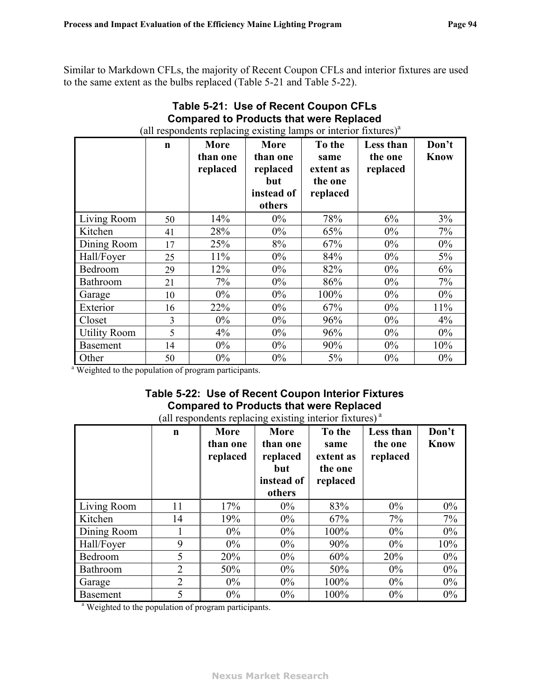<span id="page-96-1"></span>Similar to Markdown CFLs, the majority of Recent Coupon CFLs and interior fixtures are used to the same extent as the bulbs replaced [\(Table 5-21](#page-96-1) and [Table 5-22](#page-96-0)).

|                     | $\mathbf n$ | <b>More</b><br>than one<br>replaced | More<br>than one<br>replaced<br>but<br>instead of<br>others | To the<br>same<br>extent as<br>the one<br>replaced | Less than<br>the one<br>replaced | Don't<br><b>Know</b> |
|---------------------|-------------|-------------------------------------|-------------------------------------------------------------|----------------------------------------------------|----------------------------------|----------------------|
| Living Room         | 50          | 14%                                 | $0\%$                                                       | 78%                                                | 6%                               | 3%                   |
| Kitchen             | 41          | 28%                                 | $0\%$                                                       | 65%                                                | $0\%$                            | 7%                   |
| Dining Room         | 17          | 25%                                 | 8%                                                          | 67%                                                | $0\%$                            | $0\%$                |
| Hall/Foyer          | 25          | 11%                                 | $0\%$                                                       | 84%                                                | $0\%$                            | 5%                   |
| Bedroom             | 29          | 12%                                 | $0\%$                                                       | 82%                                                | $0\%$                            | 6%                   |
| <b>Bathroom</b>     | 21          | 7%                                  | $0\%$                                                       | 86%                                                | $0\%$                            | $7\%$                |
| Garage              | 10          | $0\%$                               | $0\%$                                                       | 100%                                               | $0\%$                            | $0\%$                |
| Exterior            | 16          | 22%                                 | $0\%$                                                       | 67%                                                | $0\%$                            | 11%                  |
| Closet              | 3           | $0\%$                               | $0\%$                                                       | 96%                                                | $0\%$                            | $4\%$                |
| <b>Utility Room</b> | 5           | 4%                                  | $0\%$                                                       | 96%                                                | $0\%$                            | $0\%$                |
| <b>Basement</b>     | 14          | $0\%$                               | $0\%$                                                       | 90%                                                | $0\%$                            | 10%                  |
| Other               | 50          | $0\%$                               | $0\%$                                                       | 5%                                                 | $0\%$                            | $0\%$                |

# **Table 5-21: Use of Recent Coupon CFLs Compared to Products that were Replaced**

# **Table 5-22: Use of Recent Coupon Interior Fixtures Compared to Products that were Replaced**

(all respondents replacing existing interior fixtures) a

<span id="page-96-0"></span>

|                                                                  | $\mathbf n$ | <b>More</b><br>than one<br>replaced | More<br>than one<br>replaced<br>but<br>instead of<br>others | To the<br>same<br>extent as<br>the one<br>replaced | Less than<br>the one<br>replaced | Don't<br><b>Know</b> |
|------------------------------------------------------------------|-------------|-------------------------------------|-------------------------------------------------------------|----------------------------------------------------|----------------------------------|----------------------|
| Living Room                                                      | 11          | 17%                                 | $0\%$                                                       | 83%                                                | $0\%$                            | $0\%$                |
| Kitchen                                                          | 14          | 19%                                 | $0\%$                                                       | 67%                                                | $7\%$                            | $7\%$                |
| Dining Room                                                      |             | $0\%$                               | $0\%$                                                       | 100%                                               | $0\%$                            | $0\%$                |
| Hall/Foyer                                                       | 9           | $0\%$                               | $0\%$                                                       | 90%                                                | $0\%$                            | 10%                  |
| Bedroom                                                          | 5           | 20%                                 | $0\%$                                                       | 60%                                                | 20%                              | $0\%$                |
| Bathroom                                                         | 2           | 50%                                 | $0\%$                                                       | 50%                                                | $0\%$                            | $0\%$                |
| Garage                                                           | 2           | $0\%$                               | $0\%$                                                       | 100%                                               | $0\%$                            | $0\%$                |
| <b>Basement</b>                                                  | 5           | $0\%$                               | $0\%$                                                       | 100%                                               | $0\%$                            | $0\%$                |
| <sup>a</sup> Weighted to the population of program participants. |             |                                     |                                                             |                                                    |                                  |                      |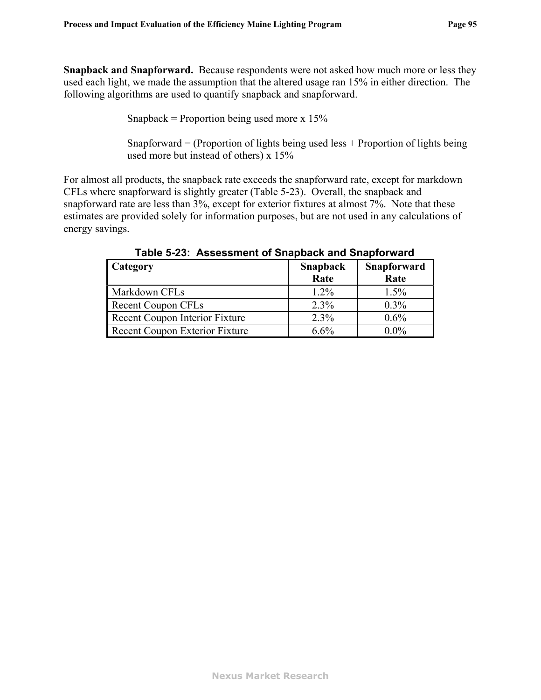**Snapback and Snapforward.** Because respondents were not asked how much more or less they used each light, we made the assumption that the altered usage ran 15% in either direction. The following algorithms are used to quantify snapback and snapforward.

Snapback = Proportion being used more  $x$  15%

Snapforward  $=$  (Proportion of lights being used less  $+$  Proportion of lights being used more but instead of others) x 15%

<span id="page-97-0"></span>For almost all products, the snapback rate exceeds the snapforward rate, except for markdown CFLs where snapforward is slightly greater [\(Table 5-23\)](#page-97-0). Overall, the snapback and snapforward rate are less than 3%, except for exterior fixtures at almost 7%. Note that these estimates are provided solely for information purposes, but are not used in any calculations of energy savings.

| <b>Category</b>                | Snapback<br>Rate | Snapforward<br>Rate |
|--------------------------------|------------------|---------------------|
| Markdown CFLs                  | $1.2\%$          | 1.5%                |
| <b>Recent Coupon CFLs</b>      | 2.3%             | $0.3\%$             |
| Recent Coupon Interior Fixture | 2.3%             | $0.6\%$             |
| Recent Coupon Exterior Fixture | $6.6\%$          | $0.0\%$             |

**Table 5-23: Assessment of Snapback and Snapforward**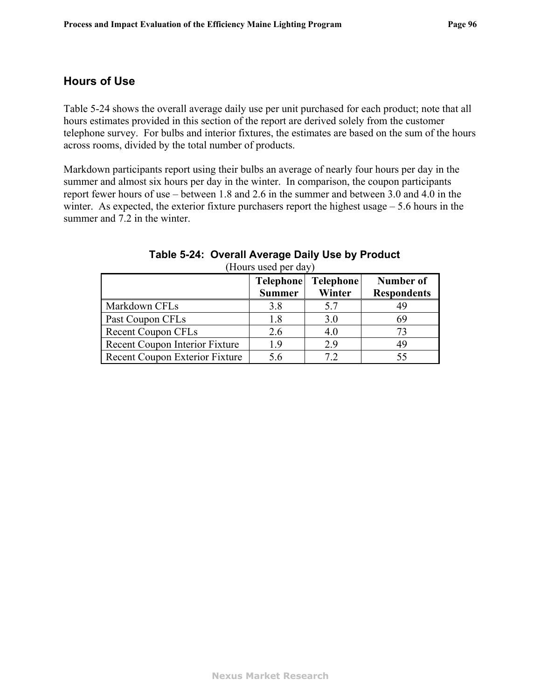### **Hours of Use**

[Table 5-24](#page-98-0) shows the overall average daily use per unit purchased for each product; note that all hours estimates provided in this section of the report are derived solely from the customer telephone survey. For bulbs and interior fixtures, the estimates are based on the sum of the hours across rooms, divided by the total number of products.

Markdown participants report using their bulbs an average of nearly four hours per day in the summer and almost six hours per day in the winter. In comparison, the coupon participants report fewer hours of use – between 1.8 and 2.6 in the summer and between 3.0 and 4.0 in the winter. As expected, the exterior fixture purchasers report the highest usage – 5.6 hours in the summer and 7.2 in the winter.

<span id="page-98-0"></span>

|                                       | <b>Telephone</b> | Telephone | Number of          |
|---------------------------------------|------------------|-----------|--------------------|
|                                       | <b>Summer</b>    | Winter    | <b>Respondents</b> |
| Markdown CFLs                         | 3.8              | 5.7       |                    |
| <b>Past Coupon CFLs</b>               | 18               | 3.0       | 69                 |
| <b>Recent Coupon CFLs</b>             | 2.6              | 4.0       | 73                 |
| <b>Recent Coupon Interior Fixture</b> | 19               | 2.9       | 49                 |
| Recent Coupon Exterior Fixture        | 56               | 79        |                    |

| Table 5-24: Overall Average Daily Use by Product |
|--------------------------------------------------|
| (Hours used per day)                             |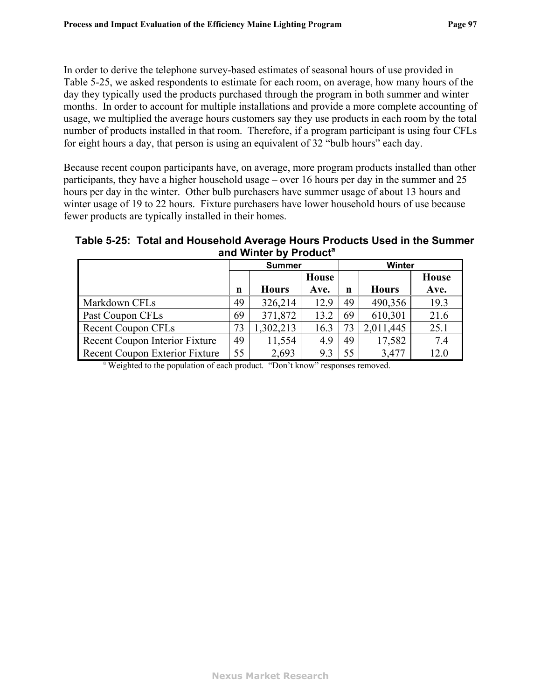In order to derive the telephone survey-based estimates of seasonal hours of use provided in [Table 5-25](#page-99-0), we asked respondents to estimate for each room, on average, how many hours of the day they typically used the products purchased through the program in both summer and winter months. In order to account for multiple installations and provide a more complete accounting of usage, we multiplied the average hours customers say they use products in each room by the total number of products installed in that room. Therefore, if a program participant is using four CFLs for eight hours a day, that person is using an equivalent of 32 "bulb hours" each day.

Because recent coupon participants have, on average, more program products installed than other participants, they have a higher household usage – over 16 hours per day in the summer and 25 hours per day in the winter. Other bulb purchasers have summer usage of about 13 hours and winter usage of 19 to 22 hours. Fixture purchasers have lower household hours of use because fewer products are typically installed in their homes.

<span id="page-99-0"></span>**Table 5-25: Total and Household Average Hours Products Used in the Summer**  and Winter by Product<sup>a</sup>

|                                                                                          |    | <b>Summer</b> |       | Winter |              |       |  |
|------------------------------------------------------------------------------------------|----|---------------|-------|--------|--------------|-------|--|
|                                                                                          |    |               | House |        |              | House |  |
|                                                                                          | n  | <b>Hours</b>  | Ave.  | n      | <b>Hours</b> | Ave.  |  |
| Markdown CFLs                                                                            | 49 | 326,214       | 12.9  | 49     | 490,356      | 19.3  |  |
| Past Coupon CFLs                                                                         | 69 | 371,872       | 13.2  | 69     | 610,301      | 21.6  |  |
| <b>Recent Coupon CFLs</b>                                                                | 73 | 1,302,213     | 16.3  | 73     | 2,011,445    | 25.1  |  |
| Recent Coupon Interior Fixture                                                           | 49 | 11,554        | 4.9   | 49     | 17,582       | 7.4   |  |
| <b>Recent Coupon Exterior Fixture</b>                                                    | 55 | 2,693         | 9.3   | 55     | 3,477        | 12.0  |  |
| <sup>a</sup> Weighted to the population of each product. "Don't know" responses removed. |    |               |       |        |              |       |  |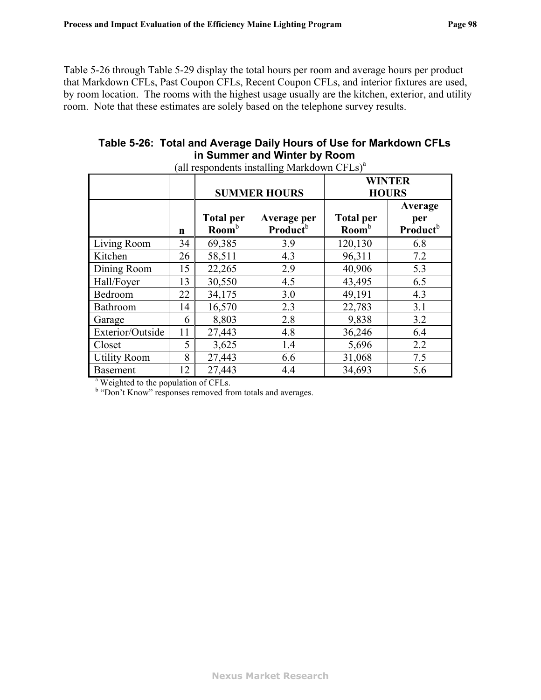[Table 5-26](#page-100-0) through [Table 5-29](#page-102-0) display the total hours per room and average hours per product that Markdown CFLs, Past Coupon CFLs, Recent Coupon CFLs, and interior fixtures are used, by room location. The rooms with the highest usage usually are the kitchen, exterior, and utility room. Note that these estimates are solely based on the telephone survey results.

## **Table 5-26: Total and Average Daily Hours of Use for Markdown CFLs in Summer and Winter by Room**

<span id="page-100-0"></span>

|                                                                              |             | <b>SUMMER HOURS</b>                          |                                            | <b>WINTER</b><br><b>HOURS</b>         |                                        |
|------------------------------------------------------------------------------|-------------|----------------------------------------------|--------------------------------------------|---------------------------------------|----------------------------------------|
|                                                                              | $\mathbf n$ | <b>Total per</b><br>$\text{Room}^{\text{b}}$ | Average per<br><b>Product</b> <sup>b</sup> | <b>Total per</b><br>Room <sup>b</sup> | Average<br>per<br>Product <sup>b</sup> |
| Living Room                                                                  | 34          | 69,385                                       | 3.9                                        | 120,130                               | 6.8                                    |
| Kitchen                                                                      | 26          | 58,511                                       | 4.3                                        | 96,311                                | 7.2                                    |
| Dining Room                                                                  | 15          | 22,265                                       | 2.9                                        | 40,906                                | 5.3                                    |
| Hall/Foyer                                                                   | 13          | 30,550                                       | 4.5                                        | 43,495                                | 6.5                                    |
| Bedroom                                                                      | 22          | 34,175                                       | 3.0                                        | 49,191                                | 4.3                                    |
| Bathroom                                                                     | 14          | 16,570                                       | 2.3                                        | 22,783                                | 3.1                                    |
| Garage                                                                       | 6           | 8,803                                        | 2.8                                        | 9,838                                 | 3.2                                    |
| Exterior/Outside                                                             | 11          | 27,443                                       | 4.8                                        | 36,246                                | 6.4                                    |
| Closet                                                                       | 5           | 3,625                                        | 1.4                                        | 5,696                                 | 2.2                                    |
| <b>Utility Room</b>                                                          | 8           | 27,443                                       | 6.6                                        | 31,068                                | 7.5                                    |
| <b>Basement</b><br>$\frac{3 \text{ W}}{2}$ Weighted to the negative of CEL s | 12          | 27,443                                       | 4.4                                        | 34,693                                | 5.6                                    |

(all respondents installing Markdown  $CFLs$ )<sup>a</sup>

<sup>a</sup> Weighted to the population of CFLs.

<sup>b</sup> "Don't Know" responses removed from totals and averages.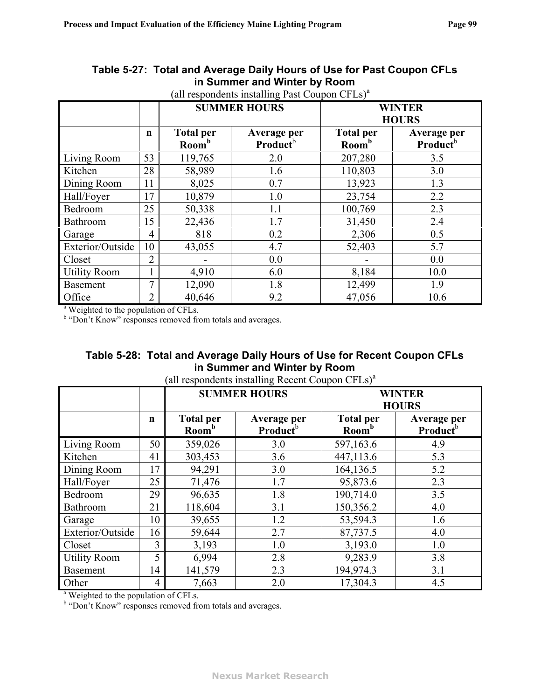|                                                                                                                           |                | <b>SUMMER HOURS</b>                   |                                            | <b>WINTER</b><br><b>HOURS</b>         |                                            |  |
|---------------------------------------------------------------------------------------------------------------------------|----------------|---------------------------------------|--------------------------------------------|---------------------------------------|--------------------------------------------|--|
|                                                                                                                           | $\mathbf n$    | <b>Total per</b><br>Room <sup>b</sup> | Average per<br><b>Product</b> <sup>b</sup> | <b>Total per</b><br>Room <sup>b</sup> | Average per<br><b>Product</b> <sup>b</sup> |  |
| Living Room                                                                                                               | 53             | 119,765                               | 2.0                                        | 207,280                               | 3.5                                        |  |
| Kitchen                                                                                                                   | 28             | 58,989                                | 1.6                                        | 110,803                               | 3.0                                        |  |
| Dining Room                                                                                                               | 11             | 8,025                                 | 0.7                                        | 13,923                                | 1.3                                        |  |
| Hall/Foyer                                                                                                                | 17             | 10,879                                | 1.0                                        | 23,754                                | 2.2                                        |  |
| Bedroom                                                                                                                   | 25             | 50,338                                | 1.1                                        | 100,769                               | 2.3                                        |  |
| Bathroom                                                                                                                  | 15             | 22,436                                | 1.7                                        | 31,450                                | 2.4                                        |  |
| Garage                                                                                                                    | 4              | 818                                   | 0.2                                        | 2,306                                 | 0.5                                        |  |
| Exterior/Outside                                                                                                          | 10             | 43,055                                | 4.7                                        | 52,403                                | 5.7                                        |  |
| Closet                                                                                                                    | $\overline{2}$ |                                       | 0.0                                        |                                       | 0.0                                        |  |
| <b>Utility Room</b>                                                                                                       |                | 4,910                                 | 6.0                                        | 8,184                                 | 10.0                                       |  |
| <b>Basement</b>                                                                                                           | 7              | 12,090                                | 1.8                                        | 12,499                                | 1.9                                        |  |
| Office                                                                                                                    | $\overline{2}$ | 40,646                                | 9.2                                        | 47,056                                | 10.6                                       |  |
| <sup>a</sup> Weighted to the population of CFLs.<br><sup>b</sup> "Don't Know" responses removed from totals and averages. |                |                                       |                                            |                                       |                                            |  |

### **Table 5-27: Total and Average Daily Hours of Use for Past Coupon CFLs in Summer and Winter by Room**

(all respondents installing Past Coupon  $CFLs$ )<sup>a</sup>

| Table 5-28: Total and Average Daily Hours of Use for Recent Coupon CFLs |
|-------------------------------------------------------------------------|
| in Summer and Winter by Room                                            |

|                                                                                                                           |             | <b>SUMMER HOURS</b>                   |                                            |                                       | <b>WINTER</b><br><b>HOURS</b>              |  |
|---------------------------------------------------------------------------------------------------------------------------|-------------|---------------------------------------|--------------------------------------------|---------------------------------------|--------------------------------------------|--|
|                                                                                                                           | $\mathbf n$ | <b>Total per</b><br>Room <sup>b</sup> | Average per<br><b>Product</b> <sup>b</sup> | <b>Total per</b><br>Room <sup>b</sup> | Average per<br><b>Product</b> <sup>b</sup> |  |
| Living Room                                                                                                               | 50          | 359,026                               | 3.0                                        | 597,163.6                             | 4.9                                        |  |
| Kitchen                                                                                                                   | 41          | 303,453                               | 3.6                                        | 447,113.6                             | 5.3                                        |  |
| Dining Room                                                                                                               | 17          | 94,291                                | 3.0                                        | 164,136.5                             | 5.2                                        |  |
| Hall/Foyer                                                                                                                | 25          | 71,476                                | 1.7                                        | 95,873.6                              | 2.3                                        |  |
| Bedroom                                                                                                                   | 29          | 96,635                                | 1.8                                        | 190,714.0                             | 3.5                                        |  |
| Bathroom                                                                                                                  | 21          | 118,604                               | 3.1                                        | 150,356.2                             | 4.0                                        |  |
| Garage                                                                                                                    | 10          | 39,655                                | 1.2                                        | 53,594.3                              | 1.6                                        |  |
| Exterior/Outside                                                                                                          | 16          | 59,644                                | 2.7                                        | 87,737.5                              | 4.0                                        |  |
| Closet                                                                                                                    | 3           | 3,193                                 | 1.0                                        | 3,193.0                               | 1.0                                        |  |
| <b>Utility Room</b>                                                                                                       | 5           | 6,994                                 | 2.8                                        | 9,283.9                               | 3.8                                        |  |
| <b>Basement</b>                                                                                                           | 14          | 141,579                               | 2.3                                        | 194,974.3                             | 3.1                                        |  |
| Other                                                                                                                     | 4           | 7,663                                 | 2.0                                        | 17,304.3                              | 4.5                                        |  |
| <sup>a</sup> Weighted to the population of CFLs.<br><sup>b</sup> "Don't Know" responses removed from totals and averages. |             |                                       |                                            |                                       |                                            |  |

#### (all respondents installing Recent Coupon  $CFLs$ )<sup>a</sup>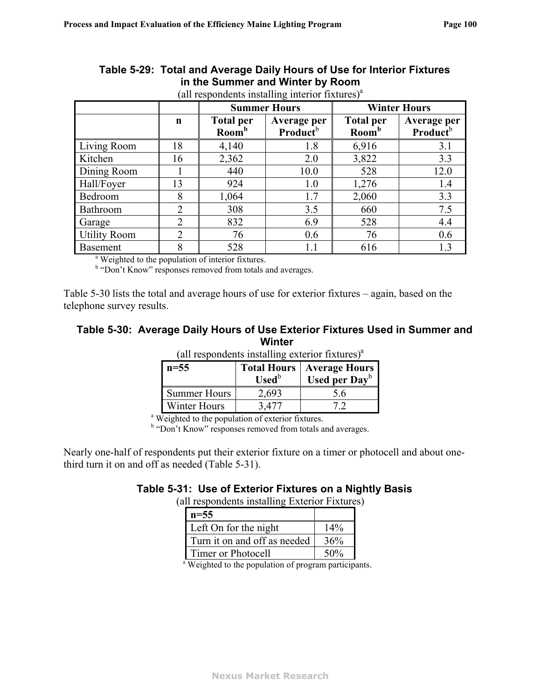<span id="page-102-0"></span>

|                                                               |                | <b>Summer Hours</b>                   |                                     |                                       | <b>Winter Hours</b>                        |  |
|---------------------------------------------------------------|----------------|---------------------------------------|-------------------------------------|---------------------------------------|--------------------------------------------|--|
|                                                               | n              | <b>Total per</b><br>Room <sup>b</sup> | Average per<br>Product <sup>b</sup> | <b>Total per</b><br>Room <sup>b</sup> | Average per<br><b>Product</b> <sup>b</sup> |  |
| Living Room                                                   | 18             | 4,140                                 | 1.8                                 | 6,916                                 | 3.1                                        |  |
| Kitchen                                                       | 16             | 2,362                                 | 2.0                                 | 3,822                                 | 3.3                                        |  |
| Dining Room                                                   |                | 440                                   | 10.0                                | 528                                   | 12.0                                       |  |
| Hall/Foyer                                                    | 13             | 924                                   | 1.0                                 | 1,276                                 | 1.4                                        |  |
| Bedroom                                                       | 8              | 1,064                                 | 1.7                                 | 2,060                                 | 3.3                                        |  |
| <b>Bathroom</b>                                               | $\overline{2}$ | 308                                   | 3.5                                 | 660                                   | 7.5                                        |  |
| Garage                                                        | $\overline{2}$ | 832                                   | 6.9                                 | 528                                   | 4.4                                        |  |
| <b>Utility Room</b>                                           | $\overline{2}$ | 76                                    | 0.6                                 | 76                                    | 0.6                                        |  |
| <b>Basement</b>                                               | 8              | 528                                   | 1.1                                 | 616                                   | 1.3                                        |  |
| <sup>a</sup> Weighted to the population of interior fixtures. |                |                                       |                                     |                                       |                                            |  |

#### **Table 5-29: Total and Average Daily Hours of Use for Interior Fixtures in the Summer and Winter by Room**  (all respondents installing interior fixtures) $a$

<sup>b</sup> "Don't Know" responses removed from totals and averages.

<span id="page-102-2"></span>[Table 5-30](#page-102-2) lists the total and average hours of use for exterior fixtures – again, based on the telephone survey results.

# **Table 5-30: Average Daily Hours of Use Exterior Fixtures Used in Summer and**  Winter<br>*<u>stalling</u>* article fortunar<sup>38</sup>

| $n=55$                                                        | <b>Used</b> <sup>b</sup> | <b>Total Hours   Average Hours</b><br>Used per $Day^b$ |  |  |  |
|---------------------------------------------------------------|--------------------------|--------------------------------------------------------|--|--|--|
| <b>Summer Hours</b>                                           | 2,693                    | 5.6                                                    |  |  |  |
| Winter Hours                                                  | 3,477                    |                                                        |  |  |  |
| <sup>a</sup> Weighted to the population of exterior fixtures. |                          |                                                        |  |  |  |

 $(11 \text{ m})$  response installing exterior fixtures)

<sup>b</sup> "Don't Know" responses removed from totals and averages.

<span id="page-102-1"></span>Nearly one-half of respondents put their exterior fixture on a timer or photocell and about onethird turn it on and off as needed ([Table 5-31](#page-102-1)).

### **Table 5-31: Use of Exterior Fixtures on a Nightly Basis**

(all respondents installing Exterior Fixtures)

| $n = 55$                                                         |     |  |
|------------------------------------------------------------------|-----|--|
| Left On for the night                                            | 14% |  |
| Turn it on and off as needed                                     | 36% |  |
| Timer or Photocell                                               | 50% |  |
| <sup>a</sup> Weighted to the population of program participants. |     |  |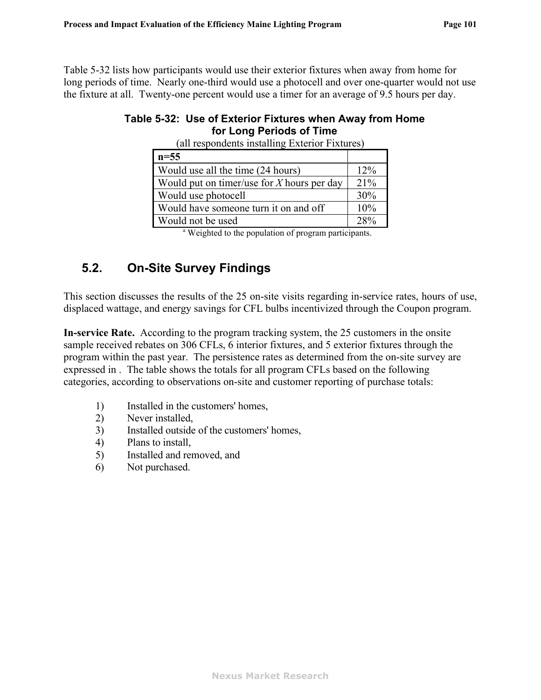<span id="page-103-0"></span>[Table 5-32](#page-103-0) lists how participants would use their exterior fixtures when away from home for long periods of time. Nearly one-third would use a photocell and over one-quarter would not use the fixture at all. Twenty-one percent would use a timer for an average of 9.5 hours per day.

### **Table 5-32: Use of Exterior Fixtures when Away from Home for Long Periods of Time**

| $n=55$                                                           |     |
|------------------------------------------------------------------|-----|
| Would use all the time (24 hours)                                | 12% |
| Would put on timer/use for $X$ hours per day                     | 21% |
| Would use photocell                                              | 30% |
| Would have someone turn it on and off                            | 10% |
| Would not be used                                                | 28% |
| <sup>a</sup> Weighted to the population of program participants. |     |

(all respondents installing Exterior Fixtures)

# **5.2. On-Site Survey Findings**

This section discusses the results of the 25 on-site visits regarding in-service rates, hours of use, displaced wattage, and energy savings for CFL bulbs incentivized through the Coupon program.

**In-service Rate.** According to the program tracking system, the 25 customers in the onsite sample received rebates on 306 CFLs, 6 interior fixtures, and 5 exterior fixtures through the program within the past year. The persistence rates as determined from the on-site survey are expressed in . The table shows the totals for all program CFLs based on the following categories, according to observations on-site and customer reporting of purchase totals:

- 1) Installed in the customers' homes,
- 2) Never installed,
- 3) Installed outside of the customers' homes,
- 4) Plans to install,
- 5) Installed and removed, and
- 6) Not purchased.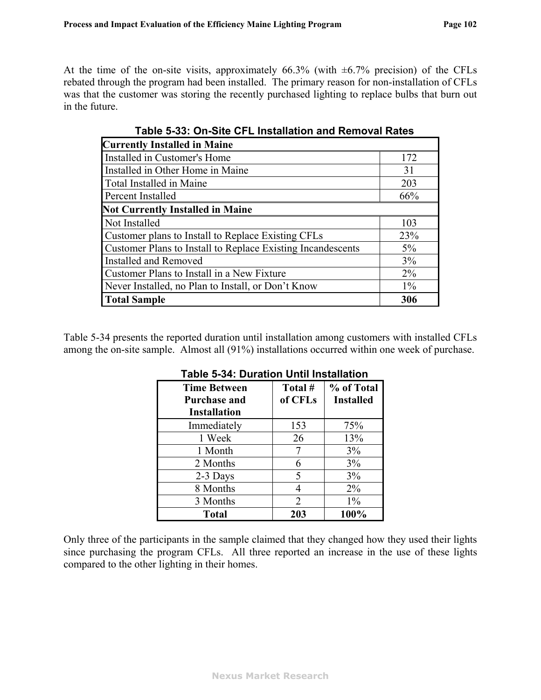At the time of the on-site visits, approximately  $66.3\%$  (with  $\pm 6.7\%$  precision) of the CFLs rebated through the program had been installed. The primary reason for non-installation of CFLs was that the customer was storing the recently purchased lighting to replace bulbs that burn out in the future.

| <b>Currently Installed in Maine</b>                         |       |
|-------------------------------------------------------------|-------|
| Installed in Customer's Home                                | 172   |
| Installed in Other Home in Maine                            | 31    |
| Total Installed in Maine                                    | 203   |
| Percent Installed                                           | 66%   |
| <b>Not Currently Installed in Maine</b>                     |       |
| Not Installed                                               | 103   |
| Customer plans to Install to Replace Existing CFLs          | 23%   |
| Customer Plans to Install to Replace Existing Incandescents | $5\%$ |
| <b>Installed and Removed</b>                                | 3%    |
| Customer Plans to Install in a New Fixture                  | $2\%$ |
| Never Installed, no Plan to Install, or Don't Know          | $1\%$ |
| <b>Total Sample</b>                                         | 306   |

**Table 5-33: On-Site CFL Installation and Removal Rates** 

<span id="page-104-0"></span>[Table 5-34](#page-104-0) presents the reported duration until installation among customers with installed CFLs among the on-site sample. Almost all (91%) installations occurred within one week of purchase.

| <b>Time Between</b><br>Purchase and<br><b>Installation</b> | Total #<br>of CFLs | % of Total<br><b>Installed</b> |
|------------------------------------------------------------|--------------------|--------------------------------|
| Immediately                                                | 153                | 75%                            |
| 1 Week                                                     | 26                 | 13%                            |
| 1 Month                                                    |                    | 3%                             |
| 2 Months                                                   |                    | 3%                             |
| 2-3 Days                                                   | 5                  | 3%                             |
| 8 Months                                                   |                    | $2\%$                          |
| 3 Months                                                   | 2                  | $1\%$                          |
| <b>Total</b>                                               | 203                | 100%                           |

**Table 5-34: Duration Until Installation** 

Only three of the participants in the sample claimed that they changed how they used their lights since purchasing the program CFLs. All three reported an increase in the use of these lights compared to the other lighting in their homes.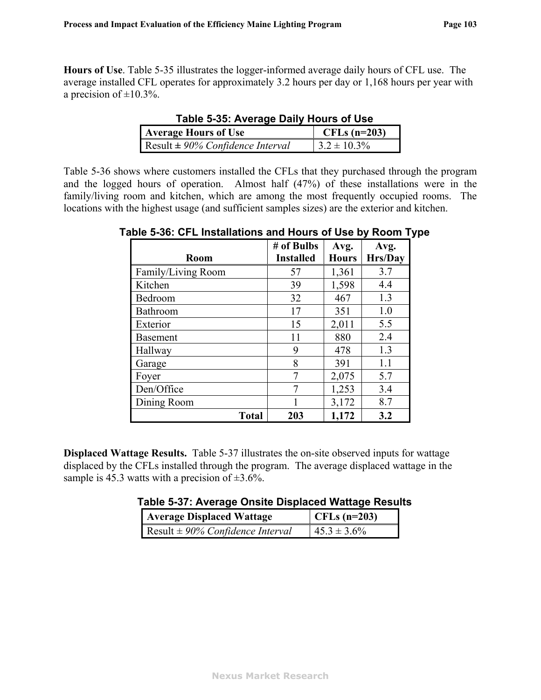<span id="page-105-1"></span>**Hours of Use**. [Table 5-35](#page-105-1) illustrates the logger-informed average daily hours of CFL use. The average installed CFL operates for approximately 3.2 hours per day or 1,168 hours per year with a precision of  $\pm 10.3\%$ .

| <b>Average Hours of Use</b>          | CFLs $(n=203)$   |
|--------------------------------------|------------------|
| Result $\pm$ 90% Confidence Interval | $3.2 \pm 10.3\%$ |

**Table 5-35: Average Daily Hours of Use** 

<span id="page-105-2"></span>[Table 5-36](#page-105-2) shows where customers installed the CFLs that they purchased through the program and the logged hours of operation. Almost half (47%) of these installations were in the family/living room and kitchen, which are among the most frequently occupied rooms. The locations with the highest usage (and sufficient samples sizes) are the exterior and kitchen.

**Table 5-36: CFL Installations and Hours of Use by Room Type** 

| <b>Room</b>        | # of Bulbs<br><b>Installed</b> | Avg.<br><b>Hours</b> | Avg.<br>Hrs/Day |
|--------------------|--------------------------------|----------------------|-----------------|
| Family/Living Room | 57                             | 1,361                | 3.7             |
| Kitchen            | 39                             | 1,598                | 4.4             |
| Bedroom            | 32                             | 467                  | 1.3             |
| Bathroom           | 17                             | 351                  | 1.0             |
| Exterior           | 15                             | 2,011                | 5.5             |
| <b>Basement</b>    | 11                             | 880                  | 2.4             |
| Hallway            | 9                              | 478                  | 1.3             |
| Garage             | 8                              | 391                  | 1.1             |
| Foyer              | $\overline{7}$                 | 2,075                | 5.7             |
| Den/Office         |                                | 1,253                | 3.4             |
| Dining Room        |                                | 3,172                | 8.7             |
| <b>Total</b>       | 203                            | 1,172                | 3.2             |

<span id="page-105-0"></span>**Displaced Wattage Results.** [Table 5-37](#page-105-0) illustrates the on-site observed inputs for wattage displaced by the CFLs installed through the program. The average displaced wattage in the sample is 45.3 watts with a precision of  $\pm 3.6$ %.

| Table 5-37: Average Onsite Displaced Wattage Results |  |  |  |
|------------------------------------------------------|--|--|--|
|------------------------------------------------------|--|--|--|

| <b>Average Displaced Wattage</b>     | CFLs $(n=203)$   |
|--------------------------------------|------------------|
| Result $\pm$ 90% Confidence Interval | $45.3 \pm 3.6\%$ |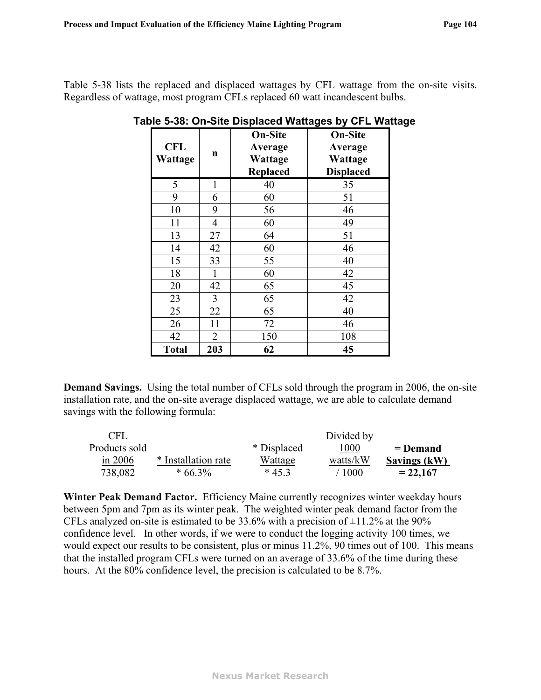<span id="page-106-0"></span>[Table 5-38](#page-106-0) lists the replaced and displaced wattages by CFL wattage from the on-site visits. Regardless of wattage, most program CFLs replaced 60 watt incandescent bulbs.

| <b>CFL</b><br><b>Wattage</b> | $\mathbf n$    | <b>On-Site</b><br>Average<br>Wattage<br>Replaced | <b>On-Site</b><br>Average<br><b>Wattage</b><br><b>Displaced</b> |
|------------------------------|----------------|--------------------------------------------------|-----------------------------------------------------------------|
| 5                            | 1              | 40                                               | 35                                                              |
| 9                            | 6              | 60                                               | 51                                                              |
| 10                           | 9              | 56                                               | 46                                                              |
| 11                           | 4              | 60                                               | 49                                                              |
| 13                           | 27             | 64                                               | 51                                                              |
| 14                           | 42             | 60                                               | 46                                                              |
| 15                           | 33             | 55                                               | 40                                                              |
| 18                           | $\mathbf{1}$   | 60                                               | 42                                                              |
| 20                           | 42             | 65                                               | 45                                                              |
| 23                           | 3              | 65                                               | 42                                                              |
| 25                           | 22             | 65                                               | 40                                                              |
| 26                           | 11             | 72                                               | 46                                                              |
| 42                           | $\overline{2}$ | 150                                              | 108                                                             |
| <b>Total</b>                 | 203            | 62                                               | 45                                                              |

| Table 5-38: On-Site Displaced Wattages by CFL Wattage |
|-------------------------------------------------------|
|-------------------------------------------------------|

**Demand Savings.** Using the total number of CFLs sold through the program in 2006, the on-site installation rate, and the on-site average displaced wattage, we are able to calculate demand savings with the following formula:

| CFL           |                     |             | Divided by |                     |
|---------------|---------------------|-------------|------------|---------------------|
| Products sold |                     | * Displaced | 1000       | $=$ Demand          |
| in $2006$     | * Installation rate | Wattage     | watts/kW   | <b>Savings (kW)</b> |
| 738,082       | $*66.3\%$           | $*453$      | 1000       | $= 22.167$          |

**Winter Peak Demand Factor.** Efficiency Maine currently recognizes winter weekday hours between 5pm and 7pm as its winter peak. The weighted winter peak demand factor from the CFLs analyzed on-site is estimated to be 33.6% with a precision of  $\pm$ 11.2% at the 90% confidence level. In other words, if we were to conduct the logging activity 100 times, we would expect our results to be consistent, plus or minus 11.2%, 90 times out of 100. This means that the installed program CFLs were turned on an average of 33.6% of the time during these hours. At the 80% confidence level, the precision is calculated to be 8.7%.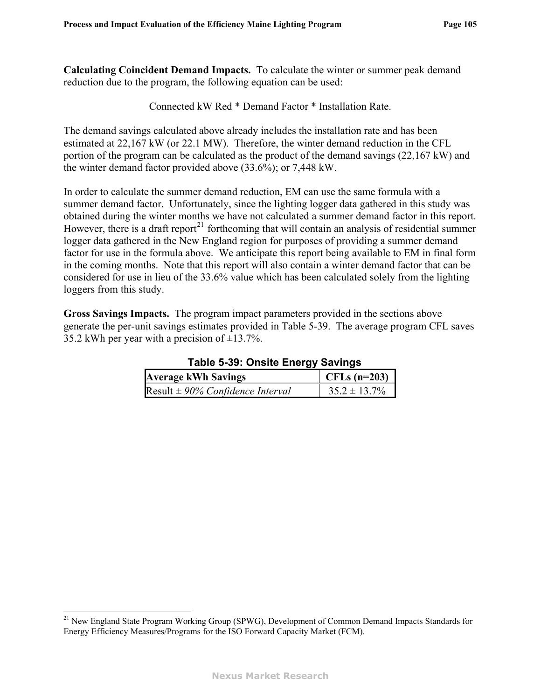<span id="page-107-1"></span>**Calculating Coincident Demand Impacts.** To calculate the winter or summer peak demand reduction due to the program, the following equation can be used:

Connected kW Red \* Demand Factor \* Installation Rate.

The demand savings calculated above already includes the installation rate and has been estimated at 22,167 kW (or 22.1 MW). Therefore, the winter demand reduction in the CFL portion of the program can be calculated as the product of the demand savings (22,167 kW) and the winter demand factor provided above (33.6%); or 7,448 kW.

In order to calculate the summer demand reduction, EM can use the same formula with a summer demand factor. Unfortunately, since the lighting logger data gathered in this study was obtained during the winter months we have not calculated a summer demand factor in this report. However, there is a draft report<sup>[21](#page-107-1)</sup> forthcoming that will contain an analysis of residential summer logger data gathered in the New England region for purposes of providing a summer demand factor for use in the formula above. We anticipate this report being available to EM in final form in the coming months. Note that this report will also contain a winter demand factor that can be considered for use in lieu of the 33.6% value which has been calculated solely from the lighting loggers from this study.

<span id="page-107-0"></span>**Gross Savings Impacts.** The program impact parameters provided in the sections above generate the per-unit savings estimates provided in [Table 5-39](#page-107-0). The average program CFL saves 35.2 kWh per year with a precision of  $\pm$ 13.7%.

| rapie J-JJ. Unsite Energy Javings    |                   |  |
|--------------------------------------|-------------------|--|
| <b>Average kWh Savings</b>           | CFLs $(n=203)$    |  |
| Result $\pm$ 90% Confidence Interval | $35.2 \pm 13.7\%$ |  |

**Table 5-39: Onsite Energy Savings** 

 $\overline{a}$ 

<sup>&</sup>lt;sup>21</sup> New England State Program Working Group (SPWG), Development of Common Demand Impacts Standards for Energy Efficiency Measures/Programs for the ISO Forward Capacity Market (FCM).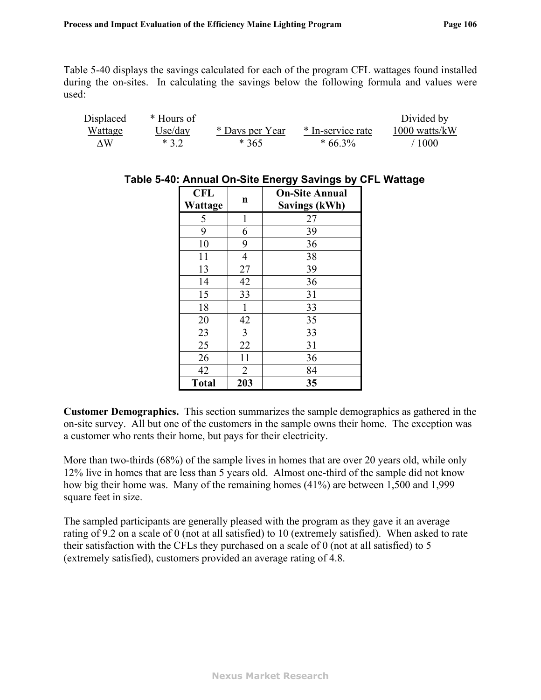[Table 5-40](#page-108-0) displays the savings calculated for each of the program CFL wattages found installed during the on-sites. In calculating the savings below the following formula and values were used:

<span id="page-108-0"></span>

| Displaced      | * Hours of |                 |                   | Divided by      |
|----------------|------------|-----------------|-------------------|-----------------|
| <u>Wattage</u> | Use/day    | * Days per Year | * In-service rate | $1000$ watts/kW |
| ۸W             | $*32$      | $*365$          | $*66.3\%$         | 1000            |

| <b>CFL</b>   |                | <b>On-Site Annual</b> |  |  |  |  |
|--------------|----------------|-----------------------|--|--|--|--|
| Wattage      | n              | <b>Savings (kWh)</b>  |  |  |  |  |
| 5            | 1              | 27                    |  |  |  |  |
| 9            | 6              | 39                    |  |  |  |  |
| 10           | 9              | 36                    |  |  |  |  |
| 11           | $\overline{4}$ | 38                    |  |  |  |  |
| 13           | 27             | 39                    |  |  |  |  |
| 14           | 42             | 36                    |  |  |  |  |
| 15           | 33             | 31                    |  |  |  |  |
| 18           |                | 33                    |  |  |  |  |
| 20           | 42             | 35                    |  |  |  |  |
| 23           | 3              | 33                    |  |  |  |  |
| 25           | 22             | 31                    |  |  |  |  |
| 26           | 11             | 36                    |  |  |  |  |
| 42           | $\overline{2}$ | 84                    |  |  |  |  |
| <b>Total</b> | 203            | 35                    |  |  |  |  |

# **Table 5-40: Annual On-Site Energy Savings by CFL Wattage**

**Customer Demographics.** This section summarizes the sample demographics as gathered in the on-site survey. All but one of the customers in the sample owns their home. The exception was a customer who rents their home, but pays for their electricity.

More than two-thirds (68%) of the sample lives in homes that are over 20 years old, while only 12% live in homes that are less than 5 years old. Almost one-third of the sample did not know how big their home was. Many of the remaining homes (41%) are between 1,500 and 1,999 square feet in size.

The sampled participants are generally pleased with the program as they gave it an average rating of 9.2 on a scale of 0 (not at all satisfied) to 10 (extremely satisfied). When asked to rate their satisfaction with the CFLs they purchased on a scale of 0 (not at all satisfied) to 5 (extremely satisfied), customers provided an average rating of 4.8.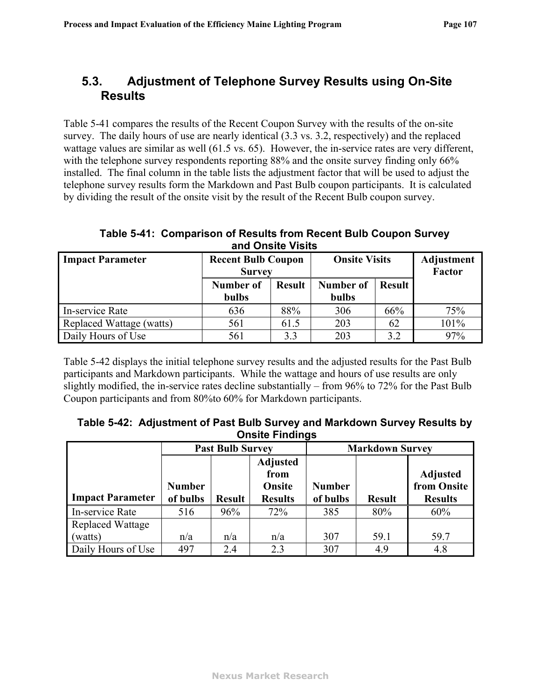# **5.3. Adjustment of Telephone Survey Results using On-Site Results**

[Table 5-41](#page-109-1) compares the results of the Recent Coupon Survey with the results of the on-site survey. The daily hours of use are nearly identical (3.3 vs. 3.2, respectively) and the replaced wattage values are similar as well (61.5 vs. 65). However, the in-service rates are very different, with the telephone survey respondents reporting 88% and the onsite survey finding only 66% installed. The final column in the table lists the adjustment factor that will be used to adjust the telephone survey results form the Markdown and Past Bulb coupon participants. It is calculated by dividing the result of the onsite visit by the result of the Recent Bulb coupon survey.

**Table 5-41: Comparison of Results from Recent Bulb Coupon Survey and Onsite Visits** 

<span id="page-109-1"></span>

| <b>Impact Parameter</b>  | <b>Recent Bulb Coupon</b> |               | <b>Onsite Visits</b> |               | Adjustment |
|--------------------------|---------------------------|---------------|----------------------|---------------|------------|
|                          | <b>Survey</b>             |               |                      | <b>Factor</b> |            |
|                          | Number of                 | <b>Result</b> | Number of            | <b>Result</b> |            |
|                          | <b>bulbs</b>              |               | bulbs                |               |            |
| In-service Rate          | 636                       | 88%           | 306                  | 66%           | 75%        |
| Replaced Wattage (watts) | 561                       | 61.5          | 203                  | 62            | 101%       |
| Daily Hours of Use       | 561                       | 3.3           | 203                  | 3.2           | 97%        |

[Table 5-42](#page-109-0) displays the initial telephone survey results and the adjusted results for the Past Bulb participants and Markdown participants. While the wattage and hours of use results are only slightly modified, the in-service rates decline substantially – from 96% to 72% for the Past Bulb Coupon participants and from 80%to 60% for Markdown participants.

| Table 5-42: Adjustment of Past Bulb Survey and Markdown Survey Results by |
|---------------------------------------------------------------------------|
| <b>Onsite Findings</b>                                                    |

<span id="page-109-0"></span>

|                                    | <b>Past Bulb Survey</b>   |               |                                                     | <b>Markdown Survey</b>    |               |                                                  |  |
|------------------------------------|---------------------------|---------------|-----------------------------------------------------|---------------------------|---------------|--------------------------------------------------|--|
| <b>Impact Parameter</b>            | <b>Number</b><br>of bulbs | <b>Result</b> | <b>Adjusted</b><br>from<br>Onsite<br><b>Results</b> | <b>Number</b><br>of bulbs | <b>Result</b> | <b>Adjusted</b><br>from Onsite<br><b>Results</b> |  |
| In-service Rate                    | 516                       | 96%           | 72%                                                 | 385                       | 80%           | 60%                                              |  |
| <b>Replaced Wattage</b><br>(watts) | n/a                       | n/a           | n/a                                                 | 307                       | 59.1          | 59.7                                             |  |
| Daily Hours of Use                 | 497                       | 2.4           | 2.3                                                 | 307                       | 4.9           | 4.8                                              |  |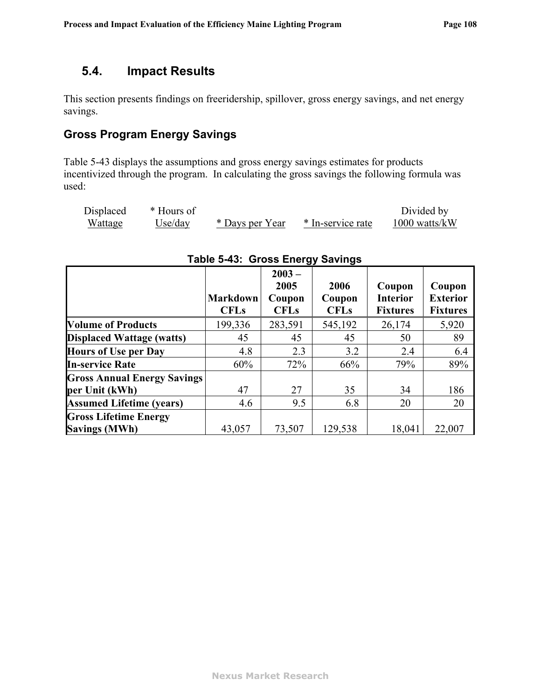## **5.4. Impact Results**

This section presents findings on freeridership, spillover, gross energy savings, and net energy savings.

## **Gross Program Energy Savings**

[Table 5-43](#page-110-0) displays the assumptions and gross energy savings estimates for products incentivized through the program. In calculating the gross savings the following formula was used:

| Displaced | * Hours of |                 |                   | Divided by      |
|-----------|------------|-----------------|-------------------|-----------------|
| Wattage   | Use/day    | * Days per Year | * In-service rate | $1000$ watts/kW |

<span id="page-110-0"></span>

|                                    |                                | $2003 -$              |                       |                                    |                                    |
|------------------------------------|--------------------------------|-----------------------|-----------------------|------------------------------------|------------------------------------|
|                                    |                                | 2005                  | 2006                  | Coupon                             | Coupon                             |
|                                    | <b>Markdown</b><br><b>CFLs</b> | Coupon<br><b>CFLs</b> | Coupon<br><b>CFLs</b> | <b>Interior</b><br><b>Fixtures</b> | <b>Exterior</b><br><b>Fixtures</b> |
| <b>Volume of Products</b>          | 199,336                        | 283,591               | 545,192               | 26,174                             | 5,920                              |
| <b>Displaced Wattage (watts)</b>   | 45                             | 45                    | 45                    | 50                                 | 89                                 |
| <b>Hours of Use per Day</b>        | 4.8                            | 2.3                   | 3.2                   | 2.4                                | 6.4                                |
| <b>In-service Rate</b>             | 60%                            | 72%                   | 66%                   | 79%                                | 89%                                |
| <b>Gross Annual Energy Savings</b> |                                |                       |                       |                                    |                                    |
| per Unit (kWh)                     | 47                             | 27                    | 35                    | 34                                 | 186                                |
| <b>Assumed Lifetime (years)</b>    | 4.6                            | 9.5                   | 6.8                   | 20                                 | 20                                 |
| <b>Gross Lifetime Energy</b>       |                                |                       |                       |                                    |                                    |
| <b>Savings (MWh)</b>               | 43,057                         | 73,507                | 129,538               | 18,041                             | 22,007                             |

### **Table 5-43: Gross Energy Savings**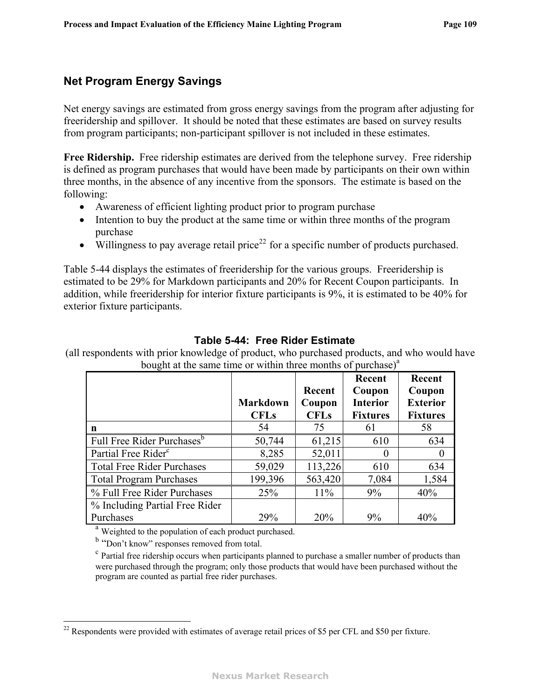## <span id="page-111-1"></span>**Net Program Energy Savings**

Net energy savings are estimated from gross energy savings from the program after adjusting for freeridership and spillover. It should be noted that these estimates are based on survey results from program participants; non-participant spillover is not included in these estimates.

**Free Ridership.** Free ridership estimates are derived from the telephone survey. Free ridership is defined as program purchases that would have been made by participants on their own within three months, in the absence of any incentive from the sponsors. The estimate is based on the following:

- ! Awareness of efficient lighting product prior to program purchase
- Intention to buy the product at the same time or within three months of the program purchase
- $\bullet$  Willingness to pay average retail price<sup>[22](#page-111-1)</sup> for a specific number of products purchased.

[Table 5-44](#page-111-0) displays the estimates of freeridership for the various groups. Freeridership is estimated to be 29% for Markdown participants and 20% for Recent Coupon participants. In addition, while freeridership for interior fixture participants is 9%, it is estimated to be 40% for exterior fixture participants.

### **Table 5-44: Free Rider Estimate**

<span id="page-111-0"></span>(all respondents with prior knowledge of product, who purchased products, and who would have bought at the same time or within three months of purchase) $a<sup>a</sup>$ 

|                                        | <b>Markdown</b><br><b>CFLs</b> | Recent<br>Coupon<br><b>CFLs</b> | Recent<br>Coupon<br><b>Interior</b><br><b>Fixtures</b> | Recent<br>Coupon<br><b>Exterior</b><br><b>Fixtures</b> |
|----------------------------------------|--------------------------------|---------------------------------|--------------------------------------------------------|--------------------------------------------------------|
| n                                      | 54                             | 75                              | 61                                                     | 58                                                     |
| Full Free Rider Purchases <sup>b</sup> | 50,744                         | 61,215                          | 610                                                    | 634                                                    |
| Partial Free Rider <sup>c</sup>        | 8,285                          | 52,011                          | 0                                                      | $\boldsymbol{0}$                                       |
| <b>Total Free Rider Purchases</b>      | 59,029                         | 113,226                         | 610                                                    | 634                                                    |
| <b>Total Program Purchases</b>         | 199,396                        | 563,420                         | 7,084                                                  | 1,584                                                  |
| % Full Free Rider Purchases            | 25%                            | $11\%$                          | 9%                                                     | 40%                                                    |
| % Including Partial Free Rider         |                                |                                 |                                                        |                                                        |
| Purchases                              | 29%                            | 20%                             | 9%                                                     | 40%                                                    |

 $^{\circ}$  Weighted to the population of each product purchased.

<sup>b</sup> "Don't know" responses removed from total.

 $\degree$  Partial free ridership occurs when participants planned to purchase a smaller number of products than were purchased through the program; only those products that would have been purchased without the program are counted as partial free rider purchases.

 $\overline{a}$  $22$  Respondents were provided with estimates of average retail prices of \$5 per CFL and \$50 per fixture.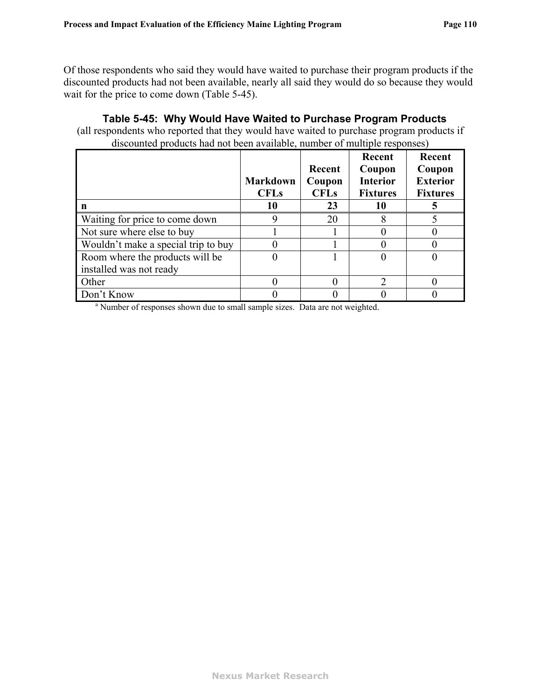Of those respondents who said they would have waited to purchase their program products if the discounted products had not been available, nearly all said they would do so because they would wait for the price to come down [\(Table 5-45\)](#page-112-0).

<span id="page-112-0"></span>

|                                                            | <b>Markdown</b><br><b>CFLs</b> | Recent<br>Coupon<br><b>CFLs</b> | Recent<br>Coupon<br><b>Interior</b><br><b>Fixtures</b> | Recent<br>Coupon<br><b>Exterior</b><br><b>Fixtures</b> |
|------------------------------------------------------------|--------------------------------|---------------------------------|--------------------------------------------------------|--------------------------------------------------------|
| n                                                          | 10                             | 23                              | 10                                                     |                                                        |
| Waiting for price to come down                             | 9                              | 20                              |                                                        |                                                        |
| Not sure where else to buy                                 |                                |                                 |                                                        |                                                        |
| Wouldn't make a special trip to buy                        |                                |                                 |                                                        |                                                        |
| Room where the products will be<br>installed was not ready |                                |                                 |                                                        |                                                        |
| Other                                                      |                                |                                 | $\mathcal{D}$                                          |                                                        |
| Don't Know                                                 |                                |                                 |                                                        |                                                        |

### **Table 5-45: Why Would Have Waited to Purchase Program Products**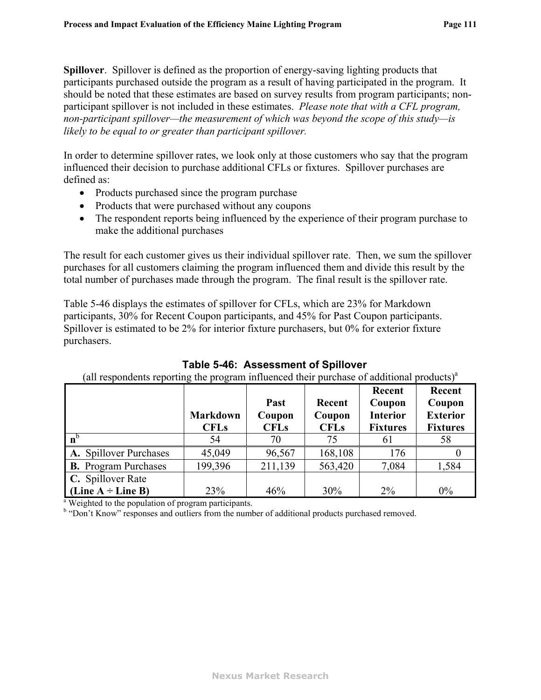**Spillover**. Spillover is defined as the proportion of energy-saving lighting products that participants purchased outside the program as a result of having participated in the program. It should be noted that these estimates are based on survey results from program participants; nonparticipant spillover is not included in these estimates. *Please note that with a CFL program, non-participant spillover—the measurement of which was beyond the scope of this study—is likely to be equal to or greater than participant spillover.* 

In order to determine spillover rates, we look only at those customers who say that the program influenced their decision to purchase additional CFLs or fixtures. Spillover purchases are defined as:

- Products purchased since the program purchase
- Products that were purchased without any coupons
- The respondent reports being influenced by the experience of their program purchase to make the additional purchases

The result for each customer gives us their individual spillover rate. Then, we sum the spillover purchases for all customers claiming the program influenced them and divide this result by the total number of purchases made through the program. The final result is the spillover rate.

[Table 5-46](#page-113-0) displays the estimates of spillover for CFLs, which are 23% for Markdown participants, 30% for Recent Coupon participants, and 45% for Past Coupon participants. Spillover is estimated to be 2% for interior fixture purchasers, but 0% for exterior fixture purchasers.

<span id="page-113-0"></span>

|                                                                  | <b>Markdown</b><br><b>CFLs</b> | Past<br>Coupon<br><b>CFLs</b> | Recent<br>Coupon<br><b>CFLs</b> | Recent<br>Coupon<br><b>Interior</b><br><b>Fixtures</b> | Recent<br>Coupon<br><b>Exterior</b><br><b>Fixtures</b> |
|------------------------------------------------------------------|--------------------------------|-------------------------------|---------------------------------|--------------------------------------------------------|--------------------------------------------------------|
| $n^b$                                                            | 54                             | 70                            | 75                              | 61                                                     | 58                                                     |
| A. Spillover Purchases                                           | 45,049                         | 96,567                        | 168,108                         | 176                                                    |                                                        |
| <b>B.</b> Program Purchases                                      | 199,396                        | 211,139                       | 563,420                         | 7,084                                                  | 1,584                                                  |
| C. Spillover Rate                                                |                                |                               |                                 |                                                        |                                                        |
| (Line $A \div$ Line B)                                           | 23%                            | 46%                           | 30%                             | $2\%$                                                  | $0\%$                                                  |
| <sup>a</sup> Weighted to the population of program participants. |                                |                               |                                 |                                                        |                                                        |

### **Table 5-46: Assessment of Spillover**

(all respondents reporting the program influenced their purchase of additional products)<sup>a</sup>

<sup>b</sup> "Don't Know" responses and outliers from the number of additional products purchased removed.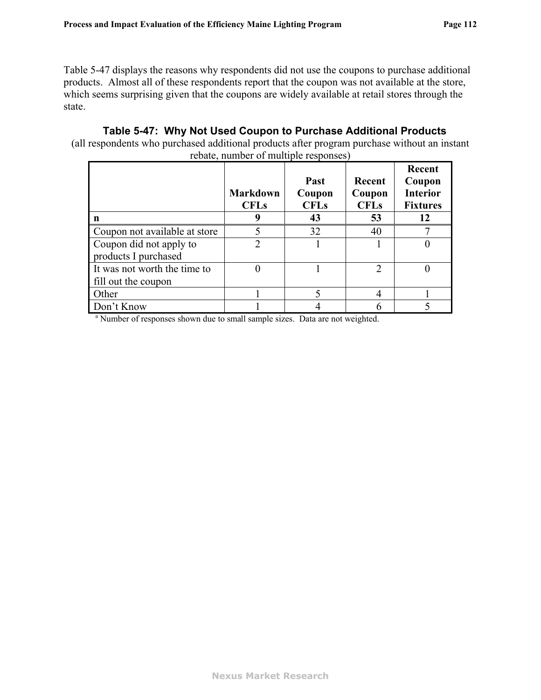[Table 5-47](#page-114-0) displays the reasons why respondents did not use the coupons to purchase additional products. Almost all of these respondents report that the coupon was not available at the store, which seems surprising given that the coupons are widely available at retail stores through the state.

#### **Table 5-47: Why Not Used Coupon to Purchase Additional Products**

<span id="page-114-0"></span>(all respondents who purchased additional products after program purchase without an instant rebate, number of multiple responses)

|                                                                                          | <b>Markdown</b><br><b>CFLs</b> | Past<br>Coupon<br><b>CFLs</b> | Recent<br>Coupon<br><b>CFLs</b> | Recent<br>Coupon<br><b>Interior</b><br><b>Fixtures</b> |
|------------------------------------------------------------------------------------------|--------------------------------|-------------------------------|---------------------------------|--------------------------------------------------------|
| n                                                                                        | 9                              | 43                            | 53                              | 12                                                     |
| Coupon not available at store                                                            |                                | 32                            | 40                              |                                                        |
| Coupon did not apply to                                                                  | $\mathfrak{D}$                 |                               |                                 |                                                        |
| products I purchased                                                                     |                                |                               |                                 |                                                        |
| It was not worth the time to                                                             |                                |                               | 2                               | 0                                                      |
| fill out the coupon                                                                      |                                |                               |                                 |                                                        |
| Other                                                                                    |                                |                               |                                 |                                                        |
| Don't Know                                                                               |                                |                               |                                 |                                                        |
| <sup>a</sup> Number of responses shown due to small sample sizes. Data are not weighted. |                                |                               |                                 |                                                        |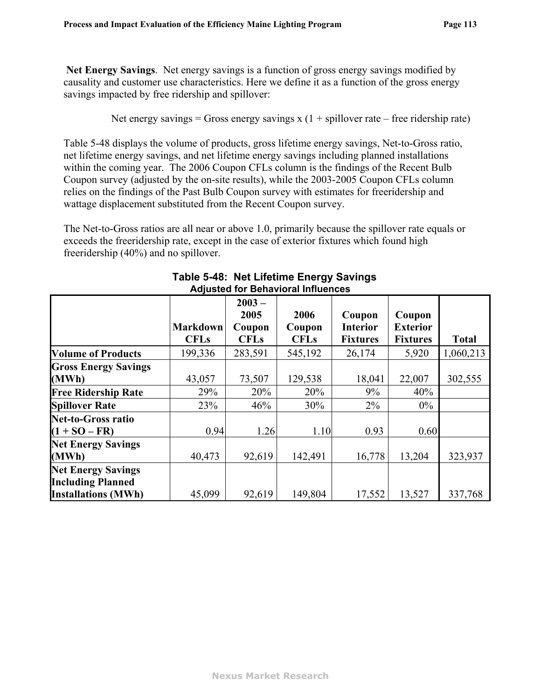**Net Energy Savings**. Net energy savings is a function of gross energy savings modified by causality and customer use characteristics. Here we define it as a function of the gross energy savings impacted by free ridership and spillover:

Net energy savings = Gross energy savings  $x(1 + \text{spillover rate} - \text{free ridership rate})$ 

[Table 5-48](#page-115-0) displays the volume of products, gross lifetime energy savings, Net-to-Gross ratio, net lifetime energy savings, and net lifetime energy savings including planned installations within the coming year. The 2006 Coupon CFLs column is the findings of the Recent Bulb Coupon survey (adjusted by the on-site results), while the 2003-2005 Coupon CFLs column relies on the findings of the Past Bulb Coupon survey with estimates for freeridership and wattage displacement substituted from the Recent Coupon survey.

The Net-to-Gross ratios are all near or above 1.0, primarily because the spillover rate equals or exceeds the freeridership rate, except in the case of exterior fixtures which found high freeridership (40%) and no spillover.

<span id="page-115-0"></span>

|                                                       | <b>Markdown</b><br><b>CFLs</b> | $2003 -$<br>2005<br>Coupon<br><b>CFLs</b> | 2006<br>Coupon<br><b>CFLs</b> | Coupon<br><b>Interior</b><br><b>Fixtures</b> | Coupon<br><b>Exterior</b><br><b>Fixtures</b> | <b>Total</b> |
|-------------------------------------------------------|--------------------------------|-------------------------------------------|-------------------------------|----------------------------------------------|----------------------------------------------|--------------|
| <b>Volume of Products</b>                             | 199,336                        | 283,591                                   | 545,192                       | 26,174                                       | 5,920                                        | 1,060,213    |
| <b>Gross Energy Savings</b>                           |                                |                                           |                               |                                              |                                              |              |
| (MWh)                                                 | 43,057                         | 73,507                                    | 129,538                       | 18,041                                       | 22,007                                       | 302,555      |
| <b>Free Ridership Rate</b>                            | 29%                            | 20%                                       | 20%                           | 9%                                           | 40%                                          |              |
| <b>Spillover Rate</b>                                 | 23%                            | 46%                                       | 30%                           | $2\%$                                        | $0\%$                                        |              |
| <b>Net-to-Gross ratio</b>                             |                                |                                           |                               |                                              |                                              |              |
| $(1 + SO - FR)$                                       | 0.94                           | 1.26                                      | 1.10                          | 0.93                                         | 0.60                                         |              |
| <b>Net Energy Savings</b><br>(MWh)                    | 40,473                         | 92,619                                    | 142,491                       | 16,778                                       | 13,204                                       | 323,937      |
| <b>Net Energy Savings</b><br><b>Including Planned</b> |                                |                                           |                               |                                              |                                              |              |
| <b>Installations (MWh)</b>                            | 45,099                         | 92,619                                    | 149,804                       | 17,552                                       | 13,527                                       | 337,768      |

#### **Table 5-48: Net Lifetime Energy Savings Adjusted for Behavioral Influences**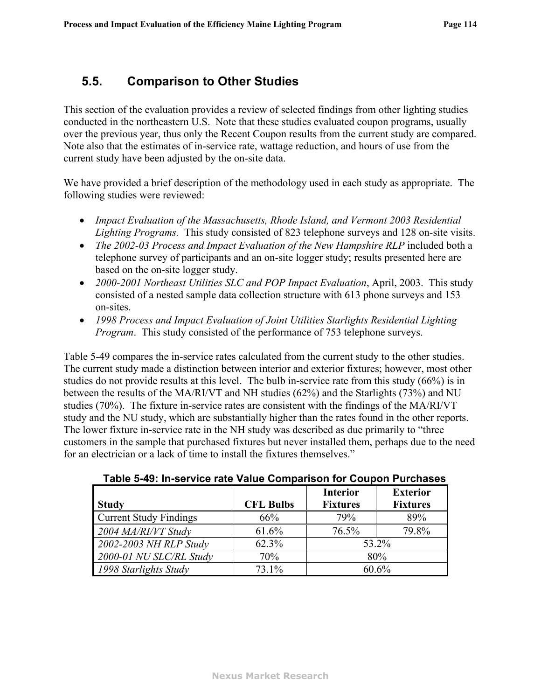# **5.5. Comparison to Other Studies**

This section of the evaluation provides a review of selected findings from other lighting studies conducted in the northeastern U.S. Note that these studies evaluated coupon programs, usually over the previous year, thus only the Recent Coupon results from the current study are compared. Note also that the estimates of in-service rate, wattage reduction, and hours of use from the current study have been adjusted by the on-site data.

We have provided a brief description of the methodology used in each study as appropriate. The following studies were reviewed:

- ! *Impact Evaluation of the Massachusetts, Rhode Island, and Vermont 2003 Residential Lighting Programs.* This study consisted of 823 telephone surveys and 128 on-site visits.
- *The 2002-03 Process and Impact Evaluation of the New Hampshire RLP* included both a telephone survey of participants and an on-site logger study; results presented here are based on the on-site logger study.
- ! *2000-2001 Northeast Utilities SLC and POP Impact Evaluation*, April, 2003. This study consisted of a nested sample data collection structure with 613 phone surveys and 153 on-sites.
- ! *1998 Process and Impact Evaluation of Joint Utilities Starlights Residential Lighting Program*. This study consisted of the performance of 753 telephone surveys.

[Table 5-49](#page-116-0) compares the in-service rates calculated from the current study to the other studies. The current study made a distinction between interior and exterior fixtures; however, most other studies do not provide results at this level. The bulb in-service rate from this study (66%) is in between the results of the MA/RI/VT and NH studies (62%) and the Starlights (73%) and NU studies (70%). The fixture in-service rates are consistent with the findings of the MA/RI/VT study and the NU study, which are substantially higher than the rates found in the other reports. The lower fixture in-service rate in the NH study was described as due primarily to "three customers in the sample that purchased fixtures but never installed them, perhaps due to the need for an electrician or a lack of time to install the fixtures themselves."

<span id="page-116-0"></span>

| <b>Study</b>                  | <b>CFL Bulbs</b> | <b>Interior</b><br><b>Fixtures</b> | <b>Exterior</b><br><b>Fixtures</b> |  |
|-------------------------------|------------------|------------------------------------|------------------------------------|--|
| <b>Current Study Findings</b> | 66%              | 79%                                | 89%                                |  |
| 2004 MA/RI/VT Study           | 61.6%            | 76.5%                              | 79.8%                              |  |
| 2002-2003 NH RLP Study        | 62.3%            | 53.2%                              |                                    |  |
| 2000-01 NU SLC/RL Study       | 70%              | 80%                                |                                    |  |
| 1998 Starlights Study         | 73.1%            | 60.6%                              |                                    |  |

#### **Table 5-49: In-service rate Value Comparison for Coupon Purchases**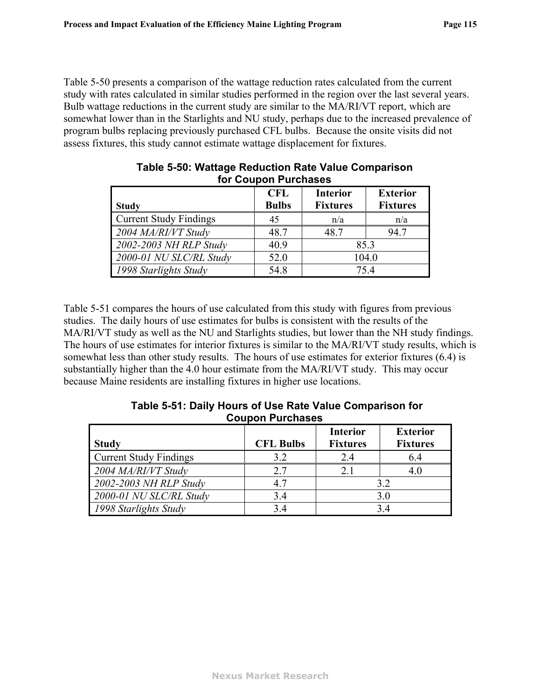<span id="page-117-1"></span>[Table 5-50](#page-117-1) presents a comparison of the wattage reduction rates calculated from the current study with rates calculated in similar studies performed in the region over the last several years. Bulb wattage reductions in the current study are similar to the MA/RI/VT report, which are somewhat lower than in the Starlights and NU study, perhaps due to the increased prevalence of program bulbs replacing previously purchased CFL bulbs. Because the onsite visits did not assess fixtures, this study cannot estimate wattage displacement for fixtures.

|                               | <b>CFL</b>   | <b>Interior</b> | <b>Exterior</b> |  |
|-------------------------------|--------------|-----------------|-----------------|--|
| <b>Study</b>                  | <b>Bulbs</b> | <b>Fixtures</b> | <b>Fixtures</b> |  |
| <b>Current Study Findings</b> | 45           | n/a             | n/a             |  |
| 2004 MA/RI/VT Study           | 48.7         | 48.7            | 94.7            |  |
| 2002-2003 NH RLP Study        | 40.9         | 85.3            |                 |  |
| 2000-01 NU SLC/RL Study       | 52.0         | 104.0           |                 |  |
| 1998 Starlights Study         | 54.8         | 75.4            |                 |  |

| Table 5-50: Wattage Reduction Rate Value Comparison |
|-----------------------------------------------------|
| for Coupon Purchases                                |

[Table 5-51](#page-117-0) compares the hours of use calculated from this study with figures from previous studies. The daily hours of use estimates for bulbs is consistent with the results of the MA/RI/VT study as well as the NU and Starlights studies, but lower than the NH study findings. The hours of use estimates for interior fixtures is similar to the MA/RI/VT study results, which is somewhat less than other study results. The hours of use estimates for exterior fixtures (6.4) is substantially higher than the 4.0 hour estimate from the MA/RI/VT study. This may occur because Maine residents are installing fixtures in higher use locations.

| $\sim$ , and the state of the state $\sim$ . The state of the state of the state $\sim$ . The state of the state of the state of the state of the state of the state of the state of the state of the state of the state of the sta<br><b>Coupon Purchases</b> |             |          |                 |  |  |
|----------------------------------------------------------------------------------------------------------------------------------------------------------------------------------------------------------------------------------------------------------------|-------------|----------|-----------------|--|--|
|                                                                                                                                                                                                                                                                |             | Interior | <b>Exterior</b> |  |  |
| łv                                                                                                                                                                                                                                                             | $CFI$ Rulbe | Fivtures | Fivtures        |  |  |

<span id="page-117-0"></span>г

 **Table 5-51: Daily Hours of Use Rate Value Comparison for** 

|                               |                  | Interior        | Exterior        |  |  |
|-------------------------------|------------------|-----------------|-----------------|--|--|
| <b>Study</b>                  | <b>CFL Bulbs</b> | <b>Fixtures</b> | <b>Fixtures</b> |  |  |
| <b>Current Study Findings</b> | 3.2              | 2.4             | 6.4             |  |  |
| 2004 MA/RI/VT Study           | 2.7              |                 | 4.0             |  |  |
| 2002-2003 NH RLP Study        | 4.7              | 3.2             |                 |  |  |
| 2000-01 NU SLC/RL Study       | 3.4              | 3.0             |                 |  |  |
| 1998 Starlights Study         | 3.4              | 34              |                 |  |  |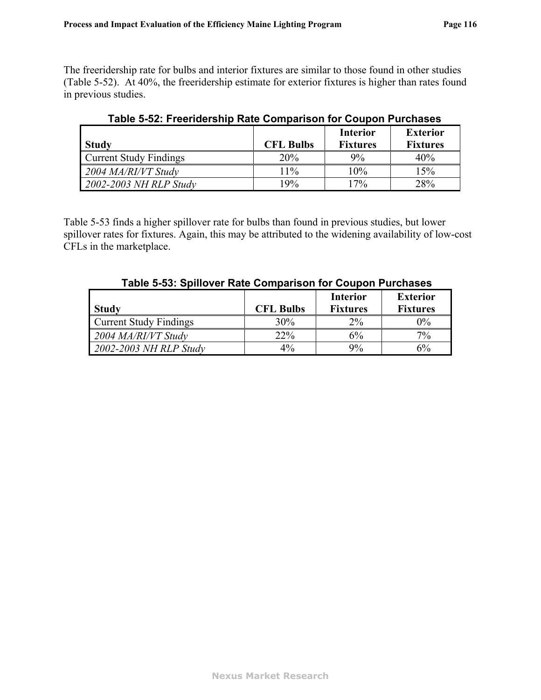<span id="page-118-1"></span>The freeridership rate for bulbs and interior fixtures are similar to those found in other studies ([Table 5-52](#page-118-1)). At 40%, the freeridership estimate for exterior fixtures is higher than rates found in previous studies.

| <b>Study</b>                  | <b>CFL Bulbs</b> | <b>Interior</b><br><b>Fixtures</b> | <b>Exterior</b><br><b>Fixtures</b> |
|-------------------------------|------------------|------------------------------------|------------------------------------|
| <b>Current Study Findings</b> | 20%              | 9%                                 | 40%                                |
| 2004 MA/RI/VT Study           | 11%              | 10%                                | 15%                                |
| 2002-2003 NH RLP Study        | 19%              | 17%                                | 28%                                |

**Table 5-52: Freeridership Rate Comparison for Coupon Purchases** 

<span id="page-118-0"></span>[Table 5-53](#page-118-0) finds a higher spillover rate for bulbs than found in previous studies, but lower spillover rates for fixtures. Again, this may be attributed to the widening availability of low-cost CFLs in the marketplace.

| <b>Study</b>                  | <b>CFL Bulbs</b> | <b>Interior</b><br><b>Fixtures</b> | <b>Exterior</b><br><b>Fixtures</b> |
|-------------------------------|------------------|------------------------------------|------------------------------------|
| <b>Current Study Findings</b> | 30%              | $2\%$                              | $0\%$                              |
| 2004 MA/RI/VT Study           | 22%              | 6%                                 | $7\%$                              |
| $\mid$ 2002-2003 NH RLP Study | $4\%$            | 9%                                 | $6\%$                              |

 **Table 5-53: Spillover Rate Comparison for Coupon Purchases**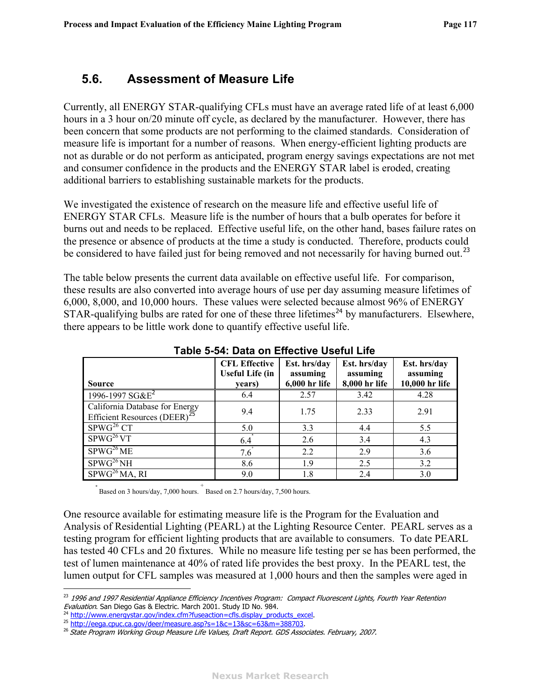# <span id="page-119-0"></span>**5.6. Assessment of Measure Life**

Currently, all ENERGY STAR-qualifying CFLs must have an average rated life of at least 6,000 hours in a 3 hour on/20 minute off cycle, as declared by the manufacturer. However, there has been concern that some products are not performing to the claimed standards. Consideration of measure life is important for a number of reasons. When energy-efficient lighting products are not as durable or do not perform as anticipated, program energy savings expectations are not met and consumer confidence in the products and the ENERGY STAR label is eroded, creating additional barriers to establishing sustainable markets for the products.

We investigated the existence of research on the measure life and effective useful life of ENERGY STAR CFLs. Measure life is the number of hours that a bulb operates for before it burns out and needs to be replaced. Effective useful life, on the other hand, bases failure rates on the presence or absence of products at the time a study is conducted. Therefore, products could be considered to have failed just for being removed and not necessarily for having burned out.<sup>[23](#page-119-0)</sup>

The table below presents the current data available on effective useful life. For comparison, these results are also converted into average hours of use per day assuming measure lifetimes of 6,000, 8,000, and 10,000 hours. These values were selected because almost 96% of ENERGY STAR-qualifying bulbs are rated for one of these three lifetimes<sup>[24](#page-119-0)</sup> by manufacturers. Elsewhere, there appears to be little work done to quantify effective useful life.

<span id="page-119-1"></span>

| <b>Source</b>                                                              | <b>CFL Effective</b><br><b>Useful Life (in</b><br>years) | Est. hrs/day<br>assuming<br>6,000 hr life | Est. hrs/day<br>assuming<br>8,000 hr life | Est. hrs/day<br>assuming<br>10,000 hr life |
|----------------------------------------------------------------------------|----------------------------------------------------------|-------------------------------------------|-------------------------------------------|--------------------------------------------|
| 1996-1997 SG&E <sup>2</sup>                                                | 6.4                                                      | 2.57                                      | 3.42                                      | 4.28                                       |
| California Database for Energy<br>Efficient Resources (DEER) <sup>25</sup> | 9.4                                                      | 1.75                                      | 2.33                                      | 2.91                                       |
| SPWG <sup>26</sup> CT                                                      | 5.0                                                      | 3.3                                       | 4.4                                       | 5.5                                        |
| SPWG <sup>26</sup> VT                                                      | 6.4                                                      | 2.6                                       | 3.4                                       | 4.3                                        |
| SPWG <sup>26</sup> ME                                                      | 7.6                                                      | 2.2                                       | 2.9                                       | 3.6                                        |
| SPWG <sup>26</sup> NH                                                      | 8.6                                                      | 1.9                                       | 2.5                                       | 3.2                                        |
| SPWG <sup>26</sup> MA, RI                                                  | 9.0                                                      | 1.8                                       | 2.4                                       | 3.0                                        |

**Table 5-54: Data on Effective Useful Life** 

\* Based on 3 hours/day, 7,000 hours. + Based on 2.7 hours/day, 7,500 hours.

One resource available for estimating measure life is the Program for the Evaluation and Analysis of Residential Lighting (PEARL) at the Lighting Resource Center. PEARL serves as a testing program for efficient lighting products that are available to consumers. To date PEARL has tested 40 CFLs and 20 fixtures. While no measure life testing per se has been performed, the test of lumen maintenance at 40% of rated life provides the best proxy. In the PEARL test, the lumen output for CFL samples was measured at 1,000 hours and then the samples were aged in

<sup>&</sup>lt;u>.</u> <sup>23</sup> 1996 and 1997 Residential Appliance Efficiency Incentives Program: Compact Fluorescent Lights, Fourth Year Retention<br>Evaluation. San Diego Gas & Electric. March 2001. Study ID No. 984.

<sup>&</sup>lt;sup>24</sup> [http://www.energystar.gov/index.cfm?fuseaction=cfls.display\\_products\\_excel](http://www.energystar.gov/index.cfm?fuseaction=cfls.display_products_excel).<br><sup>25</sup> [http://eega.cpuc.ca.gov/deer/measure.asp?s=1&c=13&sc=63&m=388703.](http://eega.cpuc.ca.gov/deer/measure.asp?s=1&c=13&sc=63&m=388703)<br><sup>26</sup> State Program Working Group Measure Life Values, Draft Report. GD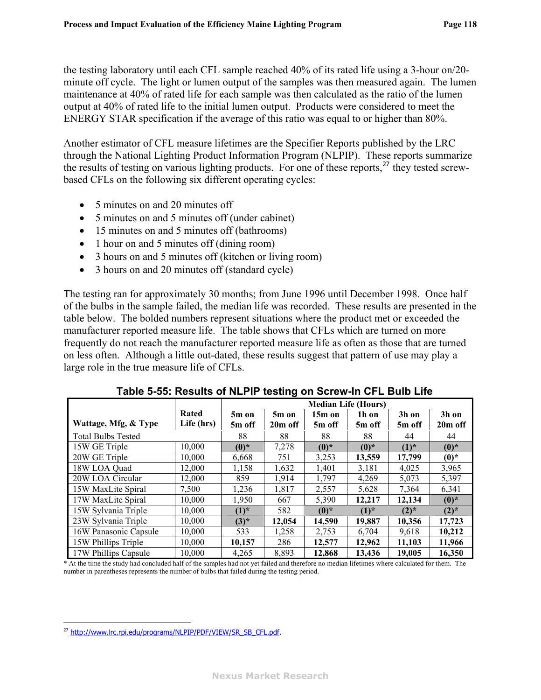<span id="page-120-0"></span>the testing laboratory until each CFL sample reached 40% of its rated life using a 3-hour on/20 minute off cycle. The light or lumen output of the samples was then measured again. The lumen maintenance at 40% of rated life for each sample was then calculated as the ratio of the lumen output at 40% of rated life to the initial lumen output. Products were considered to meet the ENERGY STAR specification if the average of this ratio was equal to or higher than 80%.

Another estimator of CFL measure lifetimes are the Specifier Reports published by the LRC through the National Lighting Product Information Program (NLPIP). These reports summarize the results of testing on various lighting products. For one of these reports,<sup>[27](#page-120-0)</sup> they tested screwbased CFLs on the following six different operating cycles:

- 5 minutes on and 20 minutes off
- 5 minutes on and 5 minutes off (under cabinet)
- 15 minutes on and 5 minutes off (bathrooms)
- 1 hour on and 5 minutes off (dining room)
- 3 hours on and 5 minutes off (kitchen or living room)
- 3 hours on and 20 minutes off (standard cycle)

The testing ran for approximately 30 months; from June 1996 until December 1998. Once half of the bulbs in the sample failed, the median life was recorded. These results are presented in the table below. The bolded numbers represent situations where the product met or exceeded the manufacturer reported measure life. The table shows that CFLs which are turned on more frequently do not reach the manufacturer reported measure life as often as those that are turned on less often. Although a little out-dated, these results suggest that pattern of use may play a large role in the true measure life of CFLs.

|                           |            | <b>Median Life (Hours)</b> |         |          |           |           |                     |
|---------------------------|------------|----------------------------|---------|----------|-----------|-----------|---------------------|
|                           | Rated      | 5m on                      | 5m on   | $15m$ on | 1h on     | 3h on     | 3h on               |
| Wattage, Mfg, & Type      | Life (hrs) | 5m off                     | 20m off | 5m off   | 5m off    | 5m off    | 20 <sub>m</sub> off |
| <b>Total Bulbs Tested</b> |            | 88                         | 88      | 88       | 88        | 44        | 44                  |
| 15W GE Triple             | 10,000     | $(0)*$                     | 7,278   | $(0)*$   | $(0)*$    | $(1)^{*}$ | $(0)*$              |
| 20W GE Triple             | 10.000     | 6,668                      | 751     | 3,253    | 13.559    | 17,799    | $(0)*$              |
| 18W LOA Quad              | 12,000     | 1,158                      | 1,632   | 1,401    | 3,181     | 4,025     | 3,965               |
| 20W LOA Circular          | 12.000     | 859                        | 1,914   | 1,797    | 4,269     | 5,073     | 5,397               |
| 15W MaxLite Spiral        | 7,500      | 1,236                      | 1,817   | 2,557    | 5,628     | 7,364     | 6,341               |
| 17W MaxLite Spiral        | 10,000     | 1,950                      | 667     | 5,390    | 12,217    | 12,134    | $(0)*$              |
| 15W Sylvania Triple       | 10,000     | $(1)^{*}$                  | 582     | $(0)*$   | $(1)^{*}$ | $(2)^{*}$ | $(2)^{*}$           |
| 23W Sylvania Triple       | 10,000     | $(3)*$                     | 12,054  | 14,590   | 19,887    | 10,356    | 17,723              |
| 16W Panasonic Capsule     | 10,000     | 533                        | 1,258   | 2,753    | 6,704     | 9,618     | 10,212              |
| 15W Phillips Triple       | 10.000     | 10,157                     | 286     | 12,577   | 12,962    | 11.103    | 11,966              |
| 17W Phillips Capsule      | 10.000     | 4,265                      | 8,893   | 12,868   | 13.436    | 19,005    | 16,350              |

**Table 5-55: Results of NLPIP testing on Screw-In CFL Bulb Life** 

\* At the time the study had concluded half of the samples had not yet failed and therefore no median lifetimes where calculated for them. The number in parentheses represents the number of bulbs that failed during the testing period.

 $\overline{a}$ 

<sup>&</sup>lt;sup>27</sup> [http://www.lrc.rpi.edu/programs/NLPIP/PDF/VIEW/SR\\_SB\\_CFL.pdf](http://www.lrc.rpi.edu/programs/NLPIP/PDF/VIEW/SR_SB_CFL.pdf).